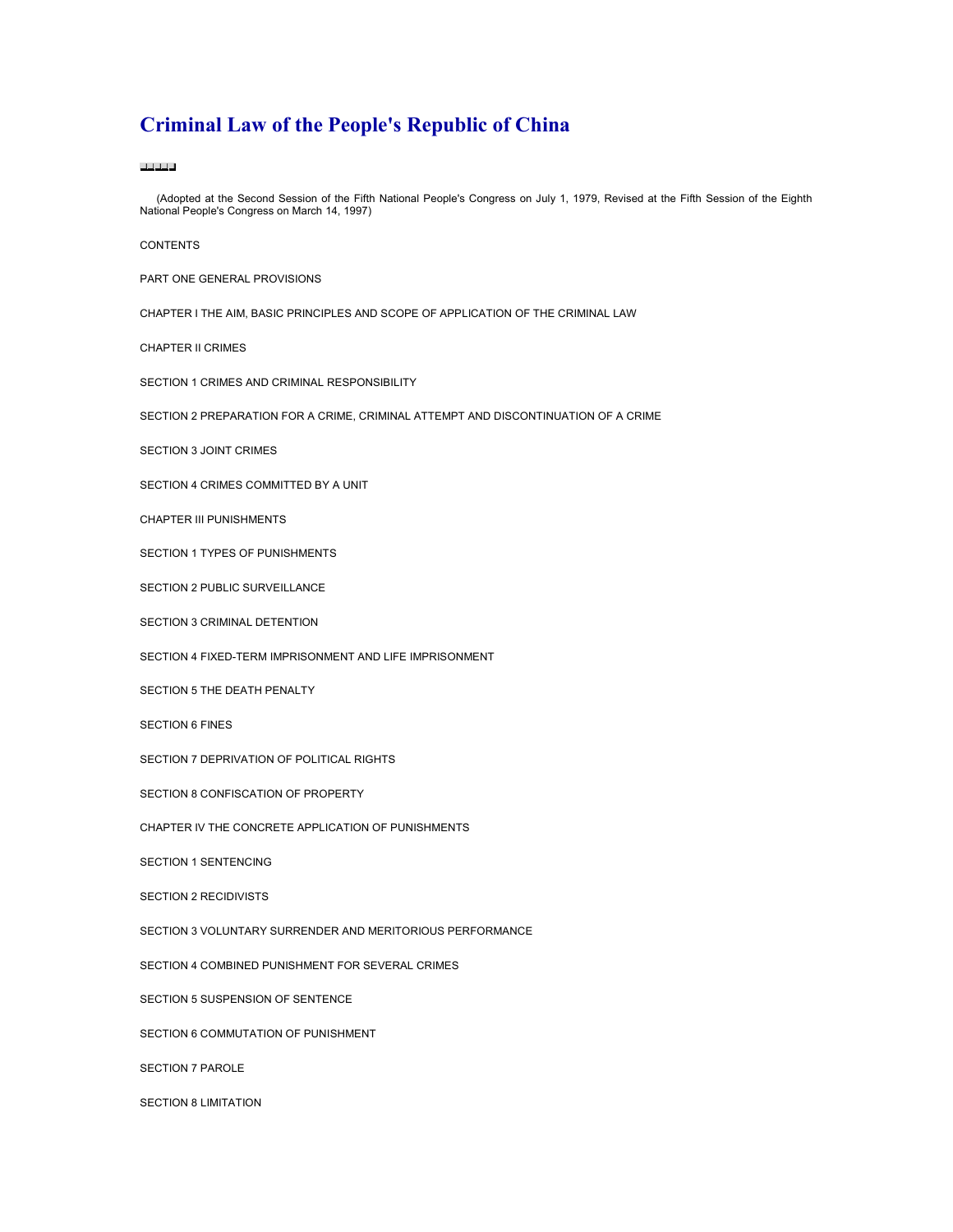# Criminal Law of the People's Republic of China

فالماليات

National People's Congress on March 14, 1997) **CONTENTS** PART ONE GENERAL PROVISIONS CHAPTER I THE AIM, BASIC PRINCIPLES AND SCOPE OF APPLICATION OF THE CRIMINAL LAW CHAPTER II CRIMES SECTION 1 CRIMES AND CRIMINAL RESPONSIBILITY SECTION 2 PREPARATION FOR A CRIME, CRIMINAL ATTEMPT AND DISCONTINUATION OF A CRIME SECTION 3 JOINT CRIMES SECTION 4 CRIMES COMMITTED BY A UNIT CHAPTER III PUNISHMENTS SECTION 1 TYPES OF PUNISHMENTS SECTION 2 PUBLIC SURVEILLANCE SECTION 3 CRIMINAL DETENTION SECTION 4 FIXED-TERM IMPRISONMENT AND LIFE IMPRISONMENT SECTION 5 THE DEATH PENALTY SECTION 6 FINES SECTION 7 DEPRIVATION OF POLITICAL RIGHTS SECTION 8 CONFISCATION OF PROPERTY CHAPTER IV THE CONCRETE APPLICATION OF PUNISHMENTS SECTION 1 SENTENCING SECTION 2 RECIDIVISTS SECTION 3 VOLUNTARY SURRENDER AND MERITORIOUS PERFORMANCE SECTION 4 COMBINED PUNISHMENT FOR SEVERAL CRIMES SECTION 5 SUSPENSION OF SENTENCE SECTION 6 COMMUTATION OF PUNISHMENT SECTION 7 PAROLE

(Adopted at the Second Session of the Fifth National People's Congress on July 1, 1979, Revised at the Fifth Session of the Eighth

SECTION 8 LIMITATION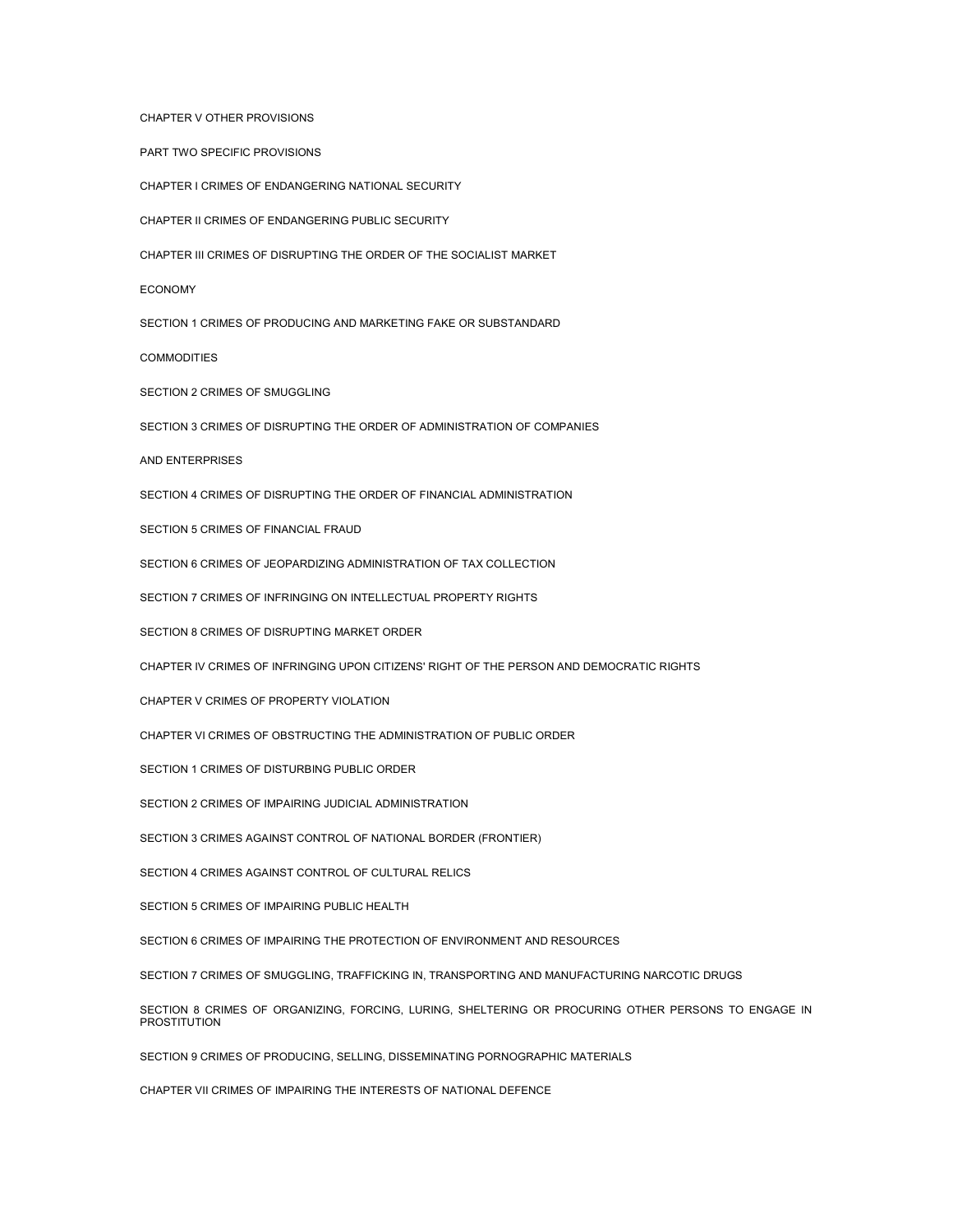CHAPTER V OTHER PROVISIONS PART TWO SPECIFIC PROVISIONS CHAPTER I CRIMES OF ENDANGERING NATIONAL SECURITY CHAPTER II CRIMES OF ENDANGERING PUBLIC SECURITY CHAPTER III CRIMES OF DISRUPTING THE ORDER OF THE SOCIALIST MARKET ECONOMY SECTION 1 CRIMES OF PRODUCING AND MARKETING FAKE OR SUBSTANDARD **COMMODITIES** SECTION 2 CRIMES OF SMUGGLING SECTION 3 CRIMES OF DISRUPTING THE ORDER OF ADMINISTRATION OF COMPANIES AND ENTERPRISES SECTION 4 CRIMES OF DISRUPTING THE ORDER OF FINANCIAL ADMINISTRATION SECTION 5 CRIMES OF FINANCIAL FRAUD SECTION 6 CRIMES OF JEOPARDIZING ADMINISTRATION OF TAX COLLECTION SECTION 7 CRIMES OF INFRINGING ON INTELLECTUAL PROPERTY RIGHTS SECTION 8 CRIMES OF DISRUPTING MARKET ORDER CHAPTER IV CRIMES OF INFRINGING UPON CITIZENS' RIGHT OF THE PERSON AND DEMOCRATIC RIGHTS CHAPTER V CRIMES OF PROPERTY VIOLATION CHAPTER VI CRIMES OF OBSTRUCTING THE ADMINISTRATION OF PUBLIC ORDER SECTION 1 CRIMES OF DISTURBING PUBLIC ORDER SECTION 2 CRIMES OF IMPAIRING JUDICIAL ADMINISTRATION SECTION 3 CRIMES AGAINST CONTROL OF NATIONAL BORDER (FRONTIER) SECTION 4 CRIMES AGAINST CONTROL OF CULTURAL RELICS SECTION 5 CRIMES OF IMPAIRING PUBLIC HEALTH SECTION 6 CRIMES OF IMPAIRING THE PROTECTION OF ENVIRONMENT AND RESOURCES SECTION 7 CRIMES OF SMUGGLING, TRAFFICKING IN, TRANSPORTING AND MANUFACTURING NARCOTIC DRUGS SECTION 8 CRIMES OF ORGANIZING, FORCING, LURING, SHELTERING OR PROCURING OTHER PERSONS TO ENGAGE IN PROSTITUTION SECTION 9 CRIMES OF PRODUCING, SELLING, DISSEMINATING PORNOGRAPHIC MATERIALS CHAPTER VII CRIMES OF IMPAIRING THE INTERESTS OF NATIONAL DEFENCE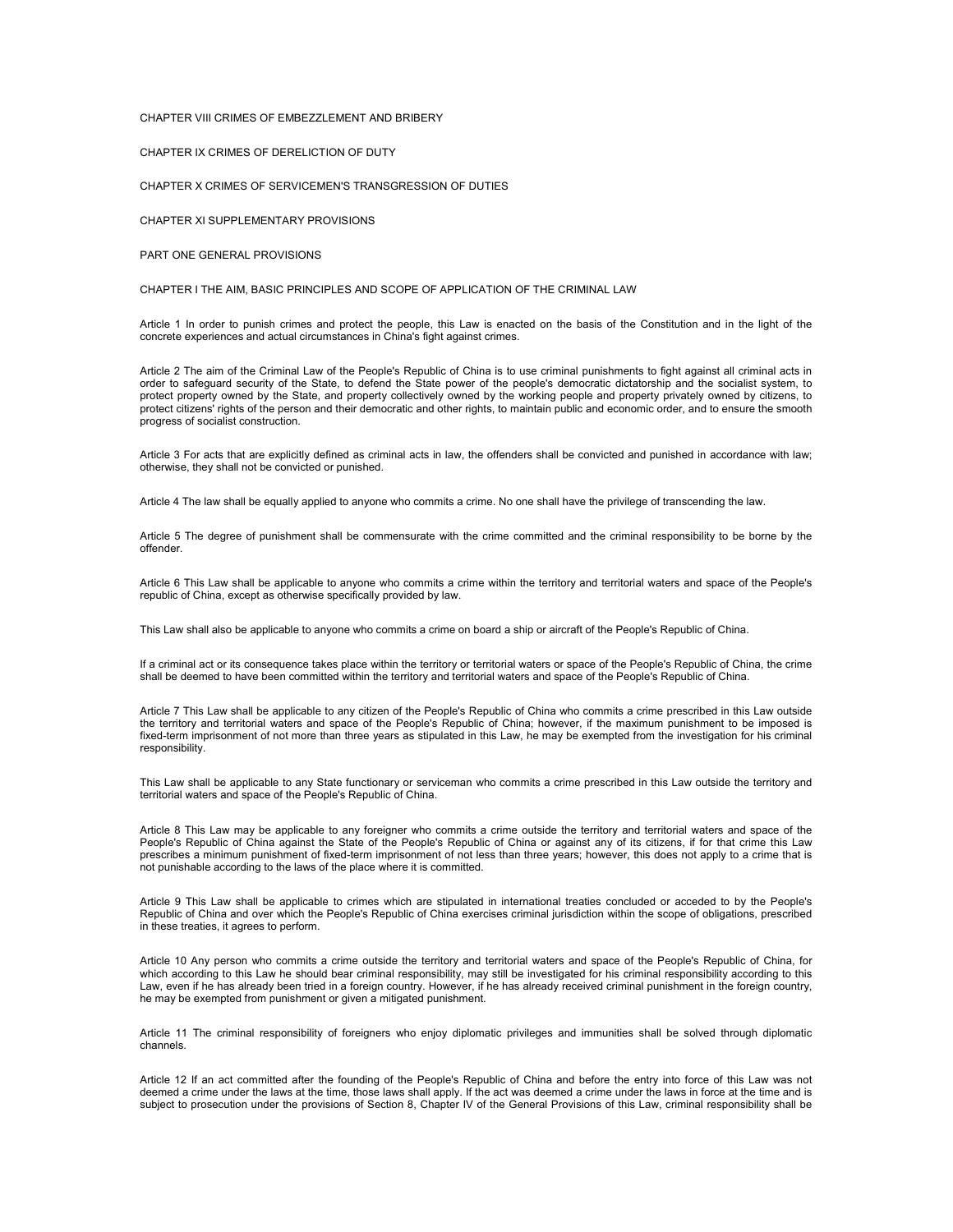#### CHAPTER VIII CRIMES OF EMBEZZLEMENT AND BRIBERY

# CHAPTER IX CRIMES OF DERELICTION OF DUTY

# CHAPTER X CRIMES OF SERVICEMEN'S TRANSGRESSION OF DUTIES

CHAPTER XI SUPPLEMENTARY PROVISIONS

PART ONE GENERAL PROVISIONS

CHAPTER I THE AIM, BASIC PRINCIPLES AND SCOPE OF APPLICATION OF THE CRIMINAL LAW

Article 1 In order to punish crimes and protect the people, this Law is enacted on the basis of the Constitution and in the light of the concrete experiences and actual circumstances in China's fight against crimes.

Article 2 The aim of the Criminal Law of the People's Republic of China is to use criminal punishments to fight against all criminal acts in order to safeguard security of the State, to defend the State power of the people's democratic dictatorship and the socialist system, to protect property owned by the State, and property collectively owned by the working people and property privately owned by citizens, to protect citizens' rights of the person and their democratic and other rights, to maintain public and economic order, and to ensure the smooth progress of socialist construction.

Article 3 For acts that are explicitly defined as criminal acts in law, the offenders shall be convicted and punished in accordance with law; otherwise, they shall not be convicted or punished.

Article 4 The law shall be equally applied to anyone who commits a crime. No one shall have the privilege of transcending the law.

Article 5 The degree of punishment shall be commensurate with the crime committed and the criminal responsibility to be borne by the offender.

Article 6 This Law shall be applicable to anyone who commits a crime within the territory and territorial waters and space of the People's republic of China, except as otherwise specifically provided by law.

This Law shall also be applicable to anyone who commits a crime on board a ship or aircraft of the People's Republic of China.

If a criminal act or its consequence takes place within the territory or territorial waters or space of the People's Republic of China, the crime shall be deemed to have been committed within the territory and territorial waters and space of the People's Republic of China.

Article 7 This Law shall be applicable to any citizen of the People's Republic of China who commits a crime prescribed in this Law outside the territory and territorial waters and space of the People's Republic of China; however, if the maximum punishment to be imposed is fixed-term imprisonment of not more than three years as stipulated in this Law, he may be exempted from the investigation for his criminal responsibility.

This Law shall be applicable to any State functionary or serviceman who commits a crime prescribed in this Law outside the territory and territorial waters and space of the People's Republic of China.

Article 8 This Law may be applicable to any foreigner who commits a crime outside the territory and territorial waters and space of the People's Republic of China against the State of the People's Republic of China or against any of its citizens, if for that crime this Law prescribes a minimum punishment of fixed-term imprisonment of not less than three years; however, this does not apply to a crime that is not punishable according to the laws of the place where it is committed.

Article 9 This Law shall be applicable to crimes which are stipulated in international treaties concluded or acceded to by the People's Republic of China and over which the People's Republic of China exercises criminal jurisdiction within the scope of obligations, prescribed in these treaties, it agrees to perform.

Article 10 Any person who commits a crime outside the territory and territorial waters and space of the People's Republic of China, for which according to this Law he should bear criminal responsibility, may still be investigated for his criminal responsibility according to this Law, even if he has already been tried in a foreign country. However, if he has already received criminal punishment in the foreign country, he may be exempted from punishment or given a mitigated punishment.

Article 11 The criminal responsibility of foreigners who enjoy diplomatic privileges and immunities shall be solved through diplomatic channels.

Article 12 If an act committed after the founding of the People's Republic of China and before the entry into force of this Law was not deemed a crime under the laws at the time, those laws shall apply. If the act was deemed a crime under the laws in force at the time and is subject to prosecution under the provisions of Section 8, Chapter IV of the General Provisions of this Law, criminal responsibility shall be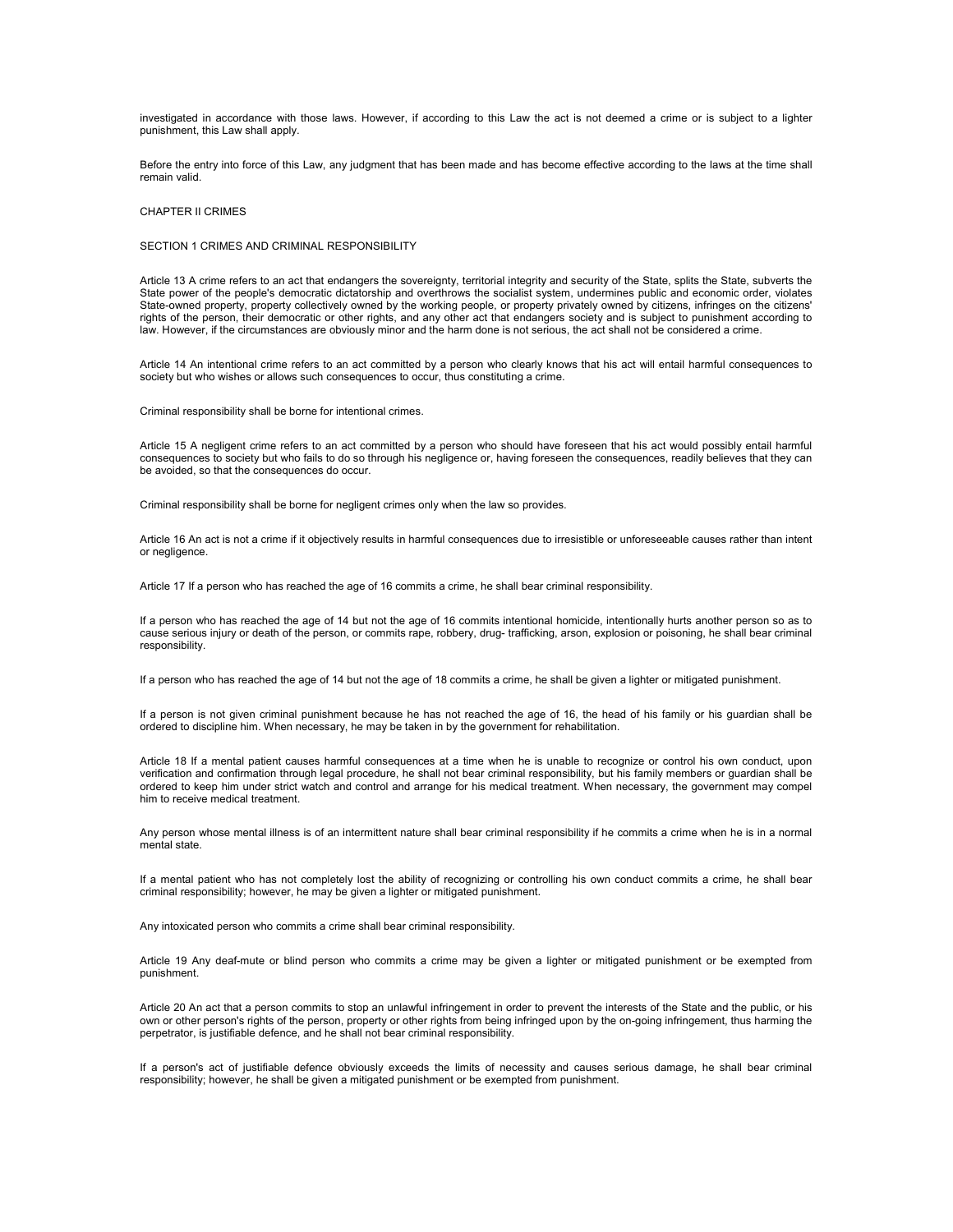investigated in accordance with those laws. However, if according to this Law the act is not deemed a crime or is subject to a lighter punishment, this Law shall apply.

Before the entry into force of this Law, any judgment that has been made and has become effective according to the laws at the time shall remain valid.

#### CHAPTER II CRIMES

SECTION 1 CRIMES AND CRIMINAL RESPONSIBILITY

Article 13 A crime refers to an act that endangers the sovereignty, territorial integrity and security of the State, splits the State, subverts the State power of the people's democratic dictatorship and overthrows the socialist system, undermines public and economic order, violates State-owned property, property collectively owned by the working people, or property privately owned by citizens, infringes on the citizens' rights of the person, their democratic or other rights, and any other act that endangers society and is subject to punishment according to<br>law. However, if the circumstances are obviously minor and the harm done is not ser

Article 14 An intentional crime refers to an act committed by a person who clearly knows that his act will entail harmful consequences to society but who wishes or allows such consequences to occur, thus constituting a crime.

Criminal responsibility shall be borne for intentional crimes.

Article 15 A negligent crime refers to an act committed by a person who should have foreseen that his act would possibly entail harmful consequences to society but who fails to do so through his negligence or, having foreseen the consequences, readily believes that they can be avoided, so that the consequences do occur.

Criminal responsibility shall be borne for negligent crimes only when the law so provides.

Article 16 An act is not a crime if it objectively results in harmful consequences due to irresistible or unforeseeable causes rather than intent or negligence.

Article 17 If a person who has reached the age of 16 commits a crime, he shall bear criminal responsibility.

If a person who has reached the age of 14 but not the age of 16 commits intentional homicide, intentionally hurts another person so as to cause serious injury or death of the person, or commits rape, robbery, drug- trafficking, arson, explosion or poisoning, he shall bear criminal responsibility.

If a person who has reached the age of 14 but not the age of 18 commits a crime, he shall be given a lighter or mitigated punishment.

If a person is not given criminal punishment because he has not reached the age of 16, the head of his family or his guardian shall be ordered to discipline him. When necessary, he may be taken in by the government for rehabilitation.

Article 18 If a mental patient causes harmful consequences at a time when he is unable to recognize or control his own conduct, upon verification and confirmation through legal procedure, he shall not bear criminal responsibility, but his family members or guardian shall be ordered to keep him under strict watch and control and arrange for his medical treatment. When necessary, the government may compel him to receive medical treatment.

Any person whose mental illness is of an intermittent nature shall bear criminal responsibility if he commits a crime when he is in a normal mental state.

If a mental patient who has not completely lost the ability of recognizing or controlling his own conduct commits a crime, he shall bear criminal responsibility; however, he may be given a lighter or mitigated punishment.

Any intoxicated person who commits a crime shall bear criminal responsibility.

Article 19 Any deaf-mute or blind person who commits a crime may be given a lighter or mitigated punishment or be exempted from punishment.

Article 20 An act that a person commits to stop an unlawful infringement in order to prevent the interests of the State and the public, or his own or other person's rights of the person, property or other rights from being infringed upon by the on-going infringement, thus harming the perpetrator, is justifiable defence, and he shall not bear criminal responsibility.

If a person's act of justifiable defence obviously exceeds the limits of necessity and causes serious damage, he shall bear criminal responsibility; however, he shall be given a mitigated punishment or be exempted from punishment.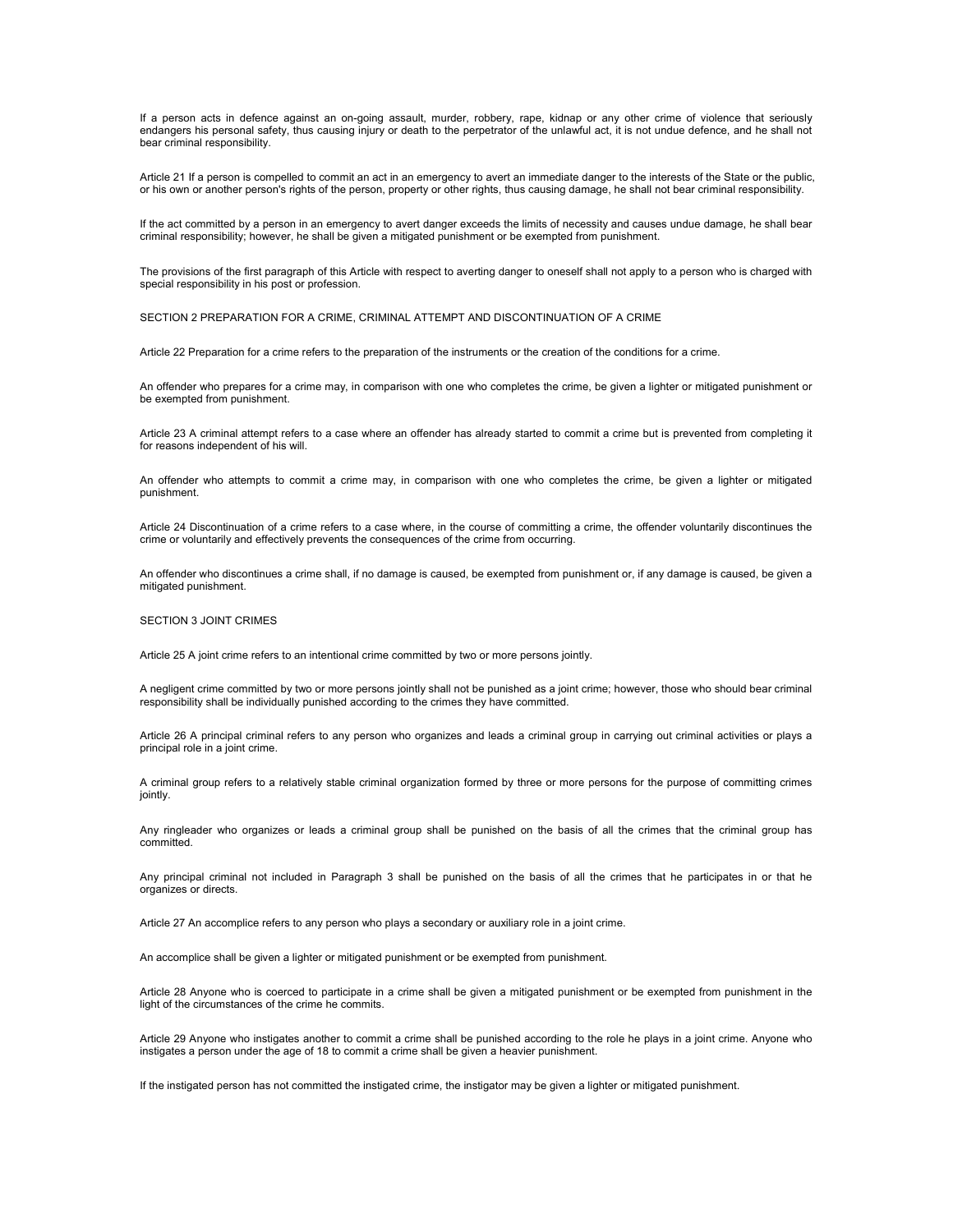If a person acts in defence against an on-going assault, murder, robbery, rape, kidnap or any other crime of violence that seriously endangers his personal safety, thus causing injury or death to the perpetrator of the unlawful act, it is not undue defence, and he shall not bear criminal responsibility.

Article 21 If a person is compelled to commit an act in an emergency to avert an immediate danger to the interests of the State or the public, or his own or another person's rights of the person, property or other rights, thus causing damage, he shall not bear criminal responsibility.

If the act committed by a person in an emergency to avert danger exceeds the limits of necessity and causes undue damage, he shall bear criminal responsibility; however, he shall be given a mitigated punishment or be exempted from punishment.

The provisions of the first paragraph of this Article with respect to averting danger to oneself shall not apply to a person who is charged with special responsibility in his post or profession.

SECTION 2 PREPARATION FOR A CRIME, CRIMINAL ATTEMPT AND DISCONTINUATION OF A CRIME

Article 22 Preparation for a crime refers to the preparation of the instruments or the creation of the conditions for a crime.

An offender who prepares for a crime may, in comparison with one who completes the crime, be given a lighter or mitigated punishment or be exempted from punishment.

Article 23 A criminal attempt refers to a case where an offender has already started to commit a crime but is prevented from completing it for reasons independent of his will.

An offender who attempts to commit a crime may, in comparison with one who completes the crime, be given a lighter or mitigated punishment.

Article 24 Discontinuation of a crime refers to a case where, in the course of committing a crime, the offender voluntarily discontinues the crime or voluntarily and effectively prevents the consequences of the crime from occurring.

An offender who discontinues a crime shall, if no damage is caused, be exempted from punishment or, if any damage is caused, be given a mitigated punishment.

## SECTION 3 JOINT CRIMES

Article 25 A joint crime refers to an intentional crime committed by two or more persons jointly.

A negligent crime committed by two or more persons jointly shall not be punished as a joint crime; however, those who should bear criminal responsibility shall be individually punished according to the crimes they have committed.

Article 26 A principal criminal refers to any person who organizes and leads a criminal group in carrying out criminal activities or plays a principal role in a joint crime.

A criminal group refers to a relatively stable criminal organization formed by three or more persons for the purpose of committing crimes jointly.

Any ringleader who organizes or leads a criminal group shall be punished on the basis of all the crimes that the criminal group has committed.

Any principal criminal not included in Paragraph 3 shall be punished on the basis of all the crimes that he participates in or that he organizes or directs.

Article 27 An accomplice refers to any person who plays a secondary or auxiliary role in a joint crime.

An accomplice shall be given a lighter or mitigated punishment or be exempted from punishment.

Article 28 Anyone who is coerced to participate in a crime shall be given a mitigated punishment or be exempted from punishment in the light of the circumstances of the crime he commits.

Article 29 Anyone who instigates another to commit a crime shall be punished according to the role he plays in a joint crime. Anyone who instigates a person under the age of 18 to commit a crime shall be given a heavier punishment.

If the instigated person has not committed the instigated crime, the instigator may be given a lighter or mitigated punishment.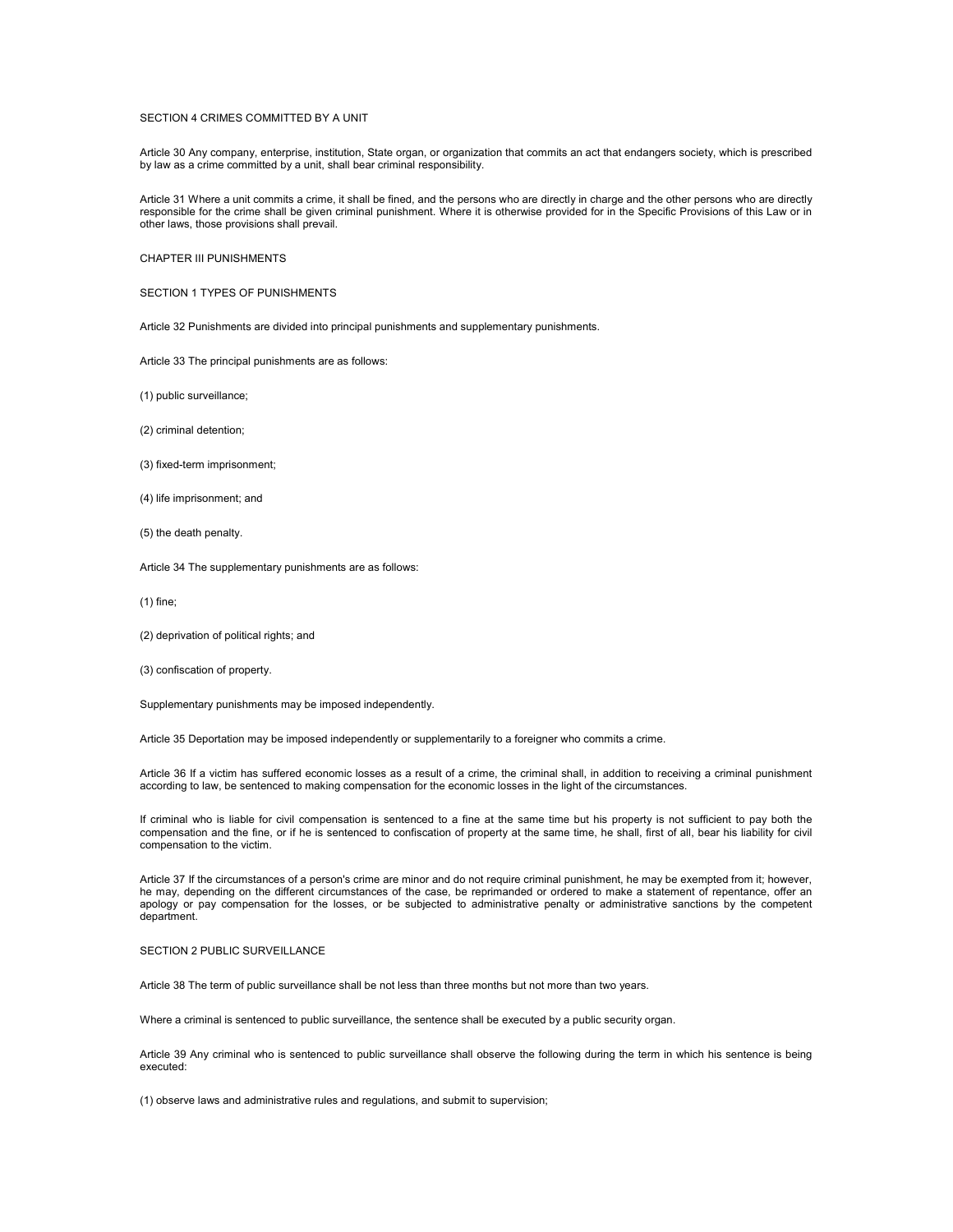#### SECTION 4 CRIMES COMMITTED BY A UNIT

Article 30 Any company, enterprise, institution, State organ, or organization that commits an act that endangers society, which is prescribed by law as a crime committed by a unit, shall bear criminal responsibility.

Article 31 Where a unit commits a crime, it shall be fined, and the persons who are directly in charge and the other persons who are directly responsible for the crime shall be given criminal punishment. Where it is otherwise provided for in the Specific Provisions of this Law or in other laws, those provisions shall prevail.

CHAPTER III PUNISHMENTS

SECTION 1 TYPES OF PUNISHMENTS

Article 32 Punishments are divided into principal punishments and supplementary punishments.

Article 33 The principal punishments are as follows:

(1) public surveillance;

(2) criminal detention;

(3) fixed-term imprisonment;

(4) life imprisonment; and

(5) the death penalty.

Article 34 The supplementary punishments are as follows:

(1) fine;

(2) deprivation of political rights; and

(3) confiscation of property.

Supplementary punishments may be imposed independently.

Article 35 Deportation may be imposed independently or supplementarily to a foreigner who commits a crime.

Article 36 If a victim has suffered economic losses as a result of a crime, the criminal shall, in addition to receiving a criminal punishment according to law, be sentenced to making compensation for the economic losses in the light of the circumstances.

If criminal who is liable for civil compensation is sentenced to a fine at the same time but his property is not sufficient to pay both the compensation and the fine, or if he is sentenced to confiscation of property at the same time, he shall, first of all, bear his liability for civil compensation to the victim.

Article 37 If the circumstances of a person's crime are minor and do not require criminal punishment, he may be exempted from it; however, he may, depending on the different circumstances of the case, be reprimanded or ordered to make a statement of repentance, offer an apology or pay compensation for the losses, or be subjected to administrative penalty or administrative sanctions by the competent department.

# SECTION 2 PUBLIC SURVEILLANCE

Article 38 The term of public surveillance shall be not less than three months but not more than two years.

Where a criminal is sentenced to public surveillance, the sentence shall be executed by a public security organ.

Article 39 Any criminal who is sentenced to public surveillance shall observe the following during the term in which his sentence is being executed:

(1) observe laws and administrative rules and regulations, and submit to supervision;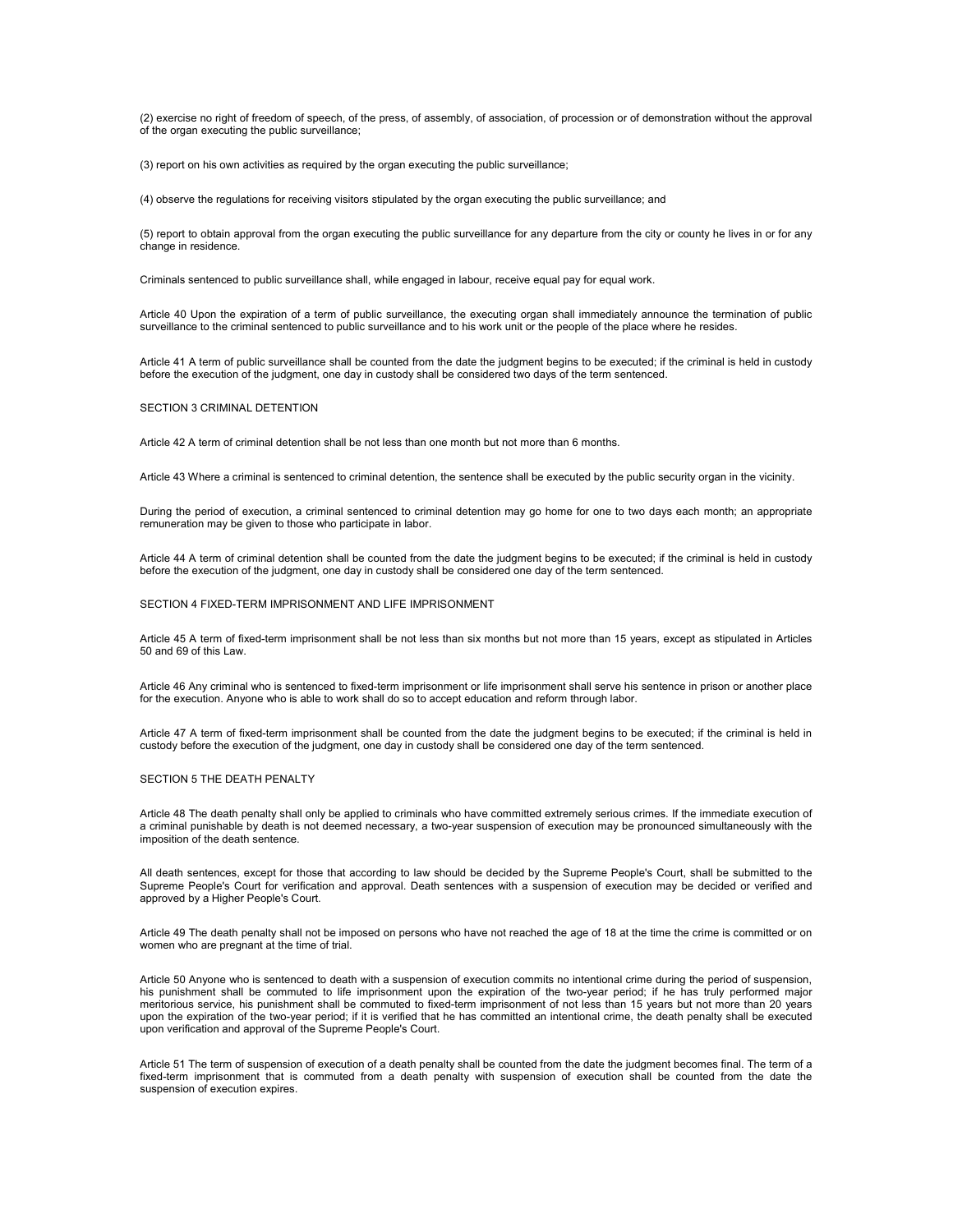(2) exercise no right of freedom of speech, of the press, of assembly, of association, of procession or of demonstration without the approval of the organ executing the public surveillance;

(3) report on his own activities as required by the organ executing the public surveillance;

(4) observe the regulations for receiving visitors stipulated by the organ executing the public surveillance; and

(5) report to obtain approval from the organ executing the public surveillance for any departure from the city or county he lives in or for any change in residence.

Criminals sentenced to public surveillance shall, while engaged in labour, receive equal pay for equal work.

Article 40 Upon the expiration of a term of public surveillance, the executing organ shall immediately announce the termination of public surveillance to the criminal sentenced to public surveillance and to his work unit or the people of the place where he resides.

Article 41 A term of public surveillance shall be counted from the date the judgment begins to be executed; if the criminal is held in custody before the execution of the judgment, one day in custody shall be considered two days of the term sentenced.

## SECTION 3 CRIMINAL DETENTION

Article 42 A term of criminal detention shall be not less than one month but not more than 6 months.

Article 43 Where a criminal is sentenced to criminal detention, the sentence shall be executed by the public security organ in the vicinity.

During the period of execution, a criminal sentenced to criminal detention may go home for one to two days each month; an appropriate remuneration may be given to those who participate in labor.

Article 44 A term of criminal detention shall be counted from the date the judgment begins to be executed; if the criminal is held in custody before the execution of the judgment, one day in custody shall be considered one day of the term sentenced.

#### SECTION 4 FIXED-TERM IMPRISONMENT AND LIFE IMPRISONMENT

Article 45 A term of fixed-term imprisonment shall be not less than six months but not more than 15 years, except as stipulated in Articles 50 and 69 of this Law.

Article 46 Any criminal who is sentenced to fixed-term imprisonment or life imprisonment shall serve his sentence in prison or another place for the execution. Anyone who is able to work shall do so to accept education and reform through labor.

Article 47 A term of fixed-term imprisonment shall be counted from the date the judgment begins to be executed; if the criminal is held in custody before the execution of the judgment, one day in custody shall be considered one day of the term sentenced.

## SECTION 5 THE DEATH PENALTY

Article 48 The death penalty shall only be applied to criminals who have committed extremely serious crimes. If the immediate execution of a criminal punishable by death is not deemed necessary, a two-year suspension of execution may be pronounced simultaneously with the imposition of the death sentence.

All death sentences, except for those that according to law should be decided by the Supreme People's Court, shall be submitted to the Supreme People's Court for verification and approval. Death sentences with a suspension of execution may be decided or verified and approved by a Higher People's Court.

Article 49 The death penalty shall not be imposed on persons who have not reached the age of 18 at the time the crime is committed or on women who are pregnant at the time of trial.

Article 50 Anyone who is sentenced to death with a suspension of execution commits no intentional crime during the period of suspension, his punishment shall be commuted to life imprisonment upon the expiration of the two-year period; if he has truly performed major meritorious service, his punishment shall be commuted to fixed-term imprisonment of not less than 15 years but not more than 20 years upon the expiration of the two-year period; if it is verified that he has committed an intentional crime, the death penalty shall be executed upon verification and approval of the Supreme People's Court.

Article 51 The term of suspension of execution of a death penalty shall be counted from the date the judgment becomes final. The term of a fixed-term imprisonment that is commuted from a death penalty with suspension of execution shall be counted from the date the suspension of execution expires.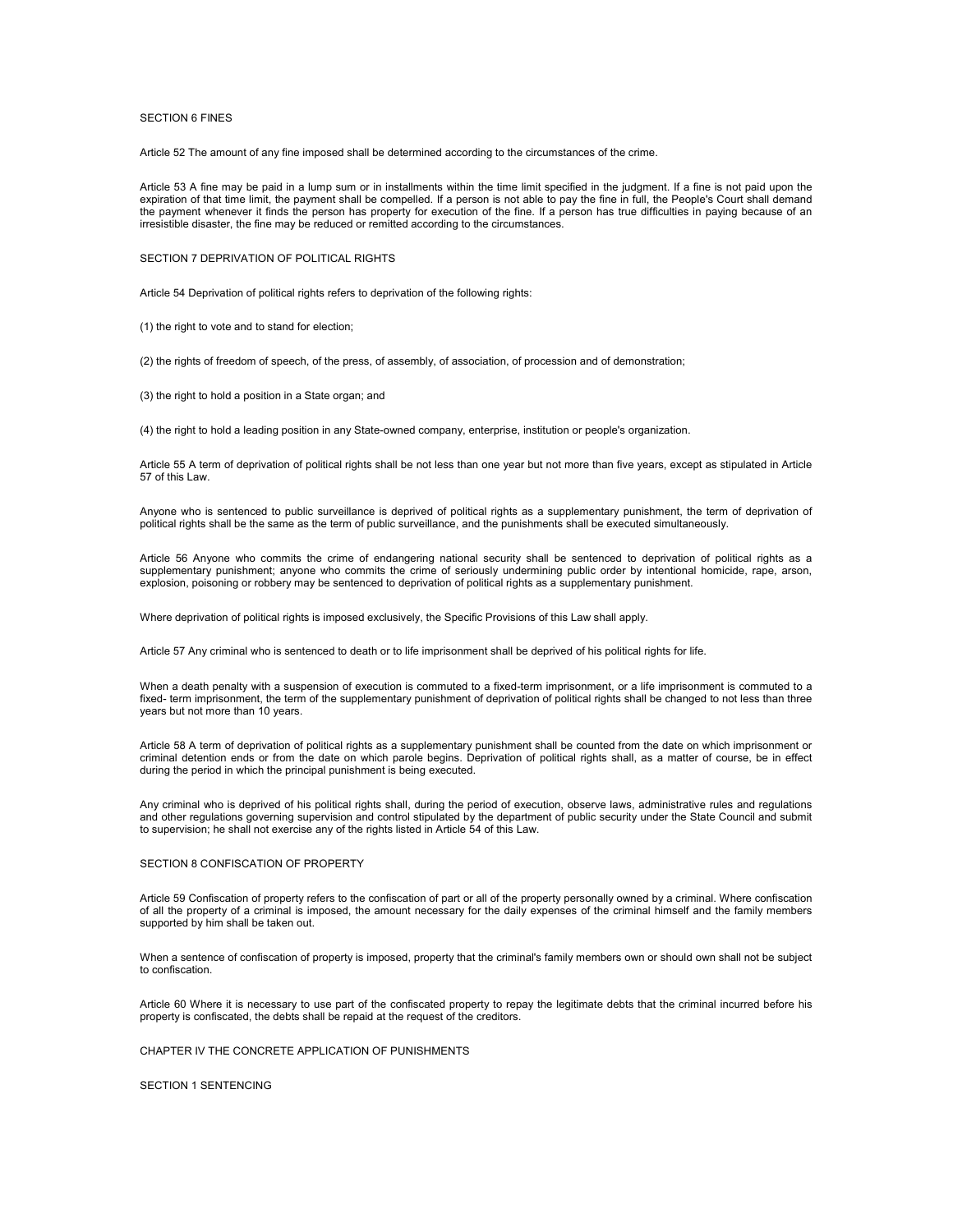## SECTION 6 FINES

Article 52 The amount of any fine imposed shall be determined according to the circumstances of the crime.

Article 53 A fine may be paid in a lump sum or in installments within the time limit specified in the judgment. If a fine is not paid upon the expiration of that time limit, the payment shall be compelled. If a person is not able to pay the fine in full, the People's Court shall demand the payment whenever it finds the person has property for execution of the fine. If a person has true difficulties in paying because of an irresistible disaster, the fine may be reduced or remitted according to the circumstances.

#### SECTION 7 DEPRIVATION OF POLITICAL RIGHTS

Article 54 Deprivation of political rights refers to deprivation of the following rights:

(1) the right to vote and to stand for election;

(2) the rights of freedom of speech, of the press, of assembly, of association, of procession and of demonstration;

(3) the right to hold a position in a State organ; and

(4) the right to hold a leading position in any State-owned company, enterprise, institution or people's organization.

Article 55 A term of deprivation of political rights shall be not less than one year but not more than five years, except as stipulated in Article 57 of this Law.

Anyone who is sentenced to public surveillance is deprived of political rights as a supplementary punishment, the term of deprivation of political rights shall be the same as the term of public surveillance, and the punishments shall be executed simultaneously.

Article 56 Anyone who commits the crime of endangering national security shall be sentenced to deprivation of political rights as a supplementary punishment; anyone who commits the crime of seriously undermining public order by intentional homicide, rape, arson, explosion, poisoning or robbery may be sentenced to deprivation of political rights as a supplementary punishment.

Where deprivation of political rights is imposed exclusively, the Specific Provisions of this Law shall apply.

Article 57 Any criminal who is sentenced to death or to life imprisonment shall be deprived of his political rights for life.

When a death penalty with a suspension of execution is commuted to a fixed-term imprisonment, or a life imprisonment is commuted to a fixed- term imprisonment, the term of the supplementary punishment of deprivation of political rights shall be changed to not less than three years but not more than 10 years.

Article 58 A term of deprivation of political rights as a supplementary punishment shall be counted from the date on which imprisonment or criminal detention ends or from the date on which parole begins. Deprivation of political rights shall, as a matter of course, be in effect during the period in which the principal punishment is being executed.

Any criminal who is deprived of his political rights shall, during the period of execution, observe laws, administrative rules and regulations and other regulations governing supervision and control stipulated by the department of public security under the State Council and submit to supervision; he shall not exercise any of the rights listed in Article 54 of this Law.

# SECTION 8 CONFISCATION OF PROPERTY

Article 59 Confiscation of property refers to the confiscation of part or all of the property personally owned by a criminal. Where confiscation of all the property of a criminal is imposed, the amount necessary for the daily expenses of the criminal himself and the family members supported by him shall be taken out.

When a sentence of confiscation of property is imposed, property that the criminal's family members own or should own shall not be subject to confiscation.

Article 60 Where it is necessary to use part of the confiscated property to repay the legitimate debts that the criminal incurred before his property is confiscated, the debts shall be repaid at the request of the creditors.

## CHAPTER IV THE CONCRETE APPLICATION OF PUNISHMENTS

SECTION 1 SENTENCING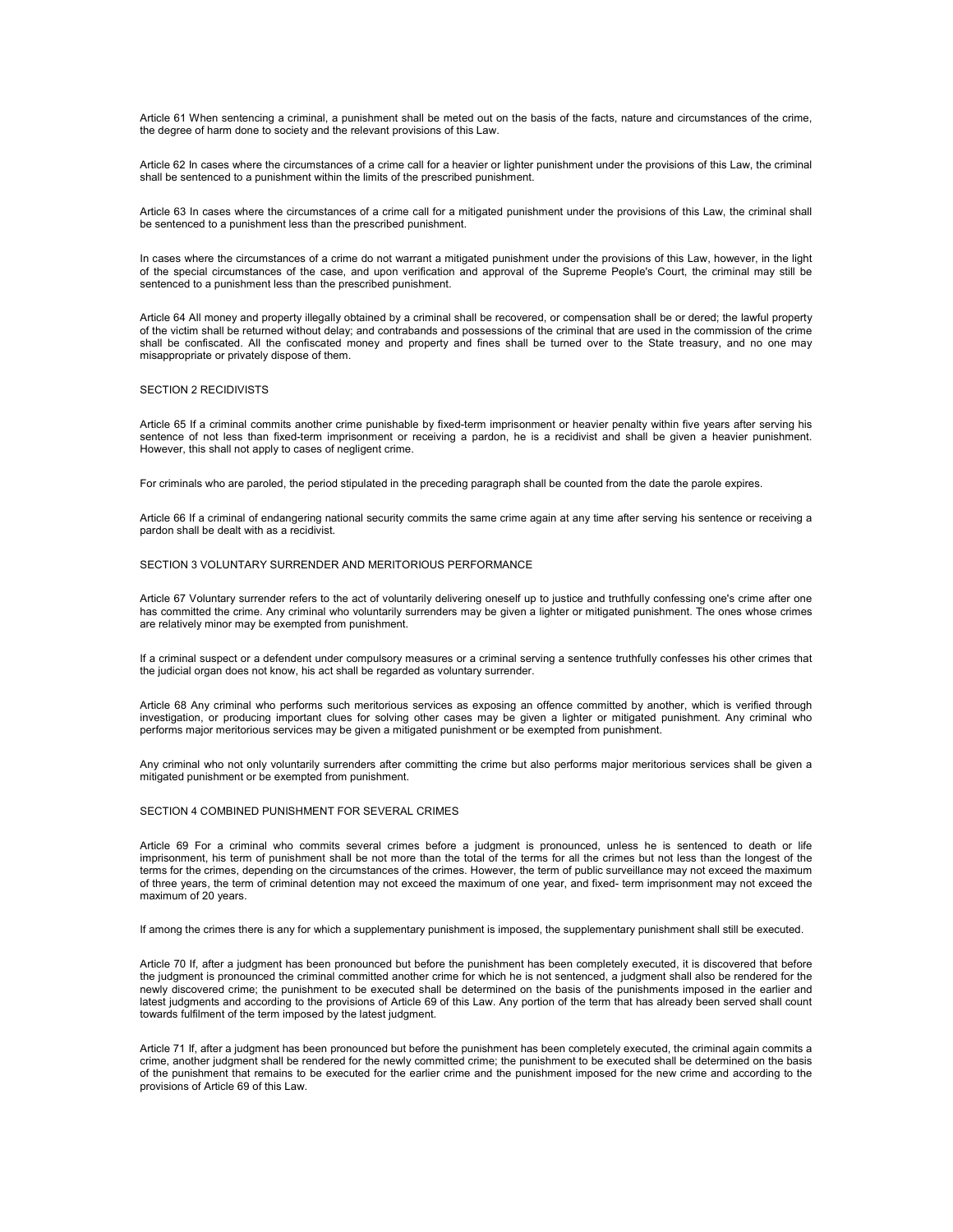Article 61 When sentencing a criminal, a punishment shall be meted out on the basis of the facts, nature and circumstances of the crime, the degree of harm done to society and the relevant provisions of this Law.

Article 62 In cases where the circumstances of a crime call for a heavier or lighter punishment under the provisions of this Law, the criminal shall be sentenced to a punishment within the limits of the prescribed punishment.

Article 63 In cases where the circumstances of a crime call for a mitigated punishment under the provisions of this Law, the criminal shall be sentenced to a punishment less than the prescribed punishment.

In cases where the circumstances of a crime do not warrant a mitigated punishment under the provisions of this Law, however, in the light of the special circumstances of the case, and upon verification and approval of the Supreme People's Court, the criminal may still be sentenced to a punishment less than the prescribed punishment.

Article 64 All money and property illegally obtained by a criminal shall be recovered, or compensation shall be or dered; the lawful property of the victim shall be returned without delay; and contrabands and possessions of the criminal that are used in the commission of the crime shall be confiscated. All the confiscated money and property and fines shall be turned over to the State treasury, and no one may misappropriate or privately dispose of them.

# SECTION 2 RECIDIVISTS

Article 65 If a criminal commits another crime punishable by fixed-term imprisonment or heavier penalty within five years after serving his sentence of not less than fixed-term imprisonment or receiving a pardon, he is a recidivist and shall be given a heavier punishment. However, this shall not apply to cases of negligent crime.

For criminals who are paroled, the period stipulated in the preceding paragraph shall be counted from the date the parole expires.

Article 66 If a criminal of endangering national security commits the same crime again at any time after serving his sentence or receiving a pardon shall be dealt with as a recidivist.

## SECTION 3 VOLUNTARY SURRENDER AND MERITORIOUS PERFORMANCE

Article 67 Voluntary surrender refers to the act of voluntarily delivering oneself up to justice and truthfully confessing one's crime after one has committed the crime. Any criminal who voluntarily surrenders may be given a lighter or mitigated punishment. The ones whose crimes are relatively minor may be exempted from punishment.

If a criminal suspect or a defendent under compulsory measures or a criminal serving a sentence truthfully confesses his other crimes that the judicial organ does not know, his act shall be regarded as voluntary surrender.

Article 68 Any criminal who performs such meritorious services as exposing an offence committed by another, which is verified through investigation, or producing important clues for solving other cases may be given a lighter or mitigated punishment. Any criminal who performs major meritorious services may be given a mitigated punishment or be exempted from punishment.

Any criminal who not only voluntarily surrenders after committing the crime but also performs major meritorious services shall be given a mitigated punishment or be exempted from punishment.

# SECTION 4 COMBINED PUNISHMENT FOR SEVERAL CRIMES

Article 69 For a criminal who commits several crimes before a judgment is pronounced, unless he is sentenced to death or life imprisonment, his term of punishment shall be not more than the total of the terms for all the crimes but not less than the longest of the terms for the crimes, depending on the circumstances of the crimes. However, the term of public surveillance may not exceed the maximum of three years, the term of criminal detention may not exceed the maximum of one year, and fixed- term imprisonment may not exceed the maximum of 20 years.

If among the crimes there is any for which a supplementary punishment is imposed, the supplementary punishment shall still be executed.

Article 70 If, after a judgment has been pronounced but before the punishment has been completely executed, it is discovered that before the judgment is pronounced the criminal committed another crime for which he is not sentenced, a judgment shall also be rendered for the newly discovered crime; the punishment to be executed shall be determined on the basis of the punishments imposed in the earlier and latest judgments and according to the provisions of Article 69 of this Law. Any portion of the term that has already been served shall count towards fulfilment of the term imposed by the latest judgment.

Article 71 If, after a judgment has been pronounced but before the punishment has been completely executed, the criminal again commits a crime, another judgment shall be rendered for the newly committed crime; the punishment to be executed shall be determined on the basis of the punishment that remains to be executed for the earlier crime and the punishment imposed for the new crime and according to the provisions of Article 69 of this Law.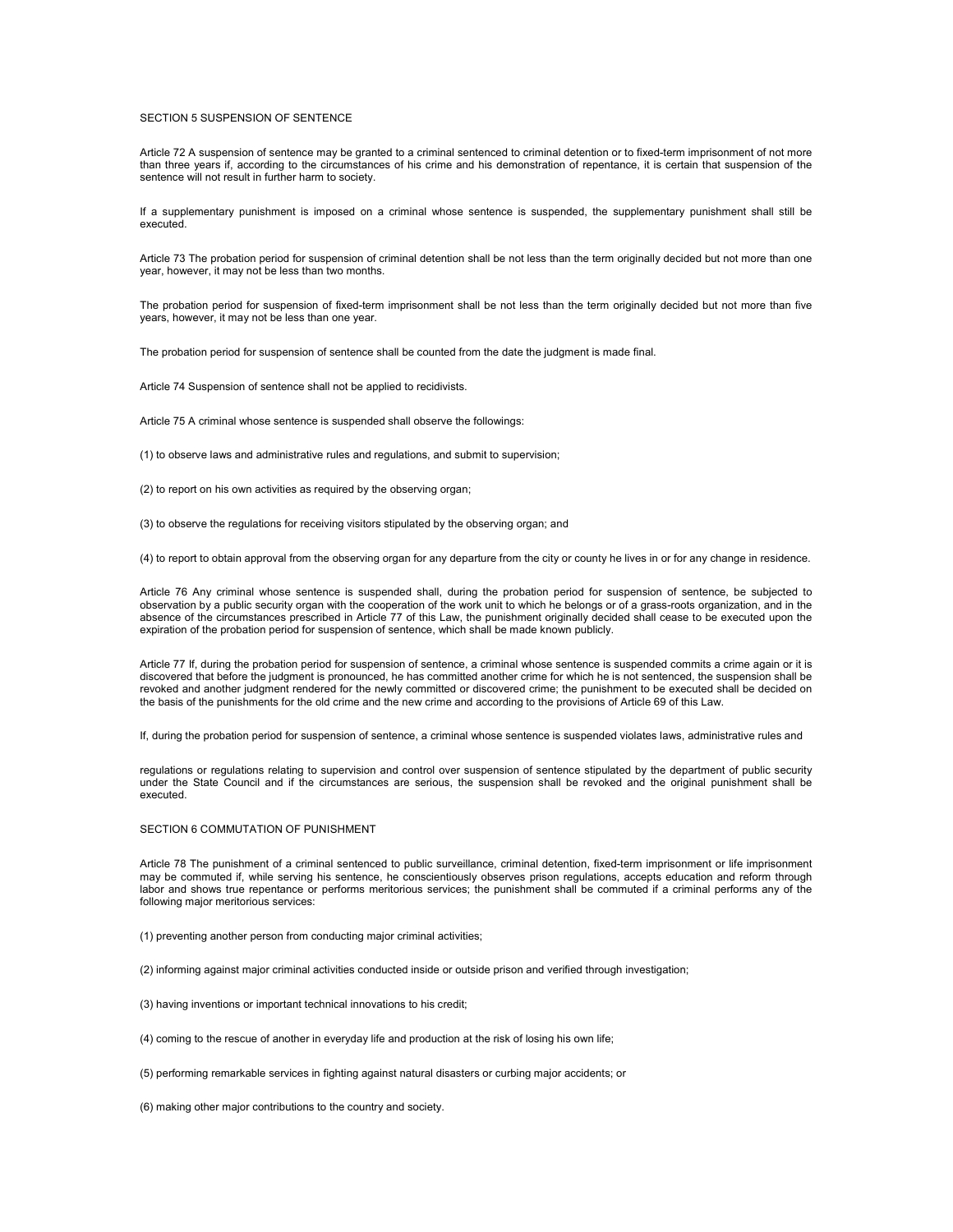#### SECTION 5 SUSPENSION OF SENTENCE

Article 72 A suspension of sentence may be granted to a criminal sentenced to criminal detention or to fixed-term imprisonment of not more than three years if, according to the circumstances of his crime and his demonstration of repentance, it is certain that suspension of the sentence will not result in further harm to society.

If a supplementary punishment is imposed on a criminal whose sentence is suspended, the supplementary punishment shall still be executed.

Article 73 The probation period for suspension of criminal detention shall be not less than the term originally decided but not more than one year, however, it may not be less than two months.

The probation period for suspension of fixed-term imprisonment shall be not less than the term originally decided but not more than five years, however, it may not be less than one year.

The probation period for suspension of sentence shall be counted from the date the judgment is made final.

Article 74 Suspension of sentence shall not be applied to recidivists.

Article 75 A criminal whose sentence is suspended shall observe the followings:

(1) to observe laws and administrative rules and regulations, and submit to supervision;

(2) to report on his own activities as required by the observing organ;

(3) to observe the regulations for receiving visitors stipulated by the observing organ; and

(4) to report to obtain approval from the observing organ for any departure from the city or county he lives in or for any change in residence.

Article 76 Any criminal whose sentence is suspended shall, during the probation period for suspension of sentence, be subjected to observation by a public security organ with the cooperation of the work unit to which he belongs or of a grass-roots organization, and in the absence of the circumstances prescribed in Article 77 of this Law, the punishment originally decided shall cease to be executed upon the expiration of the probation period for suspension of sentence, which shall be made known publicly.

Article 77 If, during the probation period for suspension of sentence, a criminal whose sentence is suspended commits a crime again or it is discovered that before the judgment is pronounced, he has committed another crime for which he is not sentenced, the suspension shall be revoked and another judgment rendered for the newly committed or discovered crime; the punishment to be executed shall be decided on the basis of the punishments for the old crime and the new crime and according to the provisions of Article 69 of this Law.

If, during the probation period for suspension of sentence, a criminal whose sentence is suspended violates laws, administrative rules and

regulations or regulations relating to supervision and control over suspension of sentence stipulated by the department of public security under the State Council and if the circumstances are serious, the suspension shall be revoked and the original punishment shall be executed.

## SECTION 6 COMMUTATION OF PUNISHMENT

Article 78 The punishment of a criminal sentenced to public surveillance, criminal detention, fixed-term imprisonment or life imprisonment may be commuted if, while serving his sentence, he conscientiously observes prison regulations, accepts education and reform through labor and shows true repentance or performs meritorious services; the punishment shall be commuted if a criminal performs any of the following major meritorious services:

(1) preventing another person from conducting major criminal activities;

(2) informing against major criminal activities conducted inside or outside prison and verified through investigation;

(3) having inventions or important technical innovations to his credit;

(4) coming to the rescue of another in everyday life and production at the risk of losing his own life;

(5) performing remarkable services in fighting against natural disasters or curbing major accidents; or

(6) making other major contributions to the country and society.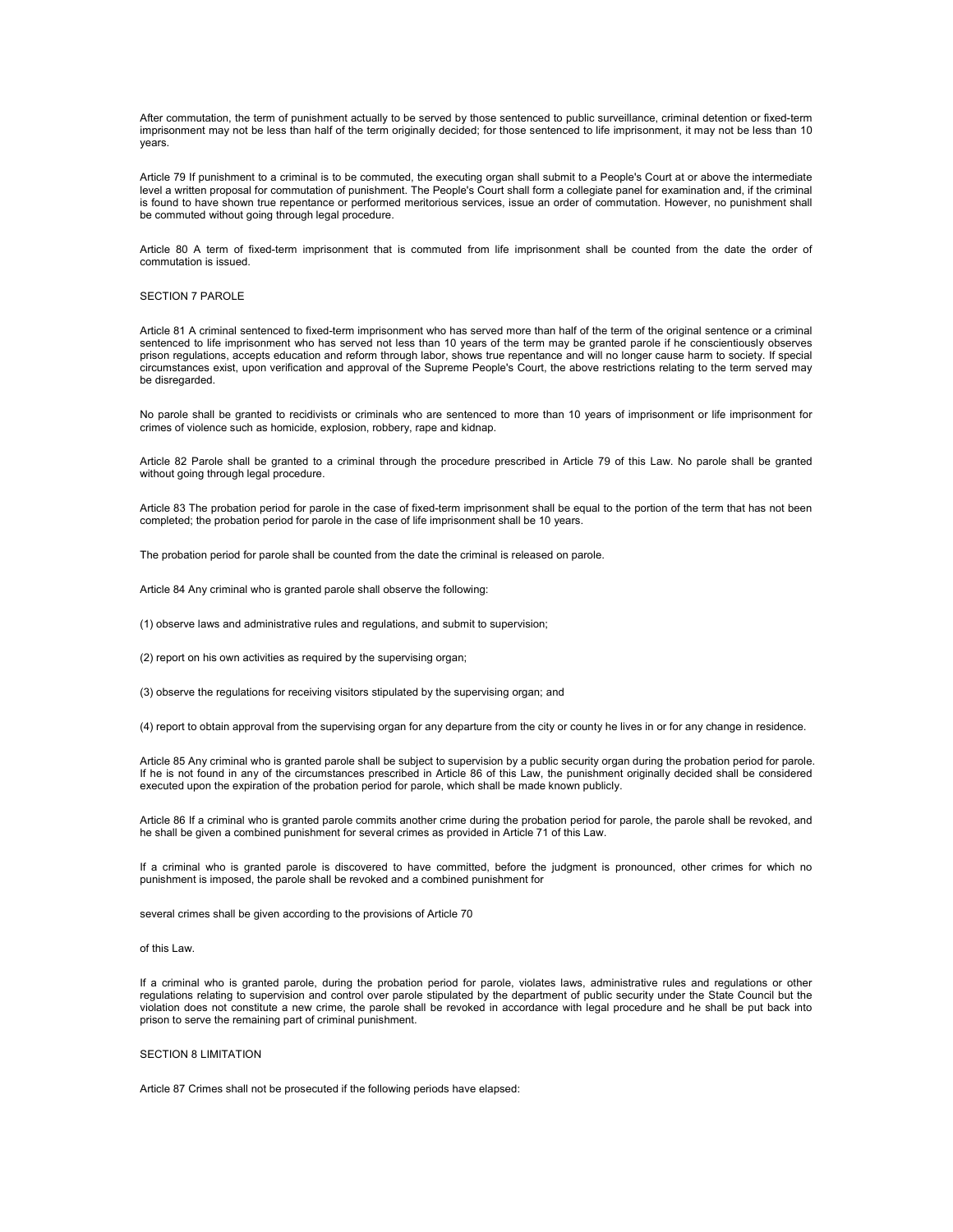After commutation, the term of punishment actually to be served by those sentenced to public surveillance, criminal detention or fixed-term imprisonment may not be less than half of the term originally decided; for those sentenced to life imprisonment, it may not be less than 10 years.

Article 79 If punishment to a criminal is to be commuted, the executing organ shall submit to a People's Court at or above the intermediate level a written proposal for commutation of punishment. The People's Court shall form a collegiate panel for examination and, if the criminal is found to have shown true repentance or performed meritorious services, issue an order of commutation. However, no punishment shall be commuted without going through legal procedure.

Article 80 A term of fixed-term imprisonment that is commuted from life imprisonment shall be counted from the date the order of commutation is issued.

#### SECTION 7 PAROLE

Article 81 A criminal sentenced to fixed-term imprisonment who has served more than half of the term of the original sentence or a criminal sentenced to life imprisonment who has served not less than 10 years of the term may be granted parole if he conscientiously observes prison regulations, accepts education and reform through labor, shows true repentance and will no longer cause harm to society. If special circumstances exist, upon verification and approval of the Supreme People's Court, the above restrictions relating to the term served may be disregarded.

No parole shall be granted to recidivists or criminals who are sentenced to more than 10 years of imprisonment or life imprisonment for crimes of violence such as homicide, explosion, robbery, rape and kidnap.

Article 82 Parole shall be granted to a criminal through the procedure prescribed in Article 79 of this Law. No parole shall be granted without going through legal procedure.

Article 83 The probation period for parole in the case of fixed-term imprisonment shall be equal to the portion of the term that has not been completed; the probation period for parole in the case of life imprisonment shall be 10 years.

The probation period for parole shall be counted from the date the criminal is released on parole.

Article 84 Any criminal who is granted parole shall observe the following:

(1) observe laws and administrative rules and regulations, and submit to supervision;

(2) report on his own activities as required by the supervising organ;

(3) observe the regulations for receiving visitors stipulated by the supervising organ; and

(4) report to obtain approval from the supervising organ for any departure from the city or county he lives in or for any change in residence.

Article 85 Any criminal who is granted parole shall be subject to supervision by a public security organ during the probation period for parole. If he is not found in any of the circumstances prescribed in Article 86 of this Law, the punishment originally decided shall be considered executed upon the expiration of the probation period for parole, which shall be made known publicly.

Article 86 If a criminal who is granted parole commits another crime during the probation period for parole, the parole shall be revoked, and he shall be given a combined punishment for several crimes as provided in Article 71 of this Law.

If a criminal who is granted parole is discovered to have committed, before the judgment is pronounced, other crimes for which no punishment is imposed, the parole shall be revoked and a combined punishment for

several crimes shall be given according to the provisions of Article 70

of this Law.

If a criminal who is granted parole, during the probation period for parole, violates laws, administrative rules and regulations or other regulations relating to supervision and control over parole stipulated by the department of public security under the State Council but the violation does not constitute a new crime, the parole shall be revoked in accordance with legal procedure and he shall be put back into prison to serve the remaining part of criminal punishment.

# SECTION 8 LIMITATION

Article 87 Crimes shall not be prosecuted if the following periods have elapsed: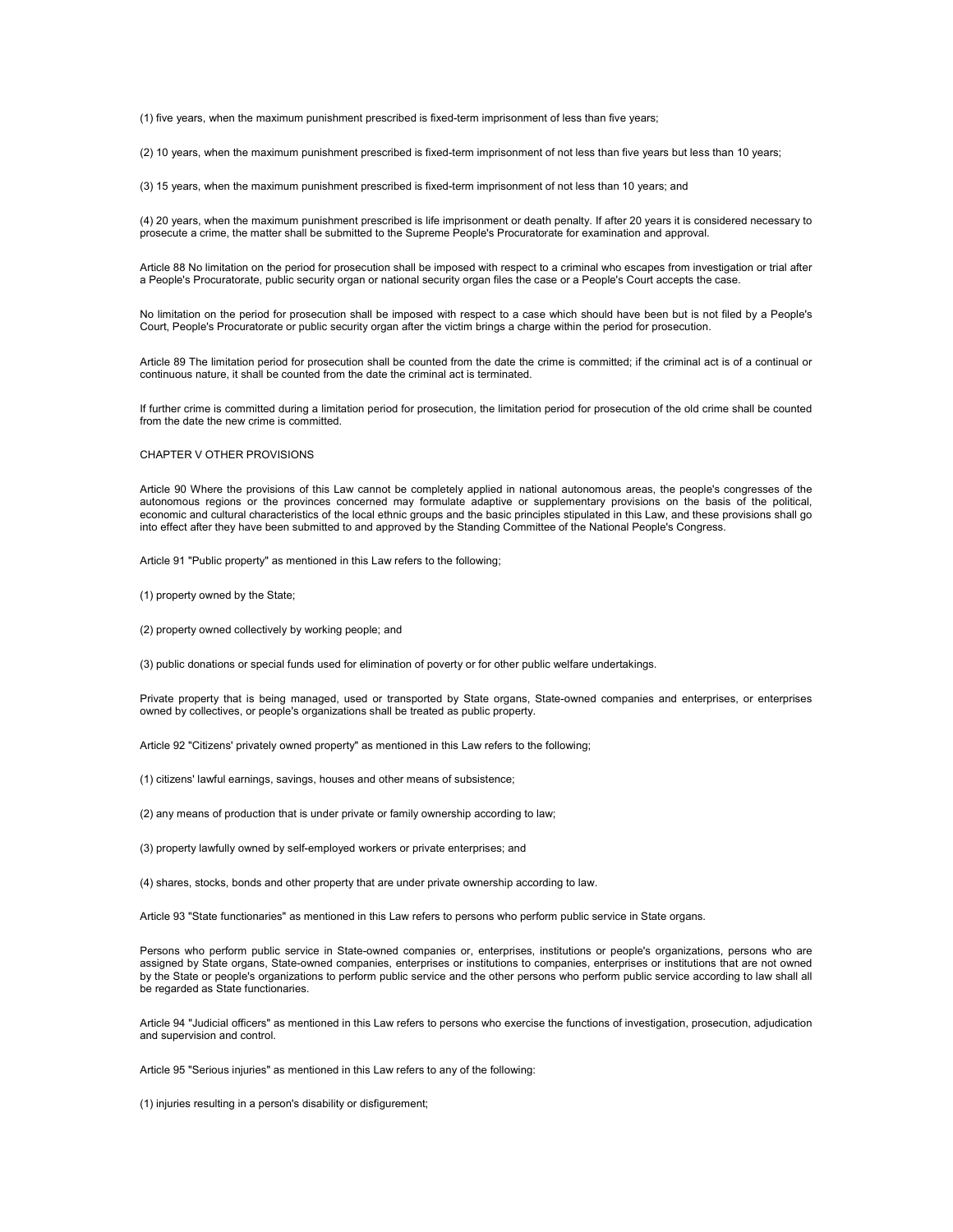(1) five years, when the maximum punishment prescribed is fixed-term imprisonment of less than five years;

(2) 10 years, when the maximum punishment prescribed is fixed-term imprisonment of not less than five years but less than 10 years;

(3) 15 years, when the maximum punishment prescribed is fixed-term imprisonment of not less than 10 years; and

(4) 20 years, when the maximum punishment prescribed is life imprisonment or death penalty. If after 20 years it is considered necessary to prosecute a crime, the matter shall be submitted to the Supreme People's Procuratorate for examination and approval.

Article 88 No limitation on the period for prosecution shall be imposed with respect to a criminal who escapes from investigation or trial after a People's Procuratorate, public security organ or national security organ files the case or a People's Court accepts the case.

No limitation on the period for prosecution shall be imposed with respect to a case which should have been but is not filed by a People's Court, People's Procuratorate or public security organ after the victim brings a charge within the period for prosecution.

Article 89 The limitation period for prosecution shall be counted from the date the crime is committed; if the criminal act is of a continual or continuous nature, it shall be counted from the date the criminal act is terminated.

If further crime is committed during a limitation period for prosecution, the limitation period for prosecution of the old crime shall be counted from the date the new crime is committed.

## CHAPTER V OTHER PROVISIONS

Article 90 Where the provisions of this Law cannot be completely applied in national autonomous areas, the people's congresses of the autonomous regions or the provinces concerned may formulate adaptive or supplementary provisions on the basis of the political, economic and cultural characteristics of the local ethnic groups and the basic principles stipulated in this Law, and these provisions shall go into effect after they have been submitted to and approved by the Standing Committee of the National People's Congress.

Article 91 "Public property" as mentioned in this Law refers to the following;

- (1) property owned by the State;
- (2) property owned collectively by working people; and

(3) public donations or special funds used for elimination of poverty or for other public welfare undertakings.

Private property that is being managed, used or transported by State organs, State-owned companies and enterprises, or enterprises owned by collectives, or people's organizations shall be treated as public property.

Article 92 "Citizens' privately owned property" as mentioned in this Law refers to the following;

- (1) citizens' lawful earnings, savings, houses and other means of subsistence;
- (2) any means of production that is under private or family ownership according to law;
- (3) property lawfully owned by self-employed workers or private enterprises; and

(4) shares, stocks, bonds and other property that are under private ownership according to law.

Article 93 "State functionaries" as mentioned in this Law refers to persons who perform public service in State organs.

Persons who perform public service in State-owned companies or, enterprises, institutions or people's organizations, persons who are assigned by State organs, State-owned companies, enterprises or institutions to companies, enterprises or institutions that are not owned by the State or people's organizations to perform public service and the other persons who perform public service according to law shall all be regarded as State functionaries.

Article 94 "Judicial officers" as mentioned in this Law refers to persons who exercise the functions of investigation, prosecution, adjudication and supervision and control.

Article 95 "Serious injuries" as mentioned in this Law refers to any of the following:

(1) injuries resulting in a person's disability or disfigurement;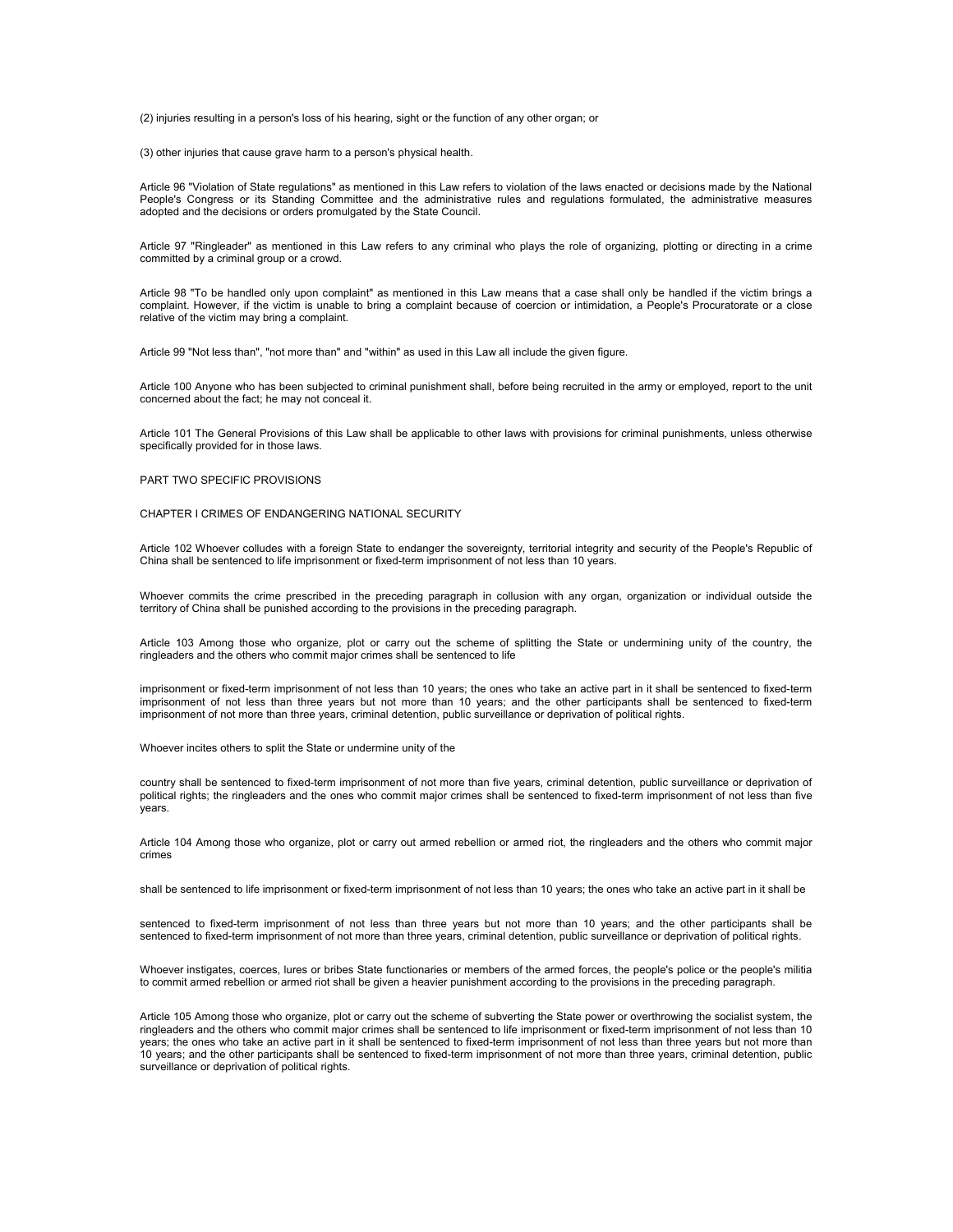(2) injuries resulting in a person's loss of his hearing, sight or the function of any other organ; or

(3) other injuries that cause grave harm to a person's physical health.

Article 96 "Violation of State regulations" as mentioned in this Law refers to violation of the laws enacted or decisions made by the National People's Congress or its Standing Committee and the administrative rules and regulations formulated, the administrative measures adopted and the decisions or orders promulgated by the State Council.

Article 97 "Ringleader" as mentioned in this Law refers to any criminal who plays the role of organizing, plotting or directing in a crime committed by a criminal group or a crowd.

Article 98 "To be handled only upon complaint" as mentioned in this Law means that a case shall only be handled if the victim brings a complaint. However, if the victim is unable to bring a complaint because of coercion or intimidation, a People's Procuratorate or a close relative of the victim may bring a complaint.

Article 99 "Not less than", "not more than" and "within" as used in this Law all include the given figure.

Article 100 Anyone who has been subjected to criminal punishment shall, before being recruited in the army or employed, report to the unit concerned about the fact; he may not conceal it.

Article 101 The General Provisions of this Law shall be applicable to other laws with provisions for criminal punishments, unless otherwise specifically provided for in those laws.

## PART TWO SPECIFIC PROVISIONS

## CHAPTER I CRIMES OF ENDANGERING NATIONAL SECURITY

Article 102 Whoever colludes with a foreign State to endanger the sovereignty, territorial integrity and security of the People's Republic of China shall be sentenced to life imprisonment or fixed-term imprisonment of not less than 10 years.

Whoever commits the crime prescribed in the preceding paragraph in collusion with any organ, organization or individual outside the territory of China shall be punished according to the provisions in the preceding paragraph.

Article 103 Among those who organize, plot or carry out the scheme of splitting the State or undermining unity of the country, the ringleaders and the others who commit major crimes shall be sentenced to life

imprisonment or fixed-term imprisonment of not less than 10 years; the ones who take an active part in it shall be sentenced to fixed-term imprisonment of not less than three years but not more than 10 years; and the other participants shall be sentenced to fixed-term imprisonment of not more than three years, criminal detention, public surveillance or deprivation of political rights.

Whoever incites others to split the State or undermine unity of the

country shall be sentenced to fixed-term imprisonment of not more than five years, criminal detention, public surveillance or deprivation of political rights; the ringleaders and the ones who commit major crimes shall be sentenced to fixed-term imprisonment of not less than five years.

Article 104 Among those who organize, plot or carry out armed rebellion or armed riot, the ringleaders and the others who commit major crimes

shall be sentenced to life imprisonment or fixed-term imprisonment of not less than 10 years; the ones who take an active part in it shall be

sentenced to fixed-term imprisonment of not less than three years but not more than 10 years; and the other participants shall be sentenced to fixed-term imprisonment of not more than three years, criminal detention, public surveillance or deprivation of political rights.

Whoever instigates, coerces, lures or bribes State functionaries or members of the armed forces, the people's police or the people's militia to commit armed rebellion or armed riot shall be given a heavier punishment according to the provisions in the preceding paragraph.

Article 105 Among those who organize, plot or carry out the scheme of subverting the State power or overthrowing the socialist system, the ringleaders and the others who commit major crimes shall be sentenced to life imprisonment or fixed-term imprisonment of not less than 10 years; the ones who take an active part in it shall be sentenced to fixed-term imprisonment of not less than three years but not more than 10 years; and the other participants shall be sentenced to fixed-term imprisonment of not more than three years, criminal detention, public surveillance or deprivation of political rights.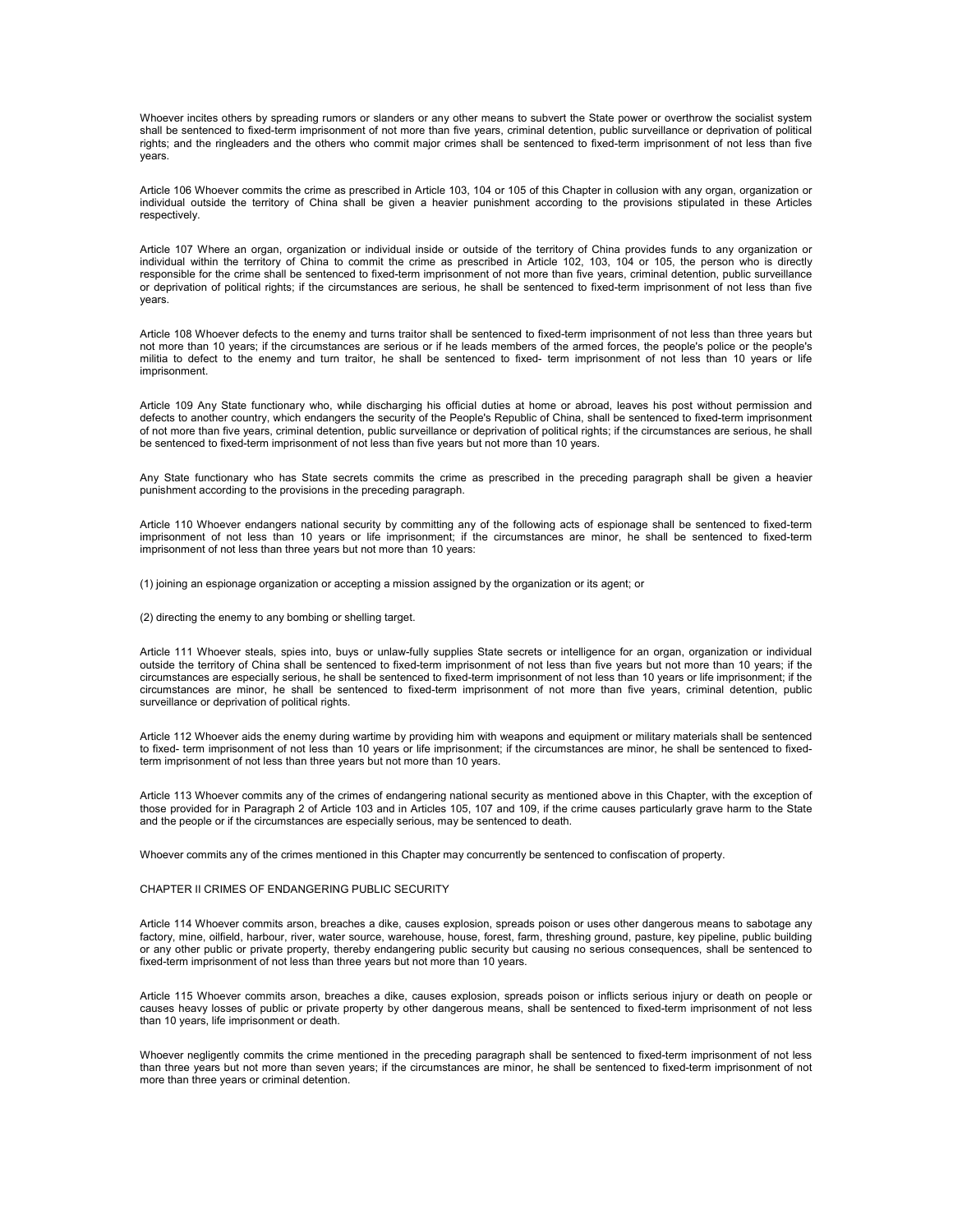Whoever incites others by spreading rumors or slanders or any other means to subvert the State power or overthrow the socialist system shall be sentenced to fixed-term imprisonment of not more than five years, criminal detention, public surveillance or deprivation of political rights; and the ringleaders and the others who commit major crimes shall be sentenced to fixed-term imprisonment of not less than five years.

Article 106 Whoever commits the crime as prescribed in Article 103, 104 or 105 of this Chapter in collusion with any organ, organization or individual outside the territory of China shall be given a heavier punishment according to the provisions stipulated in these Articles respectively.

Article 107 Where an organ, organization or individual inside or outside of the territory of China provides funds to any organization or individual within the territory of China to commit the crime as prescribed in Article 102, 103, 104 or 105, the person who is directly responsible for the crime shall be sentenced to fixed-term imprisonment of not more than five years, criminal detention, public surveillance or deprivation of political rights; if the circumstances are serious, he shall be sentenced to fixed-term imprisonment of not less than five years.

Article 108 Whoever defects to the enemy and turns traitor shall be sentenced to fixed-term imprisonment of not less than three years but not more than 10 years; if the circumstances are serious or if he leads members of the armed forces, the people's police or the people's militia to defect to the enemy and turn traitor, he shall be sentenced to fixed- term imprisonment of not less than 10 years or life imprisonment.

Article 109 Any State functionary who, while discharging his official duties at home or abroad, leaves his post without permission and defects to another country, which endangers the security of the People's Republic of China, shall be sentenced to fixed-term imprisonment of not more than five years, criminal detention, public surveillance or deprivation of political rights; if the circumstances are serious, he shall be sentenced to fixed-term imprisonment of not less than five years but not more than 10 years.

Any State functionary who has State secrets commits the crime as prescribed in the preceding paragraph shall be given a heavier punishment according to the provisions in the preceding paragraph.

Article 110 Whoever endangers national security by committing any of the following acts of espionage shall be sentenced to fixed-term imprisonment of not less than 10 years or life imprisonment; if the circumstances are minor, he shall be sentenced to fixed-term imprisonment of not less than three years but not more than 10 years:

(1) joining an espionage organization or accepting a mission assigned by the organization or its agent; or

(2) directing the enemy to any bombing or shelling target.

Article 111 Whoever steals, spies into, buys or unlaw-fully supplies State secrets or intelligence for an organ, organization or individual outside the territory of China shall be sentenced to fixed-term imprisonment of not less than five years but not more than 10 years; if the circumstances are especially serious, he shall be sentenced to fixed-term imprisonment of not less than 10 years or life imprisonment; if the circumstances are minor, he shall be sentenced to fixed-term imprisonment of not more than five years, criminal detention, public surveillance or deprivation of political rights.

Article 112 Whoever aids the enemy during wartime by providing him with weapons and equipment or military materials shall be sentenced to fixed- term imprisonment of not less than 10 years or life imprisonment; if the circumstances are minor, he shall be sentenced to fixedterm imprisonment of not less than three years but not more than 10 years.

Article 113 Whoever commits any of the crimes of endangering national security as mentioned above in this Chapter, with the exception of those provided for in Paragraph 2 of Article 103 and in Articles 105, 107 and 109, if the crime causes particularly grave harm to the State and the people or if the circumstances are especially serious, may be sentenced to death.

Whoever commits any of the crimes mentioned in this Chapter may concurrently be sentenced to confiscation of property.

#### CHAPTER II CRIMES OF ENDANGERING PUBLIC SECURITY

Article 114 Whoever commits arson, breaches a dike, causes explosion, spreads poison or uses other dangerous means to sabotage any factory, mine, oilfield, harbour, river, water source, warehouse, house, forest, farm, threshing ground, pasture, key pipeline, public building or any other public or private property, thereby endangering public security but causing no serious consequences, shall be sentenced to fixed-term imprisonment of not less than three years but not more than 10 years.

Article 115 Whoever commits arson, breaches a dike, causes explosion, spreads poison or inflicts serious injury or death on people or causes heavy losses of public or private property by other dangerous means, shall be sentenced to fixed-term imprisonment of not less than 10 years, life imprisonment or death.

Whoever negligently commits the crime mentioned in the preceding paragraph shall be sentenced to fixed-term imprisonment of not less than three years but not more than seven years; if the circumstances are minor, he shall be sentenced to fixed-term imprisonment of not more than three years or criminal detention.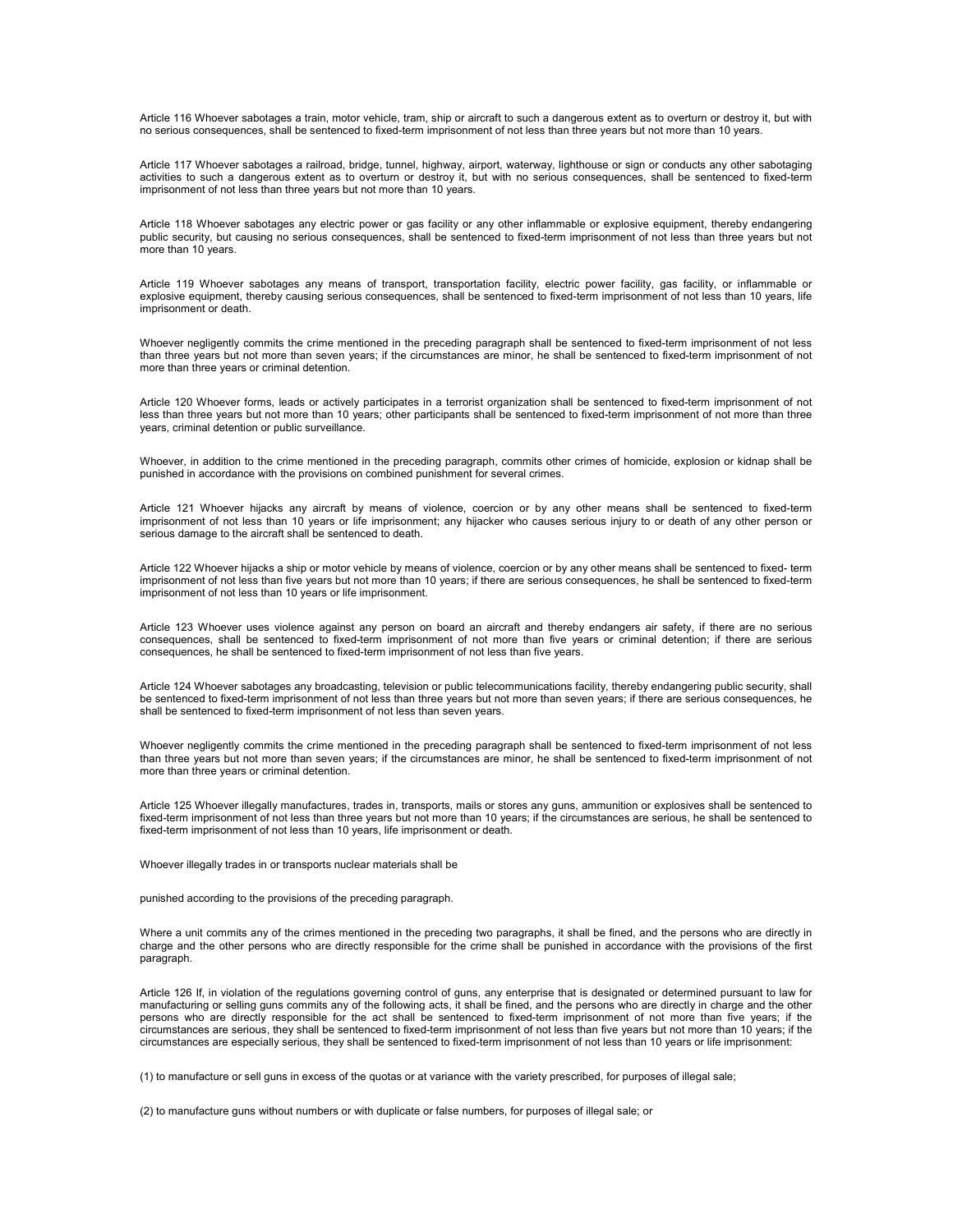Article 116 Whoever sabotages a train, motor vehicle, tram, ship or aircraft to such a dangerous extent as to overturn or destroy it, but with no serious consequences, shall be sentenced to fixed-term imprisonment of not less than three years but not more than 10 years.

Article 117 Whoever sabotages a railroad, bridge, tunnel, highway, airport, waterway, lighthouse or sign or conducts any other sabotaging activities to such a dangerous extent as to overturn or destroy it, but with no serious consequences, shall be sentenced to fixed-term imprisonment of not less than three years but not more than 10 years.

Article 118 Whoever sabotages any electric power or gas facility or any other inflammable or explosive equipment, thereby endangering public security, but causing no serious consequences, shall be sentenced to fixed-term imprisonment of not less than three years but not more than 10 years.

Article 119 Whoever sabotages any means of transport, transportation facility, electric power facility, gas facility, or inflammable or explosive equipment, thereby causing serious consequences, shall be sentenced to fixed-term imprisonment of not less than 10 years, life imprisonment or death.

Whoever negligently commits the crime mentioned in the preceding paragraph shall be sentenced to fixed-term imprisonment of not less than three years but not more than seven years; if the circumstances are minor, he shall be sentenced to fixed-term imprisonment of not more than three years or criminal detention.

Article 120 Whoever forms, leads or actively participates in a terrorist organization shall be sentenced to fixed-term imprisonment of not less than three years but not more than 10 years; other participants shall be sentenced to fixed-term imprisonment of not more than three years, criminal detention or public surveillance.

Whoever, in addition to the crime mentioned in the preceding paragraph, commits other crimes of homicide, explosion or kidnap shall be punished in accordance with the provisions on combined punishment for several crimes.

Article 121 Whoever hijacks any aircraft by means of violence, coercion or by any other means shall be sentenced to fixed-term imprisonment of not less than 10 years or life imprisonment; any hijacker who causes serious injury to or death of any other person or serious damage to the aircraft shall be sentenced to death.

Article 122 Whoever hijacks a ship or motor vehicle by means of violence, coercion or by any other means shall be sentenced to fixed- term imprisonment of not less than five years but not more than 10 years; if there are serious consequences, he shall be sentenced to fixed-term imprisonment of not less than 10 years or life imprisonment.

Article 123 Whoever uses violence against any person on board an aircraft and thereby endangers air safety, if there are no serious consequences, shall be sentenced to fixed-term imprisonment of not more than five years or criminal detention; if there are serious consequences, he shall be sentenced to fixed-term imprisonment of not less than five years.

Article 124 Whoever sabotages any broadcasting, television or public telecommunications facility, thereby endangering public security, shall be sentenced to fixed-term imprisonment of not less than three years but not more than seven years; if there are serious consequences, he<br>shall be sentenced to fixed-term imprisonment of not less than seven years.

Whoever negligently commits the crime mentioned in the preceding paragraph shall be sentenced to fixed-term imprisonment of not less than three years but not more than seven years; if the circumstances are minor, he shall be sentenced to fixed-term imprisonment of not more than three years or criminal detention.

Article 125 Whoever illegally manufactures, trades in, transports, mails or stores any guns, ammunition or explosives shall be sentenced to fixed-term imprisonment of not less than three years but not more than 10 years; if the circumstances are serious, he shall be sentenced to fixed-term imprisonment of not less than 10 years, life imprisonment or death.

Whoever illegally trades in or transports nuclear materials shall be

punished according to the provisions of the preceding paragraph.

Where a unit commits any of the crimes mentioned in the preceding two paragraphs, it shall be fined, and the persons who are directly in charge and the other persons who are directly responsible for the crime shall be punished in accordance with the provisions of the first paragraph.

Article 126 If, in violation of the regulations governing control of guns, any enterprise that is designated or determined pursuant to law for manufacturing or selling guns commits any of the following acts, it shall be fined, and the persons who are directly in charge and the other persons who are directly responsible for the act shall be sentenced to fixed-term imprisonment of not more than five years; if the circumstances are serious, they shall be sentenced to fixed-term imprisonment of not less than five years but not more than 10 years; if the circumstances are especially serious, they shall be sentenced to fixed-term imprisonment of not less than 10 years or life imprisonment:

(1) to manufacture or sell guns in excess of the quotas or at variance with the variety prescribed, for purposes of illegal sale;

(2) to manufacture guns without numbers or with duplicate or false numbers, for purposes of illegal sale; or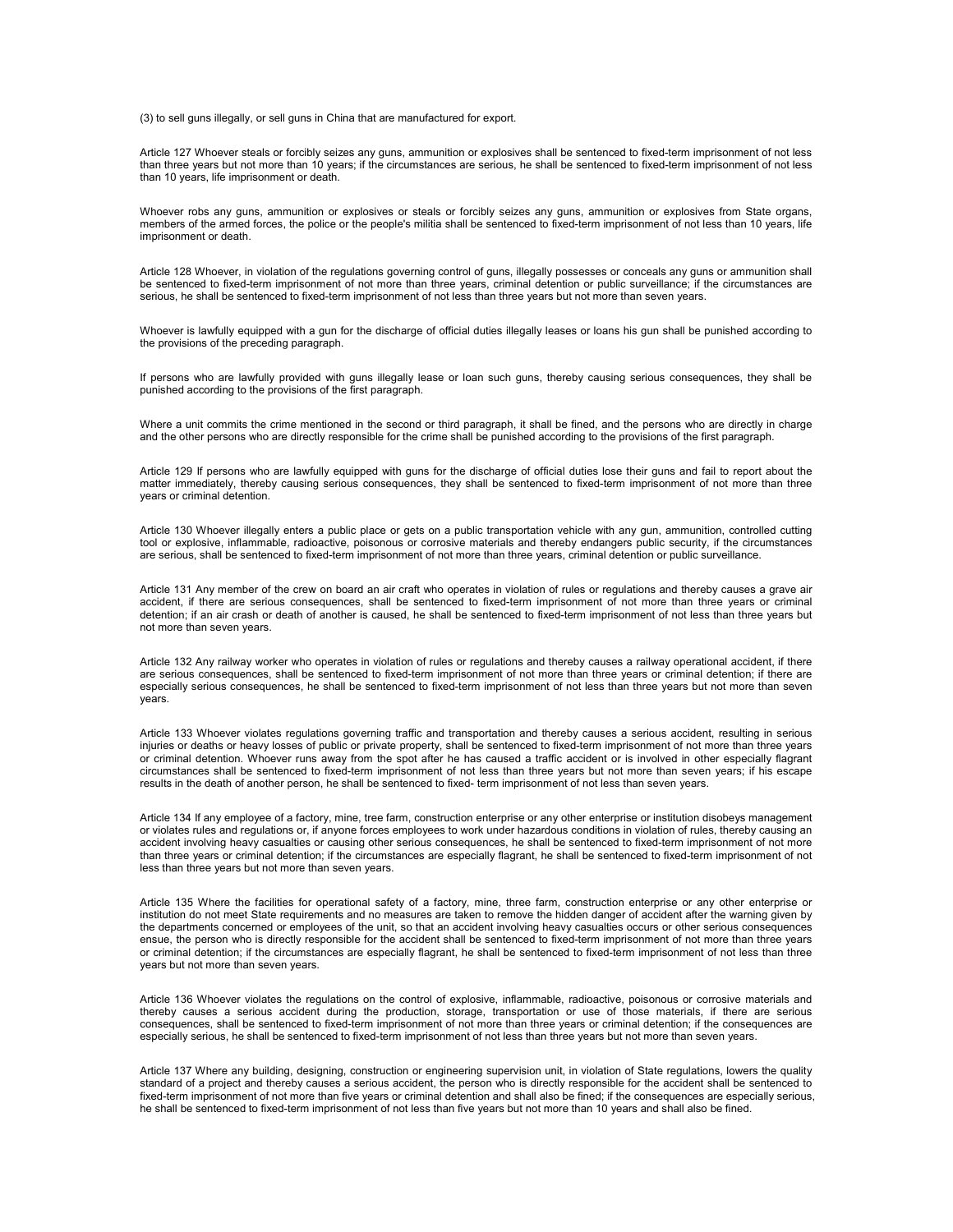(3) to sell guns illegally, or sell guns in China that are manufactured for export.

Article 127 Whoever steals or forcibly seizes any guns, ammunition or explosives shall be sentenced to fixed-term imprisonment of not less than three years but not more than 10 years; if the circumstances are serious, he shall be sentenced to fixed-term imprisonment of not less than 10 years, life imprisonment or death.

Whoever robs any guns, ammunition or explosives or steals or forcibly seizes any guns, ammunition or explosives from State organs, members of the armed forces, the police or the people's militia shall be sentenced to fixed-term imprisonment of not less than 10 years, life imprisonment or death.

Article 128 Whoever, in violation of the regulations governing control of guns, illegally possesses or conceals any guns or ammunition shall be sentenced to fixed-term imprisonment of not more than three years, criminal detention or public surveillance; if the circumstances are serious, he shall be sentenced to fixed-term imprisonment of not less than three years but not more than seven years.

Whoever is lawfully equipped with a gun for the discharge of official duties illegally leases or loans his gun shall be punished according to the provisions of the preceding paragraph.

If persons who are lawfully provided with guns illegally lease or loan such guns, thereby causing serious consequences, they shall be punished according to the provisions of the first paragraph.

Where a unit commits the crime mentioned in the second or third paragraph, it shall be fined, and the persons who are directly in charge and the other persons who are directly responsible for the crime shall be punished according to the provisions of the first paragraph.

Article 129 If persons who are lawfully equipped with guns for the discharge of official duties lose their guns and fail to report about the matter immediately, thereby causing serious consequences, they shall be sentenced to fixed-term imprisonment of not more than three years or criminal detention.

Article 130 Whoever illegally enters a public place or gets on a public transportation vehicle with any gun, ammunition, controlled cutting tool or explosive, inflammable, radioactive, poisonous or corrosive materials and thereby endangers public security, if the circumstances are serious, shall be sentenced to fixed-term imprisonment of not more than three years, criminal detention or public surveillance.

Article 131 Any member of the crew on board an air craft who operates in violation of rules or regulations and thereby causes a grave air accident, if there are serious consequences, shall be sentenced to fixed-term imprisonment of not more than three years or criminal detention; if an air crash or death of another is caused, he shall be sentenced to fixed-term imprisonment of not less than three years but not more than seven years.

Article 132 Any railway worker who operates in violation of rules or regulations and thereby causes a railway operational accident, if there are serious consequences, shall be sentenced to fixed-term imprisonment of not more than three years or criminal detention; if there are especially serious consequences, he shall be sentenced to fixed-term imprisonment of not less than three years but not more than seven years.

Article 133 Whoever violates regulations governing traffic and transportation and thereby causes a serious accident, resulting in serious injuries or deaths or heavy losses of public or private property, shall be sentenced to fixed-term imprisonment of not more than three years or criminal detention. Whoever runs away from the spot after he has caused a traffic accident or is involved in other especially flagrant circumstances shall be sentenced to fixed-term imprisonment of not less than three years but not more than seven years; if his escape results in the death of another person, he shall be sentenced to fixed- term imprisonment of not less than seven years.

Article 134 If any employee of a factory, mine, tree farm, construction enterprise or any other enterprise or institution disobeys management or violates rules and regulations or, if anyone forces employees to work under hazardous conditions in violation of rules, thereby causing an accident involving heavy casualties or causing other serious consequences, he shall be sentenced to fixed-term imprisonment of not more than three years or criminal detention; if the circumstances are especially flagrant, he shall be sentenced to fixed-term imprisonment of not less than three years but not more than seven years.

Article 135 Where the facilities for operational safety of a factory, mine, three farm, construction enterprise or any other enterprise or institution do not meet State requirements and no measures are taken to remove the hidden danger of accident after the warning given by the departments concerned or employees of the unit, so that an accident involving heavy casualties occurs or other serious consequences ensue, the person who is directly responsible for the accident shall be sentenced to fixed-term imprisonment of not more than three years or criminal detention; if the circumstances are especially flagrant, he shall be sentenced to fixed-term imprisonment of not less than three years but not more than seven years.

Article 136 Whoever violates the regulations on the control of explosive, inflammable, radioactive, poisonous or corrosive materials and thereby causes a serious accident during the production, storage, transportation or use of those materials, if there are serious consequences, shall be sentenced to fixed-term imprisonment of not more than three years or criminal detention; if the consequences are especially serious, he shall be sentenced to fixed-term imprisonment of not less than three years but not more than seven years.

Article 137 Where any building, designing, construction or engineering supervision unit, in violation of State regulations, lowers the quality standard of a project and thereby causes a serious accident, the person who is directly responsible for the accident shall be sentenced to fixed-term imprisonment of not more than five years or criminal detention and shall also be fined; if the consequences are especially serious, he shall be sentenced to fixed-term imprisonment of not less than five years but not more than 10 years and shall also be fined.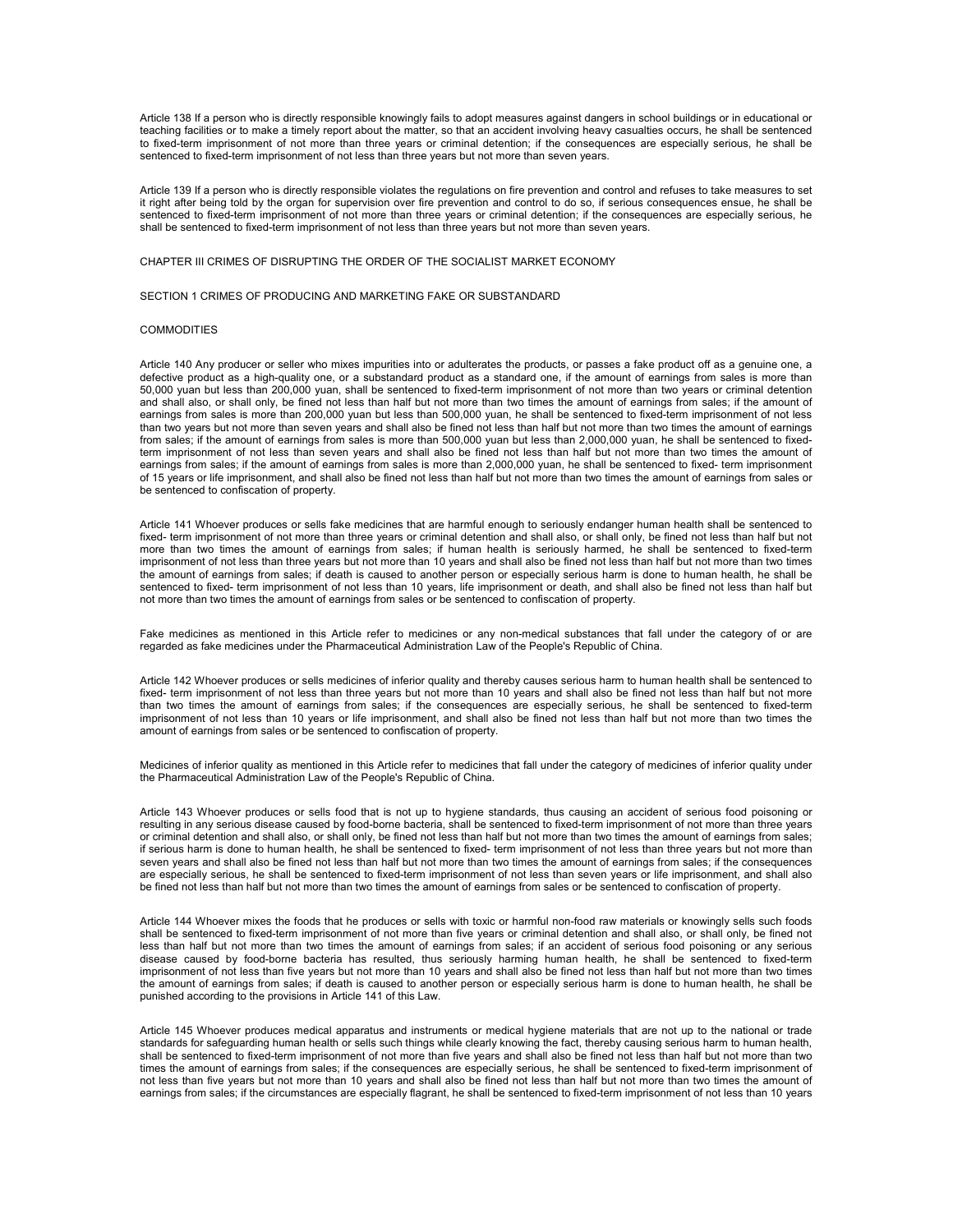Article 138 If a person who is directly responsible knowingly fails to adopt measures against dangers in school buildings or in educational or teaching facilities or to make a timely report about the matter, so that an accident involving heavy casualties occurs, he shall be sentenced to fixed-term imprisonment of not more than three years or criminal detention; if the consequences are especially serious, he shall be sentenced to fixed-term imprisonment of not less than three years but not more than seven years.

Article 139 If a person who is directly responsible violates the regulations on fire prevention and control and refuses to take measures to set it right after being told by the organ for supervision over fire prevention and control to do so, if serious consequences ensue, he shall be sentenced to fixed-term imprisonment of not more than three years or criminal detention; if the consequences are especially serious, he<br>shall be sentenced to fixed-term imprisonment of not less than three years but not mor

CHAPTER III CRIMES OF DISRUPTING THE ORDER OF THE SOCIALIST MARKET ECONOMY

SECTION 1 CRIMES OF PRODUCING AND MARKETING FAKE OR SUBSTANDARD

#### **COMMODITIES**

Article 140 Any producer or seller who mixes impurities into or adulterates the products, or passes a fake product off as a genuine one, a defective product as a high-quality one, or a substandard product as a standard one, if the amount of earnings from sales is more than 50,000 yuan but less than 200,000 yuan, shall be sentenced to fixed-term imprisonment of not more than two years or criminal detention and shall also, or shall only, be fined not less than half but not more than two times the amount of earnings from sales; if the amount of earnings from sales is more than 200,000 yuan but less than 500,000 yuan, he shall be sentenced to fixed-term imprisonment of not less than two years but not more than seven years and shall also be fined not less than half but not more than two times the amount of earnings from sales; if the amount of earnings from sales is more than 500,000 yuan but less than 2,000,000 yuan, he shall be sentenced to fixedterm imprisonment of not less than seven years and shall also be fined not less than half but not more than two times the amount of earnings from sales; if the amount of earnings from sales is more than 2,000,000 yuan, he shall be sentenced to fixed- term imprisonment of 15 years or life imprisonment, and shall also be fined not less than half but not more than two times the amount of earnings from sales or be sentenced to confiscation of property.

Article 141 Whoever produces or sells fake medicines that are harmful enough to seriously endanger human health shall be sentenced to fixed- term imprisonment of not more than three years or criminal detention and shall also, or shall only, be fined not less than half but not more than two times the amount of earnings from sales; if human health is seriously harmed, he shall be sentenced to fixed-term imprisonment of not less than three years but not more than 10 years and shall also be fined not less than half but not more than two times the amount of earnings from sales; if death is caused to another person or especially serious harm is done to human health, he shall be sentenced to fixed- term imprisonment of not less than 10 years, life imprisonment or death, and shall also be fined not less than half but not more than two times the amount of earnings from sales or be sentenced to confiscation of property.

Fake medicines as mentioned in this Article refer to medicines or any non-medical substances that fall under the category of or are<br>regarded as fake medicines under the Pharmaceutical Administration Law of the People's Rep

Article 142 Whoever produces or sells medicines of inferior quality and thereby causes serious harm to human health shall be sentenced to fixed- term imprisonment of not less than three years but not more than 10 years and shall also be fined not less than half but not more than two times the amount of earnings from sales; if the consequences are especially serious, he shall be sentenced to fixed-term imprisonment of not less than 10 years or life imprisonment, and shall also be fined not less than half but not more than two times the amount of earnings from sales or be sentenced to confiscation of property.

Medicines of inferior quality as mentioned in this Article refer to medicines that fall under the category of medicines of inferior quality under the Pharmaceutical Administration Law of the People's Republic of China.

Article 143 Whoever produces or sells food that is not up to hygiene standards, thus causing an accident of serious food poisoning or resulting in any serious disease caused by food-borne bacteria, shall be sentenced to fixed-term imprisonment of not more than three years or criminal detention and shall also, or shall only, be fined not less than half but not more than two times the amount of earnings from sales; if serious harm is done to human health, he shall be sentenced to fixed- term imprisonment of not less than three years but not more than seven years and shall also be fined not less than half but not more than two times the amount of earnings from sales; if the consequences are especially serious, he shall be sentenced to fixed-term imprisonment of not less than seven years or life imprisonment, and shall also be fined not less than half but not more than two times the amount of earnings from sales or be sentenced to confiscation of property.

Article 144 Whoever mixes the foods that he produces or sells with toxic or harmful non-food raw materials or knowingly sells such foods shall be sentenced to fixed-term imprisonment of not more than five years or criminal detention and shall also, or shall only, be fined not less than half but not more than two times the amount of earnings from sales; if an accident of serious food poisoning or any serious disease caused by food-borne bacteria has resulted, thus seriously harming human health, he shall be sentenced to fixed-term imprisonment of not less than five years but not more than 10 years and shall also be fined not less than half but not more than two times the amount of earnings from sales; if death is caused to another person or especially serious harm is done to human health, he shall be punished according to the provisions in Article 141 of this Law.

Article 145 Whoever produces medical apparatus and instruments or medical hygiene materials that are not up to the national or trade standards for safeguarding human health or sells such things while clearly knowing the fact, thereby causing serious harm to human health, shall be sentenced to fixed-term imprisonment of not more than five years and shall also be fined not less than half but not more than two times the amount of earnings from sales; if the consequences are especially serious, he shall be sentenced to fixed-term imprisonment of not less than five years but not more than 10 years and shall also be fined not less than half but not more than two times the amount of earnings from sales; if the circumstances are especially flagrant, he shall be sentenced to fixed-term imprisonment of not less than 10 years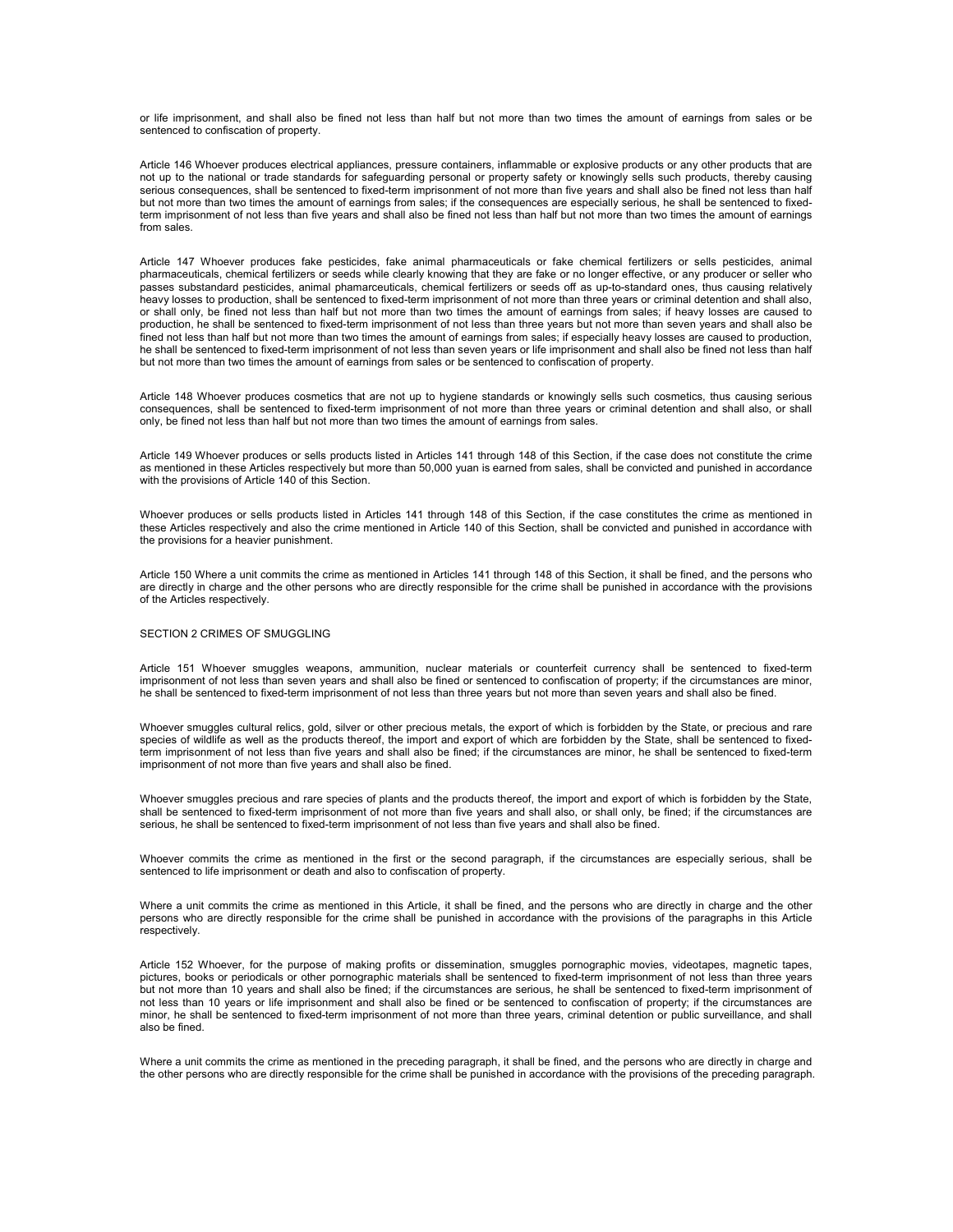or life imprisonment, and shall also be fined not less than half but not more than two times the amount of earnings from sales or be sentenced to confiscation of property.

Article 146 Whoever produces electrical appliances, pressure containers, inflammable or explosive products or any other products that are not up to the national or trade standards for safeguarding personal or property safety or knowingly sells such products, thereby causing serious consequences, shall be sentenced to fixed-term imprisonment of not more than five years and shall also be fined not less than half but not more than two times the amount of earnings from sales; if the consequences are especially serious, he shall be sentenced to fixedterm imprisonment of not less than five years and shall also be fined not less than half but not more than two times the amount of earnings from sales.

Article 147 Whoever produces fake pesticides, fake animal pharmaceuticals or fake chemical fertilizers or sells pesticides, animal pharmaceuticals, chemical fertilizers or seeds while clearly knowing that they are fake or no longer effective, or any producer or seller who passes substandard pesticides, animal phamarceuticals, chemical fertilizers or seeds off as up-to-standard ones, thus causing relatively heavy losses to production, shall be sentenced to fixed-term imprisonment of not more than three years or criminal detention and shall also, or shall only, be fined not less than half but not more than two times the amount of earnings from sales; if heavy losses are caused to production, he shall be sentenced to fixed-term imprisonment of not less than three years but not more than seven years and shall also be fined not less than half but not more than two times the amount of earnings from sales; if especially heavy losses are caused to production, he shall be sentenced to fixed-term imprisonment of not less than seven years or life imprisonment and shall also be fined not less than half but not more than two times the amount of earnings from sales or be sentenced to confiscation of property.

Article 148 Whoever produces cosmetics that are not up to hygiene standards or knowingly sells such cosmetics, thus causing serious consequences, shall be sentenced to fixed-term imprisonment of not more than three years or criminal detention and shall also, or shall only, be fined not less than half but not more than two times the amount of earnings from sales.

Article 149 Whoever produces or sells products listed in Articles 141 through 148 of this Section, if the case does not constitute the crime as mentioned in these Articles respectively but more than 50,000 yuan is earned from sales, shall be convicted and punished in accordance with the provisions of Article 140 of this Section.

Whoever produces or sells products listed in Articles 141 through 148 of this Section, if the case constitutes the crime as mentioned in these Articles respectively and also the crime mentioned in Article 140 of this Section, shall be convicted and punished in accordance with the provisions for a heavier punishment.

Article 150 Where a unit commits the crime as mentioned in Articles 141 through 148 of this Section, it shall be fined, and the persons who are directly in charge and the other persons who are directly responsible for the crime shall be punished in accordance with the provisions of the Articles respectively.

# SECTION 2 CRIMES OF SMUGGLING

Article 151 Whoever smuggles weapons, ammunition, nuclear materials or counterfeit currency shall be sentenced to fixed-term imprisonment of not less than seven years and shall also be fined or sentenced to confiscation of property; if the circumstances are minor, he shall be sentenced to fixed-term imprisonment of not less than three years but not more than seven years and shall also be fined.

Whoever smuggles cultural relics, gold, silver or other precious metals, the export of which is forbidden by the State, or precious and rare species of wildlife as well as the products thereof, the import and export of which are forbidden by the State, shall be sentenced to fixedterm imprisonment of not less than five years and shall also be fined; if the circumstances are minor, he shall be sentenced to fixed-term imprisonment of not more than five years and shall also be fined.

Whoever smuggles precious and rare species of plants and the products thereof, the import and export of which is forbidden by the State, shall be sentenced to fixed-term imprisonment of not more than five years and shall also, or shall only, be fined; if the circumstances are serious, he shall be sentenced to fixed-term imprisonment of not less than five years and shall also be fined.

Whoever commits the crime as mentioned in the first or the second paragraph, if the circumstances are especially serious, shall be sentenced to life imprisonment or death and also to confiscation of property.

Where a unit commits the crime as mentioned in this Article, it shall be fined, and the persons who are directly in charge and the other persons who are directly responsible for the crime shall be punished in accordance with the provisions of the paragraphs in this Article respectively.

Article 152 Whoever, for the purpose of making profits or dissemination, smuggles pornographic movies, videotapes, magnetic tapes, pictures, books or periodicals or other pornographic materials shall be sentenced to fixed-term imprisonment of not less than three years but not more than 10 years and shall also be fined; if the circumstances are serious, he shall be sentenced to fixed-term imprisonment of not less than 10 years or life imprisonment and shall also be fined or be sentenced to confiscation of property; if the circumstances are minor, he shall be sentenced to fixed-term imprisonment of not more than three years, criminal detention or public surveillance, and shall also be fined.

Where a unit commits the crime as mentioned in the preceding paragraph, it shall be fined, and the persons who are directly in charge and the other persons who are directly responsible for the crime shall be punished in accordance with the provisions of the preceding paragraph.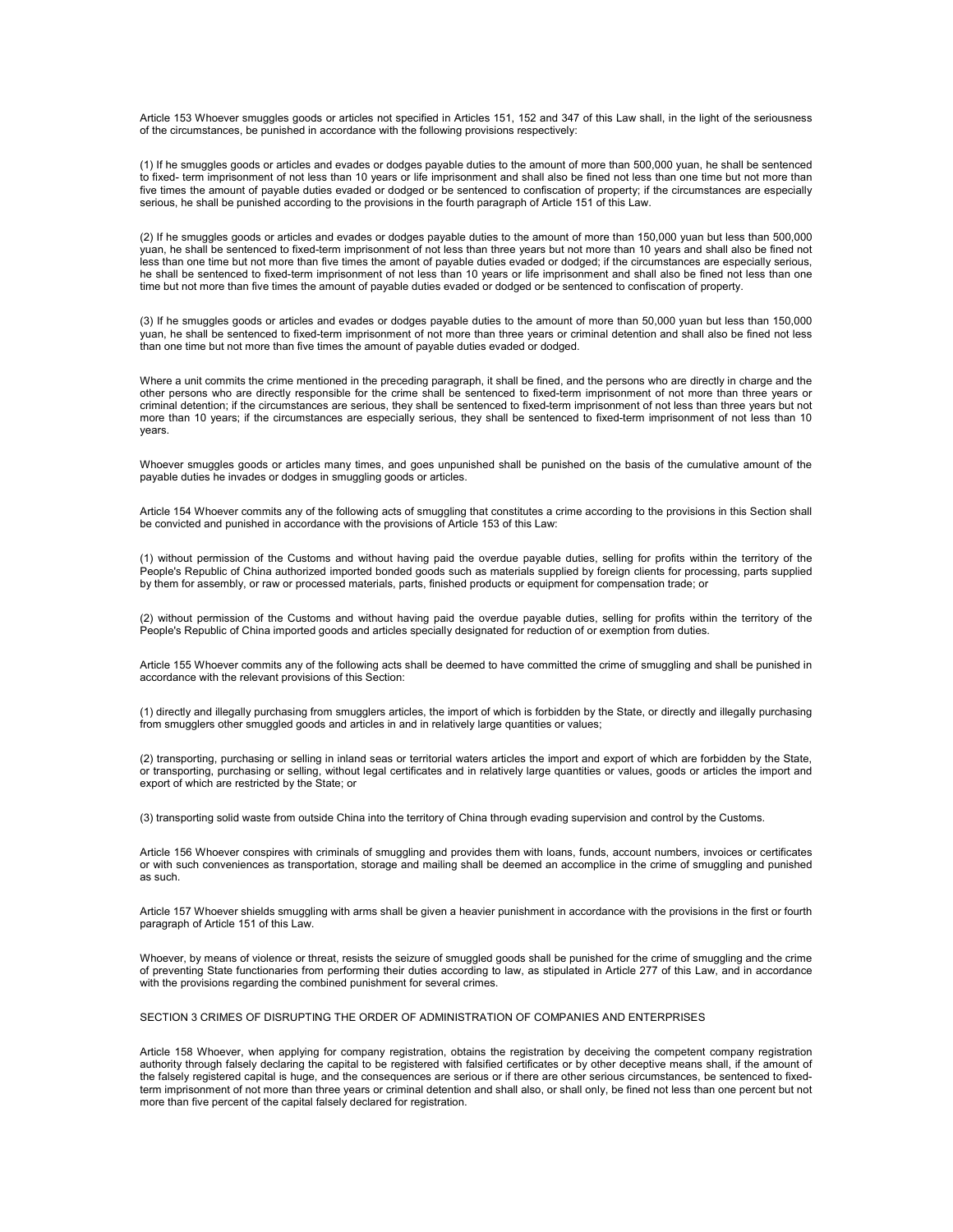Article 153 Whoever smuggles goods or articles not specified in Articles 151, 152 and 347 of this Law shall, in the light of the seriousness of the circumstances, be punished in accordance with the following provisions respectively:

(1) If he smuggles goods or articles and evades or dodges payable duties to the amount of more than 500,000 yuan, he shall be sentenced to fixed- term imprisonment of not less than 10 years or life imprisonment and shall also be fined not less than one time but not more than five times the amount of payable duties evaded or dodged or be sentenced to confiscation of property; if the circumstances are especially serious, he shall be punished according to the provisions in the fourth paragraph of Article 151 of this Law.

(2) If he smuggles goods or articles and evades or dodges payable duties to the amount of more than 150,000 yuan but less than 500,000 yuan, he shall be sentenced to fixed-term imprisonment of not less than three years but not more than 10 years and shall also be fined not less than one time but not more than five times the amont of payable duties evaded or dodged; if the circumstances are especially serious, he shall be sentenced to fixed-term imprisonment of not less than 10 years or life imprisonment and shall also be fined not less than one time but not more than five times the amount of payable duties evaded or dodged or be sentenced to confiscation of property.

(3) If he smuggles goods or articles and evades or dodges payable duties to the amount of more than 50,000 yuan but less than 150,000 yuan, he shall be sentenced to fixed-term imprisonment of not more than three years or criminal detention and shall also be fined not less than one time but not more than five times the amount of payable duties evaded or dodged.

Where a unit commits the crime mentioned in the preceding paragraph, it shall be fined, and the persons who are directly in charge and the other persons who are directly responsible for the crime shall be sentenced to fixed-term imprisonment of not more than three years or criminal detention; if the circumstances are serious, they shall be sentenced to fixed-term imprisonment of not less than three years but not more than 10 years; if the circumstances are especially serious, they shall be sentenced to fixed-term imprisonment of not less than 10 years.

Whoever smuggles goods or articles many times, and goes unpunished shall be punished on the basis of the cumulative amount of the payable duties he invades or dodges in smuggling goods or articles.

Article 154 Whoever commits any of the following acts of smuggling that constitutes a crime according to the provisions in this Section shall be convicted and punished in accordance with the provisions of Article 153 of this Law:

(1) without permission of the Customs and without having paid the overdue payable duties, selling for profits within the territory of the People's Republic of China authorized imported bonded goods such as materials supplied by foreign clients for processing, parts supplied by them for assembly, or raw or processed materials, parts, finished products or equipment for compensation trade; or

(2) without permission of the Customs and without having paid the overdue payable duties, selling for profits within the territory of the People's Republic of China imported goods and articles specially designated for reduction of or exemption from duties.

Article 155 Whoever commits any of the following acts shall be deemed to have committed the crime of smuggling and shall be punished in accordance with the relevant provisions of this Section:

(1) directly and illegally purchasing from smugglers articles, the import of which is forbidden by the State, or directly and illegally purchasing from smugglers other smuggled goods and articles in and in relatively large quantities or values;

(2) transporting, purchasing or selling in inland seas or territorial waters articles the import and export of which are forbidden by the State, or transporting, purchasing or selling, without legal certificates and in relatively large quantities or values, goods or articles the import and export of which are restricted by the State; or

(3) transporting solid waste from outside China into the territory of China through evading supervision and control by the Customs.

Article 156 Whoever conspires with criminals of smuggling and provides them with loans, funds, account numbers, invoices or certificates or with such conveniences as transportation, storage and mailing shall be deemed an accomplice in the crime of smuggling and punished as such.

Article 157 Whoever shields smuggling with arms shall be given a heavier punishment in accordance with the provisions in the first or fourth paragraph of Article 151 of this Law.

Whoever, by means of violence or threat, resists the seizure of smuggled goods shall be punished for the crime of smuggling and the crime of preventing State functionaries from performing their duties according to law, as stipulated in Article 277 of this Law, and in accordance with the provisions regarding the combined punishment for several crimes.

SECTION 3 CRIMES OF DISRUPTING THE ORDER OF ADMINISTRATION OF COMPANIES AND ENTERPRISES

Article 158 Whoever, when applying for company registration, obtains the registration by deceiving the competent company registration authority through falsely declaring the capital to be registered with falsified certificates or by other deceptive means shall, if the amount of the falsely registered capital is huge, and the consequences are serious or if there are other serious circumstances, be sentenced to fixedterm imprisonment of not more than three years or criminal detention and shall also, or shall only, be fined not less than one percent but not more than five percent of the capital falsely declared for registration.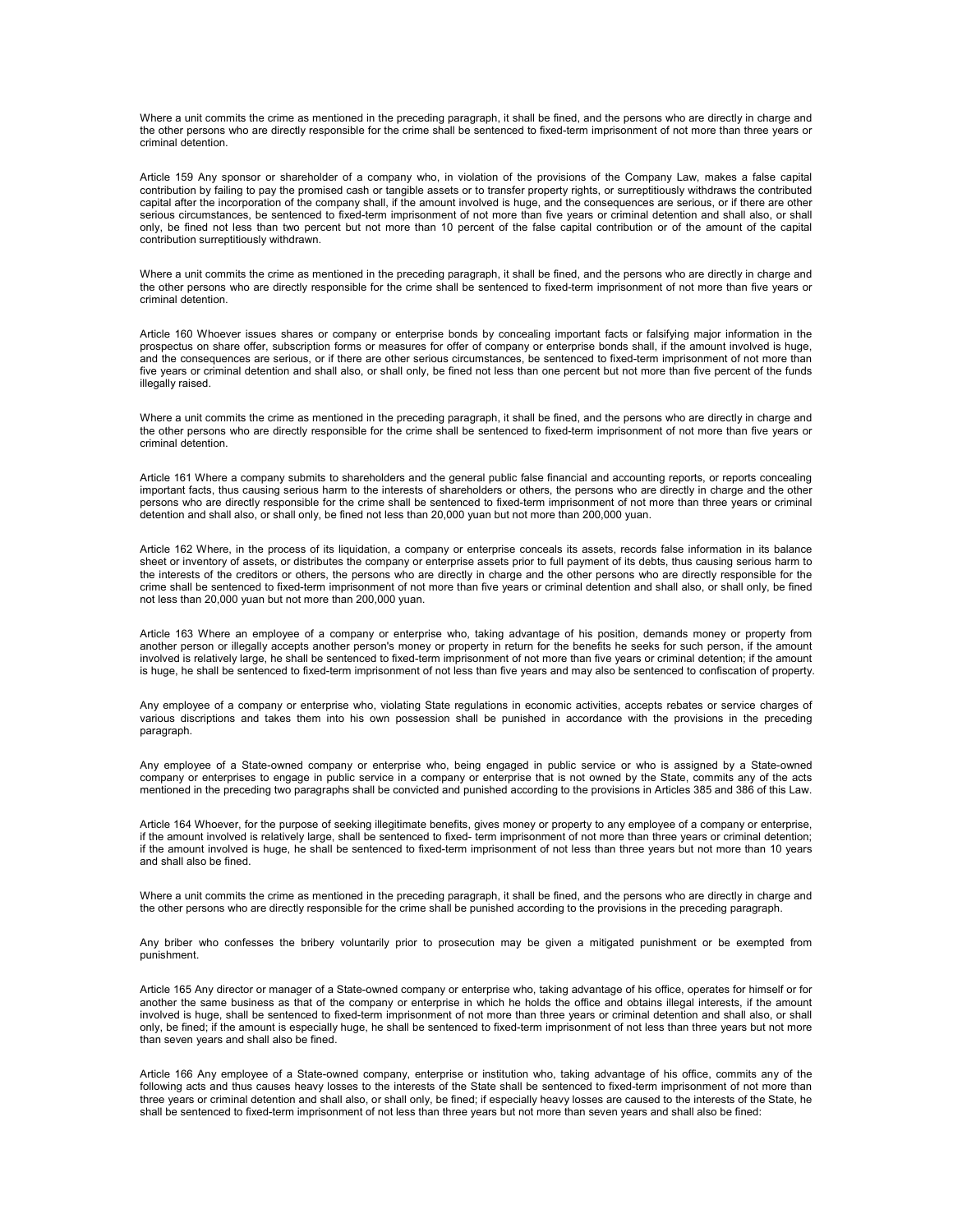Where a unit commits the crime as mentioned in the preceding paragraph, it shall be fined, and the persons who are directly in charge and the other persons who are directly responsible for the crime shall be sentenced to fixed-term imprisonment of not more than three years or criminal detention.

Article 159 Any sponsor or shareholder of a company who, in violation of the provisions of the Company Law, makes a false capital contribution by failing to pay the promised cash or tangible assets or to transfer property rights, or surreptitiously withdraws the contributed capital after the incorporation of the company shall, if the amount involved is huge, and the consequences are serious, or if there are other serious circumstances, be sentenced to fixed-term imprisonment of not more than five years or criminal detention and shall also, or shall only, be fined not less than two percent but not more than 10 percent of the false capital contribution or of the amount of the capital contribution surreptitiously withdrawn.

Where a unit commits the crime as mentioned in the preceding paragraph, it shall be fined, and the persons who are directly in charge and the other persons who are directly responsible for the crime shall be sentenced to fixed-term imprisonment of not more than five years or criminal detention.

Article 160 Whoever issues shares or company or enterprise bonds by concealing important facts or falsifying major information in the prospectus on share offer, subscription forms or measures for offer of company or enterprise bonds shall, if the amount involved is huge, and the consequences are serious, or if there are other serious circumstances, be sentenced to fixed-term imprisonment of not more than five years or criminal detention and shall also, or shall only, be fined not less than one percent but not more than five percent of the funds illegally raised.

Where a unit commits the crime as mentioned in the preceding paragraph, it shall be fined, and the persons who are directly in charge and the other persons who are directly responsible for the crime shall be sentenced to fixed-term imprisonment of not more than five years or criminal detention.

Article 161 Where a company submits to shareholders and the general public false financial and accounting reports, or reports concealing important facts, thus causing serious harm to the interests of shareholders or others, the persons who are directly in charge and the other persons who are directly responsible for the crime shall be sentenced to fixed-term imprisonment of not more than three years or criminal detention and shall also, or shall only, be fined not less than 20,000 yuan but not more than 200,000 yuan.

Article 162 Where, in the process of its liquidation, a company or enterprise conceals its assets, records false information in its balance sheet or inventory of assets, or distributes the company or enterprise assets prior to full payment of its debts, thus causing serious harm to the interests of the creditors or others, the persons who are directly in charge and the other persons who are directly responsible for the crime shall be sentenced to fixed-term imprisonment of not more than five years or criminal detention and shall also, or shall only, be fined not less than 20,000 yuan but not more than 200,000 yuan.

Article 163 Where an employee of a company or enterprise who, taking advantage of his position, demands money or property from another person or illegally accepts another person's money or property in return for the benefits he seeks for such person, if the amount involved is relatively large, he shall be sentenced to fixed-term imprisonment of not more than five years or criminal detention; if the amount is huge, he shall be sentenced to fixed-term imprisonment of not less than five years and may also be sentenced to confiscation of property.

Any employee of a company or enterprise who, violating State regulations in economic activities, accepts rebates or service charges of various discriptions and takes them into his own possession shall be punished in accordance with the provisions in the preceding paragraph.

Any employee of a State-owned company or enterprise who, being engaged in public service or who is assigned by a State-owned company or enterprises to engage in public service in a company or enterprise that is not owned by the State, commits any of the acts mentioned in the preceding two paragraphs shall be convicted and punished according to the provisions in Articles 385 and 386 of this Law.

Article 164 Whoever, for the purpose of seeking illegitimate benefits, gives money or property to any employee of a company or enterprise, if the amount involved is relatively large, shall be sentenced to fixed- term imprisonment of not more than three years or criminal detention; if the amount involved is huge, he shall be sentenced to fixed-term imprisonment of not less than three years but not more than 10 years and shall also be fined.

Where a unit commits the crime as mentioned in the preceding paragraph, it shall be fined, and the persons who are directly in charge and<br>the other persons who are directly responsible for the crime shall be punished accor

Any briber who confesses the bribery voluntarily prior to prosecution may be given a mitigated punishment or be exempted from punishment.

Article 165 Any director or manager of a State-owned company or enterprise who, taking advantage of his office, operates for himself or for another the same business as that of the company or enterprise in which he holds the office and obtains illegal interests, if the amount involved is huge, shall be sentenced to fixed-term imprisonment of not more than three years or criminal detention and shall also, or shall only, be fined; if the amount is especially huge, he shall be sentenced to fixed-term imprisonment of not less than three years but not more than seven years and shall also be fined.

Article 166 Any employee of a State-owned company, enterprise or institution who, taking advantage of his office, commits any of the following acts and thus causes heavy losses to the interests of the State shall be sentenced to fixed-term imprisonment of not more than three years or criminal detention and shall also, or shall only, be fined; if especially heavy losses are caused to the interests of the State, he shall be sentenced to fixed-term imprisonment of not less than three years but not more than seven years and shall also be fined: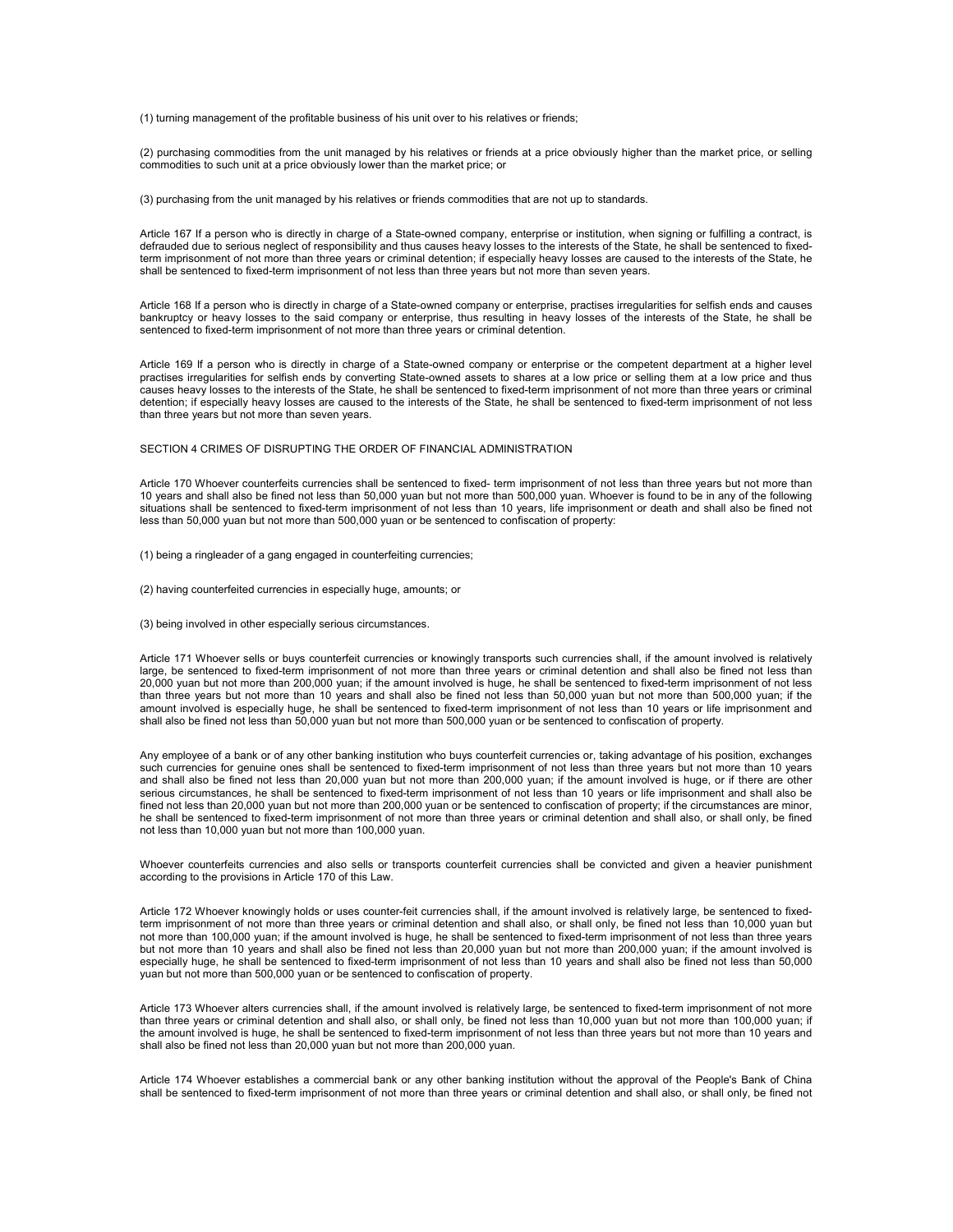(1) turning management of the profitable business of his unit over to his relatives or friends;

(2) purchasing commodities from the unit managed by his relatives or friends at a price obviously higher than the market price, or selling commodities to such unit at a price obviously lower than the market price; or

(3) purchasing from the unit managed by his relatives or friends commodities that are not up to standards.

Article 167 If a person who is directly in charge of a State-owned company, enterprise or institution, when signing or fulfilling a contract, is defrauded due to serious neglect of responsibility and thus causes heavy losses to the interests of the State, he shall be sentenced to fixedterm imprisonment of not more than three years or criminal detention; if especially heavy losses are caused to the interests of the State, he shall be sentenced to fixed-term imprisonment of not less than three years but not more than seven years.

Article 168 If a person who is directly in charge of a State-owned company or enterprise, practises irregularities for selfish ends and causes bankruptcy or heavy losses to the said company or enterprise, thus resulting in heavy losses of the interests of the State, he shall be sentenced to fixed-term imprisonment of not more than three years or criminal detention.

Article 169 If a person who is directly in charge of a State-owned company or enterprise or the competent department at a higher level practises irregularities for selfish ends by converting State-owned assets to shares at a low price or selling them at a low price and thus causes heavy losses to the interests of the State, he shall be sentenced to fixed-term imprisonment of not more than three years or criminal detention; if especially heavy losses are caused to the interests of the State, he shall be sentenced to fixed-term imprisonment of not less than three years but not more than seven years.

SECTION 4 CRIMES OF DISRUPTING THE ORDER OF FINANCIAL ADMINISTRATION

Article 170 Whoever counterfeits currencies shall be sentenced to fixed- term imprisonment of not less than three years but not more than 10 years and shall also be fined not less than 50,000 yuan but not more than 500,000 yuan. Whoever is found to be in any of the following situations shall be sentenced to fixed-term imprisonment of not less than 10 years, life imprisonment or death and shall also be fined not less than 50,000 yuan but not more than 500,000 yuan or be sentenced to confiscation of property:

- (1) being a ringleader of a gang engaged in counterfeiting currencies;
- (2) having counterfeited currencies in especially huge, amounts; or
- (3) being involved in other especially serious circumstances.

Article 171 Whoever sells or buys counterfeit currencies or knowingly transports such currencies shall, if the amount involved is relatively large, be sentenced to fixed-term imprisonment of not more than three years or criminal detention and shall also be fined not less than 20,000 yuan but not more than 200,000 yuan; if the amount involved is huge, he shall be sentenced to fixed-term imprisonment of not less than three years but not more than 10 years and shall also be fined not less than 50,000 yuan but not more than 500,000 yuan; if the amount involved is especially huge, he shall be sentenced to fixed-term imprisonment of not less than 10 years or life imprisonment and shall also be fined not less than 50,000 yuan but not more than 500,000 yuan or be sentenced to confiscation of property.

Any employee of a bank or of any other banking institution who buys counterfeit currencies or, taking advantage of his position, exchanges such currencies for genuine ones shall be sentenced to fixed-term imprisonment of not less than three years but not more than 10 years and shall also be fined not less than 20,000 yuan but not more than 200,000 yuan; if the amount involved is huge, or if there are other serious circumstances, he shall be sentenced to fixed-term imprisonment of not less than 10 years or life imprisonment and shall also be fined not less than 20,000 yuan but not more than 200,000 yuan or be sentenced to confiscation of property; if the circumstances are minor, he shall be sentenced to fixed-term imprisonment of not more than three years or criminal detention and shall also, or shall only, be fined not less than 10,000 yuan but not more than 100,000 yuan.

Whoever counterfeits currencies and also sells or transports counterfeit currencies shall be convicted and given a heavier punishment according to the provisions in Article 170 of this Law.

Article 172 Whoever knowingly holds or uses counter-feit currencies shall, if the amount involved is relatively large, be sentenced to fixedterm imprisonment of not more than three years or criminal detention and shall also, or shall only, be fined not less than 10,000 yuan but not more than 100,000 yuan; if the amount involved is huge, he shall be sentenced to fixed-term imprisonment of not less than three years but not more than 10 years and shall also be fined not less than 20,000 yuan but not more than 200,000 yuan; if the amount involved is especially huge, he shall be sentenced to fixed-term imprisonment of not less than 10 years and shall also be fined not less than 50,000 yuan but not more than 500,000 yuan or be sentenced to confiscation of property.

Article 173 Whoever alters currencies shall, if the amount involved is relatively large, be sentenced to fixed-term imprisonment of not more than three years or criminal detention and shall also, or shall only, be fined not less than 10,000 yuan but not more than 100,000 yuan; if the amount involved is huge, he shall be sentenced to fixed-term imprisonment of not less than three years but not more than 10 years and shall also be fined not less than 20,000 yuan but not more than 200,000 yuan.

Article 174 Whoever establishes a commercial bank or any other banking institution without the approval of the People's Bank of China shall be sentenced to fixed-term imprisonment of not more than three years or criminal detention and shall also, or shall only, be fined not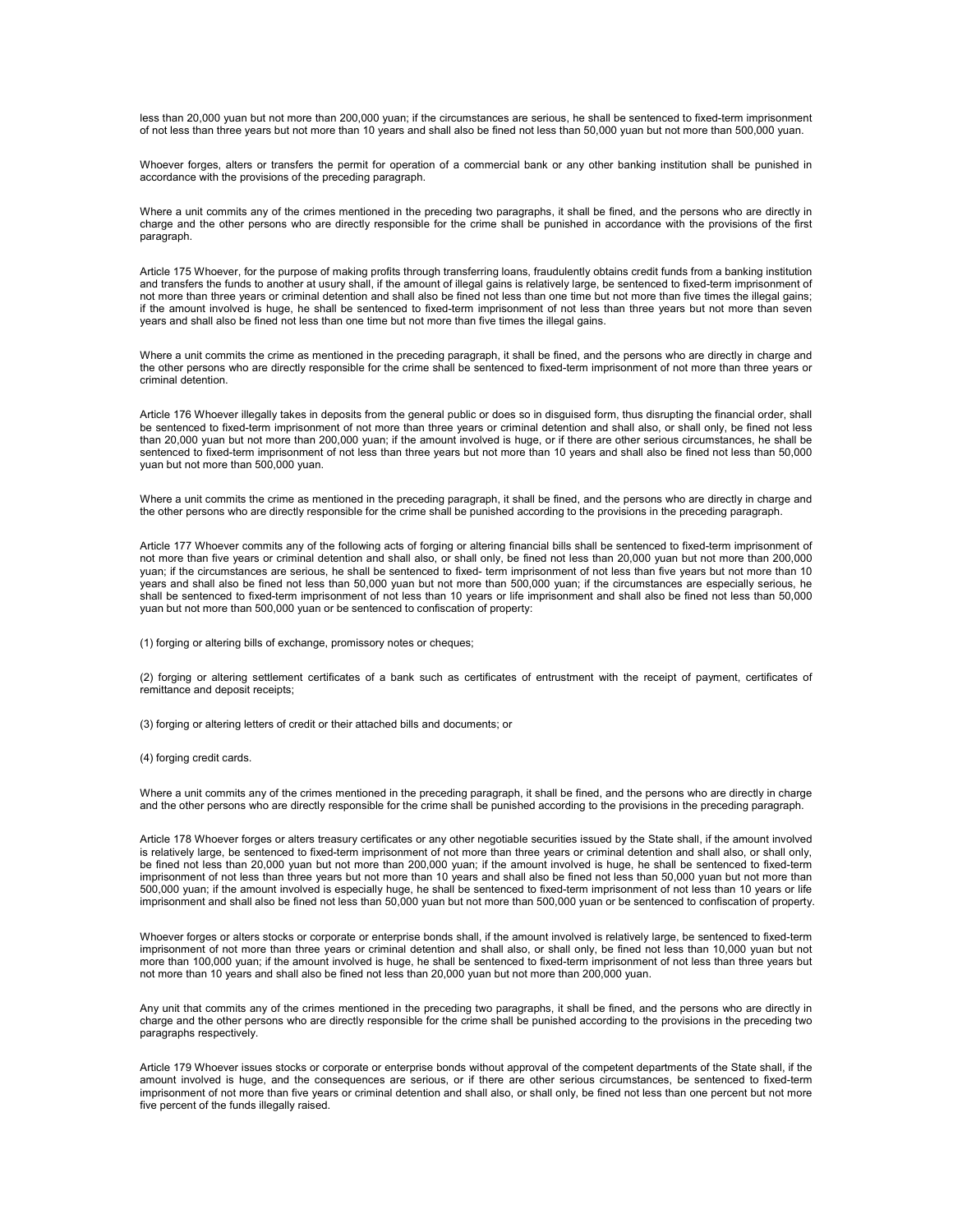less than 20,000 yuan but not more than 200,000 yuan; if the circumstances are serious, he shall be sentenced to fixed-term imprisonment of not less than three years but not more than 10 years and shall also be fined not less than 50,000 yuan but not more than 500,000 yuan.

Whoever forges, alters or transfers the permit for operation of a commercial bank or any other banking institution shall be punished in accordance with the provisions of the preceding paragraph.

Where a unit commits any of the crimes mentioned in the preceding two paragraphs, it shall be fined, and the persons who are directly in charge and the other persons who are directly responsible for the crime shall be punished in accordance with the provisions of the first paragraph.

Article 175 Whoever, for the purpose of making profits through transferring loans, fraudulently obtains credit funds from a banking institution and transfers the funds to another at usury shall, if the amount of illegal gains is relatively large, be sentenced to fixed-term imprisonment of not more than three years or criminal detention and shall also be fined not less than one time but not more than five times the illegal gains; if the amount involved is huge, he shall be sentenced to fixed-term imprisonment of not less than three years but not more than seven years and shall also be fined not less than one time but not more than five times the illegal gains.

Where a unit commits the crime as mentioned in the preceding paragraph, it shall be fined, and the persons who are directly in charge and the other persons who are directly responsible for the crime shall be sentenced to fixed-term imprisonment of not more than three years or criminal detention.

Article 176 Whoever illegally takes in deposits from the general public or does so in disguised form, thus disrupting the financial order, shall be sentenced to fixed-term imprisonment of not more than three years or criminal detention and shall also, or shall only, be fined not less than 20,000 yuan but not more than 200,000 yuan; if the amount involved is huge, or if there are other serious circumstances, he shall be sentenced to fixed-term imprisonment of not less than three years but not more than 10 years and shall also be fined not less than 50,000 yuan but not more than 500,000 yuan.

Where a unit commits the crime as mentioned in the preceding paragraph, it shall be fined, and the persons who are directly in charge and the other persons who are directly responsible for the crime shall be punished according to the provisions in the preceding paragraph.

Article 177 Whoever commits any of the following acts of forging or altering financial bills shall be sentenced to fixed-term imprisonment of not more than five years or criminal detention and shall also, or shall only, be fined not less than 20,000 yuan but not more than 200,000 yuan; if the circumstances are serious, he shall be sentenced to fixed- term imprisonment of not less than five years but not more than 10 years and shall also be fined not less than 50,000 yuan but not more than 500,000 yuan; if the circumstances are especially serious, he shall be sentenced to fixed-term imprisonment of not less than 10 years or life imprisonment and shall also be fined not less than 50,000 yuan but not more than 500,000 yuan or be sentenced to confiscation of property:

(1) forging or altering bills of exchange, promissory notes or cheques;

(2) forging or altering settlement certificates of a bank such as certificates of entrustment with the receipt of payment, certificates of remittance and deposit receipts;

(3) forging or altering letters of credit or their attached bills and documents; or

(4) forging credit cards.

Where a unit commits any of the crimes mentioned in the preceding paragraph, it shall be fined, and the persons who are directly in charge and the other persons who are directly responsible for the crime shall be punished according to the provisions in the preceding paragraph.

Article 178 Whoever forges or alters treasury certificates or any other negotiable securities issued by the State shall, if the amount involved is relatively large, be sentenced to fixed-term imprisonment of not more than three years or criminal detention and shall also, or shall only, be fined not less than 20,000 yuan but not more than 200,000 yuan; if the amount involved is huge, he shall be sentenced to fixed-term imprisonment of not less than three years but not more than 10 years and shall also be fined not less than 50,000 yuan but not more than 500,000 yuan; if the amount involved is especially huge, he shall be sentenced to fixed-term imprisonment of not less than 10 years or life imprisonment and shall also be fined not less than 50,000 yuan but not more than 500,000 yuan or be sentenced to confiscation of property.

Whoever forges or alters stocks or corporate or enterprise bonds shall, if the amount involved is relatively large, be sentenced to fixed-term imprisonment of not more than three years or criminal detention and shall also, or shall only, be fined not less than 10,000 yuan but not more than 100,000 yuan; if the amount involved is huge, he shall be sentenced to fixed-term imprisonment of not less than three years but not more than 10 years and shall also be fined not less than 20,000 yuan but not more than 200,000 yuan.

Any unit that commits any of the crimes mentioned in the preceding two paragraphs, it shall be fined, and the persons who are directly in charge and the other persons who are directly responsible for the crime shall be punished according to the provisions in the preceding two paragraphs respectively.

Article 179 Whoever issues stocks or corporate or enterprise bonds without approval of the competent departments of the State shall, if the amount involved is huge, and the consequences are serious, or if there are other serious circumstances, be sentenced to fixed-term imprisonment of not more than five years or criminal detention and shall also, or shall only, be fined not less than one percent but not more five percent of the funds illegally raised.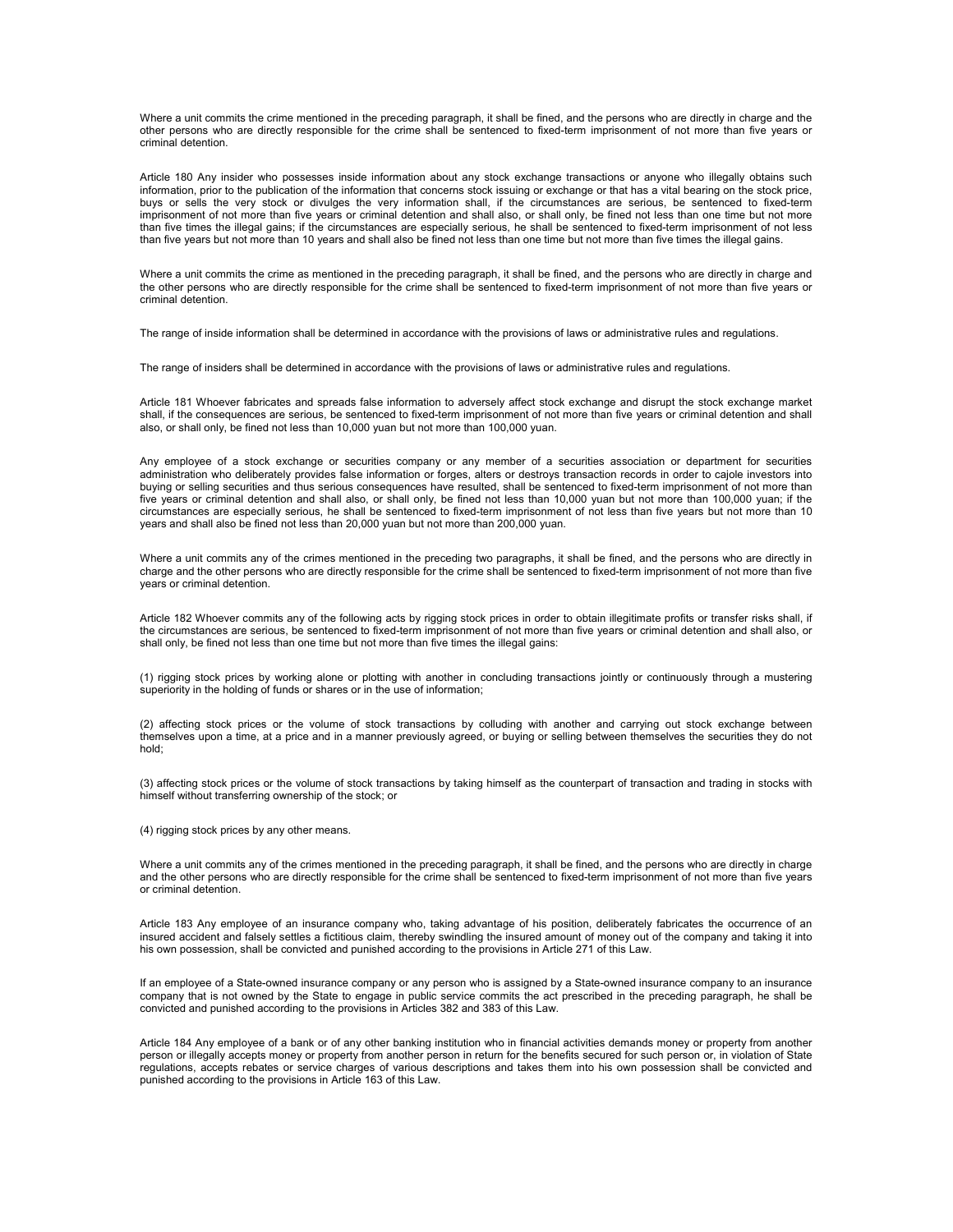Where a unit commits the crime mentioned in the preceding paragraph, it shall be fined, and the persons who are directly in charge and the other persons who are directly responsible for the crime shall be sentenced to fixed-term imprisonment of not more than five years or criminal detention.

Article 180 Any insider who possesses inside information about any stock exchange transactions or anyone who illegally obtains such information, prior to the publication of the information that concerns stock issuing or exchange or that has a vital bearing on the stock price, buys or sells the very stock or divulges the very information shall, if the circumstances are serious, be sentenced to fixed-term imprisonment of not more than five years or criminal detention and shall also, or shall only, be fined not less than one time but not more than five times the illegal gains; if the circumstances are especially serious, he shall be sentenced to fixed-term imprisonment of not less than five years but not more than 10 years and shall also be fined not less than one time but not more than five times the illegal gains.

Where a unit commits the crime as mentioned in the preceding paragraph, it shall be fined, and the persons who are directly in charge and the other persons who are directly responsible for the crime shall be sentenced to fixed-term imprisonment of not more than five years or criminal detention.

The range of inside information shall be determined in accordance with the provisions of laws or administrative rules and regulations.

The range of insiders shall be determined in accordance with the provisions of laws or administrative rules and regulations.

Article 181 Whoever fabricates and spreads false information to adversely affect stock exchange and disrupt the stock exchange market shall, if the consequences are serious, be sentenced to fixed-term imprisonment of not more than five years or criminal detention and shall also, or shall only, be fined not less than 10,000 yuan but not more than 100,000 yuan.

Any employee of a stock exchange or securities company or any member of a securities association or department for securities administration who deliberately provides false information or forges, alters or destroys transaction records in order to cajole investors into buying or selling securities and thus serious consequences have resulted, shall be sentenced to fixed-term imprisonment of not more than five years or criminal detention and shall also, or shall only, be fined not less than 10,000 yuan but not more than 100,000 yuan; if the circumstances are especially serious, he shall be sentenced to fixed-term imprisonment of not less than five years but not more than 10 years and shall also be fined not less than 20,000 yuan but not more than 200,000 yuan.

Where a unit commits any of the crimes mentioned in the preceding two paragraphs, it shall be fined, and the persons who are directly in charge and the other persons who are directly responsible for the crime shall be sentenced to fixed-term imprisonment of not more than five years or criminal detention.

Article 182 Whoever commits any of the following acts by rigging stock prices in order to obtain illegitimate profits or transfer risks shall, if the circumstances are serious, be sentenced to fixed-term imprisonment of not more than five years or criminal detention and shall also, or shall only, be fined not less than one time but not more than five times the illegal gains:

(1) rigging stock prices by working alone or plotting with another in concluding transactions jointly or continuously through a mustering superiority in the holding of funds or shares or in the use of information;

(2) affecting stock prices or the volume of stock transactions by colluding with another and carrying out stock exchange between themselves upon a time, at a price and in a manner previously agreed, or buying or selling between themselves the securities they do not hold;

(3) affecting stock prices or the volume of stock transactions by taking himself as the counterpart of transaction and trading in stocks with himself without transferring ownership of the stock; or

(4) rigging stock prices by any other means.

Where a unit commits any of the crimes mentioned in the preceding paragraph, it shall be fined, and the persons who are directly in charge and the other persons who are directly responsible for the crime shall be sentenced to fixed-term imprisonment of not more than five years or criminal detention.

Article 183 Any employee of an insurance company who, taking advantage of his position, deliberately fabricates the occurrence of an insured accident and falsely settles a fictitious claim, thereby swindling the insured amount of money out of the company and taking it into his own possession, shall be convicted and punished according to the provisions in Article 271 of this Law.

If an employee of a State-owned insurance company or any person who is assigned by a State-owned insurance company to an insurance company that is not owned by the State to engage in public service commits the act prescribed in the preceding paragraph, he shall be convicted and punished according to the provisions in Articles 382 and 383 of this Law.

Article 184 Any employee of a bank or of any other banking institution who in financial activities demands money or property from another person or illegally accepts money or property from another person in return for the benefits secured for such person or, in violation of State regulations, accepts rebates or service charges of various descriptions and takes them into his own possession shall be convicted and punished according to the provisions in Article 163 of this Law.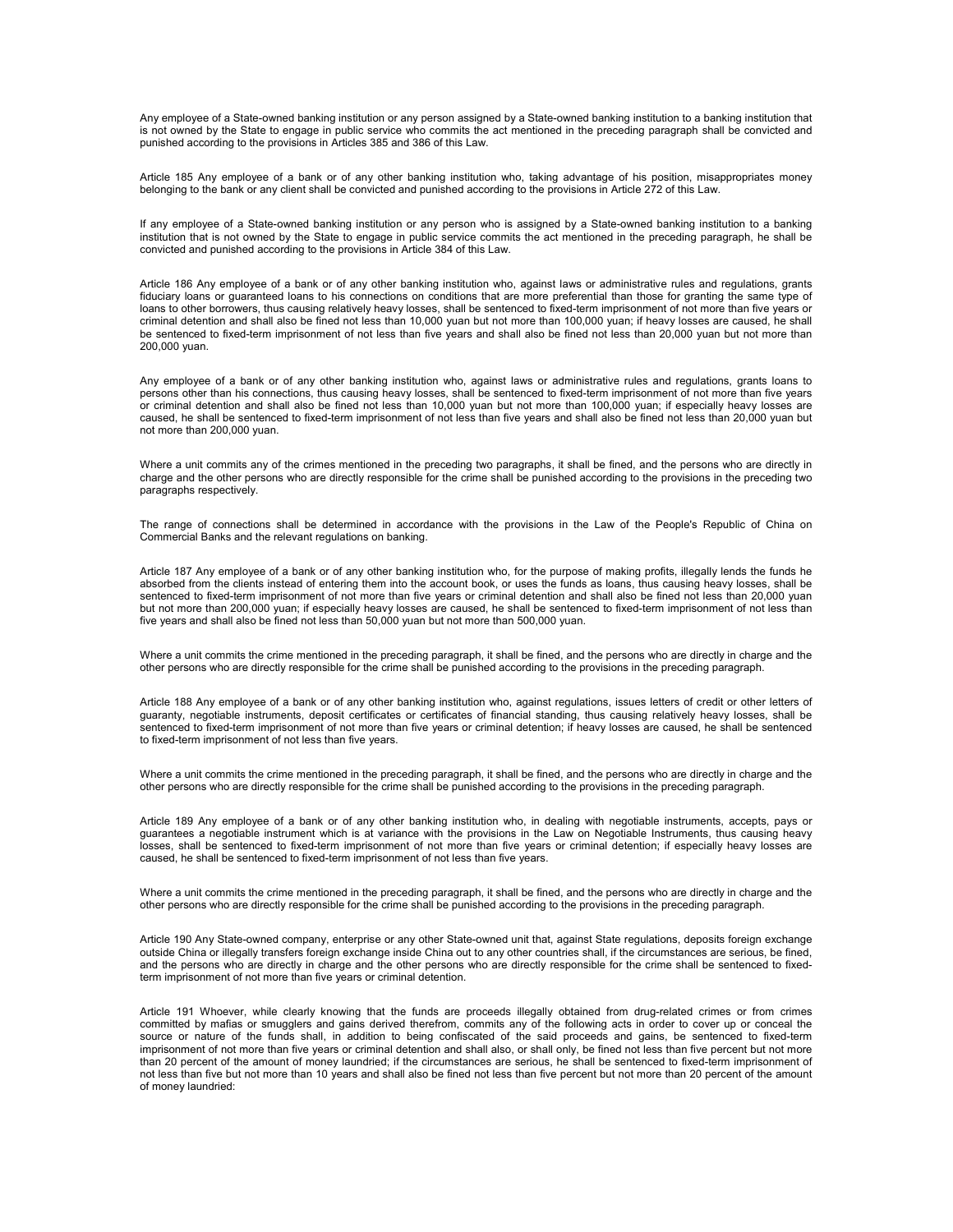Any employee of a State-owned banking institution or any person assigned by a State-owned banking institution to a banking institution that is not owned by the State to engage in public service who commits the act mentioned in the preceding paragraph shall be convicted and punished according to the provisions in Articles 385 and 386 of this Law.

Article 185 Any employee of a bank or of any other banking institution who, taking advantage of his position, misappropriates money belonging to the bank or any client shall be convicted and punished according to the provisions in Article 272 of this Law.

If any employee of a State-owned banking institution or any person who is assigned by a State-owned banking institution to a banking institution that is not owned by the State to engage in public service commits the act mentioned in the preceding paragraph, he shall be convicted and punished according to the provisions in Article 384 of this Law.

Article 186 Any employee of a bank or of any other banking institution who, against laws or administrative rules and regulations, grants fiduciary loans or guaranteed loans to his connections on conditions that are more preferential than those for granting the same type of loans to other borrowers, thus causing relatively heavy losses, shall be sentenced to fixed-term imprisonment of not more than five years or criminal detention and shall also be fined not less than 10,000 yuan but not more than 100,000 yuan; if heavy losses are caused, he shall be sentenced to fixed-term imprisonment of not less than five years and shall also be fined not less than 20,000 yuan but not more than 200,000 yuan.

Any employee of a bank or of any other banking institution who, against laws or administrative rules and regulations, grants loans to persons other than his connections, thus causing heavy losses, shall be sentenced to fixed-term imprisonment of not more than five years or criminal detention and shall also be fined not less than 10,000 yuan but not more than 100,000 yuan; if especially heavy losses are caused, he shall be sentenced to fixed-term imprisonment of not less than five years and shall also be fined not less than 20,000 yuan but not more than 200,000 yuan.

Where a unit commits any of the crimes mentioned in the preceding two paragraphs, it shall be fined, and the persons who are directly in charge and the other persons who are directly responsible for the crime shall be punished according to the provisions in the preceding two paragraphs respectively.

The range of connections shall be determined in accordance with the provisions in the Law of the People's Republic of China on Commercial Banks and the relevant regulations on banking.

Article 187 Any employee of a bank or of any other banking institution who, for the purpose of making profits, illegally lends the funds he absorbed from the clients instead of entering them into the account book, or uses the funds as loans, thus causing heavy losses, shall be sentenced to fixed-term imprisonment of not more than five years or criminal detention and shall also be fined not less than 20,000 yuan but not more than 200,000 yuan; if especially heavy losses are caused, he shall be sentenced to fixed-term imprisonment of not less than five years and shall also be fined not less than 50,000 yuan but not more than 500,000 yuan.

Where a unit commits the crime mentioned in the preceding paragraph, it shall be fined, and the persons who are directly in charge and the other persons who are directly responsible for the crime shall be punished according to the provisions in the preceding paragraph.

Article 188 Any employee of a bank or of any other banking institution who, against regulations, issues letters of credit or other letters of guaranty, negotiable instruments, deposit certificates or certificates of financial standing, thus causing relatively heavy losses, shall be sentenced to fixed-term imprisonment of not more than five years or criminal detention; if heavy losses are caused, he shall be sentenced to fixed-term imprisonment of not less than five years.

Where a unit commits the crime mentioned in the preceding paragraph, it shall be fined, and the persons who are directly in charge and the<br>other persons who are directly responsible for the crime shall be punished accordin

Article 189 Any employee of a bank or of any other banking institution who, in dealing with negotiable instruments, accepts, pays or guarantees a negotiable instrument which is at variance with the provisions in the Law on Negotiable Instruments, thus causing heavy losses, shall be sentenced to fixed-term imprisonment of not more than five years or criminal detention; if especially heavy losses are caused, he shall be sentenced to fixed-term imprisonment of not less than five years.

Where a unit commits the crime mentioned in the preceding paragraph, it shall be fined, and the persons who are directly in charge and the<br>other persons who are directly responsible for the crime shall be punished accordin

Article 190 Any State-owned company, enterprise or any other State-owned unit that, against State regulations, deposits foreign exchange outside China or illegally transfers foreign exchange inside China out to any other countries shall, if the circumstances are serious, be fined, and the persons who are directly in charge and the other persons who are directly responsible for the crime shall be sentenced to fixedterm imprisonment of not more than five years or criminal detention.

Article 191 Whoever, while clearly knowing that the funds are proceeds illegally obtained from drug-related crimes or from crimes committed by mafias or smugglers and gains derived therefrom, commits any of the following acts in order to cover up or conceal the source or nature of the funds shall, in addition to being confiscated of the said proceeds and gains, be sentenced to fixed-term imprisonment of not more than five years or criminal detention and shall also, or shall only, be fined not less than five percent but not more than 20 percent of the amount of money laundried; if the circumstances are serious, he shall be sentenced to fixed-term imprisonment of not less than five but not more than 10 years and shall also be fined not less than five percent but not more than 20 percent of the amount of money laundried: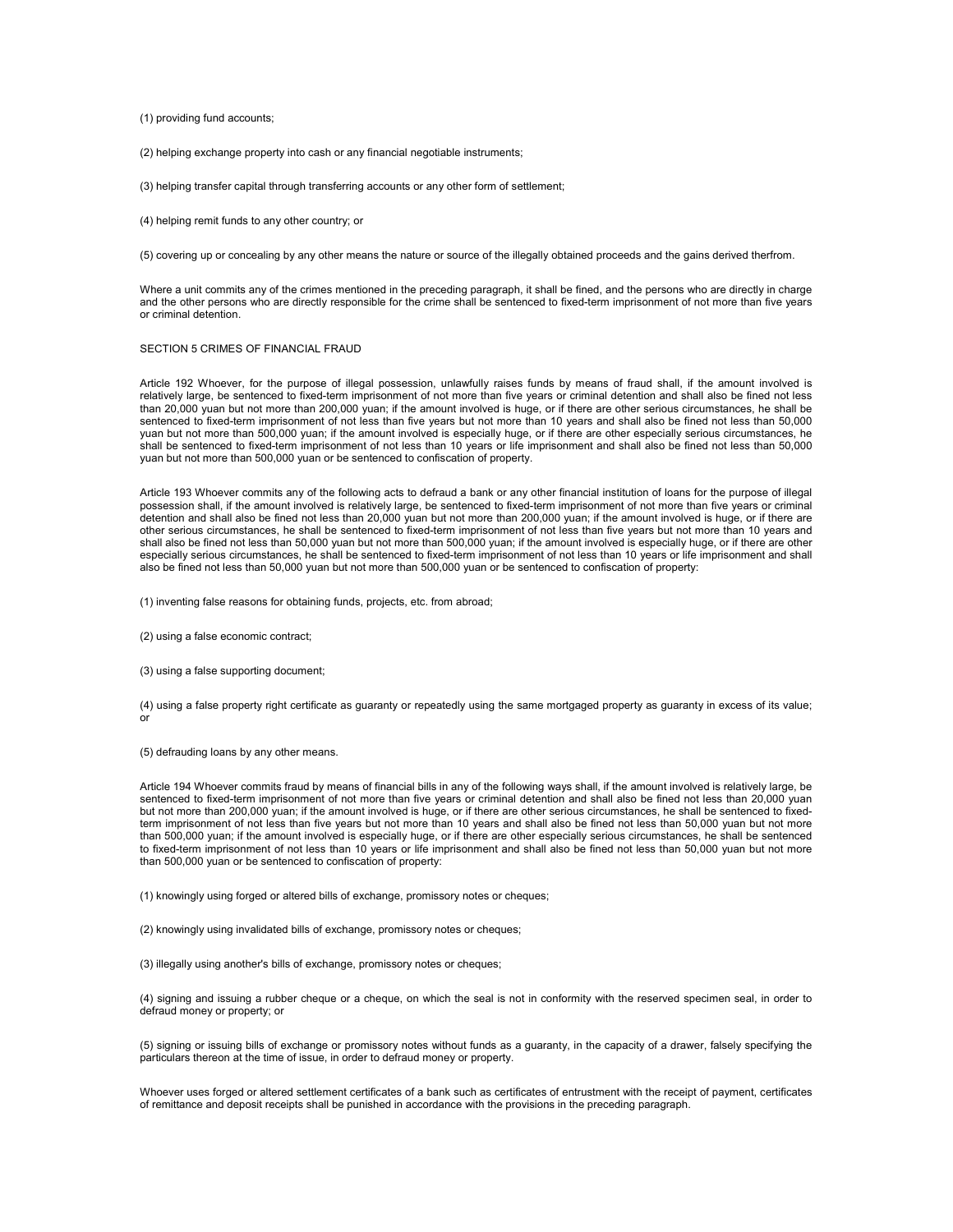(1) providing fund accounts;

(2) helping exchange property into cash or any financial negotiable instruments;

(3) helping transfer capital through transferring accounts or any other form of settlement;

(4) helping remit funds to any other country; or

(5) covering up or concealing by any other means the nature or source of the illegally obtained proceeds and the gains derived therfrom.

Where a unit commits any of the crimes mentioned in the preceding paragraph, it shall be fined, and the persons who are directly in charge and the other persons who are directly responsible for the crime shall be sentenced to fixed-term imprisonment of not more than five years or criminal detention.

#### SECTION 5 CRIMES OF FINANCIAL FRAUD

Article 192 Whoever, for the purpose of illegal possession, unlawfully raises funds by means of fraud shall, if the amount involved is relatively large, be sentenced to fixed-term imprisonment of not more than five years or criminal detention and shall also be fined not less than 20,000 yuan but not more than 200,000 yuan; if the amount involved is huge, or if there are other serious circumstances, he shall be sentenced to fixed-term imprisonment of not less than five years but not more than 10 years and shall also be fined not less than 50,000 yuan but not more than 500,000 yuan; if the amount involved is especially huge, or if there are other especially serious circumstances, he shall be sentenced to fixed-term imprisonment of not less than 10 years or life imprisonment and shall also be fined not less than 50,000 yuan but not more than 500,000 yuan or be sentenced to confiscation of property.

Article 193 Whoever commits any of the following acts to defraud a bank or any other financial institution of loans for the purpose of illegal possession shall, if the amount involved is relatively large, be sentenced to fixed-term imprisonment of not more than five years or criminal detention and shall also be fined not less than 20,000 yuan but not more than 200,000 yuan; if the amount involved is huge, or if there are other serious circumstances, he shall be sentenced to fixed-term imprisonment of not less than five years but not more than 10 years and shall also be fined not less than 50,000 yuan but not more than 500,000 yuan; if the amount involved is especially huge, or if there are other especially serious circumstances, he shall be sentenced to fixed-term imprisonment of not less than 10 years or life imprisonment and shall also be fined not less than 50,000 yuan but not more than 500,000 yuan or be sentenced to confiscation of property:

(1) inventing false reasons for obtaining funds, projects, etc. from abroad;

- (2) using a false economic contract;
- (3) using a false supporting document;

(4) using a false property right certificate as guaranty or repeatedly using the same mortgaged property as guaranty in excess of its value; or

(5) defrauding loans by any other means.

Article 194 Whoever commits fraud by means of financial bills in any of the following ways shall, if the amount involved is relatively large, be sentenced to fixed-term imprisonment of not more than five years or criminal detention and shall also be fined not less than 20,000 yuan but not more than 200,000 yuan; if the amount involved is huge, or if there are other serious circumstances, he shall be sentenced to fixedterm imprisonment of not less than five years but not more than 10 years and shall also be fined not less than 50,000 yuan but not more than 500,000 yuan; if the amount involved is especially huge, or if there are other especially serious circumstances, he shall be sentenced to fixed-term imprisonment of not less than 10 years or life imprisonment and shall also be fined not less than 50,000 yuan but not more than 500,000 yuan or be sentenced to confiscation of property:

(1) knowingly using forged or altered bills of exchange, promissory notes or cheques;

- (2) knowingly using invalidated bills of exchange, promissory notes or cheques;
- (3) illegally using another's bills of exchange, promissory notes or cheques;

(4) signing and issuing a rubber cheque or a cheque, on which the seal is not in conformity with the reserved specimen seal, in order to defraud money or property; or

(5) signing or issuing bills of exchange or promissory notes without funds as a guaranty, in the capacity of a drawer, falsely specifying the particulars thereon at the time of issue, in order to defraud money or property.

Whoever uses forged or altered settlement certificates of a bank such as certificates of entrustment with the receipt of payment, certificates of remittance and deposit receipts shall be punished in accordance with the provisions in the preceding paragraph.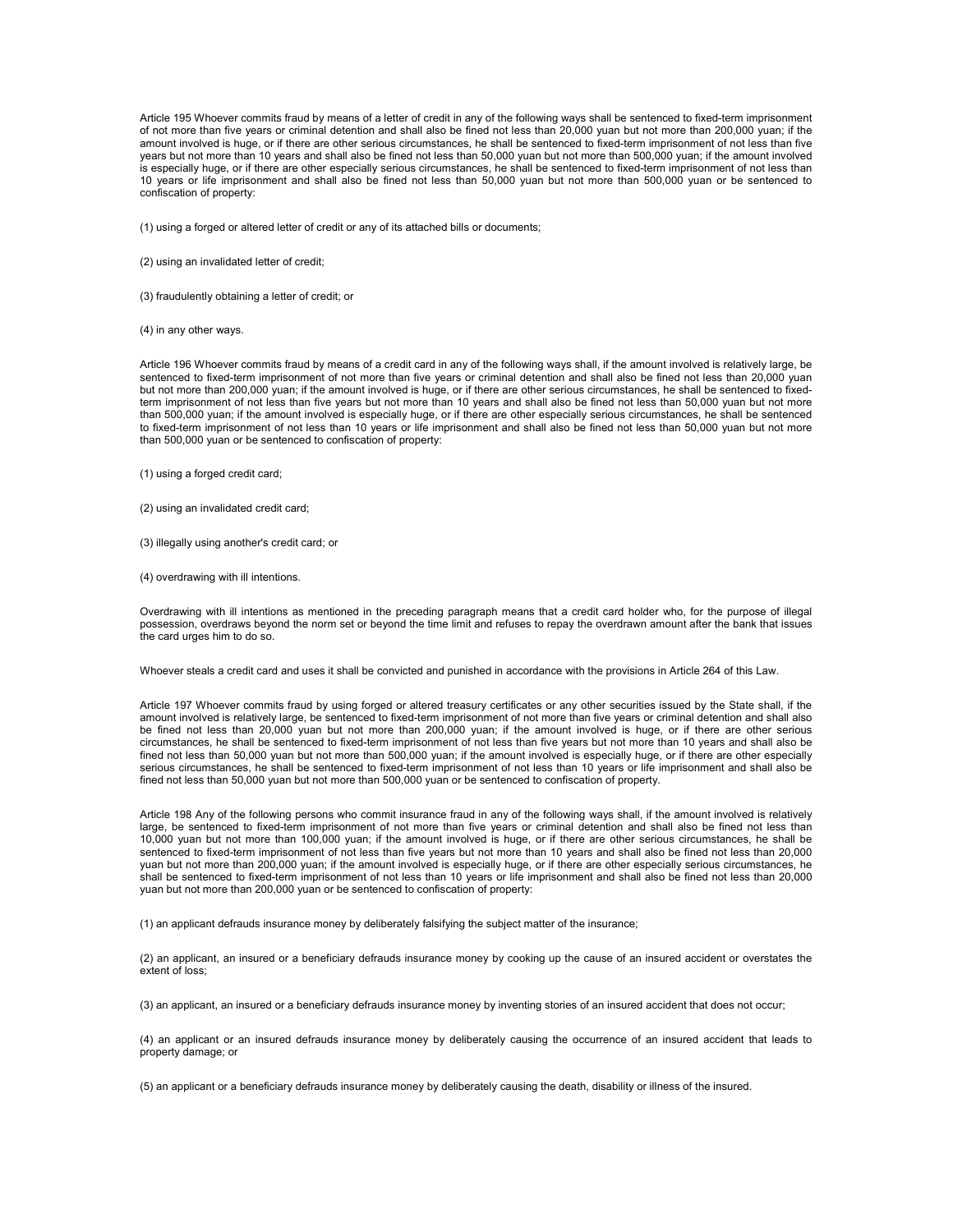Article 195 Whoever commits fraud by means of a letter of credit in any of the following ways shall be sentenced to fixed-term imprisonment of not more than five years or criminal detention and shall also be fined not less than 20,000 yuan but not more than 200,000 yuan; if the amount involved is huge, or if there are other serious circumstances, he shall be sentenced to fixed-term imprisonment of not less than five years but not more than 10 years and shall also be fined not less than 50,000 yuan but not more than 500,000 yuan; if the amount involved is especially huge, or if there are other especially serious circumstances, he shall be sentenced to fixed-term imprisonment of not less than 10 years or life imprisonment and shall also be fined not less than 50,000 yuan but not more than 500,000 yuan or be sentenced to confiscation of property:

(1) using a forged or altered letter of credit or any of its attached bills or documents;

- (2) using an invalidated letter of credit;
- (3) fraudulently obtaining a letter of credit; or
- (4) in any other ways.

Article 196 Whoever commits fraud by means of a credit card in any of the following ways shall, if the amount involved is relatively large, be sentenced to fixed-term imprisonment of not more than five years or criminal detention and shall also be fined not less than 20,000 yuan but not more than 200,000 yuan; if the amount involved is huge, or if there are other serious circumstances, he shall be sentenced to fixedterm imprisonment of not less than five years but not more than 10 years and shall also be fined not less than 50,000 yuan but not more than 500,000 yuan; if the amount involved is especially huge, or if there are other especially serious circumstances, he shall be sentenced to fixed-term imprisonment of not less than 10 years or life imprisonment and shall also be fined not less than 50,000 yuan but not more than 500,000 yuan or be sentenced to confiscation of property:

- (1) using a forged credit card;
- (2) using an invalidated credit card;
- (3) illegally using another's credit card; or
- (4) overdrawing with ill intentions.

Overdrawing with ill intentions as mentioned in the preceding paragraph means that a credit card holder who, for the purpose of illegal possession, overdraws beyond the norm set or beyond the time limit and refuses to repay the overdrawn amount after the bank that issues the card urges him to do so.

Whoever steals a credit card and uses it shall be convicted and punished in accordance with the provisions in Article 264 of this Law.

Article 197 Whoever commits fraud by using forged or altered treasury certificates or any other securities issued by the State shall, if the amount involved is relatively large, be sentenced to fixed-term imprisonment of not more than five years or criminal detention and shall also be fined not less than 20,000 yuan but not more than 200,000 yuan; if the amount involved is huge, or if there are other serious circumstances, he shall be sentenced to fixed-term imprisonment of not less than five years but not more than 10 years and shall also be fined not less than 50,000 yuan but not more than 500,000 yuan; if the amount involved is especially huge, or if there are other especially serious circumstances, he shall be sentenced to fixed-term imprisonment of not less than 10 years or life imprisonment and shall also be fined not less than 50,000 yuan but not more than 500,000 yuan or be sentenced to confiscation of property.

Article 198 Any of the following persons who commit insurance fraud in any of the following ways shall, if the amount involved is relatively large, be sentenced to fixed-term imprisonment of not more than five years or criminal detention and shall also be fined not less than 10,000 yuan but not more than 100,000 yuan; if the amount involved is huge, or if there are other serious circumstances, he shall be sentenced to fixed-term imprisonment of not less than five years but not more than 10 years and shall also be fined not less than 20,000 yuan but not more than 200,000 yuan; if the amount involved is especially huge, or if there are other especially serious circumstances, he shall be sentenced to fixed-term imprisonment of not less than 10 years or life imprisonment and shall also be fined not less than 20,000 yuan but not more than 200,000 yuan or be sentenced to confiscation of property:

(1) an applicant defrauds insurance money by deliberately falsifying the subject matter of the insurance;

(2) an applicant, an insured or a beneficiary defrauds insurance money by cooking up the cause of an insured accident or overstates the extent of loss;

(3) an applicant, an insured or a beneficiary defrauds insurance money by inventing stories of an insured accident that does not occur;

(4) an applicant or an insured defrauds insurance money by deliberately causing the occurrence of an insured accident that leads to property damage; or

(5) an applicant or a beneficiary defrauds insurance money by deliberately causing the death, disability or illness of the insured.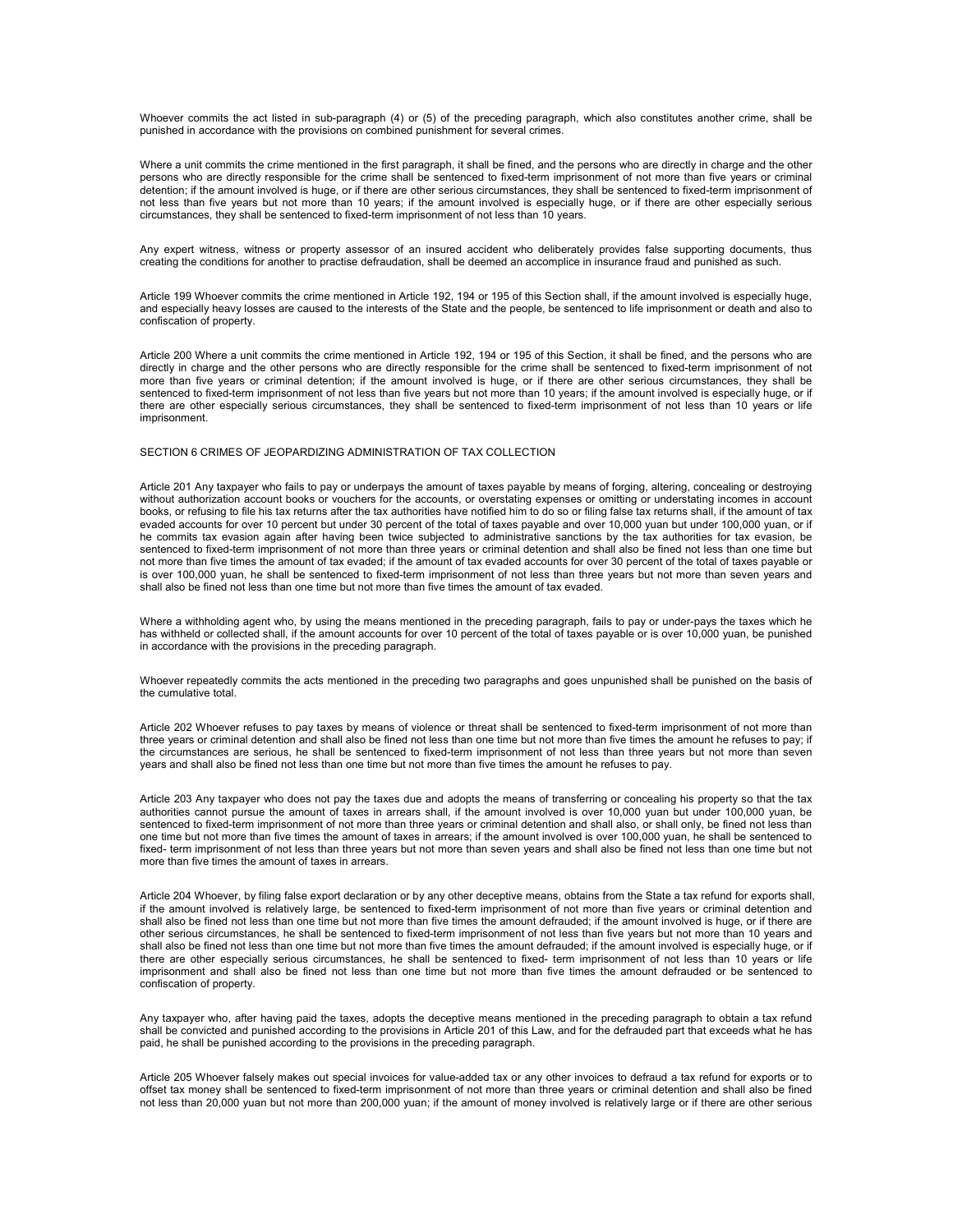Whoever commits the act listed in sub-paragraph (4) or (5) of the preceding paragraph, which also constitutes another crime, shall be punished in accordance with the provisions on combined punishment for several crimes.

Where a unit commits the crime mentioned in the first paragraph, it shall be fined, and the persons who are directly in charge and the other persons who are directly responsible for the crime shall be sentenced to fixed-term imprisonment of not more than five years or criminal detention; if the amount involved is huge, or if there are other serious circumstances, they shall be sentenced to fixed-term imprisonment of not less than five years but not more than 10 years; if the amount involved is especially huge, or if there are other especially serious circumstances, they shall be sentenced to fixed-term imprisonment of not less than 10 years.

Any expert witness, witness or property assessor of an insured accident who deliberately provides false supporting documents, thus creating the conditions for another to practise defraudation, shall be deemed an accomplice in insurance fraud and punished as such.

Article 199 Whoever commits the crime mentioned in Article 192, 194 or 195 of this Section shall, if the amount involved is especially huge, and especially heavy losses are caused to the interests of the State and the people, be sentenced to life imprisonment or death and also to confiscation of property.

Article 200 Where a unit commits the crime mentioned in Article 192, 194 or 195 of this Section, it shall be fined, and the persons who are directly in charge and the other persons who are directly responsible for the crime shall be sentenced to fixed-term imprisonment of not more than five years or criminal detention; if the amount involved is huge, or if there are other serious circumstances, they shall be sentenced to fixed-term imprisonment of not less than five years but not more than 10 years; if the amount involved is especially huge, or if there are other especially serious circumstances, they shall be sentenced to fixed-term imprisonment of not less than 10 years or life imprisonment.

# SECTION 6 CRIMES OF JEOPARDIZING ADMINISTRATION OF TAX COLLECTION

Article 201 Any taxpayer who fails to pay or underpays the amount of taxes payable by means of forging, altering, concealing or destroying without authorization account books or vouchers for the accounts, or overstating expenses or omitting or understating incomes in account books, or refusing to file his tax returns after the tax authorities have notified him to do so or filing false tax returns shall, if the amount of tax evaded accounts for over 10 percent but under 30 percent of the total of taxes payable and over 10,000 yuan but under 100,000 yuan, or if he commits tax evasion again after having been twice subjected to administrative sanctions by the tax authorities for tax evasion, be sentenced to fixed-term imprisonment of not more than three years or criminal detention and shall also be fined not less than one time but not more than five times the amount of tax evaded; if the amount of tax evaded accounts for over 30 percent of the total of taxes payable or is over 100,000 yuan, he shall be sentenced to fixed-term imprisonment of not less than three years but not more than seven years and shall also be fined not less than one time but not more than five times the amount of tax evaded.

Where a withholding agent who, by using the means mentioned in the preceding paragraph, fails to pay or under-pays the taxes which he has withheld or collected shall, if the amount accounts for over 10 percent of the total of taxes payable or is over 10,000 yuan, be punished in accordance with the provisions in the preceding paragraph.

Whoever repeatedly commits the acts mentioned in the preceding two paragraphs and goes unpunished shall be punished on the basis of the cumulative total.

Article 202 Whoever refuses to pay taxes by means of violence or threat shall be sentenced to fixed-term imprisonment of not more than three years or criminal detention and shall also be fined not less than one time but not more than five times the amount he refuses to pay; if the circumstances are serious, he shall be sentenced to fixed-term imprisonment of not less than three years but not more than seven years and shall also be fined not less than one time but not more than five times the amount he refuses to pay.

Article 203 Any taxpayer who does not pay the taxes due and adopts the means of transferring or concealing his property so that the tax authorities cannot pursue the amount of taxes in arrears shall, if the amount involved is over 10,000 yuan but under 100,000 yuan, be sentenced to fixed-term imprisonment of not more than three years or criminal detention and shall also, or shall only, be fined not less than one time but not more than five times the amount of taxes in arrears; if the amount involved is over 100,000 yuan, he shall be sentenced to fixed- term imprisonment of not less than three years but not more than seven years and shall also be fined not less than one time but not more than five times the amount of taxes in arrears.

Article 204 Whoever, by filing false export declaration or by any other deceptive means, obtains from the State a tax refund for exports shall, if the amount involved is relatively large, be sentenced to fixed-term imprisonment of not more than five years or criminal detention and shall also be fined not less than one time but not more than five times the amount defrauded; if the amount involved is huge, or if there are other serious circumstances, he shall be sentenced to fixed-term imprisonment of not less than five years but not more than 10 years and shall also be fined not less than one time but not more than five times the amount defrauded; if the amount involved is especially huge, or if there are other especially serious circumstances, he shall be sentenced to fixed- term imprisonment of not less than 10 years or life imprisonment and shall also be fined not less than one time but not more than five times the amount defrauded or be sentenced to confiscation of property.

Any taxpayer who, after having paid the taxes, adopts the deceptive means mentioned in the preceding paragraph to obtain a tax refund shall be convicted and punished according to the provisions in Article 201 of this Law, and for the defrauded part that exceeds what he has paid, he shall be punished according to the provisions in the preceding paragraph.

Article 205 Whoever falsely makes out special invoices for value-added tax or any other invoices to defraud a tax refund for exports or to offset tax money shall be sentenced to fixed-term imprisonment of not more than three years or criminal detention and shall also be fined not less than 20,000 yuan but not more than 200,000 yuan; if the amount of money involved is relatively large or if there are other serious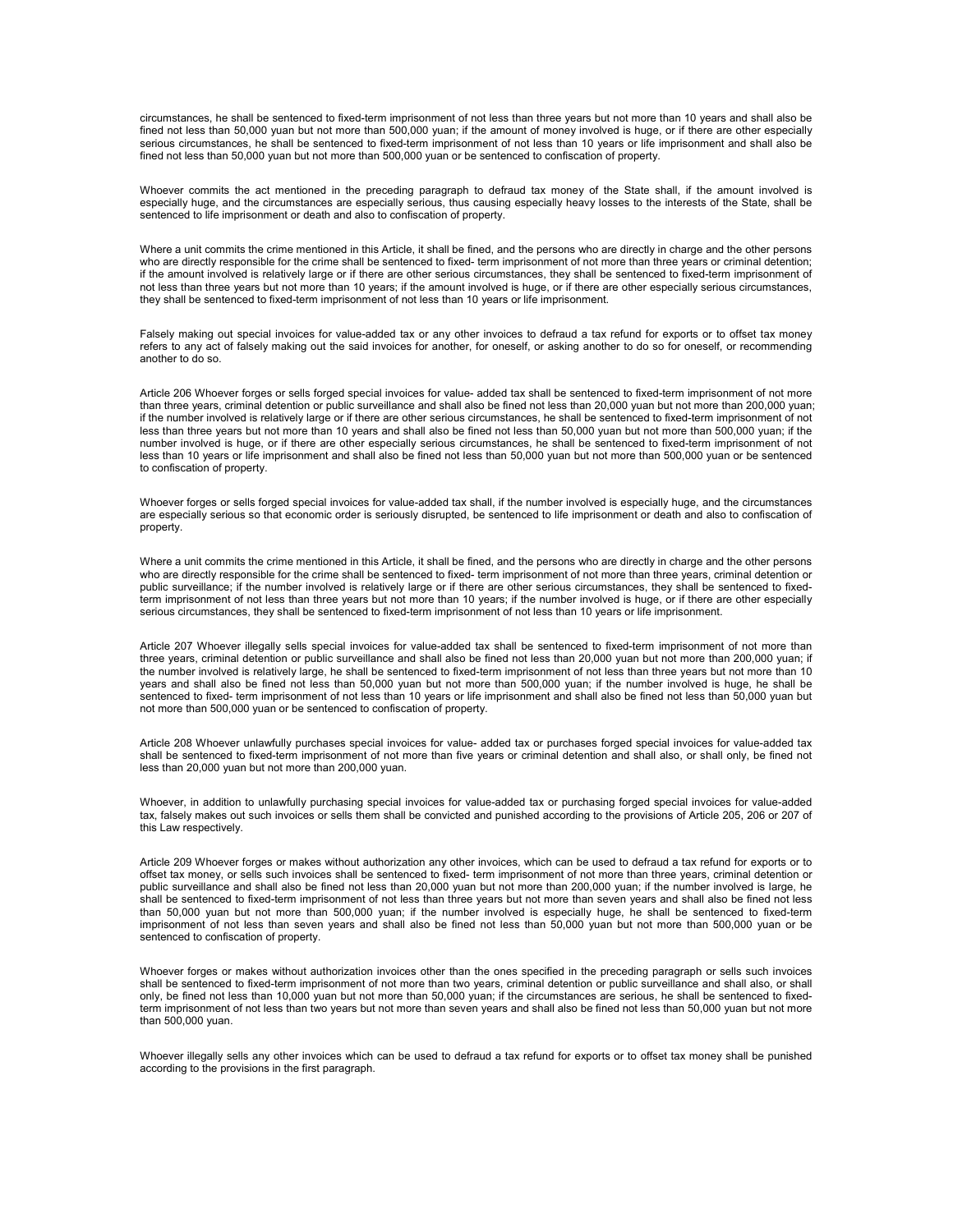circumstances, he shall be sentenced to fixed-term imprisonment of not less than three years but not more than 10 years and shall also be fined not less than 50,000 yuan but not more than 500,000 yuan; if the amount of money involved is huge, or if there are other especially serious circumstances, he shall be sentenced to fixed-term imprisonment of not less than 10 years or life imprisonment and shall also be fined not less than 50,000 yuan but not more than 500,000 yuan or be sentenced to confiscation of property.

Whoever commits the act mentioned in the preceding paragraph to defraud tax money of the State shall, if the amount involved is especially huge, and the circumstances are especially serious, thus causing especially heavy losses to the interests of the State, shall be sentenced to life imprisonment or death and also to confiscation of property.

Where a unit commits the crime mentioned in this Article, it shall be fined, and the persons who are directly in charge and the other persons who are directly responsible for the crime shall be sentenced to fixed- term imprisonment of not more than three years or criminal detention; if the amount involved is relatively large or if there are other serious circumstances, they shall be sentenced to fixed-term imprisonment of not less than three years but not more than 10 years; if the amount involved is huge, or if there are other especially serious circumstances, they shall be sentenced to fixed-term imprisonment of not less than 10 years or life imprisonment.

Falsely making out special invoices for value-added tax or any other invoices to defraud a tax refund for exports or to offset tax money refers to any act of falsely making out the said invoices for another, for oneself, or asking another to do so for oneself, or recommending another to do so.

Article 206 Whoever forges or sells forged special invoices for value- added tax shall be sentenced to fixed-term imprisonment of not more than three years, criminal detention or public surveillance and shall also be fined not less than 20,000 yuan but not more than 200,000 yuan; if the number involved is relatively large or if there are other serious circumstances, he shall be sentenced to fixed-term imprisonment of not less than three years but not more than 10 years and shall also be fined not less than 50,000 yuan but not more than 500,000 yuan; if the number involved is huge, or if there are other especially serious circumstances, he shall be sentenced to fixed-term imprisonment of not less than 10 years or life imprisonment and shall also be fined not less than 50,000 yuan but not more than 500,000 yuan or be sentenced to confiscation of property.

Whoever forges or sells forged special invoices for value-added tax shall, if the number involved is especially huge, and the circumstances are especially serious so that economic order is seriously disrupted, be sentenced to life imprisonment or death and also to confiscation of property.

Where a unit commits the crime mentioned in this Article, it shall be fined, and the persons who are directly in charge and the other persons who are directly responsible for the crime shall be sentenced to fixed- term imprisonment of not more than three years, criminal detention or public surveillance; if the number involved is relatively large or if there are other serious circumstances, they shall be sentenced to fixedterm imprisonment of not less than three years but not more than 10 years; if the number involved is huge, or if there are other especially serious circumstances, they shall be sentenced to fixed-term imprisonment of not less than 10 years or life imprisonment.

Article 207 Whoever illegally sells special invoices for value-added tax shall be sentenced to fixed-term imprisonment of not more than three years, criminal detention or public surveillance and shall also be fined not less than 20,000 yuan but not more than 200,000 yuan; if the number involved is relatively large, he shall be sentenced to fixed-term imprisonment of not less than three years but not more than 10 years and shall also be fined not less than 50,000 yuan but not more than 500,000 yuan; if the number involved is huge, he shall be sentenced to fixed- term imprisonment of not less than 10 years or life imprisonment and shall also be fined not less than 50,000 yuan but not more than 500,000 yuan or be sentenced to confiscation of property.

Article 208 Whoever unlawfully purchases special invoices for value- added tax or purchases forged special invoices for value-added tax shall be sentenced to fixed-term imprisonment of not more than five years or criminal detention and shall also, or shall only, be fined not less than 20,000 yuan but not more than 200,000 yuan.

Whoever, in addition to unlawfully purchasing special invoices for value-added tax or purchasing forged special invoices for value-added tax, falsely makes out such invoices or sells them shall be convicted and punished according to the provisions of Article 205, 206 or 207 of this Law respectively.

Article 209 Whoever forges or makes without authorization any other invoices, which can be used to defraud a tax refund for exports or to offset tax money, or sells such invoices shall be sentenced to fixed- term imprisonment of not more than three years, criminal detention or public surveillance and shall also be fined not less than 20,000 yuan but not more than 200,000 yuan; if the number involved is large, he shall be sentenced to fixed-term imprisonment of not less than three years but not more than seven years and shall also be fined not less than 50,000 yuan but not more than 500,000 yuan; if the number involved is especially huge, he shall be sentenced to fixed-term imprisonment of not less than seven years and shall also be fined not less than 50,000 yuan but not more than 500,000 yuan or be sentenced to confiscation of property.

Whoever forges or makes without authorization invoices other than the ones specified in the preceding paragraph or sells such invoices shall be sentenced to fixed-term imprisonment of not more than two years, criminal detention or public surveillance and shall also, or shall only, be fined not less than 10,000 yuan but not more than 50,000 yuan; if the circumstances are serious, he shall be sentenced to fixedterm imprisonment of not less than two years but not more than seven years and shall also be fined not less than 50,000 yuan but not more than 500,000 yuan.

Whoever illegally sells any other invoices which can be used to defraud a tax refund for exports or to offset tax money shall be punished according to the provisions in the first paragraph.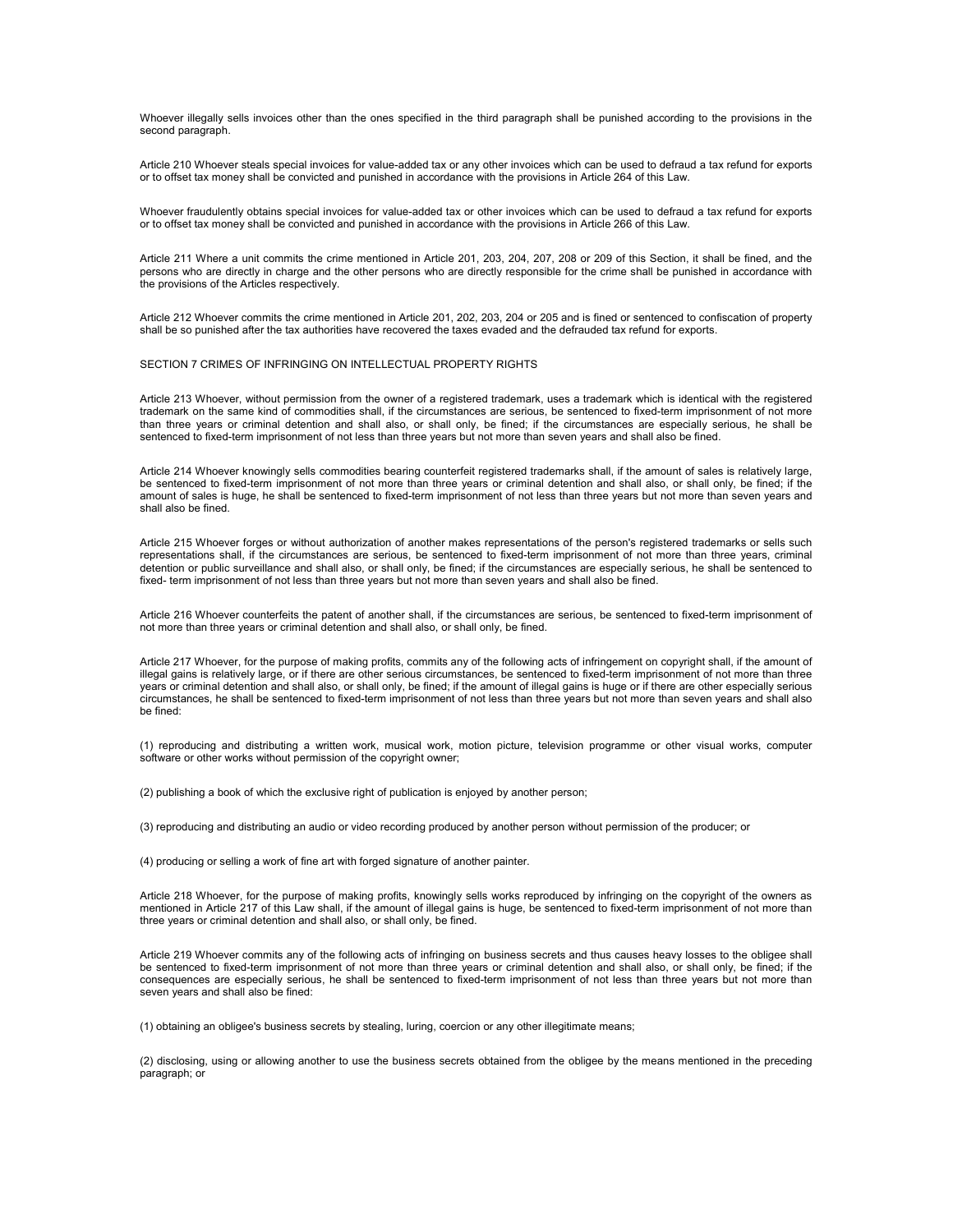Whoever illegally sells invoices other than the ones specified in the third paragraph shall be punished according to the provisions in the second paragraph.

Article 210 Whoever steals special invoices for value-added tax or any other invoices which can be used to defraud a tax refund for exports or to offset tax money shall be convicted and punished in accordance with the provisions in Article 264 of this Law.

Whoever fraudulently obtains special invoices for value-added tax or other invoices which can be used to defraud a tax refund for exports or to offset tax money shall be convicted and punished in accordance with the provisions in Article 266 of this Law.

Article 211 Where a unit commits the crime mentioned in Article 201, 203, 204, 207, 208 or 209 of this Section, it shall be fined, and the persons who are directly in charge and the other persons who are directly responsible for the crime shall be punished in accordance with the provisions of the Articles respectively.

Article 212 Whoever commits the crime mentioned in Article 201, 202, 203, 204 or 205 and is fined or sentenced to confiscation of property shall be so punished after the tax authorities have recovered the taxes evaded and the defrauded tax refund for exports.

## SECTION 7 CRIMES OF INFRINGING ON INTELLECTUAL PROPERTY RIGHTS

Article 213 Whoever, without permission from the owner of a registered trademark, uses a trademark which is identical with the registered trademark on the same kind of commodities shall, if the circumstances are serious, be sentenced to fixed-term imprisonment of not more than three years or criminal detention and shall also, or shall only, be fined; if the circumstances are especially serious, he shall be sentenced to fixed-term imprisonment of not less than three years but not more than seven years and shall also be fined.

Article 214 Whoever knowingly sells commodities bearing counterfeit registered trademarks shall, if the amount of sales is relatively large, be sentenced to fixed-term imprisonment of not more than three years or criminal detention and shall also, or shall only, be fined; if the amount of sales is huge, he shall be sentenced to fixed-term imprisonment of not less than three years but not more than seven years and shall also be fined.

Article 215 Whoever forges or without authorization of another makes representations of the person's registered trademarks or sells such representations shall, if the circumstances are serious, be sentenced to fixed-term imprisonment of not more than three years, criminal detention or public surveillance and shall also, or shall only, be fined; if the circumstances are especially serious, he shall be sentenced to fixed- term imprisonment of not less than three years but not more than seven years and shall also be fined.

Article 216 Whoever counterfeits the patent of another shall, if the circumstances are serious, be sentenced to fixed-term imprisonment of not more than three years or criminal detention and shall also, or shall only, be fined.

Article 217 Whoever, for the purpose of making profits, commits any of the following acts of infringement on copyright shall, if the amount of illegal gains is relatively large, or if there are other serious circumstances, be sentenced to fixed-term imprisonment of not more than three years or criminal detention and shall also, or shall only, be fined; if the amount of illegal gains is huge or if there are other especially serious circumstances, he shall be sentenced to fixed-term imprisonment of not less than three years but not more than seven years and shall also be fined:

(1) reproducing and distributing a written work, musical work, motion picture, television programme or other visual works, computer software or other works without permission of the copyright owner;

(2) publishing a book of which the exclusive right of publication is enjoyed by another person;

(3) reproducing and distributing an audio or video recording produced by another person without permission of the producer; or

(4) producing or selling a work of fine art with forged signature of another painter.

Article 218 Whoever, for the purpose of making profits, knowingly sells works reproduced by infringing on the copyright of the owners as mentioned in Article 217 of this Law shall, if the amount of illegal gains is huge, be sentenced to fixed-term imprisonment of not more than three years or criminal detention and shall also, or shall only, be fined.

Article 219 Whoever commits any of the following acts of infringing on business secrets and thus causes heavy losses to the obligee shall be sentenced to fixed-term imprisonment of not more than three years or criminal detention and shall also, or shall only, be fined; if the consequences are especially serious, he shall be sentenced to fixed-term imprisonment of not less than three years but not more than seven years and shall also be fined:

(1) obtaining an obligee's business secrets by stealing, luring, coercion or any other illegitimate means;

(2) disclosing, using or allowing another to use the business secrets obtained from the obligee by the means mentioned in the preceding paragraph; or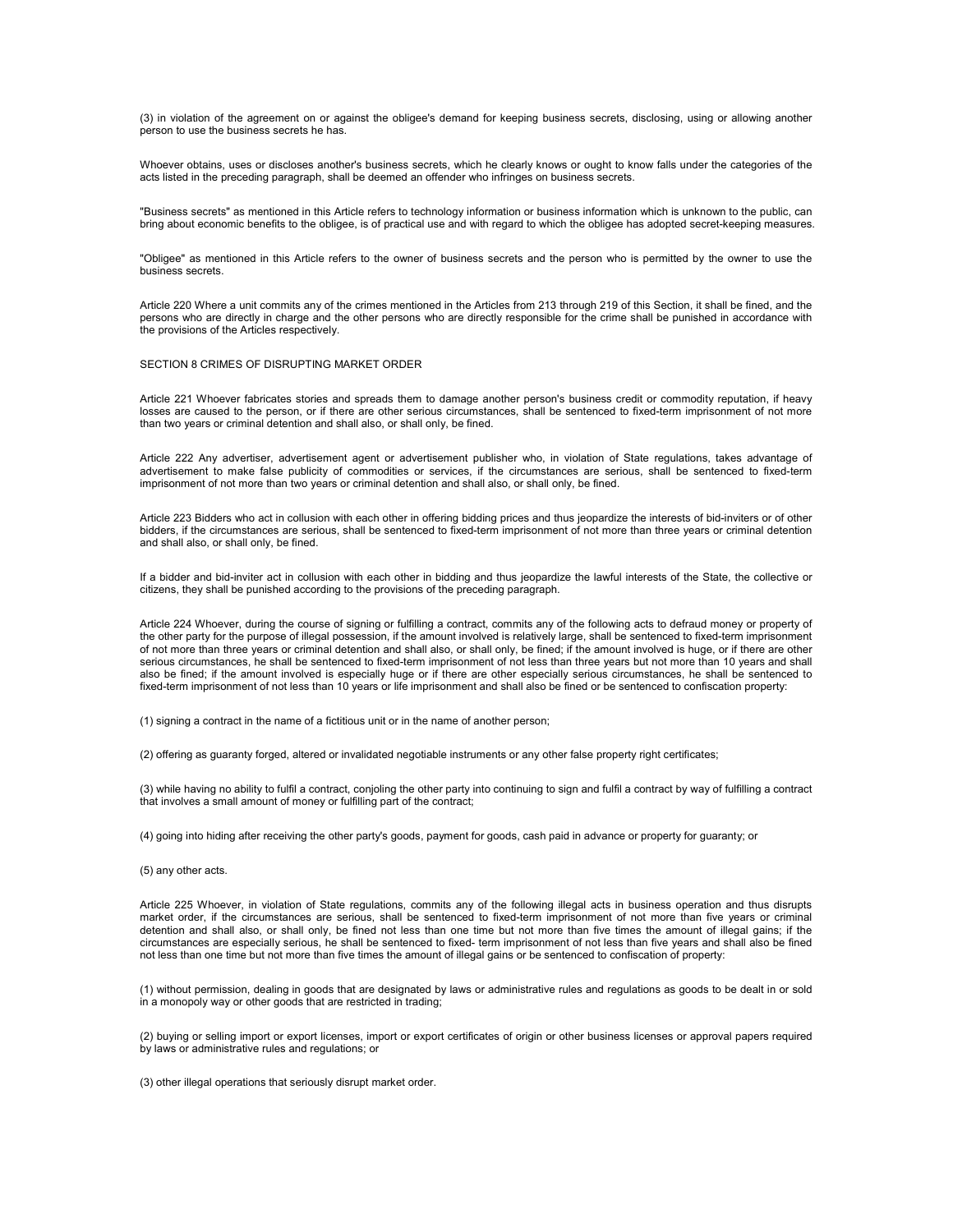(3) in violation of the agreement on or against the obligee's demand for keeping business secrets, disclosing, using or allowing another person to use the business secrets he has.

Whoever obtains, uses or discloses another's business secrets, which he clearly knows or ought to know falls under the categories of the acts listed in the preceding paragraph, shall be deemed an offender who infringes on business secrets.

"Business secrets" as mentioned in this Article refers to technology information or business information which is unknown to the public, can bring about economic benefits to the obligee, is of practical use and with regard to which the obligee has adopted secret-keeping measures.

"Obligee" as mentioned in this Article refers to the owner of business secrets and the person who is permitted by the owner to use the business secrets.

Article 220 Where a unit commits any of the crimes mentioned in the Articles from 213 through 219 of this Section, it shall be fined, and the persons who are directly in charge and the other persons who are directly responsible for the crime shall be punished in accordance with the provisions of the Articles respectively.

#### SECTION 8 CRIMES OF DISRUPTING MARKET ORDER

Article 221 Whoever fabricates stories and spreads them to damage another person's business credit or commodity reputation, if heavy losses are caused to the person, or if there are other serious circumstances, shall be sentenced to fixed-term imprisonment of not more than two years or criminal detention and shall also, or shall only, be fined.

Article 222 Any advertiser, advertisement agent or advertisement publisher who, in violation of State regulations, takes advantage of advertisement to make false publicity of commodities or services, if the circumstances are serious, shall be sentenced to fixed-term imprisonment of not more than two years or criminal detention and shall also, or shall only, be fined.

Article 223 Bidders who act in collusion with each other in offering bidding prices and thus jeopardize the interests of bid-inviters or of other bidders, if the circumstances are serious, shall be sentenced to fixed-term imprisonment of not more than three years or criminal detention and shall also, or shall only, be fined.

If a bidder and bid-inviter act in collusion with each other in bidding and thus jeopardize the lawful interests of the State, the collective or citizens, they shall be punished according to the provisions of the preceding paragraph.

Article 224 Whoever, during the course of signing or fulfilling a contract, commits any of the following acts to defraud money or property of the other party for the purpose of illegal possession, if the amount involved is relatively large, shall be sentenced to fixed-term imprisonment of not more than three years or criminal detention and shall also, or shall only, be fined; if the amount involved is huge, or if there are other serious circumstances, he shall be sentenced to fixed-term imprisonment of not less than three years but not more than 10 years and shall also be fined; if the amount involved is especially huge or if there are other especially serious circumstances, he shall be sentenced to fixed-term imprisonment of not less than 10 years or life imprisonment and shall also be fined or be sentenced to confiscation property:

(1) signing a contract in the name of a fictitious unit or in the name of another person;

(2) offering as guaranty forged, altered or invalidated negotiable instruments or any other false property right certificates;

(3) while having no ability to fulfil a contract, conjoling the other party into continuing to sign and fulfil a contract by way of fulfilling a contract that involves a small amount of money or fulfilling part of the contract;

(4) going into hiding after receiving the other party's goods, payment for goods, cash paid in advance or property for guaranty; or

(5) any other acts.

Article 225 Whoever, in violation of State regulations, commits any of the following illegal acts in business operation and thus disrupts market order, if the circumstances are serious, shall be sentenced to fixed-term imprisonment of not more than five years or criminal detention and shall also, or shall only, be fined not less than one time but not more than five times the amount of illegal gains; if the circumstances are especially serious, he shall be sentenced to fixed- term imprisonment of not less than five years and shall also be fined not less than one time but not more than five times the amount of illegal gains or be sentenced to confiscation of property:

(1) without permission, dealing in goods that are designated by laws or administrative rules and regulations as goods to be dealt in or sold in a monopoly way or other goods that are restricted in trading;

(2) buying or selling import or export licenses, import or export certificates of origin or other business licenses or approval papers required by laws or administrative rules and regulations; or

(3) other illegal operations that seriously disrupt market order.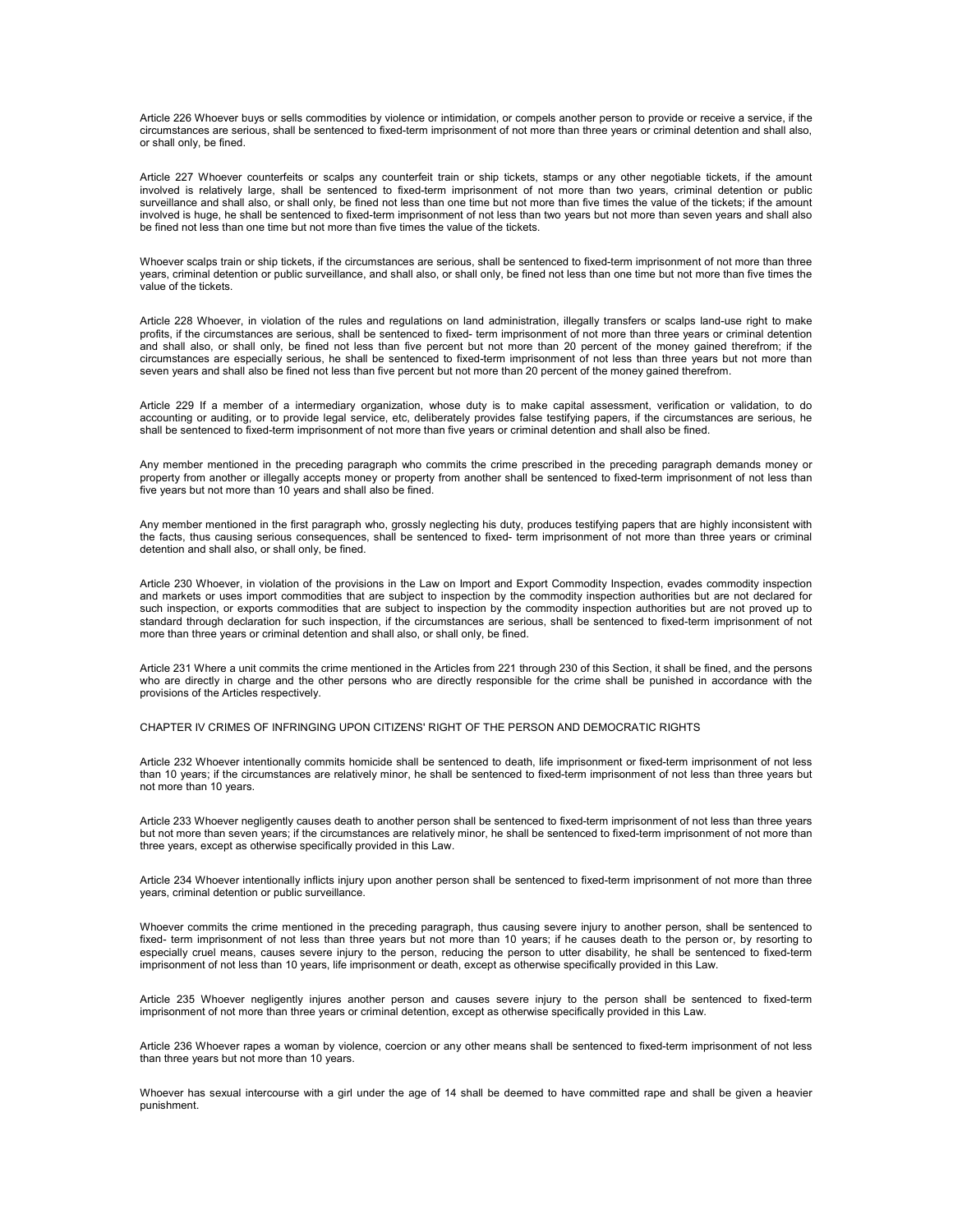Article 226 Whoever buys or sells commodities by violence or intimidation, or compels another person to provide or receive a service, if the circumstances are serious, shall be sentenced to fixed-term imprisonment of not more than three years or criminal detention and shall also, or shall only, be fined.

Article 227 Whoever counterfeits or scalps any counterfeit train or ship tickets, stamps or any other negotiable tickets, if the amount involved is relatively large, shall be sentenced to fixed-term imprisonment of not more than two years, criminal detention or public surveillance and shall also, or shall only, be fined not less than one time but not more than five times the value of the tickets; if the amount involved is huge, he shall be sentenced to fixed-term imprisonment of not less than two years but not more than seven years and shall also be fined not less than one time but not more than five times the value of the tickets.

Whoever scalps train or ship tickets, if the circumstances are serious, shall be sentenced to fixed-term imprisonment of not more than three years, criminal detention or public surveillance, and shall also, or shall only, be fined not less than one time but not more than five times the value of the tickets.

Article 228 Whoever, in violation of the rules and regulations on land administration, illegally transfers or scalps land-use right to make profits, if the circumstances are serious, shall be sentenced to fixed- term imprisonment of not more than three years or criminal detention and shall also, or shall only, be fined not less than five percent but not more than 20 percent of the money gained therefrom; if the circumstances are especially serious, he shall be sentenced to fixed-term imprisonment of not less than three years but not more than seven years and shall also be fined not less than five percent but not more than 20 percent of the money gained therefrom.

Article 229 If a member of a intermediary organization, whose duty is to make capital assessment, verification or validation, to do accounting or auditing, or to provide legal service, etc, deliberately provides false testifying papers, if the circumstances are serious, he shall be sentenced to fixed-term imprisonment of not more than five years or criminal detention and shall also be fined.

Any member mentioned in the preceding paragraph who commits the crime prescribed in the preceding paragraph demands money or property from another or illegally accepts money or property from another shall be sentenced to fixed-term imprisonment of not less than<br>five years but not more than 10 years and shall also be fined.

Any member mentioned in the first paragraph who, grossly neglecting his duty, produces testifying papers that are highly inconsistent with the facts, thus causing serious consequences, shall be sentenced to fixed- term imprisonment of not more than three years or criminal detention and shall also, or shall only, be fined.

Article 230 Whoever, in violation of the provisions in the Law on Import and Export Commodity Inspection, evades commodity inspection and markets or uses import commodities that are subject to inspection by the commodity inspection authorities but are not declared for such inspection, or exports commodities that are subject to inspection by the commodity inspection authorities but are not proved up to standard through declaration for such inspection, if the circumstances are serious, shall be sentenced to fixed-term imprisonment of not more than three years or criminal detention and shall also, or shall only, be fined.

Article 231 Where a unit commits the crime mentioned in the Articles from 221 through 230 of this Section, it shall be fined, and the persons who are directly in charge and the other persons who are directly responsible for the crime shall be punished in accordance with the provisions of the Articles respectively.

CHAPTER IV CRIMES OF INFRINGING UPON CITIZENS' RIGHT OF THE PERSON AND DEMOCRATIC RIGHTS

Article 232 Whoever intentionally commits homicide shall be sentenced to death, life imprisonment or fixed-term imprisonment of not less than 10 years; if the circumstances are relatively minor, he shall be sentenced to fixed-term imprisonment of not less than three years but not more than 10 years.

Article 233 Whoever negligently causes death to another person shall be sentenced to fixed-term imprisonment of not less than three years but not more than seven years; if the circumstances are relatively minor, he shall be sentenced to fixed-term imprisonment of not more than three years, except as otherwise specifically provided in this Law.

Article 234 Whoever intentionally inflicts injury upon another person shall be sentenced to fixed-term imprisonment of not more than three years, criminal detention or public surveillance.

Whoever commits the crime mentioned in the preceding paragraph, thus causing severe injury to another person, shall be sentenced to fixed- term imprisonment of not less than three years but not more than 10 years; if he causes death to the person or, by resorting to especially cruel means, causes severe injury to the person, reducing the person to utter disability, he shall be sentenced to fixed-term imprisonment of not less than 10 years, life imprisonment or death, except as otherwise specifically provided in this Law.

Article 235 Whoever negligently injures another person and causes severe injury to the person shall be sentenced to fixed-term<br>imprisonment of not more than three years or criminal detention, except as otherwise specifical

Article 236 Whoever rapes a woman by violence, coercion or any other means shall be sentenced to fixed-term imprisonment of not less than three years but not more than 10 years.

Whoever has sexual intercourse with a girl under the age of 14 shall be deemed to have committed rape and shall be given a heavier punishment.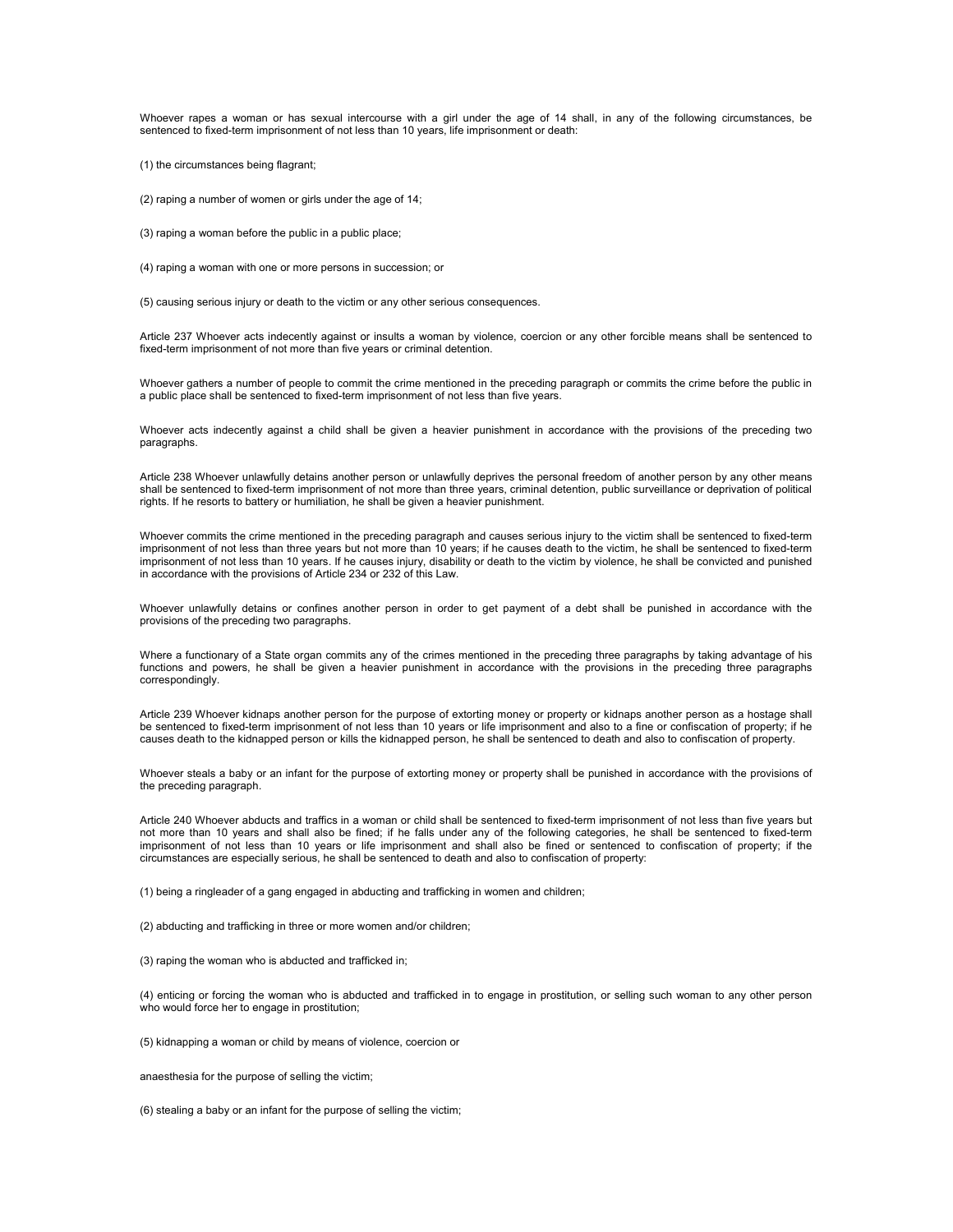Whoever rapes a woman or has sexual intercourse with a girl under the age of 14 shall, in any of the following circumstances, be sentenced to fixed-term imprisonment of not less than 10 years, life imprisonment or death:

(1) the circumstances being flagrant;

(2) raping a number of women or girls under the age of 14;

(3) raping a woman before the public in a public place;

(4) raping a woman with one or more persons in succession; or

(5) causing serious injury or death to the victim or any other serious consequences.

Article 237 Whoever acts indecently against or insults a woman by violence, coercion or any other forcible means shall be sentenced to fixed-term imprisonment of not more than five years or criminal detention.

Whoever gathers a number of people to commit the crime mentioned in the preceding paragraph or commits the crime before the public in a public place shall be sentenced to fixed-term imprisonment of not less than five years.

Whoever acts indecently against a child shall be given a heavier punishment in accordance with the provisions of the preceding two paragraphs.

Article 238 Whoever unlawfully detains another person or unlawfully deprives the personal freedom of another person by any other means shall be sentenced to fixed-term imprisonment of not more than three years, criminal detention, public surveillance or deprivation of political rights. If he resorts to battery or humiliation, he shall be given a heavier punishment.

Whoever commits the crime mentioned in the preceding paragraph and causes serious injury to the victim shall be sentenced to fixed-term imprisonment of not less than three years but not more than 10 years; if he causes death to the victim, he shall be sentenced to fixed-term imprisonment of not less than 10 years. If he causes injury, disability or death to the victim by violence, he shall be convicted and punished in accordance with the provisions of Article 234 or 232 of this Law.

Whoever unlawfully detains or confines another person in order to get payment of a debt shall be punished in accordance with the provisions of the preceding two paragraphs.

Where a functionary of a State organ commits any of the crimes mentioned in the preceding three paragraphs by taking advantage of his functions and powers, he shall be given a heavier punishment in accordance with the provisions in the preceding three paragraphs correspondingly.

Article 239 Whoever kidnaps another person for the purpose of extorting money or property or kidnaps another person as a hostage shall be sentenced to fixed-term imprisonment of not less than 10 years or life imprisonment and also to a fine or confiscation of property; if he causes death to the kidnapped person or kills the kidnapped person, he shall be sentenced to death and also to confiscation of property.

Whoever steals a baby or an infant for the purpose of extorting money or property shall be punished in accordance with the provisions of the preceding paragraph.

Article 240 Whoever abducts and traffics in a woman or child shall be sentenced to fixed-term imprisonment of not less than five years but not more than 10 years and shall also be fined; if he falls under any of the following categories, he shall be sentenced to fixed-term imprisonment of not less than 10 years or life imprisonment and shall also be fined or sentenced to confiscation of property; if the circumstances are especially serious, he shall be sentenced to death and also to confiscation of property:

(1) being a ringleader of a gang engaged in abducting and trafficking in women and children;

(2) abducting and trafficking in three or more women and/or children;

(3) raping the woman who is abducted and trafficked in;

(4) enticing or forcing the woman who is abducted and trafficked in to engage in prostitution, or selling such woman to any other person who would force her to engage in prostitution:

(5) kidnapping a woman or child by means of violence, coercion or

anaesthesia for the purpose of selling the victim;

(6) stealing a baby or an infant for the purpose of selling the victim;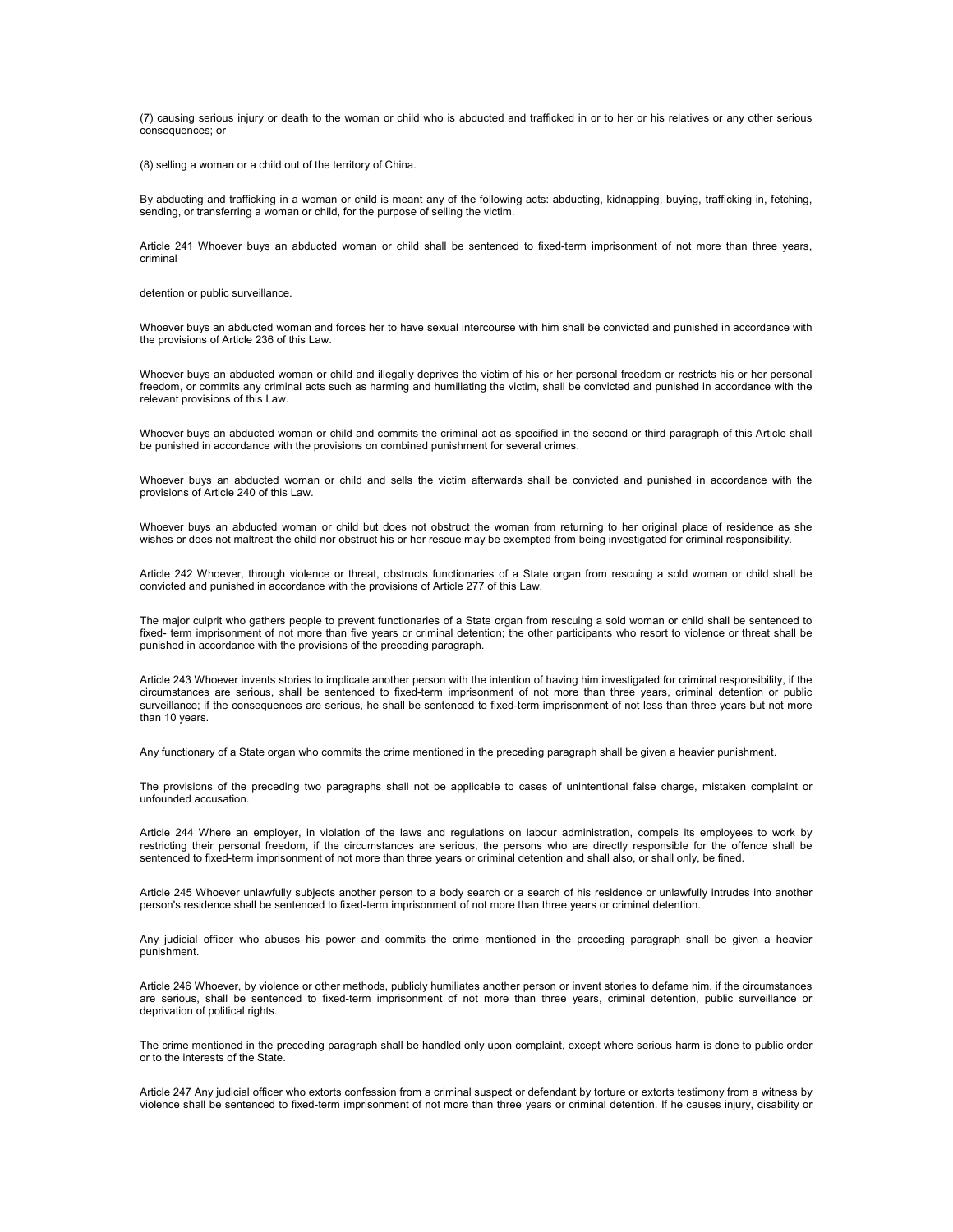(7) causing serious injury or death to the woman or child who is abducted and trafficked in or to her or his relatives or any other serious consequences; or

(8) selling a woman or a child out of the territory of China.

By abducting and trafficking in a woman or child is meant any of the following acts: abducting, kidnapping, buying, trafficking in, fetching, sending, or transferring a woman or child, for the purpose of selling the victim.

Article 241 Whoever buys an abducted woman or child shall be sentenced to fixed-term imprisonment of not more than three years, criminal

detention or public surveillance.

Whoever buys an abducted woman and forces her to have sexual intercourse with him shall be convicted and punished in accordance with the provisions of Article 236 of this Law.

Whoever buys an abducted woman or child and illegally deprives the victim of his or her personal freedom or restricts his or her personal freedom, or commits any criminal acts such as harming and humiliating the victim, shall be convicted and punished in accordance with the relevant provisions of this Law.

Whoever buys an abducted woman or child and commits the criminal act as specified in the second or third paragraph of this Article shall be punished in accordance with the provisions on combined punishment for several crimes.

Whoever buys an abducted woman or child and sells the victim afterwards shall be convicted and punished in accordance with the provisions of Article 240 of this Law.

Whoever buys an abducted woman or child but does not obstruct the woman from returning to her original place of residence as she wishes or does not maltreat the child nor obstruct his or her rescue may be exempted from being investigated for criminal responsibility.

Article 242 Whoever, through violence or threat, obstructs functionaries of a State organ from rescuing a sold woman or child shall be convicted and punished in accordance with the provisions of Article 277 of this Law.

The major culprit who gathers people to prevent functionaries of a State organ from rescuing a sold woman or child shall be sentenced to fixed- term imprisonment of not more than five years or criminal detention; the other participants who resort to violence or threat shall be punished in accordance with the provisions of the preceding paragraph.

Article 243 Whoever invents stories to implicate another person with the intention of having him investigated for criminal responsibility, if the circumstances are serious, shall be sentenced to fixed-term imprisonment of not more than three years, criminal detention or public surveillance; if the consequences are serious, he shall be sentenced to fixed-term imprisonment of not less than three years but not more than 10 years.

Any functionary of a State organ who commits the crime mentioned in the preceding paragraph shall be given a heavier punishment.

The provisions of the preceding two paragraphs shall not be applicable to cases of unintentional false charge, mistaken complaint or unfounded accusation.

Article 244 Where an employer, in violation of the laws and regulations on labour administration, compels its employees to work by restricting their personal freedom, if the circumstances are serious, the persons who are directly responsible for the offence shall be sentenced to fixed-term imprisonment of not more than three years or criminal detention and shall also, or shall only, be fined.

Article 245 Whoever unlawfully subjects another person to a body search or a search of his residence or unlawfully intrudes into another person's residence shall be sentenced to fixed-term imprisonment of not more than three years or criminal detention.

Any judicial officer who abuses his power and commits the crime mentioned in the preceding paragraph shall be given a heavier punishment.

Article 246 Whoever, by violence or other methods, publicly humiliates another person or invent stories to defame him, if the circumstances are serious, shall be sentenced to fixed-term imprisonment of not more than three years, criminal detention, public surveillance or deprivation of political rights.

The crime mentioned in the preceding paragraph shall be handled only upon complaint, except where serious harm is done to public order or to the interests of the State.

Article 247 Any judicial officer who extorts confession from a criminal suspect or defendant by torture or extorts testimony from a witness by violence shall be sentenced to fixed-term imprisonment of not more than three years or criminal detention. If he causes injury, disability or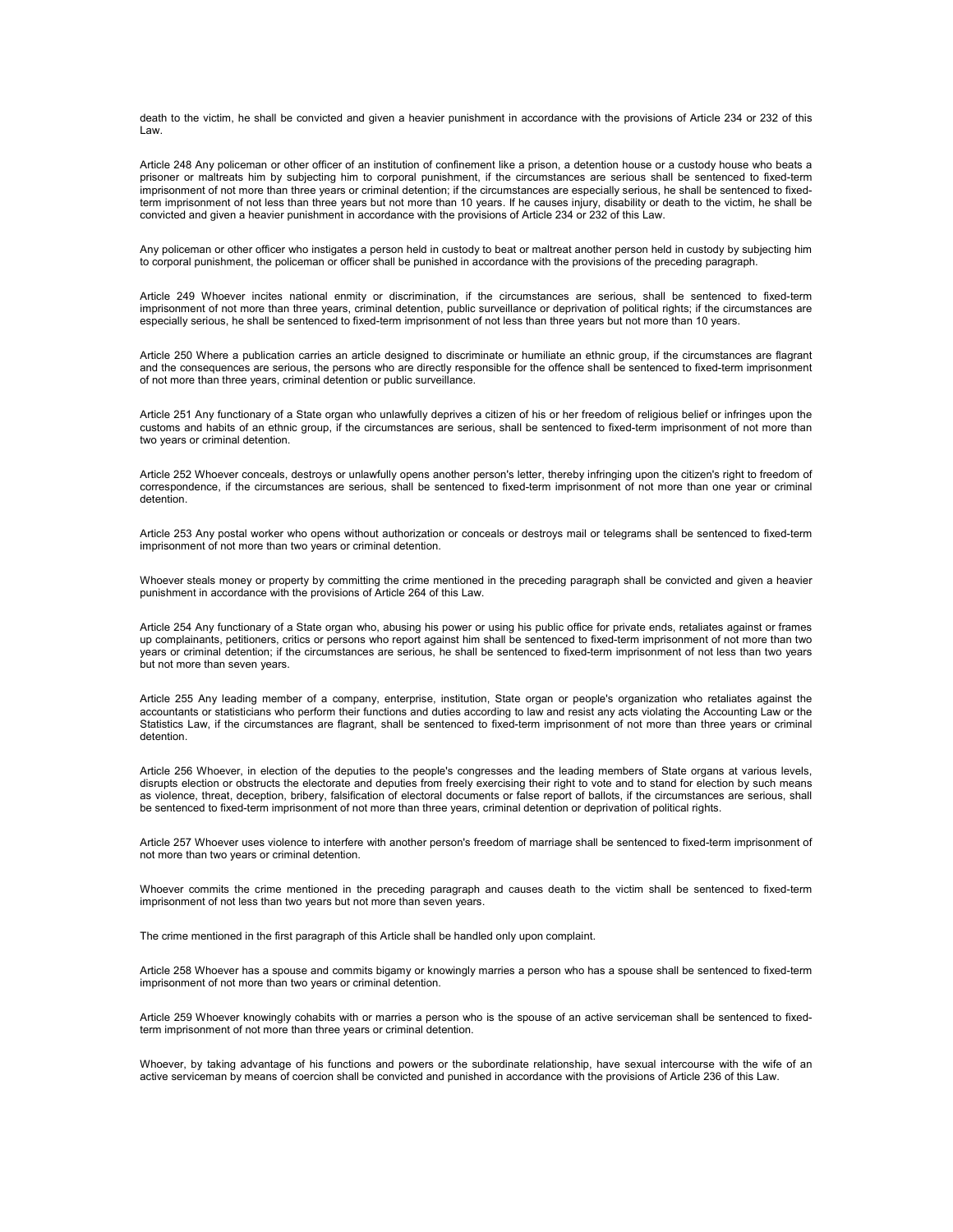death to the victim, he shall be convicted and given a heavier punishment in accordance with the provisions of Article 234 or 232 of this Law.

Article 248 Any policeman or other officer of an institution of confinement like a prison, a detention house or a custody house who beats a prisoner or maltreats him by subjecting him to corporal punishment, if the circumstances are serious shall be sentenced to fixed-term imprisonment of not more than three years or criminal detention; if the circumstances are especially serious, he shall be sentenced to fixedterm imprisonment of not less than three years but not more than 10 years. If he causes injury, disability or death to the victim, he shall be convicted and given a heavier punishment in accordance with the provisions of Article 234 or 232 of this Law.

Any policeman or other officer who instigates a person held in custody to beat or maltreat another person held in custody by subjecting him to corporal punishment, the policeman or officer shall be punished in accordance with the provisions of the preceding paragraph.

Article 249 Whoever incites national enmity or discrimination, if the circumstances are serious, shall be sentenced to fixed-term imprisonment of not more than three years, criminal detention, public surveillance or deprivation of political rights; if the circumstances are especially serious, he shall be sentenced to fixed-term imprisonment of not less than three years but not more than 10 years.

Article 250 Where a publication carries an article designed to discriminate or humiliate an ethnic group, if the circumstances are flagrant and the consequences are serious, the persons who are directly responsible for the offence shall be sentenced to fixed-term imprisonment of not more than three years, criminal detention or public surveillance.

Article 251 Any functionary of a State organ who unlawfully deprives a citizen of his or her freedom of religious belief or infringes upon the customs and habits of an ethnic group, if the circumstances are serious, shall be sentenced to fixed-term imprisonment of not more than two years or criminal detention.

Article 252 Whoever conceals, destroys or unlawfully opens another person's letter, thereby infringing upon the citizen's right to freedom of correspondence, if the circumstances are serious, shall be sentenced to fixed-term imprisonment of not more than one year or criminal detention.

Article 253 Any postal worker who opens without authorization or conceals or destroys mail or telegrams shall be sentenced to fixed-term imprisonment of not more than two years or criminal detention.

Whoever steals money or property by committing the crime mentioned in the preceding paragraph shall be convicted and given a heavier punishment in accordance with the provisions of Article 264 of this Law.

Article 254 Any functionary of a State organ who, abusing his power or using his public office for private ends, retaliates against or frames up complainants, petitioners, critics or persons who report against him shall be sentenced to fixed-term imprisonment of not more than two years or criminal detention; if the circumstances are serious, he shall be sentenced to fixed-term imprisonment of not less than two years but not more than seven years.

Article 255 Any leading member of a company, enterprise, institution, State organ or people's organization who retaliates against the accountants or statisticians who perform their functions and duties according to law and resist any acts violating the Accounting Law or the Statistics Law, if the circumstances are flagrant, shall be sentenced to fixed-term imprisonment of not more than three years or criminal detention.

Article 256 Whoever, in election of the deputies to the people's congresses and the leading members of State organs at various levels, disrupts election or obstructs the electorate and deputies from freely exercising their right to vote and to stand for election by such means as violence, threat, deception, bribery, falsification of electoral documents or false report of ballots, if the circumstances are serious, shall be sentenced to fixed-term imprisonment of not more than three years, criminal detention or deprivation of political rights.

Article 257 Whoever uses violence to interfere with another person's freedom of marriage shall be sentenced to fixed-term imprisonment of not more than two years or criminal detention.

Whoever commits the crime mentioned in the preceding paragraph and causes death to the victim shall be sentenced to fixed-term imprisonment of not less than two years but not more than seven years.

The crime mentioned in the first paragraph of this Article shall be handled only upon complaint.

Article 258 Whoever has a spouse and commits bigamy or knowingly marries a person who has a spouse shall be sentenced to fixed-term imprisonment of not more than two years or criminal detention.

Article 259 Whoever knowingly cohabits with or marries a person who is the spouse of an active serviceman shall be sentenced to fixedterm imprisonment of not more than three years or criminal detention.

Whoever, by taking advantage of his functions and powers or the subordinate relationship, have sexual intercourse with the wife of an active serviceman by means of coercion shall be convicted and punished in accordance with the provisions of Article 236 of this Law.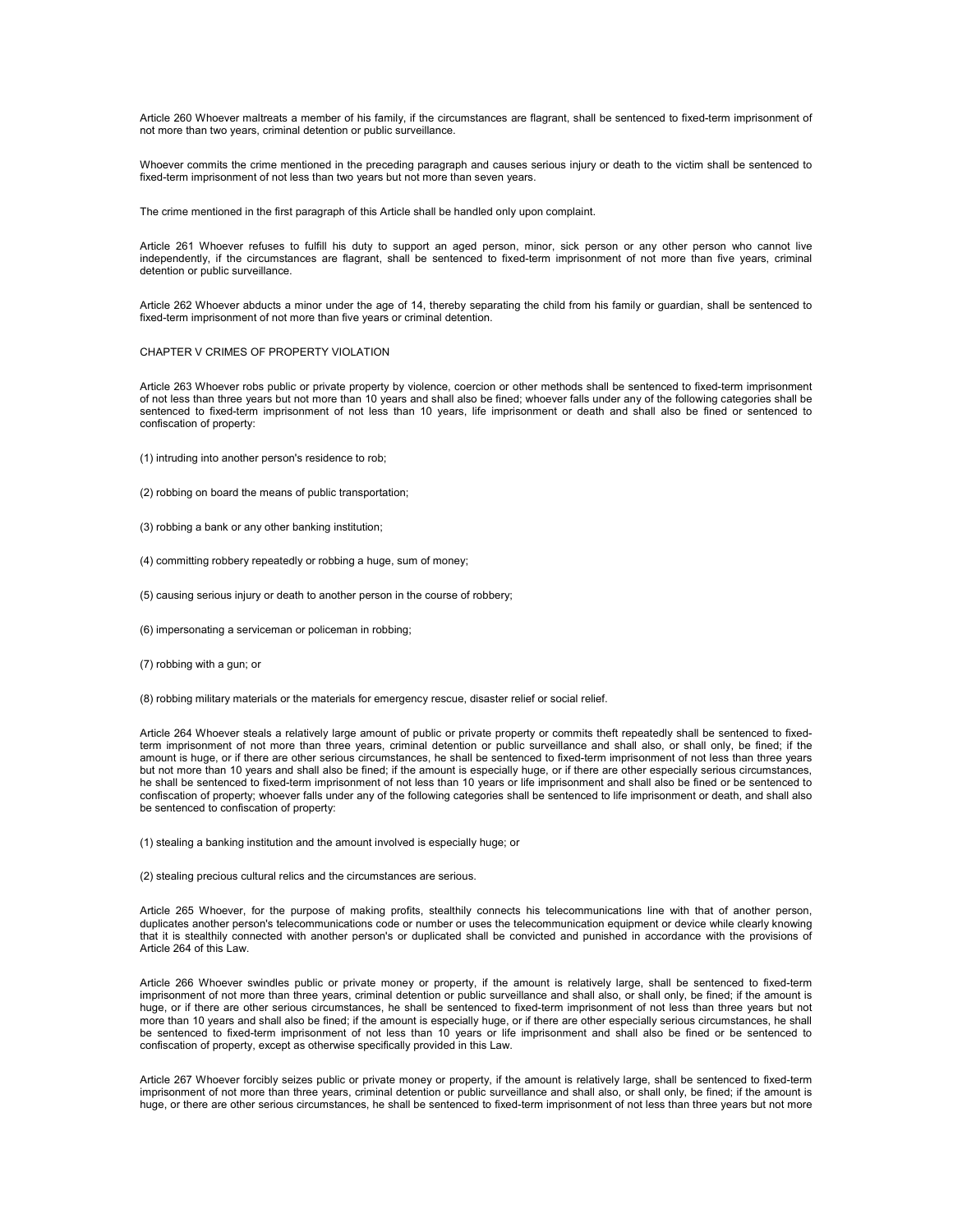Article 260 Whoever maltreats a member of his family, if the circumstances are flagrant, shall be sentenced to fixed-term imprisonment of not more than two years, criminal detention or public surveillance.

Whoever commits the crime mentioned in the preceding paragraph and causes serious injury or death to the victim shall be sentenced to fixed-term imprisonment of not less than two years but not more than seven years.

The crime mentioned in the first paragraph of this Article shall be handled only upon complaint.

Article 261 Whoever refuses to fulfill his duty to support an aged person, minor, sick person or any other person who cannot live independently, if the circumstances are flagrant, shall be sentenced to fixed-term imprisonment of not more than five years, criminal detention or public surveillance.

Article 262 Whoever abducts a minor under the age of 14, thereby separating the child from his family or guardian, shall be sentenced to fixed-term imprisonment of not more than five years or criminal detention.

## CHAPTER V CRIMES OF PROPERTY VIOLATION

Article 263 Whoever robs public or private property by violence, coercion or other methods shall be sentenced to fixed-term imprisonment of not less than three years but not more than 10 years and shall also be fined; whoever falls under any of the following categories shall be sentenced to fixed-term imprisonment of not less than 10 years, life imprisonment or death and shall also be fined or sentenced to confiscation of property:

- (1) intruding into another person's residence to rob;
- (2) robbing on board the means of public transportation;
- (3) robbing a bank or any other banking institution;
- (4) committing robbery repeatedly or robbing a huge, sum of money;
- (5) causing serious injury or death to another person in the course of robbery;
- (6) impersonating a serviceman or policeman in robbing;
- (7) robbing with a gun; or
- (8) robbing military materials or the materials for emergency rescue, disaster relief or social relief.

Article 264 Whoever steals a relatively large amount of public or private property or commits theft repeatedly shall be sentenced to fixedterm imprisonment of not more than three years, criminal detention or public surveillance and shall also, or shall only, be fined; if the amount is huge, or if there are other serious circumstances, he shall be sentenced to fixed-term imprisonment of not less than three years but not more than 10 years and shall also be fined; if the amount is especially huge, or if there are other especially serious circumstances, he shall be sentenced to fixed-term imprisonment of not less than 10 years or life imprisonment and shall also be fined or be sentenced to confiscation of property; whoever falls under any of the following categories shall be sentenced to life imprisonment or death, and shall also be sentenced to confiscation of property:

- (1) stealing a banking institution and the amount involved is especially huge; or
- (2) stealing precious cultural relics and the circumstances are serious.

Article 265 Whoever, for the purpose of making profits, stealthily connects his telecommunications line with that of another person, duplicates another person's telecommunications code or number or uses the telecommunication equipment or device while clearly knowing that it is stealthily connected with another person's or duplicated shall be convicted and punished in accordance with the provisions of Article 264 of this Law.

Article 266 Whoever swindles public or private money or property, if the amount is relatively large, shall be sentenced to fixed-term imprisonment of not more than three years, criminal detention or public surveillance and shall also, or shall only, be fined; if the amount is huge, or if there are other serious circumstances, he shall be sentenced to fixed-term imprisonment of not less than three years but not more than 10 years and shall also be fined; if the amount is especially huge, or if there are other especially serious circumstances, he shall be sentenced to fixed-term imprisonment of not less than 10 years or life imprisonment and shall also be fined or be sentenced to confiscation of property, except as otherwise specifically provided in this Law.

Article 267 Whoever forcibly seizes public or private money or property, if the amount is relatively large, shall be sentenced to fixed-term imprisonment of not more than three years, criminal detention or public surveillance and shall also, or shall only, be fined; if the amount is huge, or there are other serious circumstances, he shall be sentenced to fixed-term imprisonment of not less than three years but not more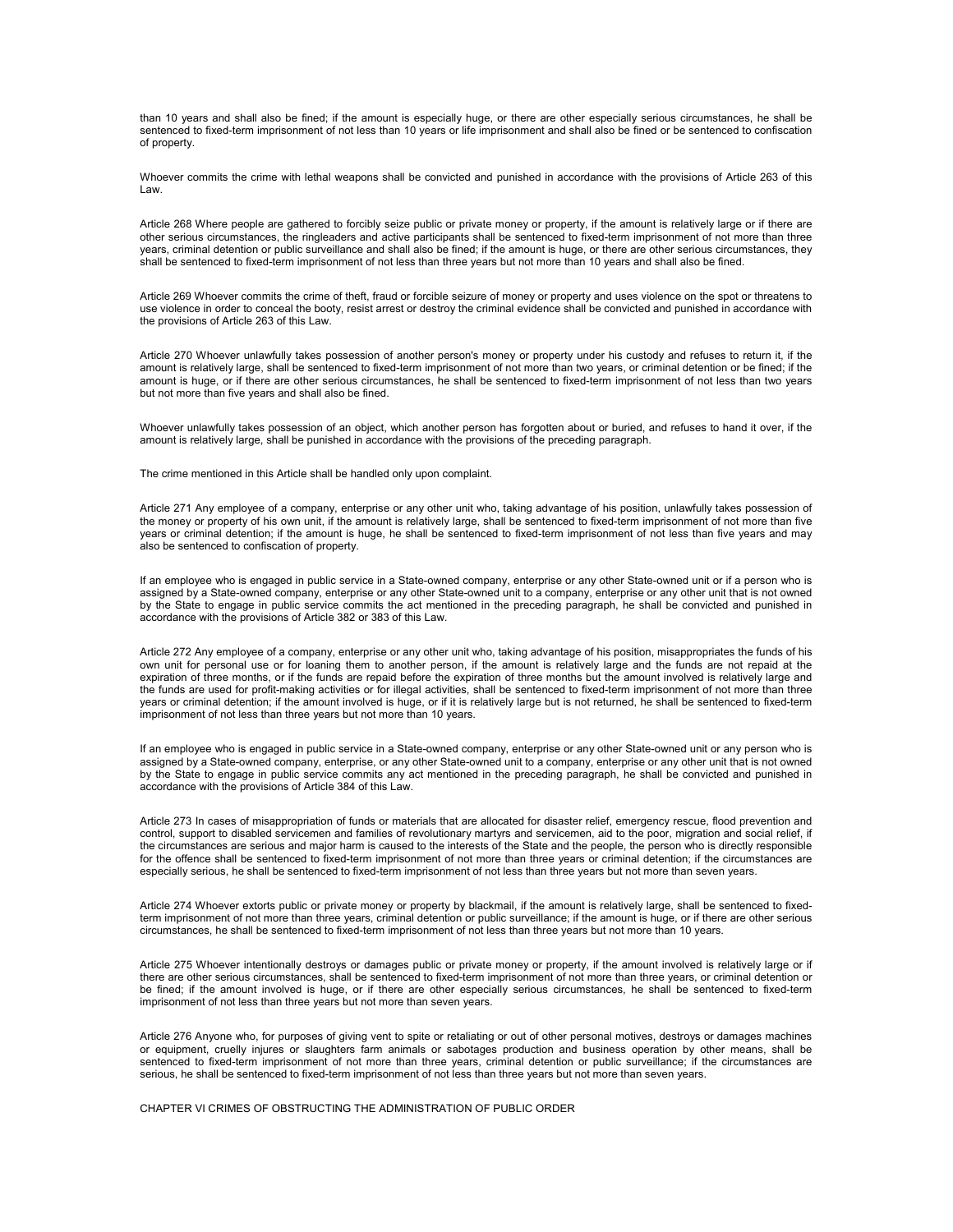than 10 years and shall also be fined; if the amount is especially huge, or there are other especially serious circumstances, he shall be sentenced to fixed-term imprisonment of not less than 10 years or life imprisonment and shall also be fined or be sentenced to confiscation of property.

Whoever commits the crime with lethal weapons shall be convicted and punished in accordance with the provisions of Article 263 of this Law.

Article 268 Where people are gathered to forcibly seize public or private money or property, if the amount is relatively large or if there are other serious circumstances, the ringleaders and active participants shall be sentenced to fixed-term imprisonment of not more than three years, criminal detention or public surveillance and shall also be fined; if the amount is huge, or there are other serious circumstances, they shall be sentenced to fixed-term imprisonment of not less than three years but not more than 10 years and shall also be fined.

Article 269 Whoever commits the crime of theft, fraud or forcible seizure of money or property and uses violence on the spot or threatens to use violence in order to conceal the booty, resist arrest or destroy the criminal evidence shall be convicted and punished in accordance with the provisions of Article 263 of this Law.

Article 270 Whoever unlawfully takes possession of another person's money or property under his custody and refuses to return it, if the amount is relatively large, shall be sentenced to fixed-term imprisonment of not more than two years, or criminal detention or be fined; if the amount is huge, or if there are other serious circumstances, he shall be sentenced to fixed-term imprisonment of not less than two years but not more than five years and shall also be fined.

Whoever unlawfully takes possession of an object, which another person has forgotten about or buried, and refuses to hand it over, if the amount is relatively large, shall be punished in accordance with the provisions of the preceding paragraph.

The crime mentioned in this Article shall be handled only upon complaint.

Article 271 Any employee of a company, enterprise or any other unit who, taking advantage of his position, unlawfully takes possession of the money or property of his own unit, if the amount is relatively large, shall be sentenced to fixed-term imprisonment of not more than five years or criminal detention; if the amount is huge, he shall be sentenced to fixed-term imprisonment of not less than five years and may also be sentenced to confiscation of property.

If an employee who is engaged in public service in a State-owned company, enterprise or any other State-owned unit or if a person who is assigned by a State-owned company, enterprise or any other State-owned unit to a company, enterprise or any other unit that is not owned by the State to engage in public service commits the act mentioned in the preceding paragraph, he shall be convicted and punished in accordance with the provisions of Article 382 or 383 of this Law.

Article 272 Any employee of a company, enterprise or any other unit who, taking advantage of his position, misappropriates the funds of his own unit for personal use or for loaning them to another person, if the amount is relatively large and the funds are not repaid at the expiration of three months, or if the funds are repaid before the expiration of three months but the amount involved is relatively large and the funds are used for profit-making activities or for illegal activities, shall be sentenced to fixed-term imprisonment of not more than three years or criminal detention; if the amount involved is huge, or if it is relatively large but is not returned, he shall be sentenced to fixed-term imprisonment of not less than three years but not more than 10 years.

If an employee who is engaged in public service in a State-owned company, enterprise or any other State-owned unit or any person who is assigned by a State-owned company, enterprise, or any other State-owned unit to a company, enterprise or any other unit that is not owned by the State to engage in public service commits any act mentioned in the preceding paragraph, he shall be convicted and punished in accordance with the provisions of Article 384 of this Law.

Article 273 In cases of misappropriation of funds or materials that are allocated for disaster relief, emergency rescue, flood prevention and control, support to disabled servicemen and families of revolutionary martyrs and servicemen, aid to the poor, migration and social relief, if the circumstances are serious and major harm is caused to the interests of the State and the people, the person who is directly responsible for the offence shall be sentenced to fixed-term imprisonment of not more than three years or criminal detention; if the circumstances are especially serious, he shall be sentenced to fixed-term imprisonment of not less than three years but not more than seven years.

Article 274 Whoever extorts public or private money or property by blackmail, if the amount is relatively large, shall be sentenced to fixedterm imprisonment of not more than three years, criminal detention or public surveillance; if the amount is huge, or if there are other serious circumstances, he shall be sentenced to fixed-term imprisonment of not less than three years but not more than 10 years.

Article 275 Whoever intentionally destroys or damages public or private money or property, if the amount involved is relatively large or if there are other serious circumstances, shall be sentenced to fixed-term imprisonment of not more than three years, or criminal detention or be fined; if the amount involved is huge, or if there are other especially serious circumstances, he shall be sentenced to fixed-term imprisonment of not less than three years but not more than seven years.

Article 276 Anyone who, for purposes of giving vent to spite or retaliating or out of other personal motives, destroys or damages machines or equipment, cruelly injures or slaughters farm animals or sabotages production and business operation by other means, shall be sentenced to fixed-term imprisonment of not more than three years, criminal detention or public surveillance; if the circumstances are serious, he shall be sentenced to fixed-term imprisonment of not less than three years but not more than seven years.

CHAPTER VI CRIMES OF OBSTRUCTING THE ADMINISTRATION OF PUBLIC ORDER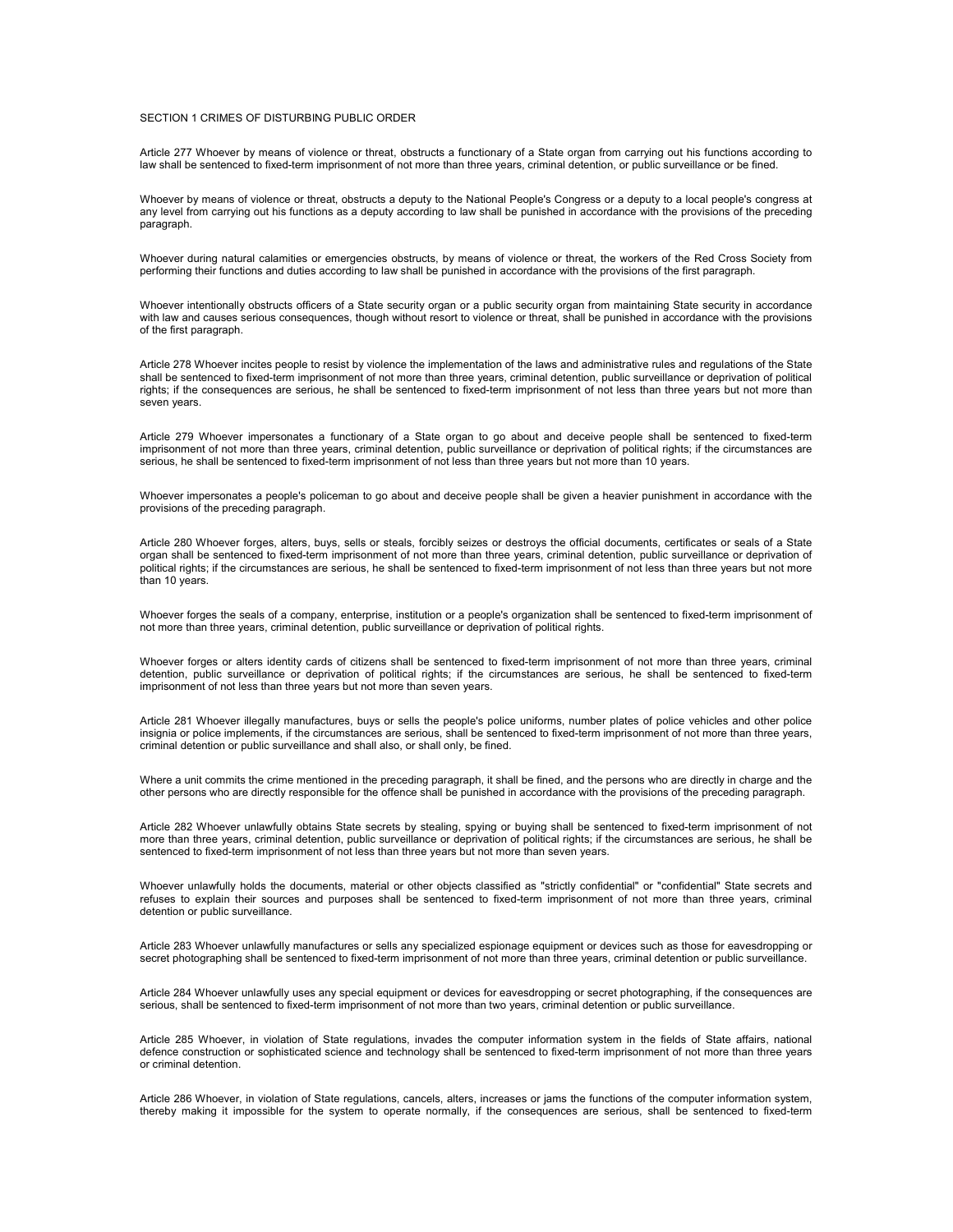#### SECTION 1 CRIMES OF DISTURBING PUBLIC ORDER

Article 277 Whoever by means of violence or threat, obstructs a functionary of a State organ from carrying out his functions according to law shall be sentenced to fixed-term imprisonment of not more than three years, criminal detention, or public surveillance or be fined.

Whoever by means of violence or threat, obstructs a deputy to the National People's Congress or a deputy to a local people's congress at any level from carrying out his functions as a deputy according to law shall be punished in accordance with the provisions of the preceding paragraph.

Whoever during natural calamities or emergencies obstructs, by means of violence or threat, the workers of the Red Cross Society from performing their functions and duties according to law shall be punished in accordance with the provisions of the first paragraph.

Whoever intentionally obstructs officers of a State security organ or a public security organ from maintaining State security in accordance with law and causes serious consequences, though without resort to violence or threat, shall be punished in accordance with the provisions of the first paragraph.

Article 278 Whoever incites people to resist by violence the implementation of the laws and administrative rules and regulations of the State shall be sentenced to fixed-term imprisonment of not more than three years, criminal detention, public surveillance or deprivation of political rights; if the consequences are serious, he shall be sentenced to fixed-term imprisonment of not less than three years but not more than seven years.

Article 279 Whoever impersonates a functionary of a State organ to go about and deceive people shall be sentenced to fixed-term imprisonment of not more than three years, criminal detention, public surveillance or deprivation of political rights; if the circumstances are serious, he shall be sentenced to fixed-term imprisonment of not less than three years but not more than 10 years.

Whoever impersonates a people's policeman to go about and deceive people shall be given a heavier punishment in accordance with the provisions of the preceding paragraph.

Article 280 Whoever forges, alters, buys, sells or steals, forcibly seizes or destroys the official documents, certificates or seals of a State organ shall be sentenced to fixed-term imprisonment of not more than three years, criminal detention, public surveillance or deprivation of political rights; if the circumstances are serious, he shall be sentenced to fixed-term imprisonment of not less than three years but not more than 10 years.

Whoever forges the seals of a company, enterprise, institution or a people's organization shall be sentenced to fixed-term imprisonment of not more than three years, criminal detention, public surveillance or deprivation of political rights.

Whoever forges or alters identity cards of citizens shall be sentenced to fixed-term imprisonment of not more than three years, criminal detention, public surveillance or deprivation of political rights; if the circumstances are serious, he shall be sentenced to fixed-term imprisonment of not less than three years but not more than seven years.

Article 281 Whoever illegally manufactures, buys or sells the people's police uniforms, number plates of police vehicles and other police insignia or police implements, if the circumstances are serious, shall be sentenced to fixed-term imprisonment of not more than three years, criminal detention or public surveillance and shall also, or shall only, be fined.

Where a unit commits the crime mentioned in the preceding paragraph, it shall be fined, and the persons who are directly in charge and the other persons who are directly responsible for the offence shall be punished in accordance with the provisions of the preceding paragraph.

Article 282 Whoever unlawfully obtains State secrets by stealing, spying or buying shall be sentenced to fixed-term imprisonment of not more than three years, criminal detention, public surveillance or deprivation of political rights; if the circumstances are serious, he shall be sentenced to fixed-term imprisonment of not less than three years but not more than seven years.

Whoever unlawfully holds the documents, material or other objects classified as "strictly confidential" or "confidential" State secrets and refuses to explain their sources and purposes shall be sentenced to fixed-term imprisonment of not more than three years, criminal detention or public surveillance.

Article 283 Whoever unlawfully manufactures or sells any specialized espionage equipment or devices such as those for eavesdropping or secret photographing shall be sentenced to fixed-term imprisonment of not more than three years, criminal detention or public surveillance.

Article 284 Whoever unlawfully uses any special equipment or devices for eavesdropping or secret photographing, if the consequences are serious, shall be sentenced to fixed-term imprisonment of not more than two years, criminal detention or public surveillance.

Article 285 Whoever, in violation of State regulations, invades the computer information system in the fields of State affairs, national defence construction or sophisticated science and technology shall be sentenced to fixed-term imprisonment of not more than three years or criminal detention.

Article 286 Whoever, in violation of State regulations, cancels, alters, increases or jams the functions of the computer information system, thereby making it impossible for the system to operate normally, if the consequences are serious, shall be sentenced to fixed-term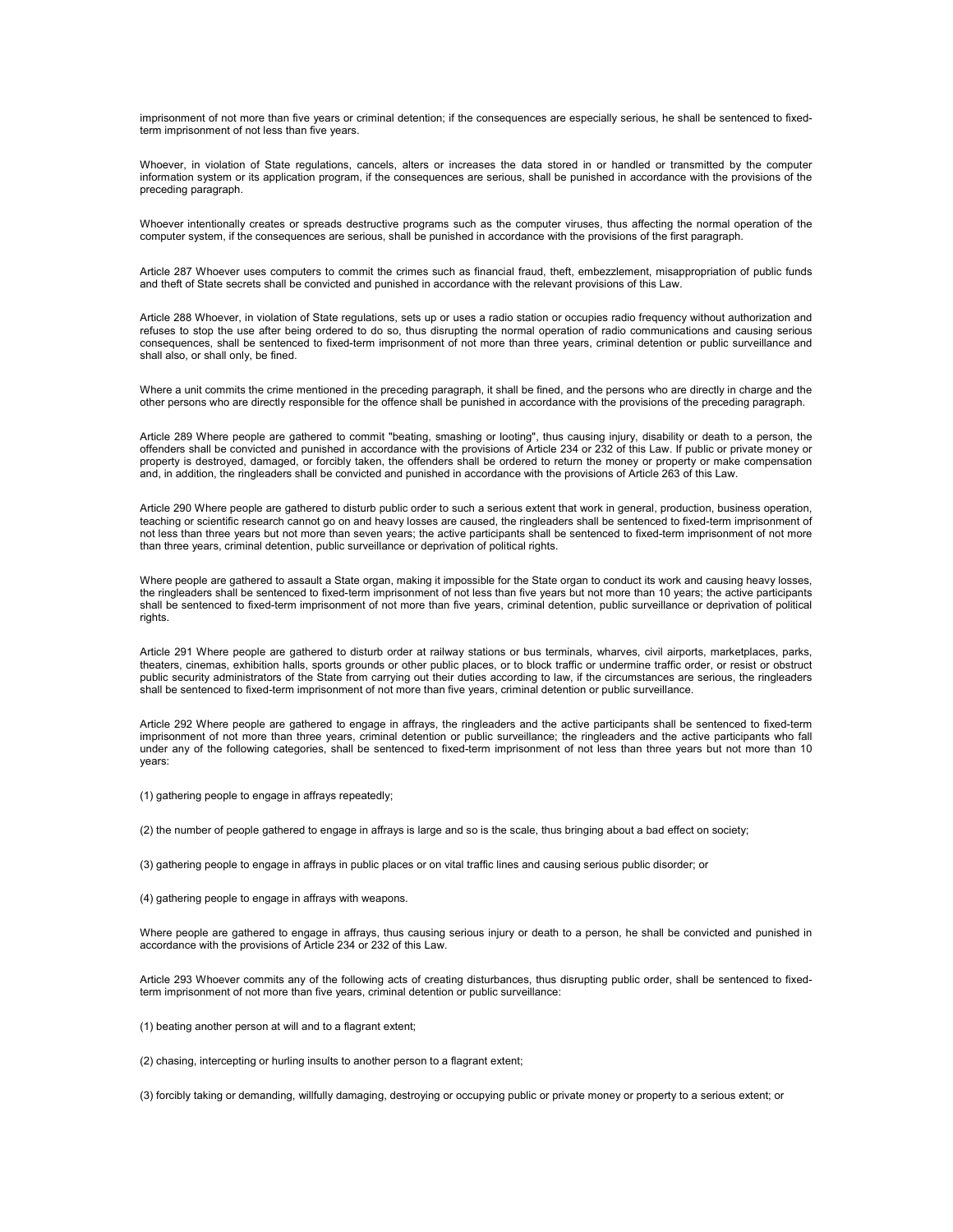imprisonment of not more than five years or criminal detention; if the consequences are especially serious, he shall be sentenced to fixedterm imprisonment of not less than five years.

Whoever, in violation of State regulations, cancels, alters or increases the data stored in or handled or transmitted by the computer information system or its application program, if the consequences are serious, shall be punished in accordance with the provisions of the preceding paragraph.

Whoever intentionally creates or spreads destructive programs such as the computer viruses, thus affecting the normal operation of the computer system, if the consequences are serious, shall be punished in accordance with the provisions of the first paragraph.

Article 287 Whoever uses computers to commit the crimes such as financial fraud, theft, embezzlement, misappropriation of public funds and theft of State secrets shall be convicted and punished in accordance with the relevant provisions of this Law.

Article 288 Whoever, in violation of State regulations, sets up or uses a radio station or occupies radio frequency without authorization and refuses to stop the use after being ordered to do so, thus disrupting the normal operation of radio communications and causing serious consequences, shall be sentenced to fixed-term imprisonment of not more than three years, criminal detention or public surveillance and shall also, or shall only, be fined.

Where a unit commits the crime mentioned in the preceding paragraph, it shall be fined, and the persons who are directly in charge and the other persons who are directly responsible for the offence shall be punished in accordance with the provisions of the preceding paragraph.

Article 289 Where people are gathered to commit "beating, smashing or looting", thus causing injury, disability or death to a person, the offenders shall be convicted and punished in accordance with the provisions of Article 234 or 232 of this Law. If public or private money or property is destroyed, damaged, or forcibly taken, the offenders shall be ordered to return the money or property or make compensation and, in addition, the ringleaders shall be convicted and punished in accordance with the provisions of Article 263 of this Law.

Article 290 Where people are gathered to disturb public order to such a serious extent that work in general, production, business operation, teaching or scientific research cannot go on and heavy losses are caused, the ringleaders shall be sentenced to fixed-term imprisonment of not less than three years but not more than seven years; the active participants shall be sentenced to fixed-term imprisonment of not more than three years, criminal detention, public surveillance or deprivation of political rights.

Where people are gathered to assault a State organ, making it impossible for the State organ to conduct its work and causing heavy losses, the ringleaders shall be sentenced to fixed-term imprisonment of not less than five years but not more than 10 years; the active participants shall be sentenced to fixed-term imprisonment of not more than five years, criminal detention, public surveillance or deprivation of political rights.

Article 291 Where people are gathered to disturb order at railway stations or bus terminals, wharves, civil airports, marketplaces, parks, theaters, cinemas, exhibition halls, sports grounds or other public places, or to block traffic or undermine traffic order, or resist or obstruct public security administrators of the State from carrying out their duties according to law, if the circumstances are serious, the ringleaders shall be sentenced to fixed-term imprisonment of not more than five years, criminal detention or public surveillance.

Article 292 Where people are gathered to engage in affrays, the ringleaders and the active participants shall be sentenced to fixed-term imprisonment of not more than three years, criminal detention or public surveillance; the ringleaders and the active participants who fall under any of the following categories, shall be sentenced to fixed-term imprisonment of not less than three years but not more than 10 years:

(1) gathering people to engage in affrays repeatedly;

(2) the number of people gathered to engage in affrays is large and so is the scale, thus bringing about a bad effect on society;

(3) gathering people to engage in affrays in public places or on vital traffic lines and causing serious public disorder; or

(4) gathering people to engage in affrays with weapons.

Where people are gathered to engage in affrays, thus causing serious injury or death to a person, he shall be convicted and punished in accordance with the provisions of Article 234 or 232 of this Law.

Article 293 Whoever commits any of the following acts of creating disturbances, thus disrupting public order, shall be sentenced to fixedterm imprisonment of not more than five years, criminal detention or public surveillance:

(1) beating another person at will and to a flagrant extent;

(2) chasing, intercepting or hurling insults to another person to a flagrant extent;

(3) forcibly taking or demanding, willfully damaging, destroying or occupying public or private money or property to a serious extent; or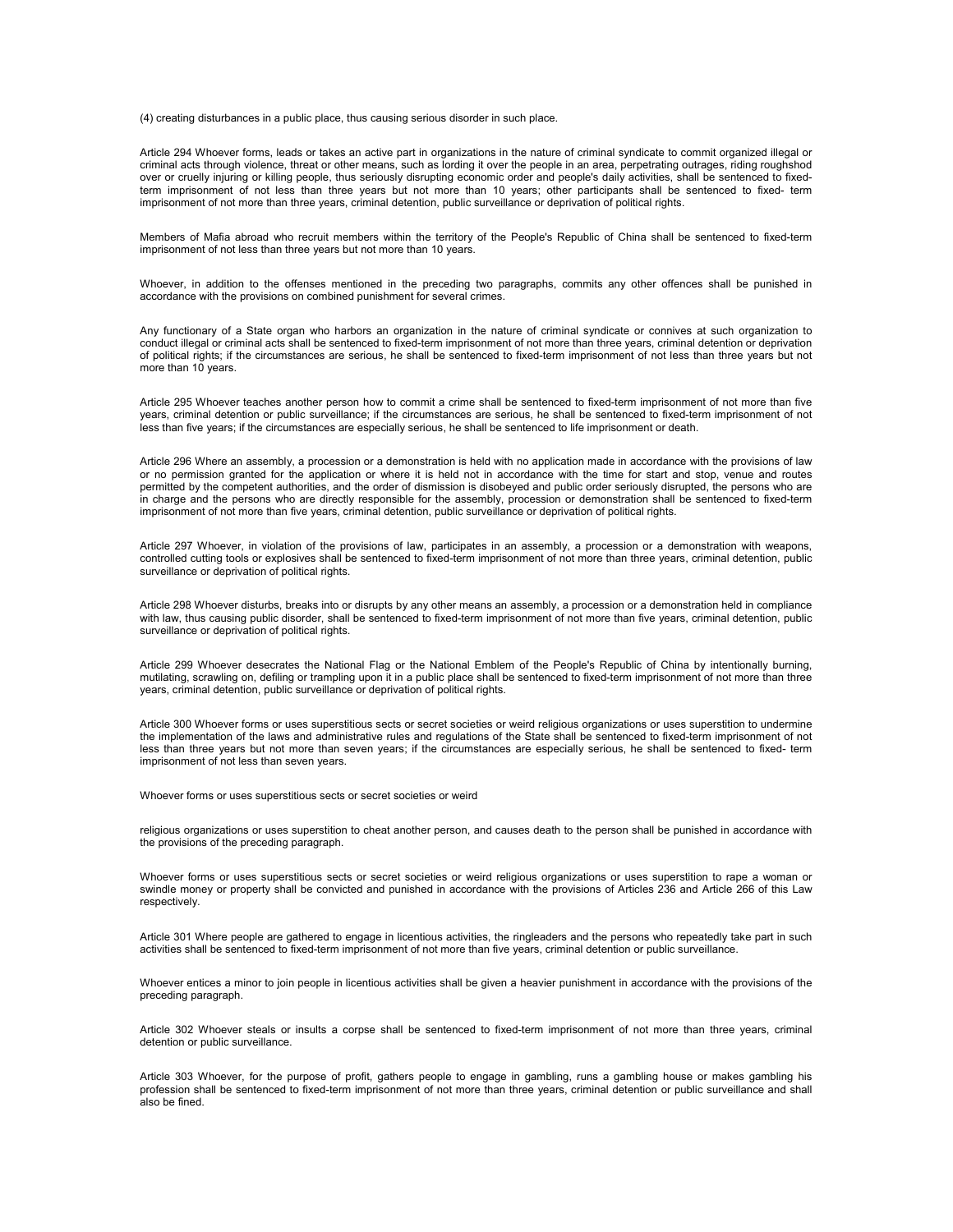(4) creating disturbances in a public place, thus causing serious disorder in such place.

Article 294 Whoever forms, leads or takes an active part in organizations in the nature of criminal syndicate to commit organized illegal or criminal acts through violence, threat or other means, such as lording it over the people in an area, perpetrating outrages, riding roughshod over or cruelly injuring or killing people, thus seriously disrupting economic order and people's daily activities, shall be sentenced to fixedterm imprisonment of not less than three years but not more than 10 years; other participants shall be sentenced to fixed- term imprisonment of not more than three years, criminal detention, public surveillance or deprivation of political rights.

Members of Mafia abroad who recruit members within the territory of the People's Republic of China shall be sentenced to fixed-term imprisonment of not less than three years but not more than 10 years.

Whoever, in addition to the offenses mentioned in the preceding two paragraphs, commits any other offences shall be punished in accordance with the provisions on combined punishment for several crimes.

Any functionary of a State organ who harbors an organization in the nature of criminal syndicate or connives at such organization to conduct illegal or criminal acts shall be sentenced to fixed-term imprisonment of not more than three years, criminal detention or deprivation of political rights; if the circumstances are serious, he shall be sentenced to fixed-term imprisonment of not less than three years but not more than 10 years.

Article 295 Whoever teaches another person how to commit a crime shall be sentenced to fixed-term imprisonment of not more than five years, criminal detention or public surveillance; if the circumstances are serious, he shall be sentenced to fixed-term imprisonment of not less than five years; if the circumstances are especially serious, he shall be sentenced to life imprisonment or death.

Article 296 Where an assembly, a procession or a demonstration is held with no application made in accordance with the provisions of law or no permission granted for the application or where it is held not in accordance with the time for start and stop, venue and routes permitted by the competent authorities, and the order of dismission is disobeyed and public order seriously disrupted, the persons who are in charge and the persons who are directly responsible for the assembly, procession or demonstration shall be sentenced to fixed-term imprisonment of not more than five years, criminal detention, public surveillance or deprivation of political rights.

Article 297 Whoever, in violation of the provisions of law, participates in an assembly, a procession or a demonstration with weapons, controlled cutting tools or explosives shall be sentenced to fixed-term imprisonment of not more than three years, criminal detention, public surveillance or deprivation of political rights.

Article 298 Whoever disturbs, breaks into or disrupts by any other means an assembly, a procession or a demonstration held in compliance with law, thus causing public disorder, shall be sentenced to fixed-term imprisonment of not more than five years, criminal detention, public surveillance or deprivation of political rights.

Article 299 Whoever desecrates the National Flag or the National Emblem of the People's Republic of China by intentionally burning, mutilating, scrawling on, defiling or trampling upon it in a public place shall be sentenced to fixed-term imprisonment of not more than three years, criminal detention, public surveillance or deprivation of political rights.

Article 300 Whoever forms or uses superstitious sects or secret societies or weird religious organizations or uses superstition to undermine the implementation of the laws and administrative rules and regulations of the State shall be sentenced to fixed-term imprisonment of not less than three years but not more than seven years; if the circumstances are especially serious, he shall be sentenced to fixed- term imprisonment of not less than seven years.

Whoever forms or uses superstitious sects or secret societies or weird

religious organizations or uses superstition to cheat another person, and causes death to the person shall be punished in accordance with the provisions of the preceding paragraph.

Whoever forms or uses superstitious sects or secret societies or weird religious organizations or uses superstition to rape a woman or swindle money or property shall be convicted and punished in accordance with the provisions of Articles 236 and Article 266 of this Law respectively.

Article 301 Where people are gathered to engage in licentious activities, the ringleaders and the persons who repeatedly take part in such activities shall be sentenced to fixed-term imprisonment of not more than five years, criminal detention or public surveillance.

Whoever entices a minor to join people in licentious activities shall be given a heavier punishment in accordance with the provisions of the preceding paragraph.

Article 302 Whoever steals or insults a corpse shall be sentenced to fixed-term imprisonment of not more than three years, criminal detention or public surveillance.

Article 303 Whoever, for the purpose of profit, gathers people to engage in gambling, runs a gambling house or makes gambling his profession shall be sentenced to fixed-term imprisonment of not more than three years, criminal detention or public surveillance and shall also be fined.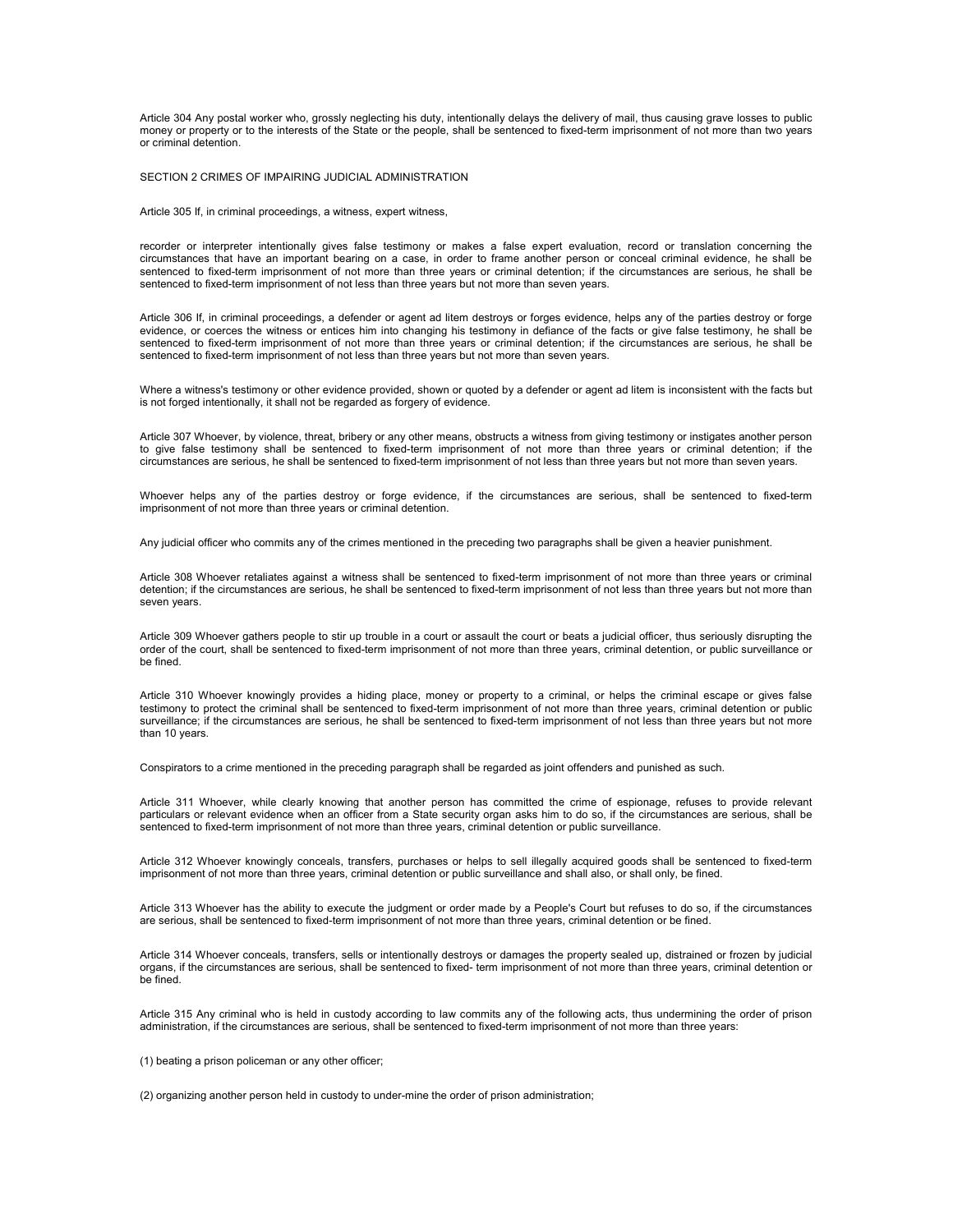Article 304 Any postal worker who, grossly neglecting his duty, intentionally delays the delivery of mail, thus causing grave losses to public money or property or to the interests of the State or the people, shall be sentenced to fixed-term imprisonment of not more than two years or criminal detention.

SECTION 2 CRIMES OF IMPAIRING JUDICIAL ADMINISTRATION

Article 305 If, in criminal proceedings, a witness, expert witness,

recorder or interpreter intentionally gives false testimony or makes a false expert evaluation, record or translation concerning the circumstances that have an important bearing on a case, in order to frame another person or conceal criminal evidence, he shall be sentenced to fixed-term imprisonment of not more than three years or criminal detention; if the circumstances are serious, he shall be sentenced to fixed-term imprisonment of not less than three years but not more than seven years.

Article 306 If, in criminal proceedings, a defender or agent ad litem destroys or forges evidence, helps any of the parties destroy or forge evidence, or coerces the witness or entices him into changing his testimony in defiance of the facts or give false testimony, he shall be sentenced to fixed-term imprisonment of not more than three years or criminal detention; if the circumstances are serious, he shall be sentenced to fixed-term imprisonment of not less than three years but not more than seven years.

Where a witness's testimony or other evidence provided, shown or quoted by a defender or agent ad litem is inconsistent with the facts but is not forged intentionally, it shall not be regarded as forgery of evidence.

Article 307 Whoever, by violence, threat, bribery or any other means, obstructs a witness from giving testimony or instigates another person to give false testimony shall be sentenced to fixed-term imprisonment of not more than three years or criminal detention; if the circumstances are serious, he shall be sentenced to fixed-term imprisonment of not less than three years but not more than seven years.

Whoever helps any of the parties destroy or forge evidence, if the circumstances are serious, shall be sentenced to fixed-term imprisonment of not more than three years or criminal detention.

Any judicial officer who commits any of the crimes mentioned in the preceding two paragraphs shall be given a heavier punishment.

Article 308 Whoever retaliates against a witness shall be sentenced to fixed-term imprisonment of not more than three years or criminal detention; if the circumstances are serious, he shall be sentenced to fixed-term imprisonment of not less than three years but not more than seven years.

Article 309 Whoever gathers people to stir up trouble in a court or assault the court or beats a judicial officer, thus seriously disrupting the order of the court, shall be sentenced to fixed-term imprisonment of not more than three years, criminal detention, or public surveillance or be fined.

Article 310 Whoever knowingly provides a hiding place, money or property to a criminal, or helps the criminal escape or gives false testimony to protect the criminal shall be sentenced to fixed-term imprisonment of not more than three years, criminal detention or public surveillance; if the circumstances are serious, he shall be sentenced to fixed-term imprisonment of not less than three years but not more than 10 years.

Conspirators to a crime mentioned in the preceding paragraph shall be regarded as joint offenders and punished as such.

Article 311 Whoever, while clearly knowing that another person has committed the crime of espionage, refuses to provide relevant particulars or relevant evidence when an officer from a State security organ asks him to do so, if the circumstances are serious, shall be sentenced to fixed-term imprisonment of not more than three years, criminal detention or public surveillance.

Article 312 Whoever knowingly conceals, transfers, purchases or helps to sell illegally acquired goods shall be sentenced to fixed-term imprisonment of not more than three years, criminal detention or public surveillance and shall also, or shall only, be fined.

Article 313 Whoever has the ability to execute the judgment or order made by a People's Court but refuses to do so, if the circumstances are serious, shall be sentenced to fixed-term imprisonment of not more than three years, criminal detention or be fined.

Article 314 Whoever conceals, transfers, sells or intentionally destroys or damages the property sealed up, distrained or frozen by judicial organs, if the circumstances are serious, shall be sentenced to fixed- term imprisonment of not more than three years, criminal detention or be fined.

Article 315 Any criminal who is held in custody according to law commits any of the following acts, thus undermining the order of prison administration, if the circumstances are serious, shall be sentenced to fixed-term imprisonment of not more than three years:

(1) beating a prison policeman or any other officer;

(2) organizing another person held in custody to under-mine the order of prison administration;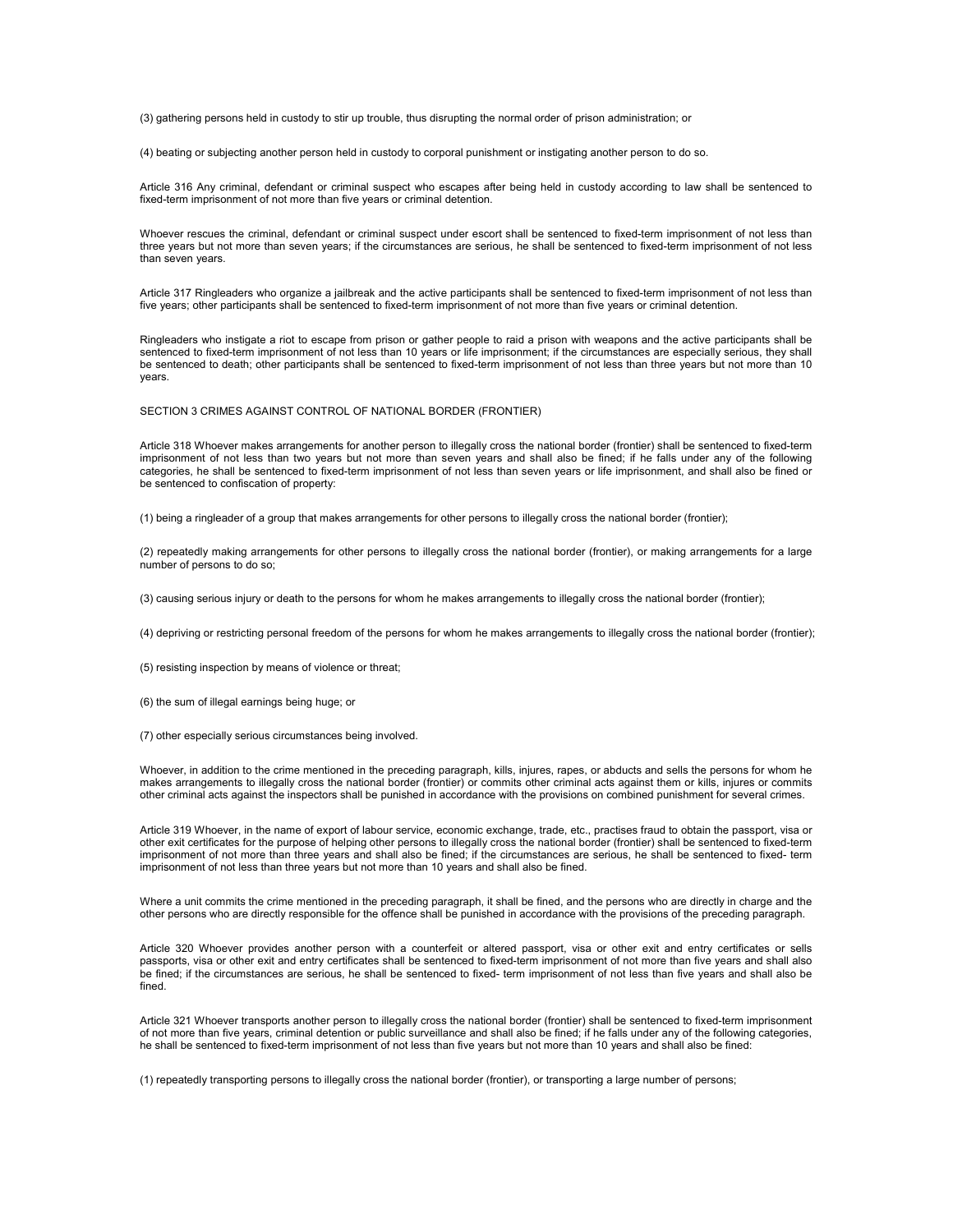(3) gathering persons held in custody to stir up trouble, thus disrupting the normal order of prison administration; or

(4) beating or subjecting another person held in custody to corporal punishment or instigating another person to do so.

Article 316 Any criminal, defendant or criminal suspect who escapes after being held in custody according to law shall be sentenced to fixed-term imprisonment of not more than five years or criminal detention.

Whoever rescues the criminal, defendant or criminal suspect under escort shall be sentenced to fixed-term imprisonment of not less than three years but not more than seven years; if the circumstances are serious, he shall be sentenced to fixed-term imprisonment of not less than seven years.

Article 317 Ringleaders who organize a jailbreak and the active participants shall be sentenced to fixed-term imprisonment of not less than five years; other participants shall be sentenced to fixed-term imprisonment of not more than five years or criminal detention.

Ringleaders who instigate a riot to escape from prison or gather people to raid a prison with weapons and the active participants shall be sentenced to fixed-term imprisonment of not less than 10 years or life imprisonment; if the circumstances are especially serious, they shall be sentenced to death; other participants shall be sentenced to fixed-term imprisonment of not less than three years but not more than 10 years.

SECTION 3 CRIMES AGAINST CONTROL OF NATIONAL BORDER (FRONTIER)

Article 318 Whoever makes arrangements for another person to illegally cross the national border (frontier) shall be sentenced to fixed-term imprisonment of not less than two years but not more than seven years and shall also be fined; if he falls under any of the following categories, he shall be sentenced to fixed-term imprisonment of not less than seven years or life imprisonment, and shall also be fined or be sentenced to confiscation of property:

(1) being a ringleader of a group that makes arrangements for other persons to illegally cross the national border (frontier);

(2) repeatedly making arrangements for other persons to illegally cross the national border (frontier), or making arrangements for a large number of persons to do so;

(3) causing serious injury or death to the persons for whom he makes arrangements to illegally cross the national border (frontier);

(4) depriving or restricting personal freedom of the persons for whom he makes arrangements to illegally cross the national border (frontier);

(5) resisting inspection by means of violence or threat;

(6) the sum of illegal earnings being huge; or

(7) other especially serious circumstances being involved.

Whoever, in addition to the crime mentioned in the preceding paragraph, kills, injures, rapes, or abducts and sells the persons for whom he makes arrangements to illegally cross the national border (frontier) or commits other criminal acts against them or kills, injures or commits other criminal acts against the inspectors shall be punished in accordance with the provisions on combined punishment for several crimes.

Article 319 Whoever, in the name of export of labour service, economic exchange, trade, etc., practises fraud to obtain the passport, visa or other exit certificates for the purpose of helping other persons to illegally cross the national border (frontier) shall be sentenced to fixed-term imprisonment of not more than three years and shall also be fined; if the circumstances are serious, he shall be sentenced to fixed- term imprisonment of not less than three years but not more than 10 years and shall also be fined.

Where a unit commits the crime mentioned in the preceding paragraph, it shall be fined, and the persons who are directly in charge and the other persons who are directly responsible for the offence shall be punished in accordance with the provisions of the preceding paragraph.

Article 320 Whoever provides another person with a counterfeit or altered passport, visa or other exit and entry certificates or sells passports, visa or other exit and entry certificates shall be sentenced to fixed-term imprisonment of not more than five years and shall also be fined; if the circumstances are serious, he shall be sentenced to fixed- term imprisonment of not less than five years and shall also be fined.

Article 321 Whoever transports another person to illegally cross the national border (frontier) shall be sentenced to fixed-term imprisonment of not more than five years, criminal detention or public surveillance and shall also be fined; if he falls under any of the following categories, he shall be sentenced to fixed-term imprisonment of not less than five years but not more than 10 years and shall also be fined:

(1) repeatedly transporting persons to illegally cross the national border (frontier), or transporting a large number of persons;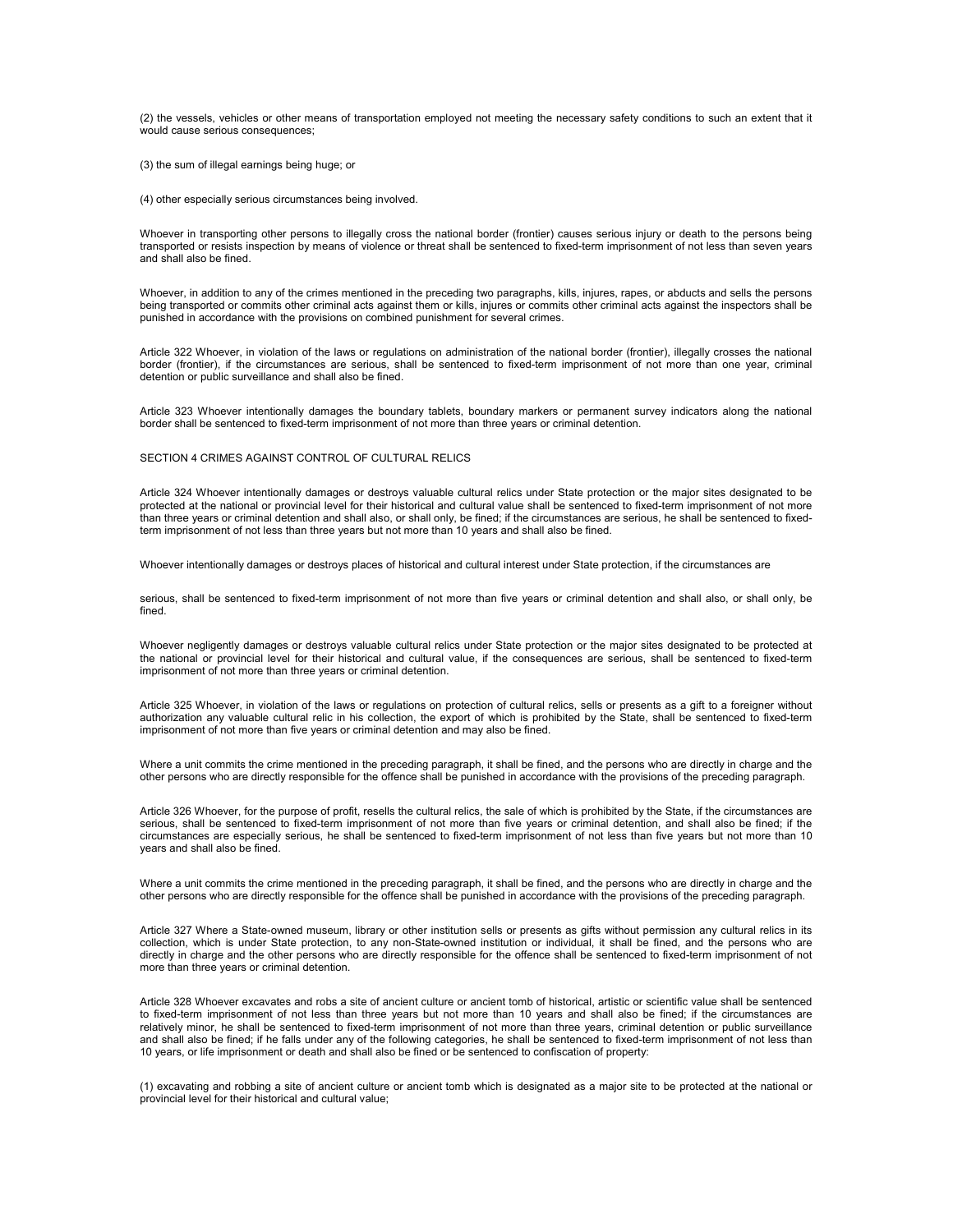(2) the vessels, vehicles or other means of transportation employed not meeting the necessary safety conditions to such an extent that it would cause serious consequences;

(3) the sum of illegal earnings being huge; or

(4) other especially serious circumstances being involved.

Whoever in transporting other persons to illegally cross the national border (frontier) causes serious injury or death to the persons being transported or resists inspection by means of violence or threat shall be sentenced to fixed-term imprisonment of not less than seven years and shall also be fined.

Whoever, in addition to any of the crimes mentioned in the preceding two paragraphs, kills, injures, rapes, or abducts and sells the persons being transported or commits other criminal acts against them or kills, injures or commits other criminal acts against the inspectors shall be punished in accordance with the provisions on combined punishment for several crimes.

Article 322 Whoever, in violation of the laws or regulations on administration of the national border (frontier), illegally crosses the national border (frontier), if the circumstances are serious, shall be sentenced to fixed-term imprisonment of not more than one year, criminal detention or public surveillance and shall also be fined.

Article 323 Whoever intentionally damages the boundary tablets, boundary markers or permanent survey indicators along the national border shall be sentenced to fixed-term imprisonment of not more than three years or criminal detention.

SECTION 4 CRIMES AGAINST CONTROL OF CULTURAL RELICS

Article 324 Whoever intentionally damages or destroys valuable cultural relics under State protection or the major sites designated to be protected at the national or provincial level for their historical and cultural value shall be sentenced to fixed-term imprisonment of not more than three years or criminal detention and shall also, or shall only, be fined; if the circumstances are serious, he shall be sentenced to fixedterm imprisonment of not less than three years but not more than 10 years and shall also be fined.

Whoever intentionally damages or destroys places of historical and cultural interest under State protection, if the circumstances are

serious, shall be sentenced to fixed-term imprisonment of not more than five years or criminal detention and shall also, or shall only, be fined.

Whoever negligently damages or destroys valuable cultural relics under State protection or the major sites designated to be protected at the national or provincial level for their historical and cultural value, if the consequences are serious, shall be sentenced to fixed-term imprisonment of not more than three years or criminal detention.

Article 325 Whoever, in violation of the laws or regulations on protection of cultural relics, sells or presents as a gift to a foreigner without authorization any valuable cultural relic in his collection, the export of which is prohibited by the State, shall be sentenced to fixed-term imprisonment of not more than five years or criminal detention and may also be fined.

Where a unit commits the crime mentioned in the preceding paragraph, it shall be fined, and the persons who are directly in charge and the<br>other persons who are directly responsible for the offence shall be punished in acc

Article 326 Whoever, for the purpose of profit, resells the cultural relics, the sale of which is prohibited by the State, if the circumstances are serious, shall be sentenced to fixed-term imprisonment of not more than five years or criminal detention, and shall also be fined; if the circumstances are especially serious, he shall be sentenced to fixed-term imprisonment of not less than five years but not more than 10 years and shall also be fined.

Where a unit commits the crime mentioned in the preceding paragraph, it shall be fined, and the persons who are directly in charge and the other persons who are directly responsible for the offence shall be punished in accordance with the provisions of the preceding paragraph.

Article 327 Where a State-owned museum, library or other institution sells or presents as gifts without permission any cultural relics in its collection, which is under State protection, to any non-State-owned institution or individual, it shall be fined, and the persons who are directly in charge and the other persons who are directly responsible for the offence shall be sentenced to fixed-term imprisonment of not more than three years or criminal detention.

Article 328 Whoever excavates and robs a site of ancient culture or ancient tomb of historical, artistic or scientific value shall be sentenced to fixed-term imprisonment of not less than three years but not more than 10 years and shall also be fined; if the circumstances are relatively minor, he shall be sentenced to fixed-term imprisonment of not more than three years, criminal detention or public surveillance and shall also be fined; if he falls under any of the following categories, he shall be sentenced to fixed-term imprisonment of not less than 10 years, or life imprisonment or death and shall also be fined or be sentenced to confiscation of property:

(1) excavating and robbing a site of ancient culture or ancient tomb which is designated as a major site to be protected at the national or provincial level for their historical and cultural value;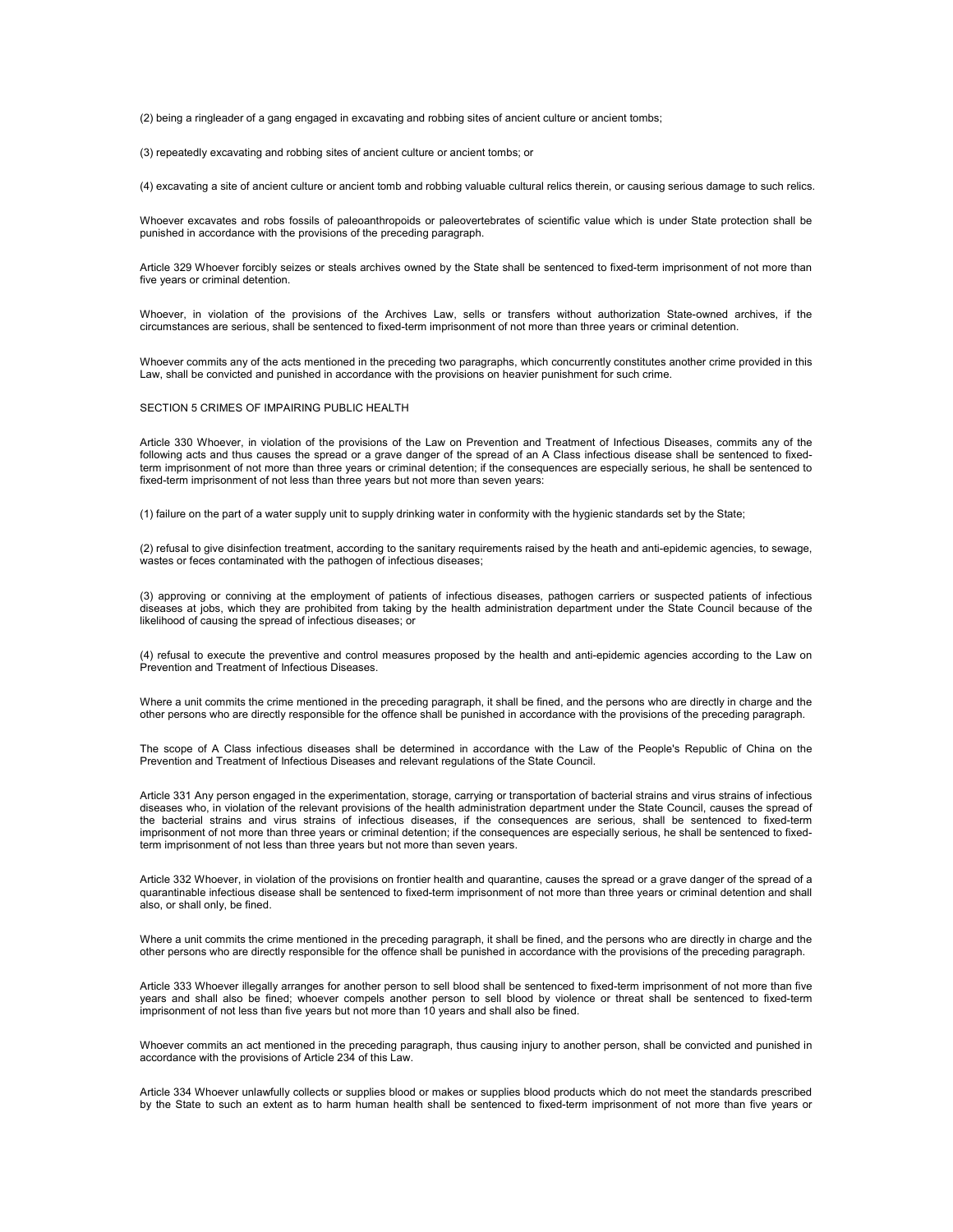(2) being a ringleader of a gang engaged in excavating and robbing sites of ancient culture or ancient tombs;

(3) repeatedly excavating and robbing sites of ancient culture or ancient tombs; or

(4) excavating a site of ancient culture or ancient tomb and robbing valuable cultural relics therein, or causing serious damage to such relics.

Whoever excavates and robs fossils of paleoanthropoids or paleovertebrates of scientific value which is under State protection shall be punished in accordance with the provisions of the preceding paragraph.

Article 329 Whoever forcibly seizes or steals archives owned by the State shall be sentenced to fixed-term imprisonment of not more than five years or criminal detention.

Whoever, in violation of the provisions of the Archives Law, sells or transfers without authorization State-owned archives, if the circumstances are serious, shall be sentenced to fixed-term imprisonment of not more than three years or criminal detention.

Whoever commits any of the acts mentioned in the preceding two paragraphs, which concurrently constitutes another crime provided in this Law, shall be convicted and punished in accordance with the provisions on heavier punishment for such crime.

SECTION 5 CRIMES OF IMPAIRING PUBLIC HEALTH

Article 330 Whoever, in violation of the provisions of the Law on Prevention and Treatment of Infectious Diseases, commits any of the following acts and thus causes the spread or a grave danger of the spread of an A Class infectious disease shall be sentenced to fixedterm imprisonment of not more than three years or criminal detention; if the consequences are especially serious, he shall be sentenced to fixed-term imprisonment of not less than three years but not more than seven years:

(1) failure on the part of a water supply unit to supply drinking water in conformity with the hygienic standards set by the State;

(2) refusal to give disinfection treatment, according to the sanitary requirements raised by the heath and anti-epidemic agencies, to sewage, wastes or feces contaminated with the pathogen of infectious diseases;

(3) approving or conniving at the employment of patients of infectious diseases, pathogen carriers or suspected patients of infectious diseases at jobs, which they are prohibited from taking by the health administration department under the State Council because of the likelihood of causing the spread of infectious diseases; or

(4) refusal to execute the preventive and control measures proposed by the health and anti-epidemic agencies according to the Law on Prevention and Treatment of Infectious Diseases.

Where a unit commits the crime mentioned in the preceding paragraph, it shall be fined, and the persons who are directly in charge and the other persons who are directly responsible for the offence shall be punished in accordance with the provisions of the preceding paragraph.

The scope of A Class infectious diseases shall be determined in accordance with the Law of the People's Republic of China on the Prevention and Treatment of Infectious Diseases and relevant regulations of the State Council.

Article 331 Any person engaged in the experimentation, storage, carrying or transportation of bacterial strains and virus strains of infectious diseases who, in violation of the relevant provisions of the health administration department under the State Council, causes the spread of the bacterial strains and virus strains of infectious diseases, if the consequences are serious, shall be sentenced to fixed-term imprisonment of not more than three years or criminal detention; if the consequences are especially serious, he shall be sentenced to fixedterm imprisonment of not less than three years but not more than seven years.

Article 332 Whoever, in violation of the provisions on frontier health and quarantine, causes the spread or a grave danger of the spread of a quarantinable infectious disease shall be sentenced to fixed-term imprisonment of not more than three years or criminal detention and shall also, or shall only, be fined.

Where a unit commits the crime mentioned in the preceding paragraph, it shall be fined, and the persons who are directly in charge and the other persons who are directly responsible for the offence shall be punished in accordance with the provisions of the preceding paragraph.

Article 333 Whoever illegally arranges for another person to sell blood shall be sentenced to fixed-term imprisonment of not more than five years and shall also be fined; whoever compels another person to sell blood by violence or threat shall be sentenced to fixed-term imprisonment of not less than five years but not more than 10 years and shall also be fined.

Whoever commits an act mentioned in the preceding paragraph, thus causing injury to another person, shall be convicted and punished in accordance with the provisions of Article 234 of this Law.

Article 334 Whoever unlawfully collects or supplies blood or makes or supplies blood products which do not meet the standards prescribed by the State to such an extent as to harm human health shall be sentenced to fixed-term imprisonment of not more than five years or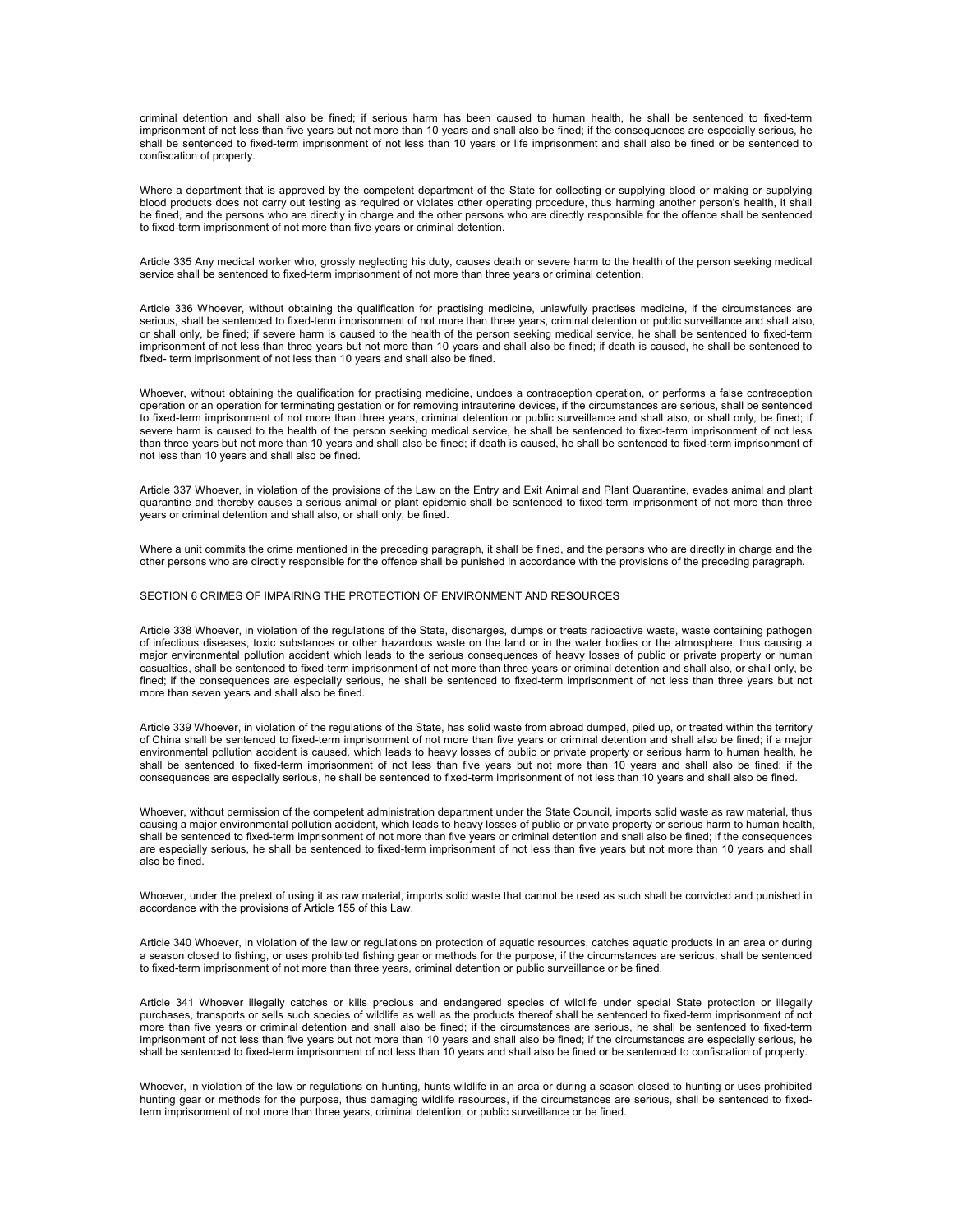criminal detention and shall also be fined; if serious harm has been caused to human health, he shall be sentenced to fixed-term imprisonment of not less than five years but not more than 10 years and shall also be fined; if the consequences are especially serious, he shall be sentenced to fixed-term imprisonment of not less than 10 years or life imprisonment and shall also be fined or be sentenced to confiscation of property.

Where a department that is approved by the competent department of the State for collecting or supplying blood or making or supplying blood products does not carry out testing as required or violates other operating procedure, thus harming another person's health, it shall be fined, and the persons who are directly in charge and the other persons who are directly responsible for the offence shall be sentenced to fixed-term imprisonment of not more than five years or criminal detention.

Article 335 Any medical worker who, grossly neglecting his duty, causes death or severe harm to the health of the person seeking medical service shall be sentenced to fixed-term imprisonment of not more than three years or criminal detention.

Article 336 Whoever, without obtaining the qualification for practising medicine, unlawfully practises medicine, if the circumstances are serious, shall be sentenced to fixed-term imprisonment of not more than three years, criminal detention or public surveillance and shall also, or shall only, be fined; if severe harm is caused to the health of the person seeking medical service, he shall be sentenced to fixed-term imprisonment of not less than three years but not more than 10 years and shall also be fined; if death is caused, he shall be sentenced to fixed- term imprisonment of not less than 10 years and shall also be fined.

Whoever, without obtaining the qualification for practising medicine, undoes a contraception operation, or performs a false contraception operation or an operation for terminating gestation or for removing intrauterine devices, if the circumstances are serious, shall be sentenced to fixed-term imprisonment of not more than three years, criminal detention or public surveillance and shall also, or shall only, be fined; if severe harm is caused to the health of the person seeking medical service, he shall be sentenced to fixed-term imprisonment of not less than three years but not more than 10 years and shall also be fined; if death is caused, he shall be sentenced to fixed-term imprisonment of not less than 10 years and shall also be fined.

Article 337 Whoever, in violation of the provisions of the Law on the Entry and Exit Animal and Plant Quarantine, evades animal and plant quarantine and thereby causes a serious animal or plant epidemic shall be sentenced to fixed-term imprisonment of not more than three years or criminal detention and shall also, or shall only, be fined.

Where a unit commits the crime mentioned in the preceding paragraph, it shall be fined, and the persons who are directly in charge and the other persons who are directly responsible for the offence shall be punished in accordance with the provisions of the preceding paragraph.

## SECTION 6 CRIMES OF IMPAIRING THE PROTECTION OF ENVIRONMENT AND RESOURCES

Article 338 Whoever, in violation of the regulations of the State, discharges, dumps or treats radioactive waste, waste containing pathogen of infectious diseases, toxic substances or other hazardous waste on the land or in the water bodies or the atmosphere, thus causing a major environmental pollution accident which leads to the serious consequences of heavy losses of public or private property or human casualties, shall be sentenced to fixed-term imprisonment of not more than three years or criminal detention and shall also, or shall only, be fined; if the consequences are especially serious, he shall be sentenced to fixed-term imprisonment of not less than three years but not more than seven years and shall also be fined.

Article 339 Whoever, in violation of the regulations of the State, has solid waste from abroad dumped, piled up, or treated within the territory of China shall be sentenced to fixed-term imprisonment of not more than five years or criminal detention and shall also be fined; if a major environmental pollution accident is caused, which leads to heavy losses of public or private property or serious harm to human health, he shall be sentenced to fixed-term imprisonment of not less than five years but not more than 10 years and shall also be fined; if the consequences are especially serious, he shall be sentenced to fixed-term imprisonment of not less than 10 years and shall also be fined.

Whoever, without permission of the competent administration department under the State Council, imports solid waste as raw material, thus causing a major environmental pollution accident, which leads to heavy losses of public or private property or serious harm to human health, shall be sentenced to fixed-term imprisonment of not more than five years or criminal detention and shall also be fined; if the consequences are especially serious, he shall be sentenced to fixed-term imprisonment of not less than five years but not more than 10 years and shall also be fined.

Whoever, under the pretext of using it as raw material, imports solid waste that cannot be used as such shall be convicted and punished in accordance with the provisions of Article 155 of this Law.

Article 340 Whoever, in violation of the law or regulations on protection of aquatic resources, catches aquatic products in an area or during a season closed to fishing, or uses prohibited fishing gear or methods for the purpose, if the circumstances are serious, shall be sentenced to fixed-term imprisonment of not more than three years, criminal detention or public surveillance or be fined.

Article 341 Whoever illegally catches or kills precious and endangered species of wildlife under special State protection or illegally purchases, transports or sells such species of wildlife as well as the products thereof shall be sentenced to fixed-term imprisonment of not more than five years or criminal detention and shall also be fined; if the circumstances are serious, he shall be sentenced to fixed-term imprisonment of not less than five years but not more than 10 years and shall also be fined; if the circumstances are especially serious, he shall be sentenced to fixed-term imprisonment of not less than 10 years and shall also be fined or be sentenced to confiscation of property.

Whoever, in violation of the law or regulations on hunting, hunts wildlife in an area or during a season closed to hunting or uses prohibited hunting gear or methods for the purpose, thus damaging wildlife resources, if the circumstances are serious, shall be sentenced to fixedterm imprisonment of not more than three years, criminal detention, or public surveillance or be fined.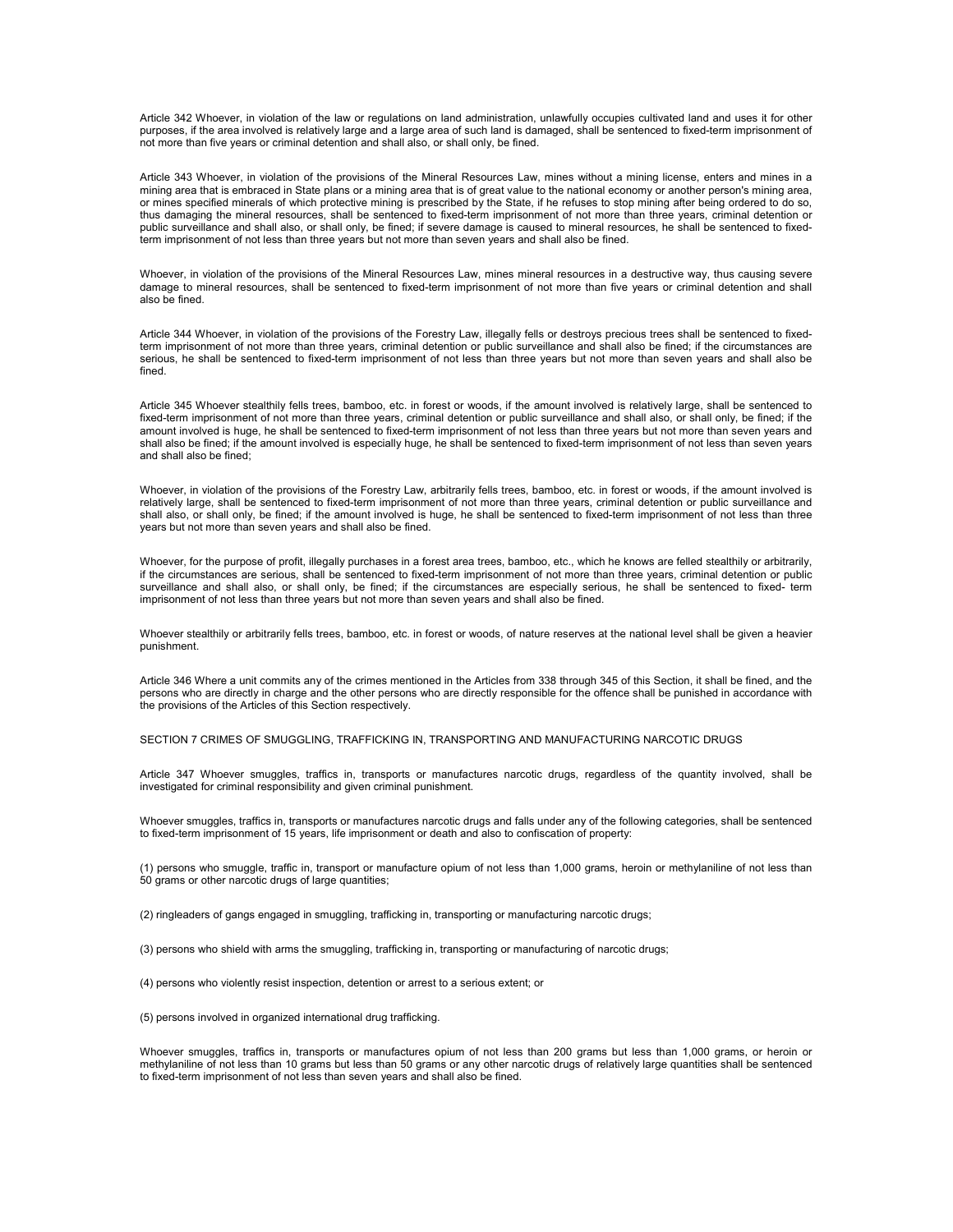Article 342 Whoever, in violation of the law or regulations on land administration, unlawfully occupies cultivated land and uses it for other purposes, if the area involved is relatively large and a large area of such land is damaged, shall be sentenced to fixed-term imprisonment of not more than five years or criminal detention and shall also, or shall only, be fined.

Article 343 Whoever, in violation of the provisions of the Mineral Resources Law, mines without a mining license, enters and mines in a mining area that is embraced in State plans or a mining area that is of great value to the national economy or another person's mining area, or mines specified minerals of which protective mining is prescribed by the State, if he refuses to stop mining after being ordered to do so, thus damaging the mineral resources, shall be sentenced to fixed-term imprisonment of not more than three years, criminal detention or public surveillance and shall also, or shall only, be fined; if severe damage is caused to mineral resources, he shall be sentenced to fixedterm imprisonment of not less than three years but not more than seven years and shall also be fined.

Whoever, in violation of the provisions of the Mineral Resources Law, mines mineral resources in a destructive way, thus causing severe damage to mineral resources, shall be sentenced to fixed-term imprisonment of not more than five years or criminal detention and shall also be fined.

Article 344 Whoever, in violation of the provisions of the Forestry Law, illegally fells or destroys precious trees shall be sentenced to fixedterm imprisonment of not more than three years, criminal detention or public surveillance and shall also be fined; if the circumstances are serious, he shall be sentenced to fixed-term imprisonment of not less than three years but not more than seven years and shall also be fined.

Article 345 Whoever stealthily fells trees, bamboo, etc. in forest or woods, if the amount involved is relatively large, shall be sentenced to fixed-term imprisonment of not more than three years, criminal detention or public surveillance and shall also, or shall only, be fined; if the amount involved is huge, he shall be sentenced to fixed-term imprisonment of not less than three years but not more than seven years and shall also be fined; if the amount involved is especially huge, he shall be sentenced to fixed-term imprisonment of not less than seven years and shall also be fined;

Whoever, in violation of the provisions of the Forestry Law, arbitrarily fells trees, bamboo, etc. in forest or woods, if the amount involved is relatively large, shall be sentenced to fixed-term imprisonment of not more than three years, criminal detention or public surveillance and shall also, or shall only, be fined; if the amount involved is huge, he shall be sentenced to fixed-term imprisonment of not less than three years but not more than seven years and shall also be fined.

Whoever, for the purpose of profit, illegally purchases in a forest area trees, bamboo, etc., which he knows are felled stealthily or arbitrarily, if the circumstances are serious, shall be sentenced to fixed-term imprisonment of not more than three years, criminal detention or public surveillance and shall also, or shall only, be fined; if the circumstances are especially serious, he shall be sentenced to fixed- term imprisonment of not less than three years but not more than seven years and shall also be fined.

Whoever stealthily or arbitrarily fells trees, bamboo, etc. in forest or woods, of nature reserves at the national level shall be given a heavier punishment.

Article 346 Where a unit commits any of the crimes mentioned in the Articles from 338 through 345 of this Section, it shall be fined, and the persons who are directly in charge and the other persons who are directly responsible for the offence shall be punished in accordance with the provisions of the Articles of this Section respectively.

SECTION 7 CRIMES OF SMUGGLING, TRAFFICKING IN, TRANSPORTING AND MANUFACTURING NARCOTIC DRUGS

Article 347 Whoever smuggles, traffics in, transports or manufactures narcotic drugs, regardless of the quantity involved, shall be investigated for criminal responsibility and given criminal punishment.

Whoever smuggles, traffics in, transports or manufactures narcotic drugs and falls under any of the following categories, shall be sentenced to fixed-term imprisonment of 15 years, life imprisonment or death and also to confiscation of property:

(1) persons who smuggle, traffic in, transport or manufacture opium of not less than 1,000 grams, heroin or methylaniline of not less than 50 grams or other narcotic drugs of large quantities;

(2) ringleaders of gangs engaged in smuggling, trafficking in, transporting or manufacturing narcotic drugs;

(3) persons who shield with arms the smuggling, trafficking in, transporting or manufacturing of narcotic drugs;

(4) persons who violently resist inspection, detention or arrest to a serious extent; or

(5) persons involved in organized international drug trafficking.

Whoever smuggles, traffics in, transports or manufactures opium of not less than 200 grams but less than 1,000 grams, or heroin or methylaniline of not less than 10 grams but less than 50 grams or any other narcotic drugs of relatively large quantities shall be sentenced to fixed-term imprisonment of not less than seven years and shall also be fined.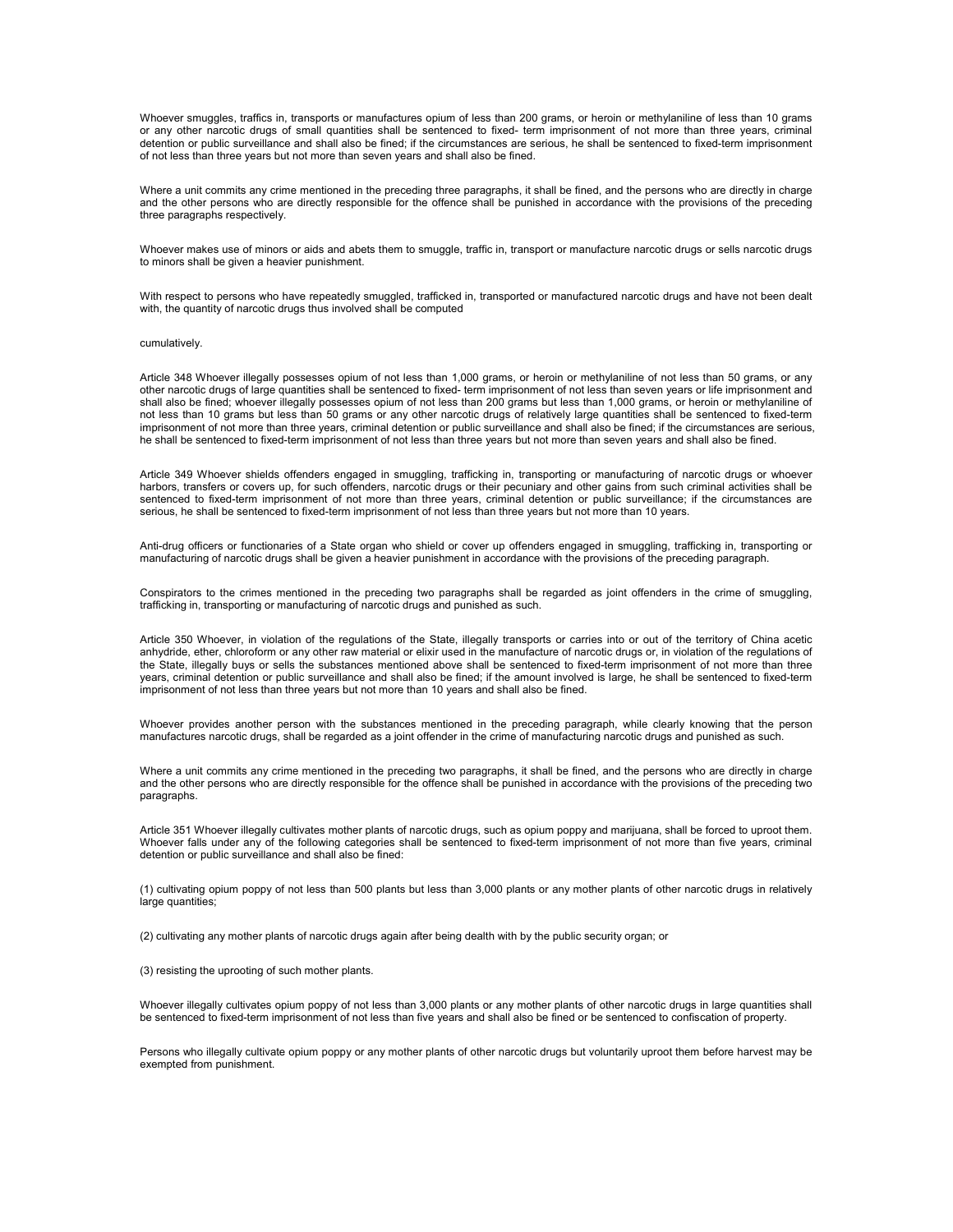Whoever smuggles, traffics in, transports or manufactures opium of less than 200 grams, or heroin or methylaniline of less than 10 grams or any other narcotic drugs of small quantities shall be sentenced to fixed- term imprisonment of not more than three years, criminal detention or public surveillance and shall also be fined; if the circumstances are serious, he shall be sentenced to fixed-term imprisonment of not less than three years but not more than seven years and shall also be fined.

Where a unit commits any crime mentioned in the preceding three paragraphs, it shall be fined, and the persons who are directly in charge and the other persons who are directly responsible for the offence shall be punished in accordance with the provisions of the preceding three paragraphs respectively.

Whoever makes use of minors or aids and abets them to smuggle, traffic in, transport or manufacture narcotic drugs or sells narcotic drugs to minors shall be given a heavier punishment.

With respect to persons who have repeatedly smuggled, trafficked in, transported or manufactured narcotic drugs and have not been dealt with, the quantity of narcotic drugs thus involved shall be computed

## cumulatively.

Article 348 Whoever illegally possesses opium of not less than 1,000 grams, or heroin or methylaniline of not less than 50 grams, or any other narcotic drugs of large quantities shall be sentenced to fixed- term imprisonment of not less than seven years or life imprisonment and shall also be fined; whoever illegally possesses opium of not less than 200 grams but less than 1,000 grams, or heroin or methylaniline of not less than 10 grams but less than 50 grams or any other narcotic drugs of relatively large quantities shall be sentenced to fixed-term imprisonment of not more than three years, criminal detention or public surveillance and shall also be fined; if the circumstances are serious, he shall be sentenced to fixed-term imprisonment of not less than three years but not more than seven years and shall also be fined.

Article 349 Whoever shields offenders engaged in smuggling, trafficking in, transporting or manufacturing of narcotic drugs or whoever harbors, transfers or covers up, for such offenders, narcotic drugs or their pecuniary and other gains from such criminal activities shall be sentenced to fixed-term imprisonment of not more than three years, criminal detention or public surveillance; if the circumstances are serious, he shall be sentenced to fixed-term imprisonment of not less than three years but not more than 10 years.

Anti-drug officers or functionaries of a State organ who shield or cover up offenders engaged in smuggling, trafficking in, transporting or manufacturing of narcotic drugs shall be given a heavier punishment in accordance with the provisions of the preceding paragraph.

Conspirators to the crimes mentioned in the preceding two paragraphs shall be regarded as joint offenders in the crime of smuggling, trafficking in, transporting or manufacturing of narcotic drugs and punished as such.

Article 350 Whoever, in violation of the regulations of the State, illegally transports or carries into or out of the territory of China acetic anhydride, ether, chloroform or any other raw material or elixir used in the manufacture of narcotic drugs or, in violation of the regulations of the State, illegally buys or sells the substances mentioned above shall be sentenced to fixed-term imprisonment of not more than three years, criminal detention or public surveillance and shall also be fined; if the amount involved is large, he shall be sentenced to fixed-term imprisonment of not less than three years but not more than 10 years and shall also be fined.

Whoever provides another person with the substances mentioned in the preceding paragraph, while clearly knowing that the person manufactures narcotic drugs, shall be regarded as a joint offender in the crime of manufacturing narcotic drugs and punished as such.

Where a unit commits any crime mentioned in the preceding two paragraphs, it shall be fined, and the persons who are directly in charge and the other persons who are directly responsible for the offence shall be punished in accordance with the provisions of the preceding two paragraphs.

Article 351 Whoever illegally cultivates mother plants of narcotic drugs, such as opium poppy and marijuana, shall be forced to uproot them. Whoever falls under any of the following categories shall be sentenced to fixed-term imprisonment of not more than five years, criminal detention or public surveillance and shall also be fined:

(1) cultivating opium poppy of not less than 500 plants but less than 3,000 plants or any mother plants of other narcotic drugs in relatively large quantities;

(2) cultivating any mother plants of narcotic drugs again after being dealth with by the public security organ; or

(3) resisting the uprooting of such mother plants.

Whoever illegally cultivates opium poppy of not less than 3,000 plants or any mother plants of other narcotic drugs in large quantities shall be sentenced to fixed-term imprisonment of not less than five years and shall also be fined or be sentenced to confiscation of property.

Persons who illegally cultivate opium poppy or any mother plants of other narcotic drugs but voluntarily uproot them before harvest may be exempted from punishment.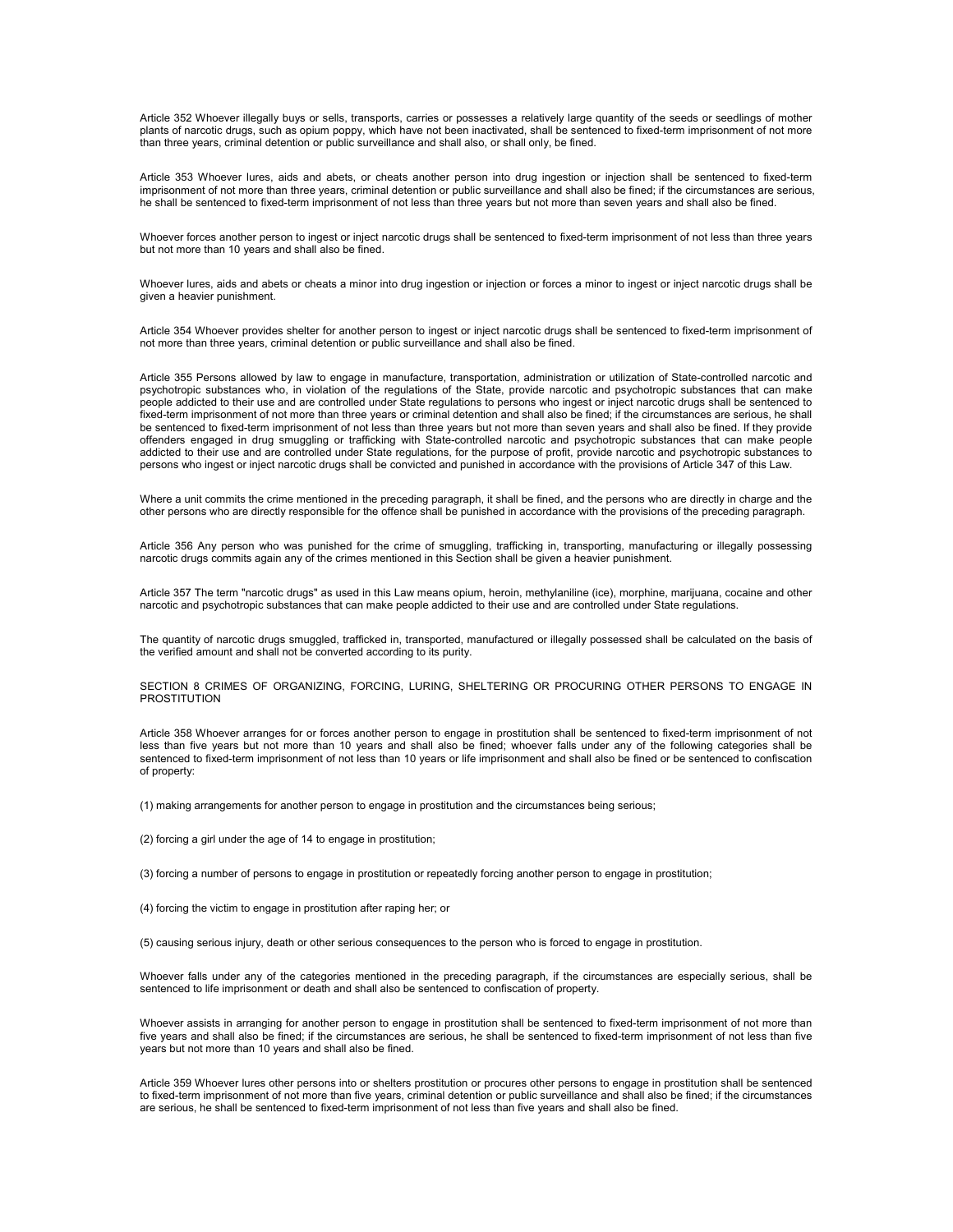Article 352 Whoever illegally buys or sells, transports, carries or possesses a relatively large quantity of the seeds or seedlings of mother plants of narcotic drugs, such as opium poppy, which have not been inactivated, shall be sentenced to fixed-term imprisonment of not more than three years, criminal detention or public surveillance and shall also, or shall only, be fined.

Article 353 Whoever lures, aids and abets, or cheats another person into drug ingestion or injection shall be sentenced to fixed-term imprisonment of not more than three years, criminal detention or public surveillance and shall also be fined; if the circumstances are serious, he shall be sentenced to fixed-term imprisonment of not less than three years but not more than seven years and shall also be fined.

Whoever forces another person to ingest or inject narcotic drugs shall be sentenced to fixed-term imprisonment of not less than three years but not more than 10 years and shall also be fined.

Whoever lures, aids and abets or cheats a minor into drug ingestion or injection or forces a minor to ingest or inject narcotic drugs shall be given a heavier punishment.

Article 354 Whoever provides shelter for another person to ingest or inject narcotic drugs shall be sentenced to fixed-term imprisonment of not more than three years, criminal detention or public surveillance and shall also be fined.

Article 355 Persons allowed by law to engage in manufacture, transportation, administration or utilization of State-controlled narcotic and psychotropic substances who, in violation of the regulations of the State, provide narcotic and psychotropic substances that can make people addicted to their use and are controlled under State regulations to persons who ingest or inject narcotic drugs shall be sentenced to fixed-term imprisonment of not more than three years or criminal detention and shall also be fined; if the circumstances are serious, he shall be sentenced to fixed-term imprisonment of not less than three years but not more than seven years and shall also be fined. If they provide offenders engaged in drug smuggling or trafficking with State-controlled narcotic and psychotropic substances that can make people addicted to their use and are controlled under State regulations, for the purpose of profit, provide narcotic and psychotropic substances to persons who ingest or inject narcotic drugs shall be convicted and punished in accordance with the provisions of Article 347 of this Law.

Where a unit commits the crime mentioned in the preceding paragraph, it shall be fined, and the persons who are directly in charge and the other persons who are directly responsible for the offence shall be punished in accordance with the provisions of the preceding paragraph.

Article 356 Any person who was punished for the crime of smuggling, trafficking in, transporting, manufacturing or illegally possessing narcotic drugs commits again any of the crimes mentioned in this Section shall be given a heavier punishment.

Article 357 The term "narcotic drugs" as used in this Law means opium, heroin, methylaniline (ice), morphine, marijuana, cocaine and other narcotic and psychotropic substances that can make people addicted to their use and are controlled under State regulations.

The quantity of narcotic drugs smuggled, trafficked in, transported, manufactured or illegally possessed shall be calculated on the basis of the verified amount and shall not be converted according to its purity.

#### SECTION 8 CRIMES OF ORGANIZING, FORCING, LURING, SHELTERING OR PROCURING OTHER PERSONS TO ENGAGE IN **PROSTITUTION**

Article 358 Whoever arranges for or forces another person to engage in prostitution shall be sentenced to fixed-term imprisonment of not less than five years but not more than 10 years and shall also be fined; whoever falls under any of the following categories shall be sentenced to fixed-term imprisonment of not less than 10 years or life imprisonment and shall also be fined or be sentenced to confiscation of property:

(1) making arrangements for another person to engage in prostitution and the circumstances being serious;

(2) forcing a girl under the age of 14 to engage in prostitution;

(3) forcing a number of persons to engage in prostitution or repeatedly forcing another person to engage in prostitution;

- (4) forcing the victim to engage in prostitution after raping her; or
- (5) causing serious injury, death or other serious consequences to the person who is forced to engage in prostitution.

Whoever falls under any of the categories mentioned in the preceding paragraph, if the circumstances are especially serious, shall be sentenced to life imprisonment or death and shall also be sentenced to confiscation of property.

Whoever assists in arranging for another person to engage in prostitution shall be sentenced to fixed-term imprisonment of not more than five years and shall also be fined; if the circumstances are serious, he shall be sentenced to fixed-term imprisonment of not less than five years but not more than 10 years and shall also be fined.

Article 359 Whoever lures other persons into or shelters prostitution or procures other persons to engage in prostitution shall be sentenced to fixed-term imprisonment of not more than five years, criminal detention or public surveillance and shall also be fined; if the circumstances are serious, he shall be sentenced to fixed-term imprisonment of not less than five years and shall also be fined.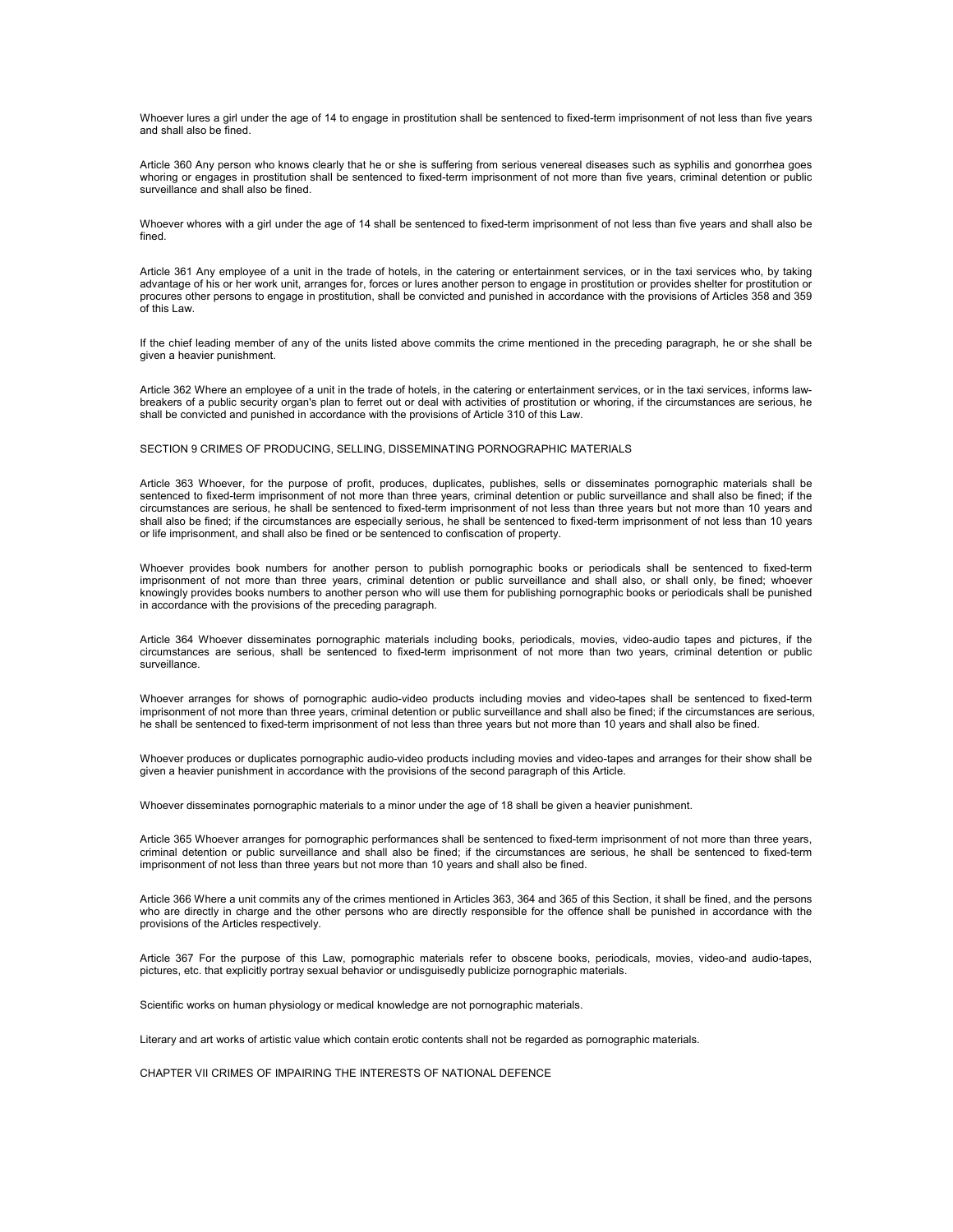Whoever lures a girl under the age of 14 to engage in prostitution shall be sentenced to fixed-term imprisonment of not less than five years and shall also be fined.

Article 360 Any person who knows clearly that he or she is suffering from serious venereal diseases such as syphilis and gonorrhea goes whoring or engages in prostitution shall be sentenced to fixed-term imprisonment of not more than five years, criminal detention or public surveillance and shall also be fined.

Whoever whores with a girl under the age of 14 shall be sentenced to fixed-term imprisonment of not less than five years and shall also be fined.

Article 361 Any employee of a unit in the trade of hotels, in the catering or entertainment services, or in the taxi services who, by taking advantage of his or her work unit, arranges for, forces or lures another person to engage in prostitution or provides shelter for prostitution or procures other persons to engage in prostitution, shall be convicted and punished in accordance with the provisions of Articles 358 and 359 of this Law.

If the chief leading member of any of the units listed above commits the crime mentioned in the preceding paragraph, he or she shall be given a heavier punishment.

Article 362 Where an employee of a unit in the trade of hotels, in the catering or entertainment services, or in the taxi services, informs lawbreakers of a public security organ's plan to ferret out or deal with activities of prostitution or whoring, if the circumstances are serious, he shall be convicted and punished in accordance with the provisions of Article 310 of this Law.

SECTION 9 CRIMES OF PRODUCING, SELLING, DISSEMINATING PORNOGRAPHIC MATERIALS

Article 363 Whoever, for the purpose of profit, produces, duplicates, publishes, sells or disseminates pornographic materials shall be sentenced to fixed-term imprisonment of not more than three years, criminal detention or public surveillance and shall also be fined; if the circumstances are serious, he shall be sentenced to fixed-term imprisonment of not less than three years but not more than 10 years and shall also be fined; if the circumstances are especially serious, he shall be sentenced to fixed-term imprisonment of not less than 10 years or life imprisonment, and shall also be fined or be sentenced to confiscation of property.

Whoever provides book numbers for another person to publish pornographic books or periodicals shall be sentenced to fixed-term imprisonment of not more than three years, criminal detention or public surveillance and shall also, or shall only, be fined; whoever knowingly provides books numbers to another person who will use them for publishing pornographic books or periodicals shall be punished in accordance with the provisions of the preceding paragraph.

Article 364 Whoever disseminates pornographic materials including books, periodicals, movies, video-audio tapes and pictures, if the circumstances are serious, shall be sentenced to fixed-term imprisonment of not more than two years, criminal detention or public surveillance.

Whoever arranges for shows of pornographic audio-video products including movies and video-tapes shall be sentenced to fixed-term imprisonment of not more than three years, criminal detention or public surveillance and shall also be fined; if the circumstances are serious, he shall be sentenced to fixed-term imprisonment of not less than three years but not more than 10 years and shall also be fined.

Whoever produces or duplicates pornographic audio-video products including movies and video-tapes and arranges for their show shall be given a heavier punishment in accordance with the provisions of the second paragraph of this Article.

Whoever disseminates pornographic materials to a minor under the age of 18 shall be given a heavier punishment.

Article 365 Whoever arranges for pornographic performances shall be sentenced to fixed-term imprisonment of not more than three years, criminal detention or public surveillance and shall also be fined; if the circumstances are serious, he shall be sentenced to fixed-term imprisonment of not less than three years but not more than 10 years and shall also be fined.

Article 366 Where a unit commits any of the crimes mentioned in Articles 363, 364 and 365 of this Section, it shall be fined, and the persons who are directly in charge and the other persons who are directly responsible for the offence shall be punished in accordance with the provisions of the Articles respectively.

Article 367 For the purpose of this Law, pornographic materials refer to obscene books, periodicals, movies, video-and audio-tapes, pictures, etc. that explicitly portray sexual behavior or undisguisedly publicize pornographic materials.

Scientific works on human physiology or medical knowledge are not pornographic materials.

Literary and art works of artistic value which contain erotic contents shall not be regarded as pornographic materials.

CHAPTER VII CRIMES OF IMPAIRING THE INTERESTS OF NATIONAL DEFENCE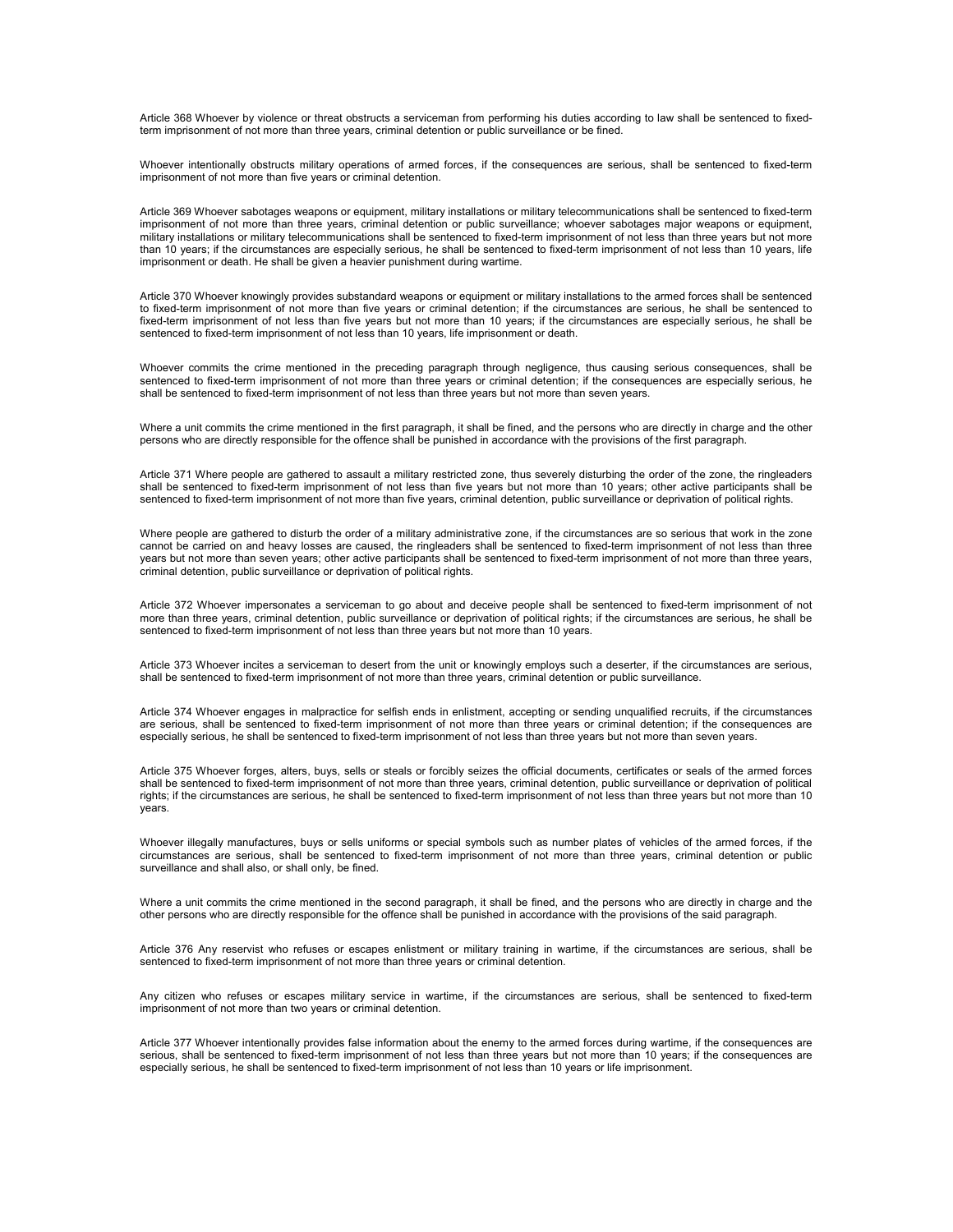Article 368 Whoever by violence or threat obstructs a serviceman from performing his duties according to law shall be sentenced to fixedterm imprisonment of not more than three years, criminal detention or public surveillance or be fined.

Whoever intentionally obstructs military operations of armed forces, if the consequences are serious, shall be sentenced to fixed-term imprisonment of not more than five years or criminal detention.

Article 369 Whoever sabotages weapons or equipment, military installations or military telecommunications shall be sentenced to fixed-term imprisonment of not more than three years, criminal detention or public surveillance; whoever sabotages major weapons or equipment, military installations or military telecommunications shall be sentenced to fixed-term imprisonment of not less than three years but not more than 10 years; if the circumstances are especially serious, he shall be sentenced to fixed-term imprisonment of not less than 10 years, life imprisonment or death. He shall be given a heavier punishment during wartime.

Article 370 Whoever knowingly provides substandard weapons or equipment or military installations to the armed forces shall be sentenced to fixed-term imprisonment of not more than five years or criminal detention; if the circumstances are serious, he shall be sentenced to fixed-term imprisonment of not less than five years but not more than 10 years; if the circumstances are especially serious, he shall be sentenced to fixed-term imprisonment of not less than 10 years, life imprisonment or death.

Whoever commits the crime mentioned in the preceding paragraph through negligence, thus causing serious consequences, shall be sentenced to fixed-term imprisonment of not more than three years or criminal detention; if the consequences are especially serious, he shall be sentenced to fixed-term imprisonment of not less than three years but not more than seven years.

Where a unit commits the crime mentioned in the first paragraph, it shall be fined, and the persons who are directly in charge and the other persons who are directly responsible for the offence shall be punished in accordance with the provisions of the first paragraph.

Article 371 Where people are gathered to assault a military restricted zone, thus severely disturbing the order of the zone, the ringleaders shall be sentenced to fixed-term imprisonment of not less than five years but not more than 10 years; other active participants shall be sentenced to fixed-term imprisonment of not more than five years, criminal detention, public surveillance or deprivation of political rights.

Where people are gathered to disturb the order of a military administrative zone, if the circumstances are so serious that work in the zone cannot be carried on and heavy losses are caused, the ringleaders shall be sentenced to fixed-term imprisonment of not less than three years but not more than seven years; other active participants shall be sentenced to fixed-term imprisonment of not more than three years, criminal detention, public surveillance or deprivation of political rights.

Article 372 Whoever impersonates a serviceman to go about and deceive people shall be sentenced to fixed-term imprisonment of not more than three years, criminal detention, public surveillance or deprivation of political rights; if the circumstances are serious, he shall be sentenced to fixed-term imprisonment of not less than three years but not more than 10 years.

Article 373 Whoever incites a serviceman to desert from the unit or knowingly employs such a deserter, if the circumstances are serious, shall be sentenced to fixed-term imprisonment of not more than three years, criminal detention or public surveillance.

Article 374 Whoever engages in malpractice for selfish ends in enlistment, accepting or sending unqualified recruits, if the circumstances are serious, shall be sentenced to fixed-term imprisonment of not more than three years or criminal detention; if the consequences are especially serious, he shall be sentenced to fixed-term imprisonment of not less than three years but not more than seven years.

Article 375 Whoever forges, alters, buys, sells or steals or forcibly seizes the official documents, certificates or seals of the armed forces shall be sentenced to fixed-term imprisonment of not more than three years, criminal detention, public surveillance or deprivation of political rights; if the circumstances are serious, he shall be sentenced to fixed-term imprisonment of not less than three years but not more than 10 years.

Whoever illegally manufactures, buys or sells uniforms or special symbols such as number plates of vehicles of the armed forces, if the circumstances are serious, shall be sentenced to fixed-term imprisonment of not more than three years, criminal detention or public surveillance and shall also, or shall only, be fined.

Where a unit commits the crime mentioned in the second paragraph, it shall be fined, and the persons who are directly in charge and the other persons who are directly responsible for the offence shall be punished in accordance with the provisions of the said paragraph.

Article 376 Any reservist who refuses or escapes enlistment or military training in wartime, if the circumstances are serious, shall be sentenced to fixed-term imprisonment of not more than three years or criminal detention.

Any citizen who refuses or escapes military service in wartime, if the circumstances are serious, shall be sentenced to fixed-term imprisonment of not more than two years or criminal detention.

Article 377 Whoever intentionally provides false information about the enemy to the armed forces during wartime, if the consequences are serious, shall be sentenced to fixed-term imprisonment of not less than three years but not more than 10 years; if the consequences are especially serious, he shall be sentenced to fixed-term imprisonment of not less than 10 years or life imprisonment.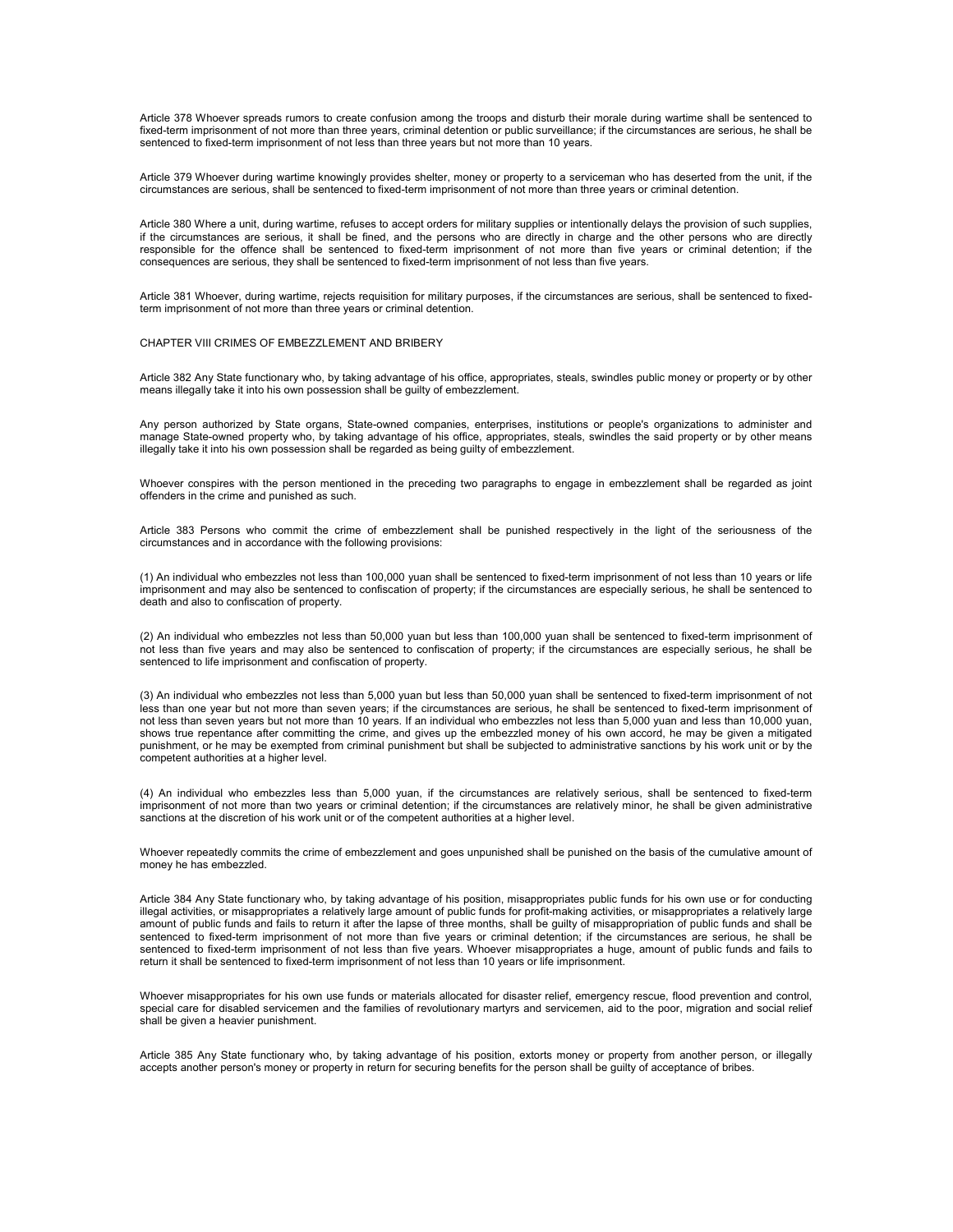Article 378 Whoever spreads rumors to create confusion among the troops and disturb their morale during wartime shall be sentenced to fixed-term imprisonment of not more than three years, criminal detention or public surveillance; if the circumstances are serious, he shall be sentenced to fixed-term imprisonment of not less than three years but not more than 10 years.

Article 379 Whoever during wartime knowingly provides shelter, money or property to a serviceman who has deserted from the unit, if the<br>circumstances are serious, shall be sentenced to fixed-term imprisonment of not more t

Article 380 Where a unit, during wartime, refuses to accept orders for military supplies or intentionally delays the provision of such supplies, if the circumstances are serious, it shall be fined, and the persons who are directly in charge and the other persons who are directly responsible for the offence shall be sentenced to fixed-term imprisonment of not more than five years or criminal detention; if the consequences are serious, they shall be sentenced to fixed-term imprisonment of not less than five years.

Article 381 Whoever, during wartime, rejects requisition for military purposes, if the circumstances are serious, shall be sentenced to fixedterm imprisonment of not more than three years or criminal detention.

CHAPTER VIII CRIMES OF EMBEZZLEMENT AND BRIBERY

Article 382 Any State functionary who, by taking advantage of his office, appropriates, steals, swindles public money or property or by other means illegally take it into his own possession shall be guilty of embezzlement.

Any person authorized by State organs, State-owned companies, enterprises, institutions or people's organizations to administer and manage State-owned property who, by taking advantage of his office, appropriates, steals, swindles the said property or by other means<br>illegally take it into his own possession shall be regarded as being guilty of embezzle

Whoever conspires with the person mentioned in the preceding two paragraphs to engage in embezzlement shall be regarded as joint offenders in the crime and punished as such.

Article 383 Persons who commit the crime of embezzlement shall be punished respectively in the light of the seriousness of the circumstances and in accordance with the following provisions:

(1) An individual who embezzles not less than 100,000 yuan shall be sentenced to fixed-term imprisonment of not less than 10 years or life imprisonment and may also be sentenced to confiscation of property; if the circumstances are especially serious, he shall be sentenced to death and also to confiscation of property.

(2) An individual who embezzles not less than 50,000 yuan but less than 100,000 yuan shall be sentenced to fixed-term imprisonment of not less than five years and may also be sentenced to confiscation of property; if the circumstances are especially serious, he shall be sentenced to life imprisonment and confiscation of property.

(3) An individual who embezzles not less than 5,000 yuan but less than 50,000 yuan shall be sentenced to fixed-term imprisonment of not less than one year but not more than seven years; if the circumstances are serious, he shall be sentenced to fixed-term imprisonment of not less than seven years but not more than 10 years. If an individual who embezzles not less than 5,000 yuan and less than 10,000 yuan, shows true repentance after committing the crime, and gives up the embezzled money of his own accord, he may be given a mitigated punishment, or he may be exempted from criminal punishment but shall be subjected to administrative sanctions by his work unit or by the competent authorities at a higher level.

(4) An individual who embezzles less than 5,000 yuan, if the circumstances are relatively serious, shall be sentenced to fixed-term imprisonment of not more than two years or criminal detention; if the circumstances are relatively minor, he shall be given administrative sanctions at the discretion of his work unit or of the competent authorities at a higher level.

Whoever repeatedly commits the crime of embezzlement and goes unpunished shall be punished on the basis of the cumulative amount of money he has embezzled.

Article 384 Any State functionary who, by taking advantage of his position, misappropriates public funds for his own use or for conducting illegal activities, or misappropriates a relatively large amount of public funds for profit-making activities, or misappropriates a relatively large amount of public funds and fails to return it after the lapse of three months, shall be guilty of misappropriation of public funds and shall be sentenced to fixed-term imprisonment of not more than five years or criminal detention; if the circumstances are serious, he shall be sentenced to fixed-term imprisonment of not less than five years. Whoever misappropriates a huge, amount of public funds and fails to return it shall be sentenced to fixed-term imprisonment of not less than 10 years or life imprisonment.

Whoever misappropriates for his own use funds or materials allocated for disaster relief, emergency rescue, flood prevention and control, special care for disabled servicemen and the families of revolutionary martyrs and servicemen, aid to the poor, migration and social relief shall be given a heavier punishment.

Article 385 Any State functionary who, by taking advantage of his position, extorts money or property from another person, or illegally accepts another person's money or property in return for securing benefits for the person shall be guilty of acceptance of bribes.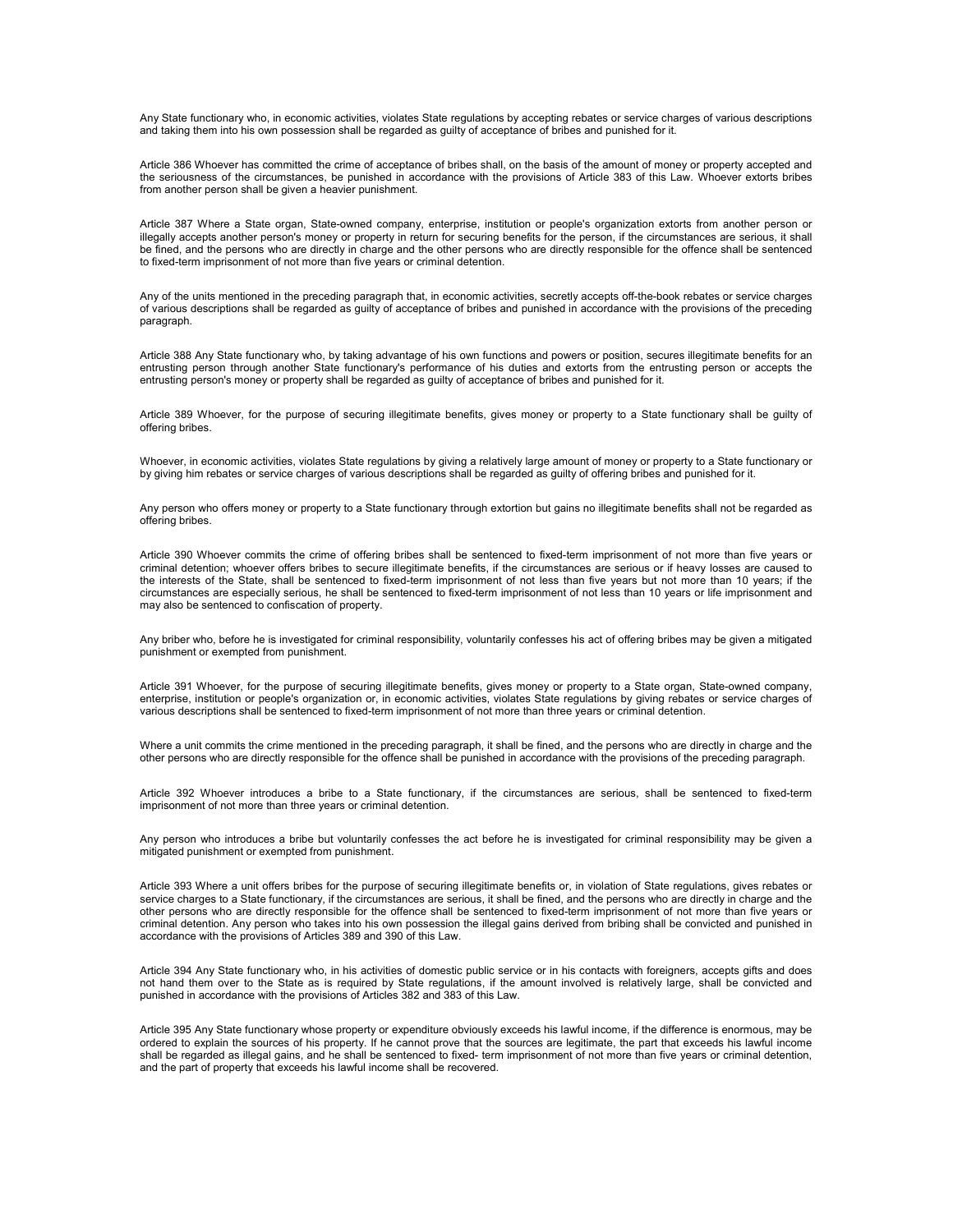Any State functionary who, in economic activities, violates State regulations by accepting rebates or service charges of various descriptions and taking them into his own possession shall be regarded as guilty of acceptance of bribes and punished for it.

Article 386 Whoever has committed the crime of acceptance of bribes shall, on the basis of the amount of money or property accepted and the seriousness of the circumstances, be punished in accordance with the provisions of Article 383 of this Law. Whoever extorts bribes from another person shall be given a heavier punishment.

Article 387 Where a State organ, State-owned company, enterprise, institution or people's organization extorts from another person or illegally accepts another person's money or property in return for securing benefits for the person, if the circumstances are serious, it shall be fined, and the persons who are directly in charge and the other persons who are directly responsible for the offence shall be sentenced to fixed-term imprisonment of not more than five years or criminal detention.

Any of the units mentioned in the preceding paragraph that, in economic activities, secretly accepts off-the-book rebates or service charges of various descriptions shall be regarded as guilty of acceptance of bribes and punished in accordance with the provisions of the preceding paragraph.

Article 388 Any State functionary who, by taking advantage of his own functions and powers or position, secures illegitimate benefits for an entrusting person through another State functionary's performance of his duties and extorts from the entrusting person or accepts the entrusting person's money or property shall be regarded as guilty of acceptance of bribes and punished for it.

Article 389 Whoever, for the purpose of securing illegitimate benefits, gives money or property to a State functionary shall be guilty of offering bribes.

Whoever, in economic activities, violates State regulations by giving a relatively large amount of money or property to a State functionary or by giving him rebates or service charges of various descriptions shall be regarded as guilty of offering bribes and punished for it.

Any person who offers money or property to a State functionary through extortion but gains no illegitimate benefits shall not be regarded as offering bribes.

Article 390 Whoever commits the crime of offering bribes shall be sentenced to fixed-term imprisonment of not more than five years or criminal detention; whoever offers bribes to secure illegitimate benefits, if the circumstances are serious or if heavy losses are caused to the interests of the State, shall be sentenced to fixed-term imprisonment of not less than five years but not more than 10 years; if the circumstances are especially serious, he shall be sentenced to fixed-term imprisonment of not less than 10 years or life imprisonment and may also be sentenced to confiscation of property.

Any briber who, before he is investigated for criminal responsibility, voluntarily confesses his act of offering bribes may be given a mitigated punishment or exempted from punishment.

Article 391 Whoever, for the purpose of securing illegitimate benefits, gives money or property to a State organ, State-owned company, enterprise, institution or people's organization or, in economic activities, violates State regulations by giving rebates or service charges of<br>various descriptions shall be sentenced to fixed-term imprisonment of not more

Where a unit commits the crime mentioned in the preceding paragraph, it shall be fined, and the persons who are directly in charge and the other persons who are directly responsible for the offence shall be punished in accordance with the provisions of the preceding paragraph.

Article 392 Whoever introduces a bribe to a State functionary, if the circumstances are serious, shall be sentenced to fixed-term imprisonment of not more than three years or criminal detention.

Any person who introduces a bribe but voluntarily confesses the act before he is investigated for criminal responsibility may be given a mitigated punishment or exempted from punishment.

Article 393 Where a unit offers bribes for the purpose of securing illegitimate benefits or, in violation of State regulations, gives rebates or service charges to a State functionary, if the circumstances are serious, it shall be fined, and the persons who are directly in charge and the other persons who are directly responsible for the offence shall be sentenced to fixed-term imprisonment of not more than five years or criminal detention. Any person who takes into his own possession the illegal gains derived from bribing shall be convicted and punished in accordance with the provisions of Articles 389 and 390 of this Law.

Article 394 Any State functionary who, in his activities of domestic public service or in his contacts with foreigners, accepts gifts and does not hand them over to the State as is required by State regulations, if the amount involved is relatively large, shall be convicted and punished in accordance with the provisions of Articles 382 and 383 of this Law.

Article 395 Any State functionary whose property or expenditure obviously exceeds his lawful income, if the difference is enormous, may be ordered to explain the sources of his property. If he cannot prove that the sources are legitimate, the part that exceeds his lawful income shall be regarded as illegal gains, and he shall be sentenced to fixed- term imprisonment of not more than five years or criminal detention, and the part of property that exceeds his lawful income shall be recovered.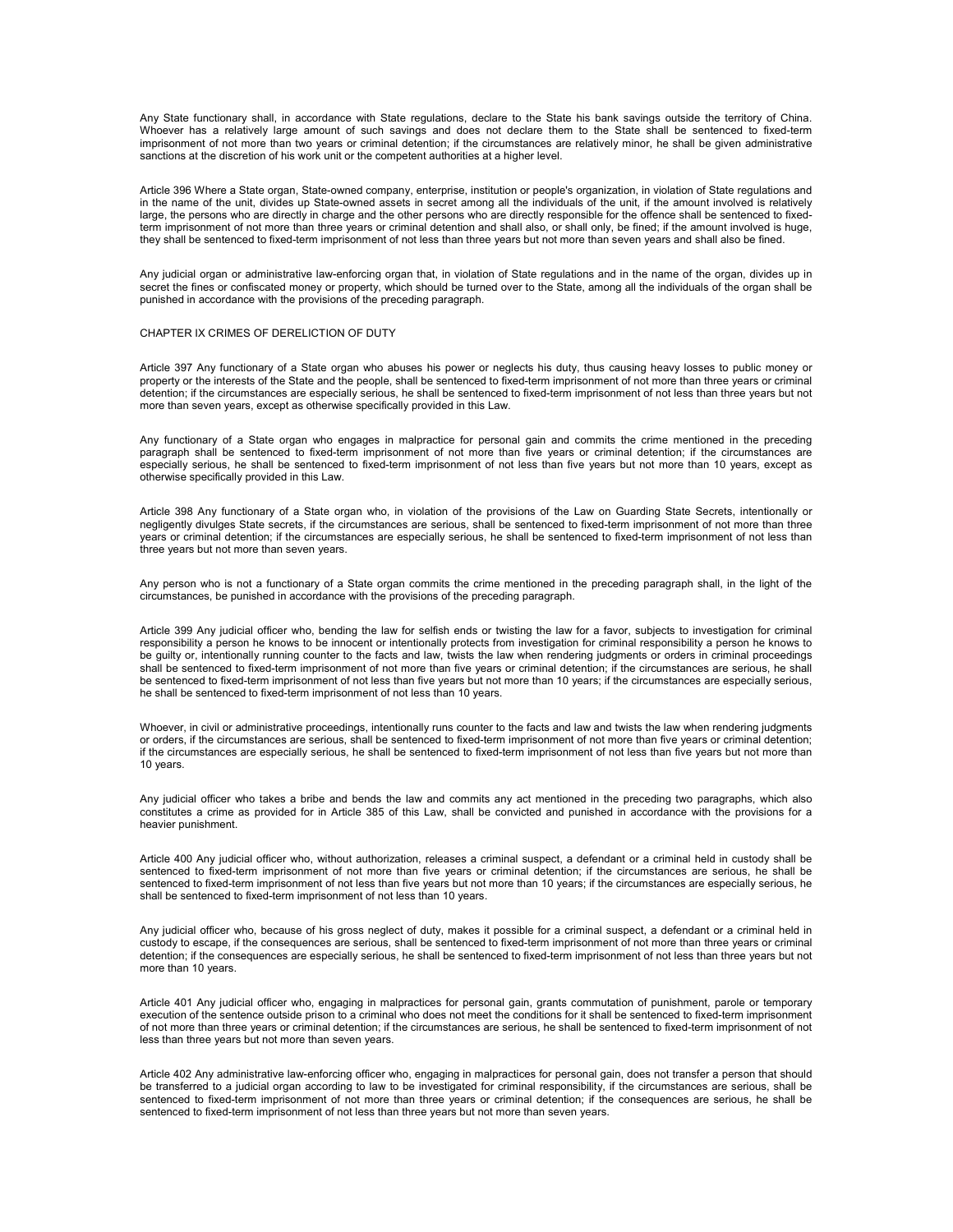Any State functionary shall, in accordance with State regulations, declare to the State his bank savings outside the territory of China. Whoever has a relatively large amount of such savings and does not declare them to the State shall be sentenced to fixed-term imprisonment of not more than two years or criminal detention; if the circumstances are relatively minor, he shall be given administrative sanctions at the discretion of his work unit or the competent authorities at a higher level.

Article 396 Where a State organ, State-owned company, enterprise, institution or people's organization, in violation of State regulations and in the name of the unit, divides up State-owned assets in secret among all the individuals of the unit, if the amount involved is relatively large, the persons who are directly in charge and the other persons who are directly responsible for the offence shall be sentenced to fixedterm imprisonment of not more than three years or criminal detention and shall also, or shall only, be fined; if the amount involved is huge, they shall be sentenced to fixed-term imprisonment of not less than three years but not more than seven years and shall also be fined.

Any judicial organ or administrative law-enforcing organ that, in violation of State regulations and in the name of the organ, divides up in secret the fines or confiscated money or property, which should be turned over to the State, among all the individuals of the organ shall be punished in accordance with the provisions of the preceding paragraph.

## CHAPTER IX CRIMES OF DERELICTION OF DUTY

Article 397 Any functionary of a State organ who abuses his power or neglects his duty, thus causing heavy losses to public money or property or the interests of the State and the people, shall be sentenced to fixed-term imprisonment of not more than three years or criminal detention; if the circumstances are especially serious, he shall be sentenced to fixed-term imprisonment of not less than three years but not more than seven years, except as otherwise specifically provided in this Law.

Any functionary of a State organ who engages in malpractice for personal gain and commits the crime mentioned in the preceding paragraph shall be sentenced to fixed-term imprisonment of not more than five years or criminal detention; if the circumstances are especially serious, he shall be sentenced to fixed-term imprisonment of not less than five years but not more than 10 years, except as otherwise specifically provided in this Law.

Article 398 Any functionary of a State organ who, in violation of the provisions of the Law on Guarding State Secrets, intentionally or negligently divulges State secrets, if the circumstances are serious, shall be sentenced to fixed-term imprisonment of not more than three years or criminal detention; if the circumstances are especially serious, he shall be sentenced to fixed-term imprisonment of not less than three years but not more than seven years.

Any person who is not a functionary of a State organ commits the crime mentioned in the preceding paragraph shall, in the light of the circumstances, be punished in accordance with the provisions of the preceding paragraph.

Article 399 Any judicial officer who, bending the law for selfish ends or twisting the law for a favor, subjects to investigation for criminal responsibility a person he knows to be innocent or intentionally protects from investigation for criminal responsibility a person he knows to be guilty or, intentionally running counter to the facts and law, twists the law when rendering judgments or orders in criminal proceedings shall be sentenced to fixed-term imprisonment of not more than five years or criminal detention; if the circumstances are serious, he shall be sentenced to fixed-term imprisonment of not less than five years but not more than 10 years; if the circumstances are especially serious, he shall be sentenced to fixed-term imprisonment of not less than 10 years.

Whoever, in civil or administrative proceedings, intentionally runs counter to the facts and law and twists the law when rendering judgments or orders, if the circumstances are serious, shall be sentenced to fixed-term imprisonment of not more than five years or criminal detention; if the circumstances are especially serious, he shall be sentenced to fixed-term imprisonment of not less than five years but not more than 10 years.

Any judicial officer who takes a bribe and bends the law and commits any act mentioned in the preceding two paragraphs, which also constitutes a crime as provided for in Article 385 of this Law, shall be convicted and punished in accordance with the provisions for a heavier punishment.

Article 400 Any judicial officer who, without authorization, releases a criminal suspect, a defendant or a criminal held in custody shall be sentenced to fixed-term imprisonment of not more than five years or criminal detention; if the circumstances are serious, he shall be sentenced to fixed-term imprisonment of not less than five years but not more than 10 years; if the circumstances are especially serious, he shall be sentenced to fixed-term imprisonment of not less than 10 years.

Any judicial officer who, because of his gross neglect of duty, makes it possible for a criminal suspect, a defendant or a criminal held in custody to escape, if the consequences are serious, shall be sentenced to fixed-term imprisonment of not more than three years or criminal detention; if the consequences are especially serious, he shall be sentenced to fixed-term imprisonment of not less than three years but not more than 10 years.

Article 401 Any judicial officer who, engaging in malpractices for personal gain, grants commutation of punishment, parole or temporary execution of the sentence outside prison to a criminal who does not meet the conditions for it shall be sentenced to fixed-term imprisonment of not more than three years or criminal detention; if the circumstances are serious, he shall be sentenced to fixed-term imprisonment of not less than three years but not more than seven years.

Article 402 Any administrative law-enforcing officer who, engaging in malpractices for personal gain, does not transfer a person that should be transferred to a judicial organ according to law to be investigated for criminal responsibility, if the circumstances are serious, shall be sentenced to fixed-term imprisonment of not more than three years or criminal detention; if the consequences are serious, he shall be sentenced to fixed-term imprisonment of not less than three years but not more than seven years.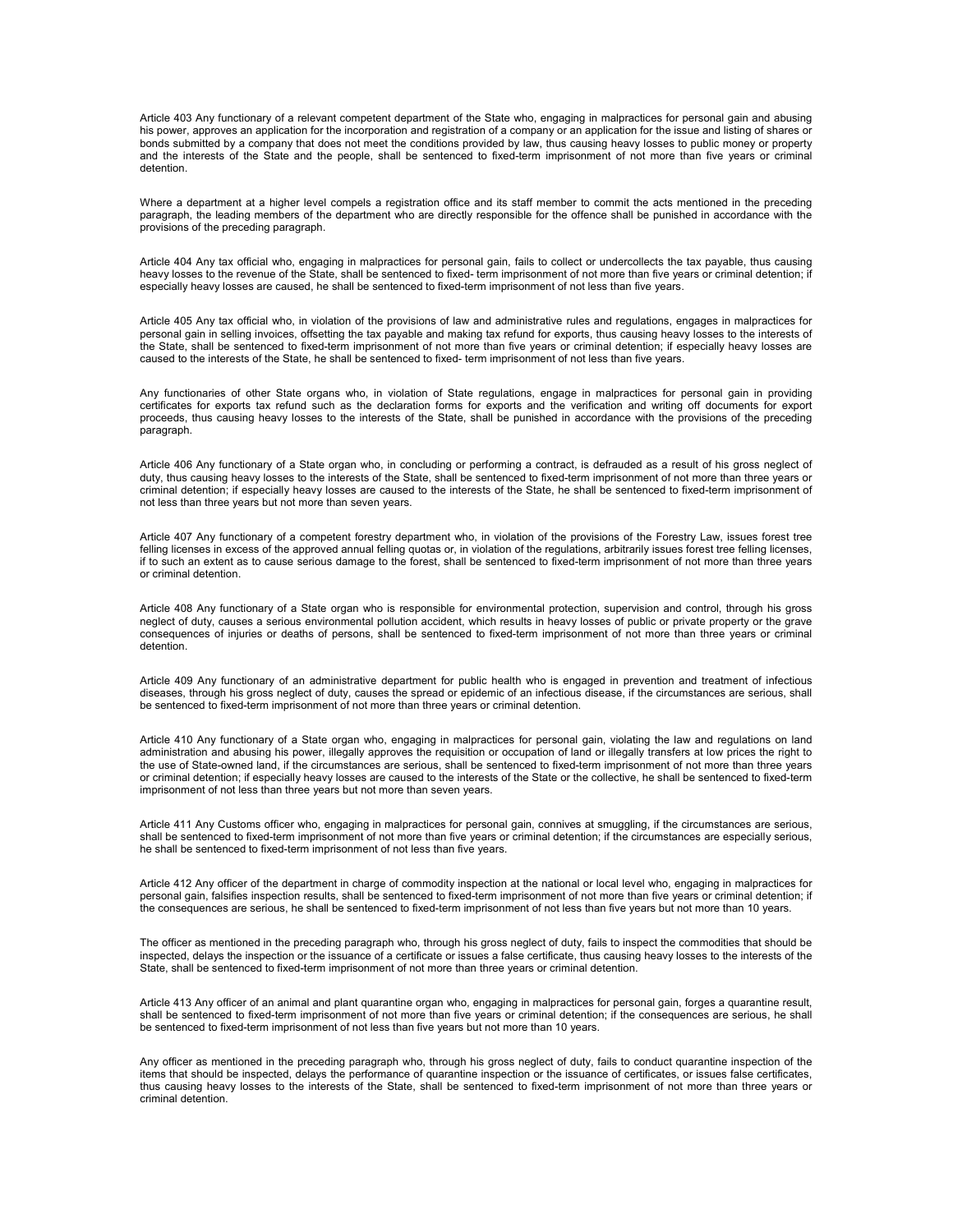Article 403 Any functionary of a relevant competent department of the State who, engaging in malpractices for personal gain and abusing his power, approves an application for the incorporation and registration of a company or an application for the issue and listing of shares or bonds submitted by a company that does not meet the conditions provided by law, thus causing heavy losses to public money or property and the interests of the State and the people, shall be sentenced to fixed-term imprisonment of not more than five years or criminal detention.

Where a department at a higher level compels a registration office and its staff member to commit the acts mentioned in the preceding paragraph, the leading members of the department who are directly responsible for the offence shall be punished in accordance with the provisions of the preceding paragraph.

Article 404 Any tax official who, engaging in malpractices for personal gain, fails to collect or undercollects the tax payable, thus causing heavy losses to the revenue of the State, shall be sentenced to fixed- term imprisonment of not more than five years or criminal detention; if especially heavy losses are caused, he shall be sentenced to fixed-term imprisonment of not less than five years.

Article 405 Any tax official who, in violation of the provisions of law and administrative rules and regulations, engages in malpractices for personal gain in selling invoices, offsetting the tax payable and making tax refund for exports, thus causing heavy losses to the interests of the State, shall be sentenced to fixed-term imprisonment of not more than five years or criminal detention; if especially heavy losses are caused to the interests of the State, he shall be sentenced to fixed- term imprisonment of not less than five years.

Any functionaries of other State organs who, in violation of State regulations, engage in malpractices for personal gain in providing certificates for exports tax refund such as the declaration forms for exports and the verification and writing off documents for export proceeds, thus causing heavy losses to the interests of the State, shall be punished in accordance with the provisions of the preceding paragraph.

Article 406 Any functionary of a State organ who, in concluding or performing a contract, is defrauded as a result of his gross neglect of duty, thus causing heavy losses to the interests of the State, shall be sentenced to fixed-term imprisonment of not more than three years or criminal detention; if especially heavy losses are caused to the interests of the State, he shall be sentenced to fixed-term imprisonment of not less than three years but not more than seven years.

Article 407 Any functionary of a competent forestry department who, in violation of the provisions of the Forestry Law, issues forest tree felling licenses in excess of the approved annual felling quotas or, in violation of the regulations, arbitrarily issues forest tree felling licenses, if to such an extent as to cause serious damage to the forest, shall be sentenced to fixed-term imprisonment of not more than three years or criminal detention.

Article 408 Any functionary of a State organ who is responsible for environmental protection, supervision and control, through his gross neglect of duty, causes a serious environmental pollution accident, which results in heavy losses of public or private property or the grave consequences of injuries or deaths of persons, shall be sentenced to fixed-term imprisonment of not more than three years or criminal detention.

Article 409 Any functionary of an administrative department for public health who is engaged in prevention and treatment of infectious diseases, through his gross neglect of duty, causes the spread or epidemic of an infectious disease, if the circumstances are serious, shall be sentenced to fixed-term imprisonment of not more than three years or criminal detention.

Article 410 Any functionary of a State organ who, engaging in malpractices for personal gain, violating the law and regulations on land administration and abusing his power, illegally approves the requisition or occupation of land or illegally transfers at low prices the right to the use of State-owned land, if the circumstances are serious, shall be sentenced to fixed-term imprisonment of not more than three years or criminal detention; if especially heavy losses are caused to the interests of the State or the collective, he shall be sentenced to fixed-term imprisonment of not less than three years but not more than seven years.

Article 411 Any Customs officer who, engaging in malpractices for personal gain, connives at smuggling, if the circumstances are serious, shall be sentenced to fixed-term imprisonment of not more than five years or criminal detention; if the circumstances are especially serious, he shall be sentenced to fixed-term imprisonment of not less than five years.

Article 412 Any officer of the department in charge of commodity inspection at the national or local level who, engaging in malpractices for personal gain, falsifies inspection results, shall be sentenced to fixed-term imprisonment of not more than five years or criminal detention; if<br>the consequences are serious, he shall be sentenced to fixed-term imprisonmen

The officer as mentioned in the preceding paragraph who, through his gross neglect of duty, fails to inspect the commodities that should be inspected, delays the inspection or the issuance of a certificate or issues a false certificate, thus causing heavy losses to the interests of the State, shall be sentenced to fixed-term imprisonment of not more than three years or criminal detention.

Article 413 Any officer of an animal and plant quarantine organ who, engaging in malpractices for personal gain, forges a quarantine result, shall be sentenced to fixed-term imprisonment of not more than five years or criminal detention; if the consequences are serious, he shall be sentenced to fixed-term imprisonment of not less than five years but not more than 10 years.

Any officer as mentioned in the preceding paragraph who, through his gross neglect of duty, fails to conduct quarantine inspection of the items that should be inspected, delays the performance of quarantine inspection or the issuance of certificates, or issues false certificates, thus causing heavy losses to the interests of the State, shall be sentenced to fixed-term imprisonment of not more than three years or criminal detention.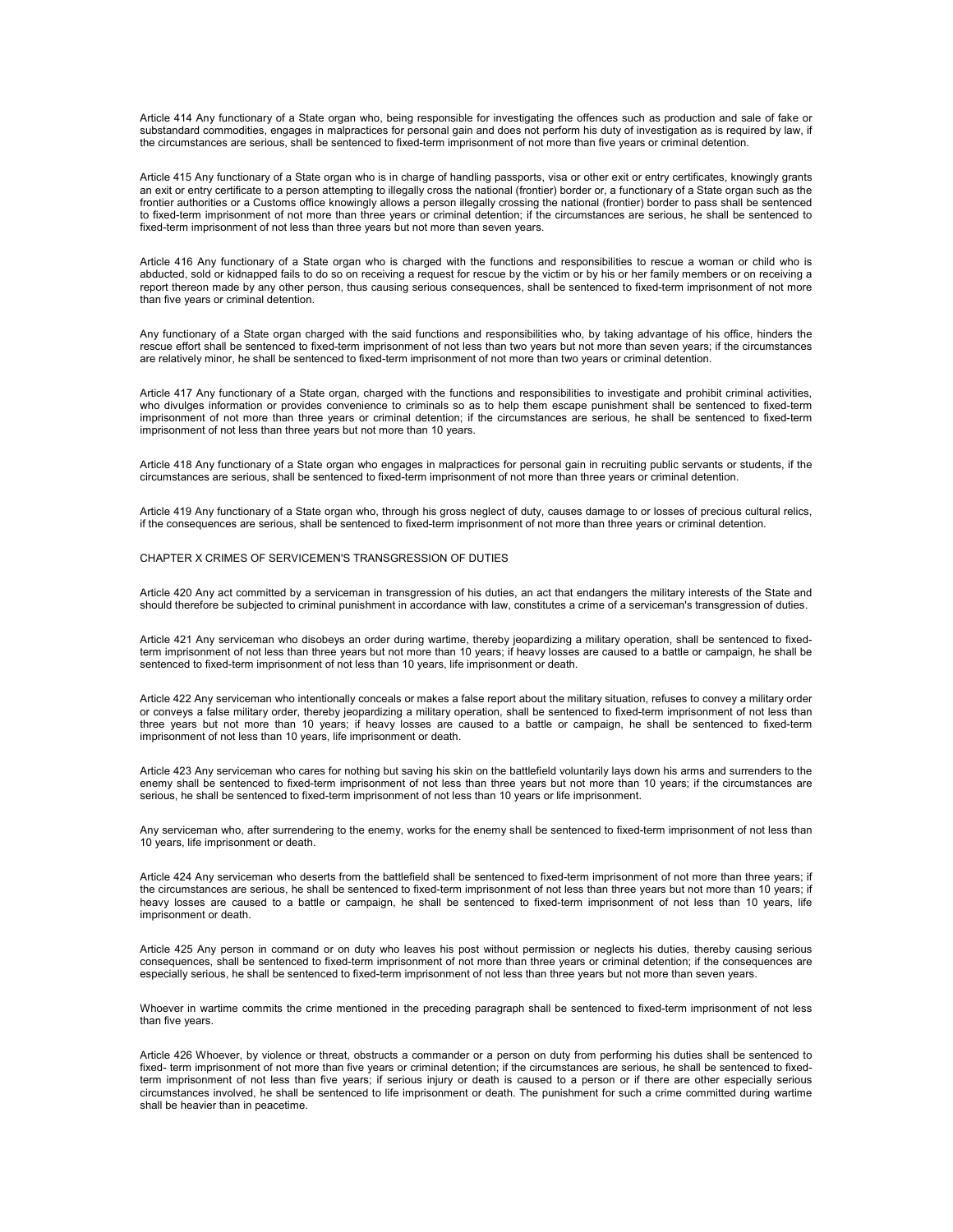Article 414 Any functionary of a State organ who, being responsible for investigating the offences such as production and sale of fake or substandard commodities, engages in malpractices for personal gain and does not perform his duty of investigation as is required by law, if the circumstances are serious, shall be sentenced to fixed-term imprisonment of not more than five years or criminal detention.

Article 415 Any functionary of a State organ who is in charge of handling passports, visa or other exit or entry certificates, knowingly grants an exit or entry certificate to a person attempting to illegally cross the national (frontier) border or, a functionary of a State organ such as the frontier authorities or a Customs office knowingly allows a person illegally crossing the national (frontier) border to pass shall be sentenced to fixed-term imprisonment of not more than three years or criminal detention; if the circumstances are serious, he shall be sentenced to fixed-term imprisonment of not less than three years but not more than seven years.

Article 416 Any functionary of a State organ who is charged with the functions and responsibilities to rescue a woman or child who is abducted, sold or kidnapped fails to do so on receiving a request for rescue by the victim or by his or her family members or on receiving a report thereon made by any other person, thus causing serious consequences, shall be sentenced to fixed-term imprisonment of not more than five years or criminal detention.

Any functionary of a State organ charged with the said functions and responsibilities who, by taking advantage of his office, hinders the rescue effort shall be sentenced to fixed-term imprisonment of not less than two years but not more than seven years; if the circumstances are relatively minor, he shall be sentenced to fixed-term imprisonment of not more than two years or criminal detention.

Article 417 Any functionary of a State organ, charged with the functions and responsibilities to investigate and prohibit criminal activities, who divulges information or provides convenience to criminals so as to help them escape punishment shall be sentenced to fixed-term imprisonment of not more than three years or criminal detention; if the circumstances are serious, he shall be sentenced to fixed-term imprisonment of not less than three years but not more than 10 years.

Article 418 Any functionary of a State organ who engages in malpractices for personal gain in recruiting public servants or students, if the circumstances are serious, shall be sentenced to fixed-term imprisonment of not more than three years or criminal detention.

Article 419 Any functionary of a State organ who, through his gross neglect of duty, causes damage to or losses of precious cultural relics, if the consequences are serious, shall be sentenced to fixed-term imprisonment of not more than three years or criminal detention.

## CHAPTER X CRIMES OF SERVICEMEN'S TRANSGRESSION OF DUTIES

Article 420 Any act committed by a serviceman in transgression of his duties, an act that endangers the military interests of the State and should therefore be subjected to criminal punishment in accordance with law, constitutes a crime of a serviceman's transgression of duties.

Article 421 Any serviceman who disobeys an order during wartime, thereby jeopardizing a military operation, shall be sentenced to fixedterm imprisonment of not less than three years but not more than 10 years; if heavy losses are caused to a battle or campaign, he shall be sentenced to fixed-term imprisonment of not less than 10 years, life imprisonment or death.

Article 422 Any serviceman who intentionally conceals or makes a false report about the military situation, refuses to convey a military order or conveys a false military order, thereby jeopardizing a military operation, shall be sentenced to fixed-term imprisonment of not less than three years but not more than 10 years; if heavy losses are caused to a battle or campaign, he shall be sentenced to fixed-term imprisonment of not less than 10 years, life imprisonment or death.

Article 423 Any serviceman who cares for nothing but saving his skin on the battlefield voluntarily lays down his arms and surrenders to the enemy shall be sentenced to fixed-term imprisonment of not less than three years but not more than 10 years; if the circumstances are serious, he shall be sentenced to fixed-term imprisonment of not less than 10 years or life imprisonment.

Any serviceman who, after surrendering to the enemy, works for the enemy shall be sentenced to fixed-term imprisonment of not less than 10 years, life imprisonment or death.

Article 424 Any serviceman who deserts from the battlefield shall be sentenced to fixed-term imprisonment of not more than three years; if the circumstances are serious, he shall be sentenced to fixed-term imprisonment of not less than three years but not more than 10 years; if heavy losses are caused to a battle or campaign, he shall be sentenced to fixed-term imprisonment of not less than 10 years, life imprisonment or death.

Article 425 Any person in command or on duty who leaves his post without permission or neglects his duties, thereby causing serious consequences, shall be sentenced to fixed-term imprisonment of not more than three years or criminal detention; if the consequences are especially serious, he shall be sentenced to fixed-term imprisonment of not less than three years but not more than seven years.

Whoever in wartime commits the crime mentioned in the preceding paragraph shall be sentenced to fixed-term imprisonment of not less than five years.

Article 426 Whoever, by violence or threat, obstructs a commander or a person on duty from performing his duties shall be sentenced to fixed- term imprisonment of not more than five years or criminal detention; if the circumstances are serious, he shall be sentenced to fixedterm imprisonment of not less than five years; if serious injury or death is caused to a person or if there are other especially serious circumstances involved, he shall be sentenced to life imprisonment or death. The punishment for such a crime committed during wartime shall be heavier than in peacetime.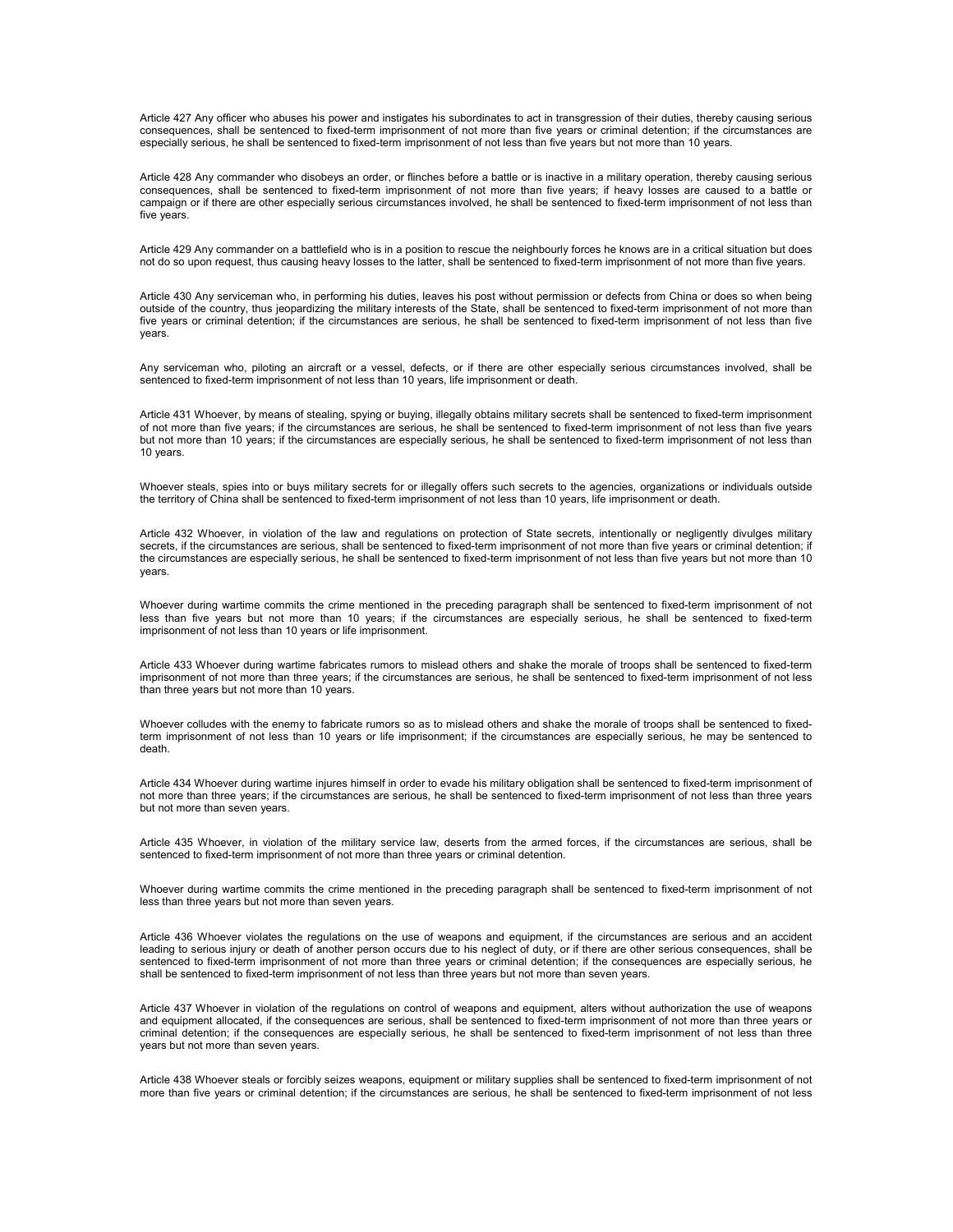Article 427 Any officer who abuses his power and instigates his subordinates to act in transgression of their duties, thereby causing serious consequences, shall be sentenced to fixed-term imprisonment of not more than five years or criminal detention; if the circumstances are especially serious, he shall be sentenced to fixed-term imprisonment of not less than five years but not more than 10 years.

Article 428 Any commander who disobeys an order, or flinches before a battle or is inactive in a military operation, thereby causing serious consequences, shall be sentenced to fixed-term imprisonment of not more than five years; if heavy losses are caused to a battle or campaign or if there are other especially serious circumstances involved, he shall be sentenced to fixed-term imprisonment of not less than five years.

Article 429 Any commander on a battlefield who is in a position to rescue the neighbourly forces he knows are in a critical situation but does not do so upon request, thus causing heavy losses to the latter, shall be sentenced to fixed-term imprisonment of not more than five years.

Article 430 Any serviceman who, in performing his duties, leaves his post without permission or defects from China or does so when being outside of the country, thus jeopardizing the military interests of the State, shall be sentenced to fixed-term imprisonment of not more than five years or criminal detention; if the circumstances are serious, he shall be sentenced to fixed-term imprisonment of not less than five years.

Any serviceman who, piloting an aircraft or a vessel, defects, or if there are other especially serious circumstances involved, shall be sentenced to fixed-term imprisonment of not less than 10 years, life imprisonment or death.

Article 431 Whoever, by means of stealing, spying or buying, illegally obtains military secrets shall be sentenced to fixed-term imprisonment of not more than five years; if the circumstances are serious, he shall be sentenced to fixed-term imprisonment of not less than five years but not more than 10 years; if the circumstances are especially serious, he shall be sentenced to fixed-term imprisonment of not less than 10 years.

Whoever steals, spies into or buys military secrets for or illegally offers such secrets to the agencies, organizations or individuals outside the territory of China shall be sentenced to fixed-term imprisonment of not less than 10 years, life imprisonment or death.

Article 432 Whoever, in violation of the law and regulations on protection of State secrets, intentionally or negligently divulges military secrets, if the circumstances are serious, shall be sentenced to fixed-term imprisonment of not more than five years or criminal detention; if the circumstances are especially serious, he shall be sentenced to fixed-term imprisonment of not less than five years but not more than 10 years.

Whoever during wartime commits the crime mentioned in the preceding paragraph shall be sentenced to fixed-term imprisonment of not less than five years but not more than 10 years; if the circumstances are especially serious, he shall be sentenced to fixed-term imprisonment of not less than 10 years or life imprisonment.

Article 433 Whoever during wartime fabricates rumors to mislead others and shake the morale of troops shall be sentenced to fixed-term imprisonment of not more than three years; if the circumstances are serious, he shall be sentenced to fixed-term imprisonment of not less than three years but not more than 10 years.

Whoever colludes with the enemy to fabricate rumors so as to mislead others and shake the morale of troops shall be sentenced to fixedterm imprisonment of not less than 10 years or life imprisonment; if the circumstances are especially serious, he may be sentenced to death.

Article 434 Whoever during wartime injures himself in order to evade his military obligation shall be sentenced to fixed-term imprisonment of not more than three years; if the circumstances are serious, he shall be sentenced to fixed-term imprisonment of not less than three years but not more than seven years.

Article 435 Whoever, in violation of the military service law, deserts from the armed forces, if the circumstances are serious, shall be sentenced to fixed-term imprisonment of not more than three years or criminal detention.

Whoever during wartime commits the crime mentioned in the preceding paragraph shall be sentenced to fixed-term imprisonment of not less than three years but not more than seven years.

Article 436 Whoever violates the regulations on the use of weapons and equipment, if the circumstances are serious and an accident leading to serious injury or death of another person occurs due to his neglect of duty, or if there are other serious consequences, shall be sentenced to fixed-term imprisonment of not more than three years or criminal detention; if the consequences are especially serious, he shall be sentenced to fixed-term imprisonment of not less than three years but not more than seven years.

Article 437 Whoever in violation of the regulations on control of weapons and equipment, alters without authorization the use of weapons and equipment allocated, if the consequences are serious, shall be sentenced to fixed-term imprisonment of not more than three years or criminal detention; if the consequences are especially serious, he shall be sentenced to fixed-term imprisonment of not less than three years but not more than seven years.

Article 438 Whoever steals or forcibly seizes weapons, equipment or military supplies shall be sentenced to fixed-term imprisonment of not more than five years or criminal detention; if the circumstances are serious, he shall be sentenced to fixed-term imprisonment of not less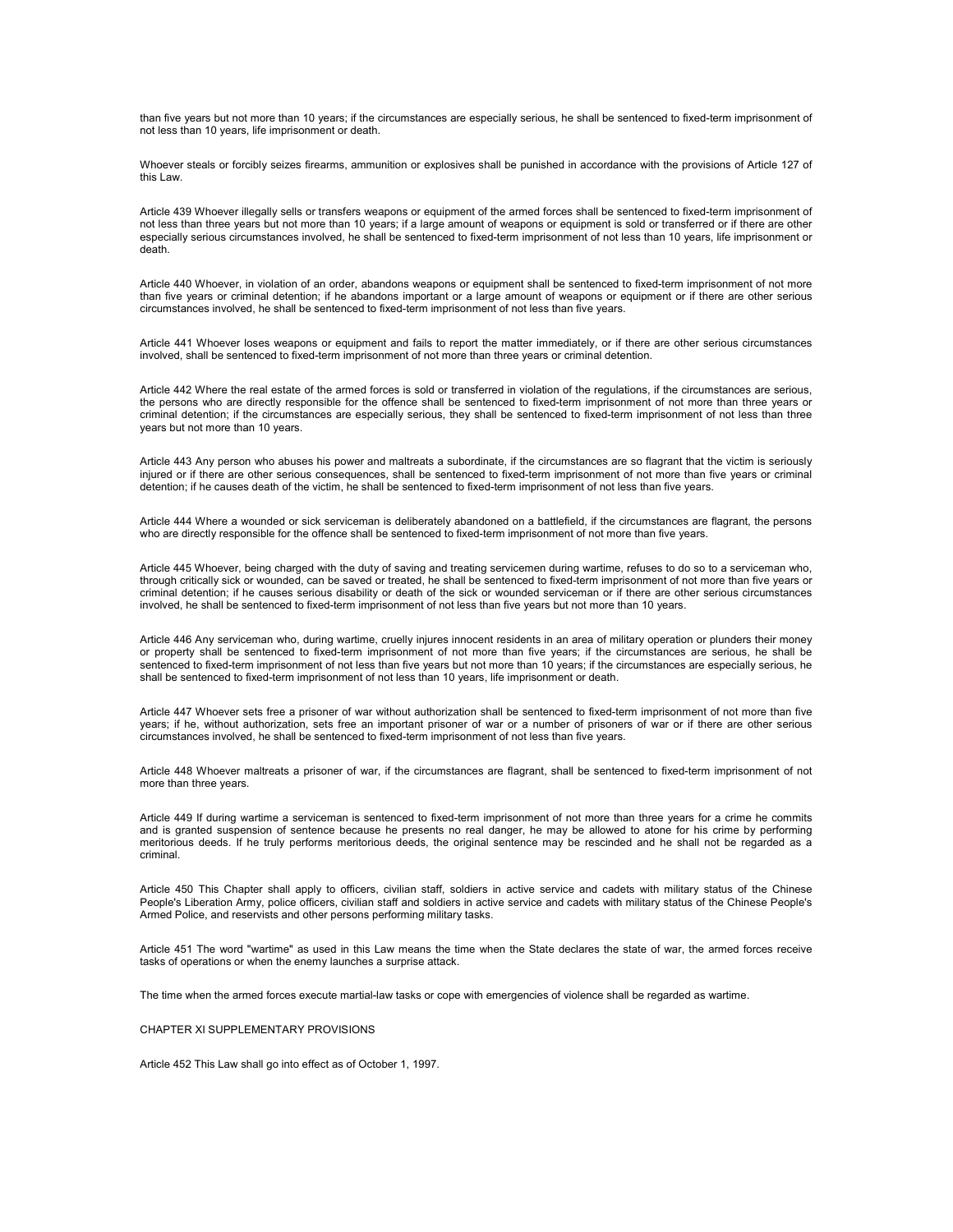than five years but not more than 10 years; if the circumstances are especially serious, he shall be sentenced to fixed-term imprisonment of not less than 10 years, life imprisonment or death.

Whoever steals or forcibly seizes firearms, ammunition or explosives shall be punished in accordance with the provisions of Article 127 of this Law.

Article 439 Whoever illegally sells or transfers weapons or equipment of the armed forces shall be sentenced to fixed-term imprisonment of not less than three years but not more than 10 years; if a large amount of weapons or equipment is sold or transferred or if there are other especially serious circumstances involved, he shall be sentenced to fixed-term imprisonment of not less than 10 years, life imprisonment or death.

Article 440 Whoever, in violation of an order, abandons weapons or equipment shall be sentenced to fixed-term imprisonment of not more than five years or criminal detention; if he abandons important or a large amount of weapons or equipment or if there are other serious circumstances involved, he shall be sentenced to fixed-term imprisonment of not less than five years.

Article 441 Whoever loses weapons or equipment and fails to report the matter immediately, or if there are other serious circumstances involved, shall be sentenced to fixed-term imprisonment of not more than three years or criminal detention.

Article 442 Where the real estate of the armed forces is sold or transferred in violation of the regulations, if the circumstances are serious, the persons who are directly responsible for the offence shall be sentenced to fixed-term imprisonment of not more than three years or criminal detention; if the circumstances are especially serious, they shall be sentenced to fixed-term imprisonment of not less than three years but not more than 10 years.

Article 443 Any person who abuses his power and maltreats a subordinate, if the circumstances are so flagrant that the victim is seriously injured or if there are other serious consequences, shall be sentenced to fixed-term imprisonment of not more than five years or criminal detention; if he causes death of the victim, he shall be sentenced to fixed-term imprisonment of not less than five years.

Article 444 Where a wounded or sick serviceman is deliberately abandoned on a battlefield, if the circumstances are flagrant, the persons who are directly responsible for the offence shall be sentenced to fixed-term imprisonment of not more than five years.

Article 445 Whoever, being charged with the duty of saving and treating servicemen during wartime, refuses to do so to a serviceman who, through critically sick or wounded, can be saved or treated, he shall be sentenced to fixed-term imprisonment of not more than five years or criminal detention; if he causes serious disability or death of the sick or wounded serviceman or if there are other serious circumstances involved, he shall be sentenced to fixed-term imprisonment of not less than five years but not more than 10 years.

Article 446 Any serviceman who, during wartime, cruelly injures innocent residents in an area of military operation or plunders their money or property shall be sentenced to fixed-term imprisonment of not more than five years; if the circumstances are serious, he shall be sentenced to fixed-term imprisonment of not less than five years but not more than 10 years; if the circumstances are especially serious, he shall be sentenced to fixed-term imprisonment of not less than 10 years, life imprisonment or death.

Article 447 Whoever sets free a prisoner of war without authorization shall be sentenced to fixed-term imprisonment of not more than five years; if he, without authorization, sets free an important prisoner of war or a number of prisoners of war or if there are other serious circumstances involved, he shall be sentenced to fixed-term imprisonment of not less than five years.

Article 448 Whoever maltreats a prisoner of war, if the circumstances are flagrant, shall be sentenced to fixed-term imprisonment of not more than three years.

Article 449 If during wartime a serviceman is sentenced to fixed-term imprisonment of not more than three years for a crime he commits and is granted suspension of sentence because he presents no real danger, he may be allowed to atone for his crime by performing meritorious deeds. If he truly performs meritorious deeds, the original sentence may be rescinded and he shall not be regarded as a criminal.

Article 450 This Chapter shall apply to officers, civilian staff, soldiers in active service and cadets with military status of the Chinese People's Liberation Army, police officers, civilian staff and soldiers in active service and cadets with military status of the Chinese People's Armed Police, and reservists and other persons performing military tasks.

Article 451 The word "wartime" as used in this Law means the time when the State declares the state of war, the armed forces receive tasks of operations or when the enemy launches a surprise attack.

The time when the armed forces execute martial-law tasks or cope with emergencies of violence shall be regarded as wartime.

CHAPTER XI SUPPLEMENTARY PROVISIONS

Article 452 This Law shall go into effect as of October 1, 1997.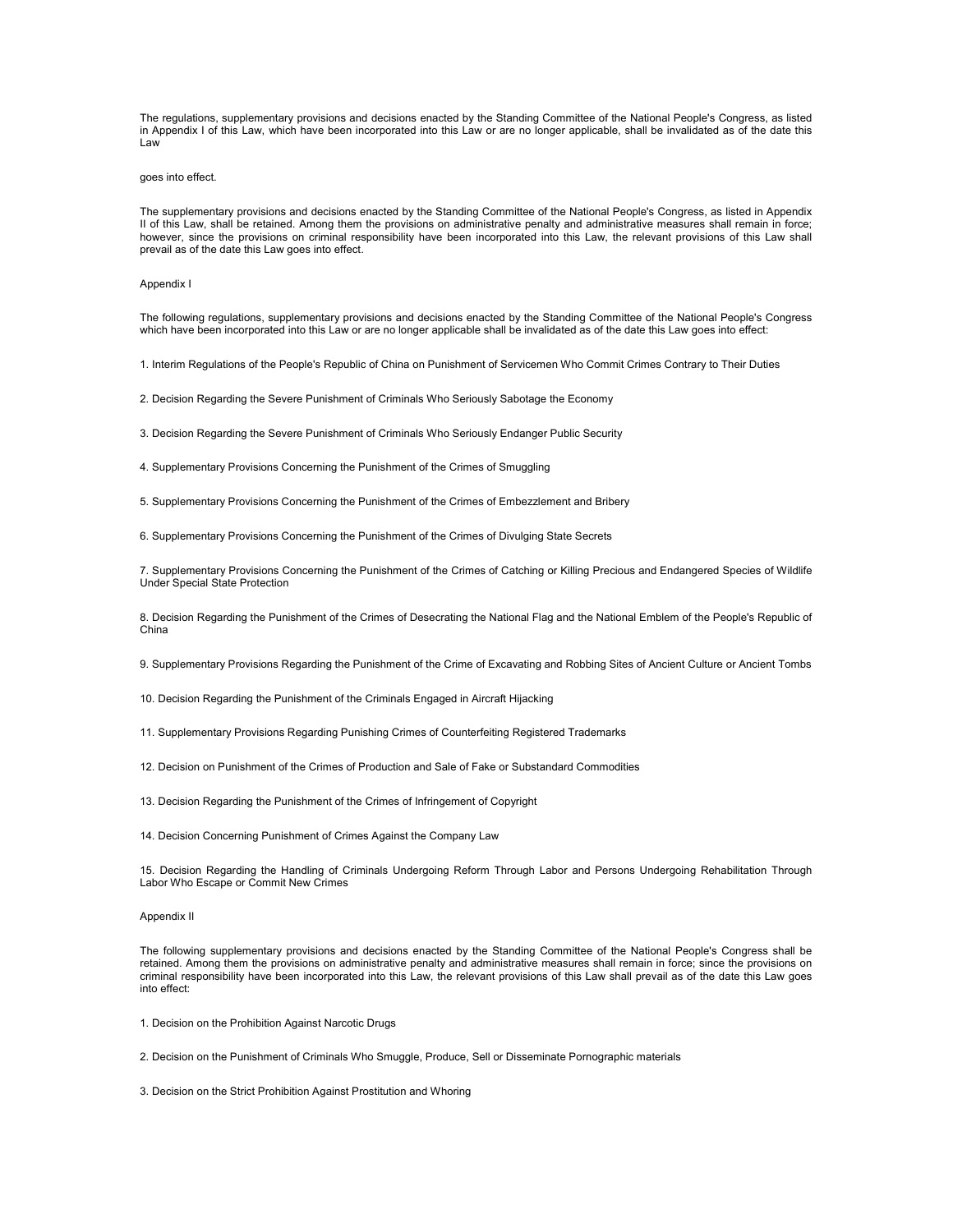The regulations, supplementary provisions and decisions enacted by the Standing Committee of the National People's Congress, as listed in Appendix I of this Law, which have been incorporated into this Law or are no longer applicable, shall be invalidated as of the date this Law

## goes into effect.

The supplementary provisions and decisions enacted by the Standing Committee of the National People's Congress, as listed in Appendix II of this Law, shall be retained. Among them the provisions on administrative penalty and administrative measures shall remain in force; however, since the provisions on criminal responsibility have been incorporated into this Law, the relevant provisions of this Law shall prevail as of the date this Law goes into effect.

#### Appendix I

The following regulations, supplementary provisions and decisions enacted by the Standing Committee of the National People's Congress<br>which have been incorporated into this Law or are no longer applicable shall be invalida

1. Interim Regulations of the People's Republic of China on Punishment of Servicemen Who Commit Crimes Contrary to Their Duties

2. Decision Regarding the Severe Punishment of Criminals Who Seriously Sabotage the Economy

3. Decision Regarding the Severe Punishment of Criminals Who Seriously Endanger Public Security

4. Supplementary Provisions Concerning the Punishment of the Crimes of Smuggling

5. Supplementary Provisions Concerning the Punishment of the Crimes of Embezzlement and Bribery

6. Supplementary Provisions Concerning the Punishment of the Crimes of Divulging State Secrets

7. Supplementary Provisions Concerning the Punishment of the Crimes of Catching or Killing Precious and Endangered Species of Wildlife Under Special State Protection

8. Decision Regarding the Punishment of the Crimes of Desecrating the National Flag and the National Emblem of the People's Republic of China

9. Supplementary Provisions Regarding the Punishment of the Crime of Excavating and Robbing Sites of Ancient Culture or Ancient Tombs

10. Decision Regarding the Punishment of the Criminals Engaged in Aircraft Hijacking

11. Supplementary Provisions Regarding Punishing Crimes of Counterfeiting Registered Trademarks

12. Decision on Punishment of the Crimes of Production and Sale of Fake or Substandard Commodities

13. Decision Regarding the Punishment of the Crimes of Infringement of Copyright

14. Decision Concerning Punishment of Crimes Against the Company Law

15. Decision Regarding the Handling of Criminals Undergoing Reform Through Labor and Persons Undergoing Rehabilitation Through Labor Who Escape or Commit New Crimes

## Appendix II

The following supplementary provisions and decisions enacted by the Standing Committee of the National People's Congress shall be retained. Among them the provisions on administrative penalty and administrative measures shall remain in force; since the provisions on criminal responsibility have been incorporated into this Law, the relevant provisions of this Law shall prevail as of the date this Law goes into effect:

1. Decision on the Prohibition Against Narcotic Drugs

2. Decision on the Punishment of Criminals Who Smuggle, Produce, Sell or Disseminate Pornographic materials

3. Decision on the Strict Prohibition Against Prostitution and Whoring